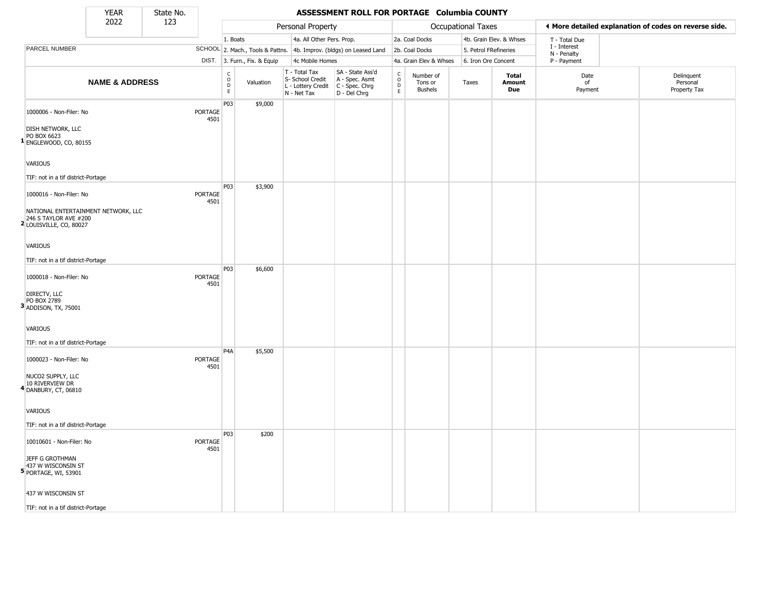State No.

Г

## YEAR **ASSESSMENT ROLL FOR PORTAGE Columbia COUNTY**

|                                                                                                         | 2022                                | 123 |                        |                                                   |                              | Personal Property                                                                     |                                                                     |                                                 |                                        | Occupational Taxes    |                         |                            | ◀ More detailed explanation of codes on reverse side. |
|---------------------------------------------------------------------------------------------------------|-------------------------------------|-----|------------------------|---------------------------------------------------|------------------------------|---------------------------------------------------------------------------------------|---------------------------------------------------------------------|-------------------------------------------------|----------------------------------------|-----------------------|-------------------------|----------------------------|-------------------------------------------------------|
|                                                                                                         |                                     |     |                        | 1. Boats                                          |                              | 4a. All Other Pers. Prop.                                                             |                                                                     |                                                 | 2a. Coal Docks                         |                       | 4b. Grain Elev. & Whses | T - Total Due              |                                                       |
| PARCEL NUMBER                                                                                           |                                     |     |                        |                                                   |                              |                                                                                       | SCHOOL 2. Mach., Tools & Pattns. 4b. Improv. (bldgs) on Leased Land |                                                 | 2b. Coal Docks                         | 5. Petrol FRefineries |                         | I - Interest               |                                                       |
|                                                                                                         |                                     |     |                        |                                                   | DIST. 3. Furn., Fix. & Equip | 4c Mobile Homes                                                                       |                                                                     |                                                 | 4a. Grain Elev & Whses                 | 6. Iron Ore Concent   |                         | N - Penalty<br>P - Payment |                                                       |
|                                                                                                         | <b>NAME &amp; ADDRESS</b>           |     |                        | $\begin{array}{c}\nC \\ O \\ D \\ E\n\end{array}$ | Valuation                    | T - Total Tax<br>S- School Credit<br>L - Lottery Credit C - Spec. Chrg<br>N - Net Tax | SA - State Ass'd<br>A - Spec. Asmt<br>D - Del Chrg                  | $\begin{array}{c} C \\ O \\ D \\ E \end{array}$ | Number of<br>Tons or<br><b>Bushels</b> | Taxes                 | Total<br>Amount<br>Due  | Date<br>of<br>Payment      | Delinquent<br>Personal<br>Property Tax                |
| 1000006 - Non-Filer: No<br><b>DISH NETWORK, LLC</b><br>PO BOX 6623<br><sup>1</sup> ENGLEWOOD, CO, 80155 |                                     |     | <b>PORTAGE</b><br>4501 | P03                                               | \$9,000                      |                                                                                       |                                                                     |                                                 |                                        |                       |                         |                            |                                                       |
| <b>VARIOUS</b>                                                                                          |                                     |     |                        |                                                   |                              |                                                                                       |                                                                     |                                                 |                                        |                       |                         |                            |                                                       |
| TIF: not in a tif district-Portage                                                                      |                                     |     |                        |                                                   |                              |                                                                                       |                                                                     |                                                 |                                        |                       |                         |                            |                                                       |
| 1000016 - Non-Filer: No<br>246 S TAYLOR AVE #200<br><sup>2</sup> LOUISVILLE, CO, 80027                  | NATIONAL ENTERTAINMENT NETWORK, LLC |     | <b>PORTAGE</b><br>4501 | P03                                               | \$3,900                      |                                                                                       |                                                                     |                                                 |                                        |                       |                         |                            |                                                       |
| <b>VARIOUS</b><br>TIF: not in a tif district-Portage                                                    |                                     |     |                        |                                                   |                              |                                                                                       |                                                                     |                                                 |                                        |                       |                         |                            |                                                       |
| 1000018 - Non-Filer: No                                                                                 |                                     |     | <b>PORTAGE</b><br>4501 | P03                                               | \$6,600                      |                                                                                       |                                                                     |                                                 |                                        |                       |                         |                            |                                                       |
| DIRECTV, LLC<br>PO BOX 2789<br>$3$ ADDISON, TX, 75001                                                   |                                     |     |                        |                                                   |                              |                                                                                       |                                                                     |                                                 |                                        |                       |                         |                            |                                                       |
| VARIOUS                                                                                                 |                                     |     |                        |                                                   |                              |                                                                                       |                                                                     |                                                 |                                        |                       |                         |                            |                                                       |
| TIF: not in a tif district-Portage                                                                      |                                     |     |                        |                                                   |                              |                                                                                       |                                                                     |                                                 |                                        |                       |                         |                            |                                                       |
| 1000023 - Non-Filer: No                                                                                 |                                     |     | PORTAGE<br>4501        | P <sub>4</sub> A                                  | \$5,500                      |                                                                                       |                                                                     |                                                 |                                        |                       |                         |                            |                                                       |
| NUCO2 SUPPLY, LLC<br>10 RIVERVIEW DR<br><sup>4</sup> DANBURY, CT, 06810                                 |                                     |     |                        |                                                   |                              |                                                                                       |                                                                     |                                                 |                                        |                       |                         |                            |                                                       |
| <b>VARIOUS</b>                                                                                          |                                     |     |                        |                                                   |                              |                                                                                       |                                                                     |                                                 |                                        |                       |                         |                            |                                                       |
| TIF: not in a tif district-Portage                                                                      |                                     |     |                        |                                                   |                              |                                                                                       |                                                                     |                                                 |                                        |                       |                         |                            |                                                       |
| 10010601 - Non-Filer: No                                                                                |                                     |     | PORTAGE<br>4501        | P03                                               | \$200                        |                                                                                       |                                                                     |                                                 |                                        |                       |                         |                            |                                                       |
| JEFF G GROTHMAN<br>437 W WISCONSIN ST<br><b>5</b> PORTAGE, WI, 53901                                    |                                     |     |                        |                                                   |                              |                                                                                       |                                                                     |                                                 |                                        |                       |                         |                            |                                                       |
| 437 W WISCONSIN ST                                                                                      |                                     |     |                        |                                                   |                              |                                                                                       |                                                                     |                                                 |                                        |                       |                         |                            |                                                       |
| TIF: not in a tif district-Portage                                                                      |                                     |     |                        |                                                   |                              |                                                                                       |                                                                     |                                                 |                                        |                       |                         |                            |                                                       |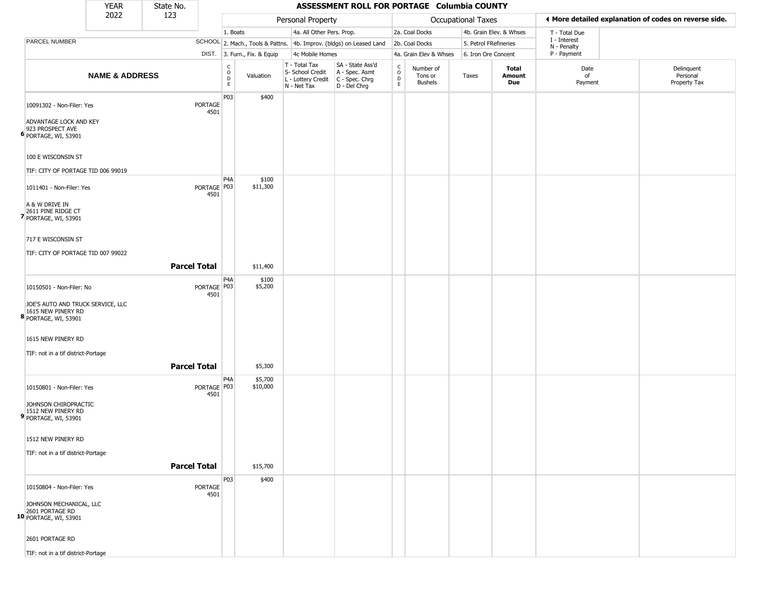|                                                                                 | <b>YEAR</b>               | State No.           |                       |                                                 |                              |                                                  | ASSESSMENT ROLL FOR PORTAGE Columbia COUNTY                                               |                      |                                        |                           |                         |                             |                                                       |
|---------------------------------------------------------------------------------|---------------------------|---------------------|-----------------------|-------------------------------------------------|------------------------------|--------------------------------------------------|-------------------------------------------------------------------------------------------|----------------------|----------------------------------------|---------------------------|-------------------------|-----------------------------|-------------------------------------------------------|
|                                                                                 | 2022                      | 123                 |                       |                                                 |                              | Personal Property                                |                                                                                           |                      |                                        | <b>Occupational Taxes</b> |                         |                             | ♦ More detailed explanation of codes on reverse side. |
|                                                                                 |                           |                     |                       | 1. Boats                                        |                              | 4a. All Other Pers. Prop.                        |                                                                                           |                      | 2a. Coal Docks                         |                           | 4b. Grain Elev. & Whses | T - Total Due               |                                                       |
| PARCEL NUMBER                                                                   |                           |                     |                       |                                                 |                              |                                                  | SCHOOL 2. Mach., Tools & Pattns. 4b. Improv. (bldgs) on Leased Land                       |                      | 2b. Coal Docks                         | 5. Petrol FRefineries     |                         | I - Interest<br>N - Penalty |                                                       |
|                                                                                 |                           |                     |                       |                                                 | DIST. 3. Furn., Fix. & Equip | 4c Mobile Homes                                  |                                                                                           |                      | 4a. Grain Elev & Whses                 | 6. Iron Ore Concent       |                         | P - Payment                 |                                                       |
|                                                                                 | <b>NAME &amp; ADDRESS</b> |                     |                       | $\begin{array}{c} C \\ O \\ D \\ E \end{array}$ | Valuation                    | T - Total Tax<br>S- School Credit<br>N - Net Tax | SA - State Ass'd<br>A - Spec. Asmt<br>L - Lottery Credit   C - Spec. Chrg<br>D - Del Chrg | $\rm _o^C$<br>D<br>E | Number of<br>Tons or<br><b>Bushels</b> | Taxes                     | Total<br>Amount<br>Due  | Date<br>of<br>Payment       | Delinquent<br>Personal<br>Property Tax                |
| 10091302 - Non-Filer: Yes                                                       |                           |                     | PORTAGE<br>4501       | P03                                             | \$400                        |                                                  |                                                                                           |                      |                                        |                           |                         |                             |                                                       |
| ADVANTAGE LOCK AND KEY<br>923 PROSPECT AVE<br><b>6</b> PORTAGE, WI, 53901       |                           |                     |                       |                                                 |                              |                                                  |                                                                                           |                      |                                        |                           |                         |                             |                                                       |
| 100 E WISCONSIN ST                                                              |                           |                     |                       |                                                 |                              |                                                  |                                                                                           |                      |                                        |                           |                         |                             |                                                       |
| TIF: CITY OF PORTAGE TID 006 99019                                              |                           |                     |                       |                                                 |                              |                                                  |                                                                                           |                      |                                        |                           |                         |                             |                                                       |
| 1011401 - Non-Filer: Yes                                                        |                           |                     | PORTAGE P03<br>4501   | P <sub>4</sub> A                                | \$100<br>\$11,300            |                                                  |                                                                                           |                      |                                        |                           |                         |                             |                                                       |
| A & W DRIVE IN<br>2611 PINE RIDGE CT<br>7 PORTAGE, WI, 53901                    |                           |                     |                       |                                                 |                              |                                                  |                                                                                           |                      |                                        |                           |                         |                             |                                                       |
| 717 E WISCONSIN ST                                                              |                           |                     |                       |                                                 |                              |                                                  |                                                                                           |                      |                                        |                           |                         |                             |                                                       |
| TIF: CITY OF PORTAGE TID 007 99022                                              |                           |                     |                       |                                                 |                              |                                                  |                                                                                           |                      |                                        |                           |                         |                             |                                                       |
|                                                                                 |                           | <b>Parcel Total</b> |                       |                                                 | \$11,400                     |                                                  |                                                                                           |                      |                                        |                           |                         |                             |                                                       |
| 10150501 - Non-Filer: No                                                        |                           |                     | PORTAGE   P03<br>4501 | P4A                                             | \$100<br>\$5,200             |                                                  |                                                                                           |                      |                                        |                           |                         |                             |                                                       |
| JOE'S AUTO AND TRUCK SERVICE, LLC<br>1615 NEW PINERY RD<br>8 PORTAGE, WI, 53901 |                           |                     |                       |                                                 |                              |                                                  |                                                                                           |                      |                                        |                           |                         |                             |                                                       |
| 1615 NEW PINERY RD                                                              |                           |                     |                       |                                                 |                              |                                                  |                                                                                           |                      |                                        |                           |                         |                             |                                                       |
| TIF: not in a tif district-Portage                                              |                           |                     |                       |                                                 |                              |                                                  |                                                                                           |                      |                                        |                           |                         |                             |                                                       |
|                                                                                 |                           | <b>Parcel Total</b> |                       |                                                 | \$5,300                      |                                                  |                                                                                           |                      |                                        |                           |                         |                             |                                                       |
| 10150801 - Non-Filer: Yes                                                       |                           |                     | PORTAGE P03<br>4501   | P4A                                             | \$5,700<br>\$10,000          |                                                  |                                                                                           |                      |                                        |                           |                         |                             |                                                       |
| JOHNSON CHIROPRACTIC<br>1512 NEW PINERY RD<br>9 PORTAGE, WI, 53901              |                           |                     |                       |                                                 |                              |                                                  |                                                                                           |                      |                                        |                           |                         |                             |                                                       |
| 1512 NEW PINERY RD                                                              |                           |                     |                       |                                                 |                              |                                                  |                                                                                           |                      |                                        |                           |                         |                             |                                                       |
| TIF: not in a tif district-Portage                                              |                           |                     |                       |                                                 |                              |                                                  |                                                                                           |                      |                                        |                           |                         |                             |                                                       |
|                                                                                 |                           | <b>Parcel Total</b> |                       |                                                 | \$15,700                     |                                                  |                                                                                           |                      |                                        |                           |                         |                             |                                                       |
| 10150804 - Non-Filer: Yes                                                       |                           |                     | PORTAGE               | P03                                             | \$400                        |                                                  |                                                                                           |                      |                                        |                           |                         |                             |                                                       |
| JOHNSON MECHANICAL, LLC                                                         |                           |                     | 4501                  |                                                 |                              |                                                  |                                                                                           |                      |                                        |                           |                         |                             |                                                       |
| 2601 PORTAGE RD<br>10 PORTAGE, WI, 53901                                        |                           |                     |                       |                                                 |                              |                                                  |                                                                                           |                      |                                        |                           |                         |                             |                                                       |
| 2601 PORTAGE RD                                                                 |                           |                     |                       |                                                 |                              |                                                  |                                                                                           |                      |                                        |                           |                         |                             |                                                       |
| TIF: not in a tif district-Portage                                              |                           |                     |                       |                                                 |                              |                                                  |                                                                                           |                      |                                        |                           |                         |                             |                                                       |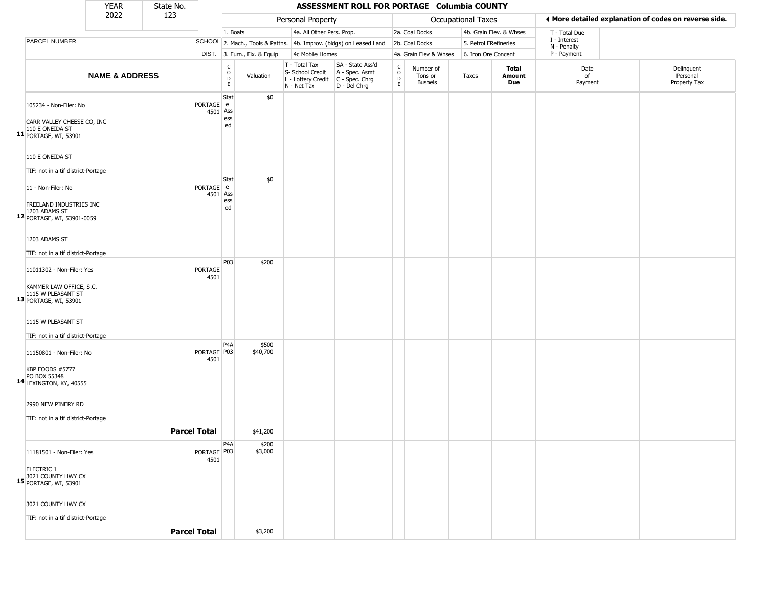|                                                                                                     | <b>YEAR</b>               | State No. |                       |                                   |                              |                                                                                         | ASSESSMENT ROLL FOR PORTAGE Columbia COUNTY                         |                                                          |                                        |                       |                         |                             |                                                       |
|-----------------------------------------------------------------------------------------------------|---------------------------|-----------|-----------------------|-----------------------------------|------------------------------|-----------------------------------------------------------------------------------------|---------------------------------------------------------------------|----------------------------------------------------------|----------------------------------------|-----------------------|-------------------------|-----------------------------|-------------------------------------------------------|
|                                                                                                     | 2022                      | 123       |                       |                                   |                              | Personal Property                                                                       |                                                                     |                                                          |                                        | Occupational Taxes    |                         |                             | ♦ More detailed explanation of codes on reverse side. |
|                                                                                                     |                           |           |                       | 1. Boats                          |                              | 4a. All Other Pers. Prop.                                                               |                                                                     |                                                          | 2a. Coal Docks                         |                       | 4b. Grain Elev. & Whses | T - Total Due               |                                                       |
| <b>PARCEL NUMBER</b>                                                                                |                           |           |                       |                                   |                              |                                                                                         | SCHOOL 2. Mach., Tools & Pattns. 4b. Improv. (bldgs) on Leased Land |                                                          | 2b. Coal Docks                         | 5. Petrol FRefineries |                         | I - Interest<br>N - Penalty |                                                       |
|                                                                                                     |                           |           |                       |                                   | DIST. 3. Furn., Fix. & Equip | 4c Mobile Homes                                                                         |                                                                     |                                                          | 4a. Grain Elev & Whses                 | 6. Iron Ore Concent   |                         | P - Payment                 |                                                       |
|                                                                                                     | <b>NAME &amp; ADDRESS</b> |           |                       | $\frac{c}{0}$<br>D<br>$\mathsf E$ | Valuation                    | T - Total Tax<br>S- School Credit<br>L - Lottery Credit   C - Spec. Chrg<br>N - Net Tax | SA - State Ass'd<br>A - Spec. Asmt<br>D - Del Chrg                  | $\begin{matrix} 0 \\ 0 \\ 0 \end{matrix}$<br>$\mathsf E$ | Number of<br>Tons or<br><b>Bushels</b> | Taxes                 | Total<br>Amount<br>Due  | Date<br>of<br>Payment       | Delinquent<br>Personal<br>Property Tax                |
| 105234 - Non-Filer: No<br>CARR VALLEY CHEESE CO, INC<br>110 E ONEIDA ST<br>11 PORTAGE, WI, 53901    |                           |           | PORTAGE e<br>4501 Ass | Stat<br>ess<br>ed                 | \$0                          |                                                                                         |                                                                     |                                                          |                                        |                       |                         |                             |                                                       |
| 110 E ONEIDA ST<br>TIF: not in a tif district-Portage                                               |                           |           |                       |                                   |                              |                                                                                         |                                                                     |                                                          |                                        |                       |                         |                             |                                                       |
| 11 - Non-Filer: No<br><b>FREELAND INDUSTRIES INC</b><br>1203 ADAMS ST<br>12 PORTAGE, WI, 53901-0059 |                           |           | PORTAGE e             | Stat<br>4501 Ass<br>ess<br>ed     | \$0                          |                                                                                         |                                                                     |                                                          |                                        |                       |                         |                             |                                                       |
| 1203 ADAMS ST<br>TIF: not in a tif district-Portage                                                 |                           |           |                       |                                   |                              |                                                                                         |                                                                     |                                                          |                                        |                       |                         |                             |                                                       |
|                                                                                                     |                           |           |                       | P03                               | \$200                        |                                                                                         |                                                                     |                                                          |                                        |                       |                         |                             |                                                       |
| 11011302 - Non-Filer: Yes<br>KAMMER LAW OFFICE, S.C.<br>1115 W PLEASANT ST<br>13 PORTAGE, WI, 53901 |                           |           | PORTAGE<br>4501       |                                   |                              |                                                                                         |                                                                     |                                                          |                                        |                       |                         |                             |                                                       |
| 1115 W PLEASANT ST<br>TIF: not in a tif district-Portage                                            |                           |           |                       |                                   |                              |                                                                                         |                                                                     |                                                          |                                        |                       |                         |                             |                                                       |
| 11150801 - Non-Filer: No                                                                            |                           |           | PORTAGE   P03<br>4501 | P4A                               | \$500<br>\$40,700            |                                                                                         |                                                                     |                                                          |                                        |                       |                         |                             |                                                       |
| KBP FOODS #5777<br>PO BOX 55348<br>14 LEXINGTON, KY, 40555                                          |                           |           |                       |                                   |                              |                                                                                         |                                                                     |                                                          |                                        |                       |                         |                             |                                                       |
| 2990 NEW PINERY RD<br>TIF: not in a tif district-Portage                                            |                           |           |                       |                                   |                              |                                                                                         |                                                                     |                                                          |                                        |                       |                         |                             |                                                       |
|                                                                                                     |                           |           | <b>Parcel Total</b>   |                                   | \$41,200                     |                                                                                         |                                                                     |                                                          |                                        |                       |                         |                             |                                                       |
| 11181501 - Non-Filer: Yes                                                                           |                           |           | PORTAGE P03<br>4501   | P4A                               | \$200<br>\$3,000             |                                                                                         |                                                                     |                                                          |                                        |                       |                         |                             |                                                       |
| <b>ELECTRIC 1</b><br>3021 COUNTY HWY CX<br>15 PORTAGE, WI, 53901                                    |                           |           |                       |                                   |                              |                                                                                         |                                                                     |                                                          |                                        |                       |                         |                             |                                                       |
| 3021 COUNTY HWY CX<br>TIF: not in a tif district-Portage                                            |                           |           |                       |                                   |                              |                                                                                         |                                                                     |                                                          |                                        |                       |                         |                             |                                                       |
|                                                                                                     |                           |           | <b>Parcel Total</b>   |                                   | \$3,200                      |                                                                                         |                                                                     |                                                          |                                        |                       |                         |                             |                                                       |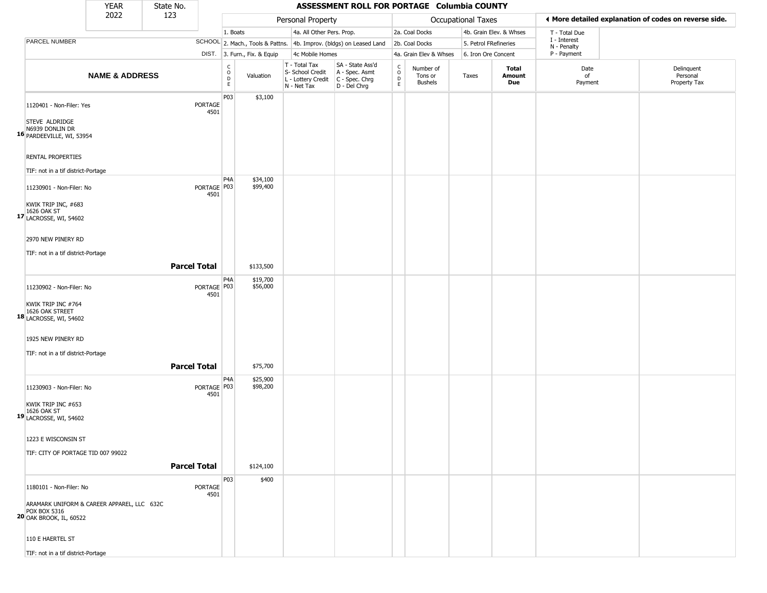|                                                                                                     | <b>YEAR</b>               | State No.           |                                         |                                                              |                                                  | ASSESSMENT ROLL FOR PORTAGE Columbia COUNTY                                               |                                                          |                                        |                           |                         |                             |                                                       |
|-----------------------------------------------------------------------------------------------------|---------------------------|---------------------|-----------------------------------------|--------------------------------------------------------------|--------------------------------------------------|-------------------------------------------------------------------------------------------|----------------------------------------------------------|----------------------------------------|---------------------------|-------------------------|-----------------------------|-------------------------------------------------------|
|                                                                                                     | 2022                      | 123                 |                                         |                                                              | Personal Property                                |                                                                                           |                                                          |                                        | <b>Occupational Taxes</b> |                         |                             | ◀ More detailed explanation of codes on reverse side. |
|                                                                                                     |                           |                     |                                         | 1. Boats                                                     | 4a. All Other Pers. Prop.                        |                                                                                           |                                                          | 2a. Coal Docks                         |                           | 4b. Grain Elev. & Whses | T - Total Due               |                                                       |
| PARCEL NUMBER                                                                                       |                           |                     |                                         |                                                              |                                                  | SCHOOL 2. Mach., Tools & Pattns. 4b. Improv. (bldgs) on Leased Land                       |                                                          | 2b. Coal Docks                         |                           | 5. Petrol FRefineries   | I - Interest<br>N - Penalty |                                                       |
|                                                                                                     |                           |                     |                                         | DIST. 3. Furn., Fix. & Equip                                 | 4c Mobile Homes                                  |                                                                                           |                                                          | 4a. Grain Elev & Whses                 |                           | 6. Iron Ore Concent     | P - Payment                 |                                                       |
|                                                                                                     | <b>NAME &amp; ADDRESS</b> |                     |                                         | $\begin{array}{c} C \\ O \\ D \\ E \end{array}$<br>Valuation | T - Total Tax<br>S- School Credit<br>N - Net Tax | SA - State Ass'd<br>A - Spec. Asmt<br>L - Lottery Credit   C - Spec. Chrg<br>D - Del Chrg | $\begin{matrix} 0 \\ 0 \\ 0 \end{matrix}$<br>$\mathsf E$ | Number of<br>Tons or<br><b>Bushels</b> | Taxes                     | Total<br>Amount<br>Due  | Date<br>of<br>Payment       | Delinquent<br>Personal<br>Property Tax                |
| 1120401 - Non-Filer: Yes                                                                            |                           | PORTAGE             | P03<br>4501                             | \$3,100                                                      |                                                  |                                                                                           |                                                          |                                        |                           |                         |                             |                                                       |
| STEVE ALDRIDGE<br>N6939 DONLIN DR<br>16 PARDEEVILLE, WI, 53954                                      |                           |                     |                                         |                                                              |                                                  |                                                                                           |                                                          |                                        |                           |                         |                             |                                                       |
| <b>RENTAL PROPERTIES</b>                                                                            |                           |                     |                                         |                                                              |                                                  |                                                                                           |                                                          |                                        |                           |                         |                             |                                                       |
| TIF: not in a tif district-Portage                                                                  |                           |                     | P <sub>4</sub> A                        | \$34,100                                                     |                                                  |                                                                                           |                                                          |                                        |                           |                         |                             |                                                       |
| 11230901 - Non-Filer: No<br>KWIK TRIP INC, #683                                                     |                           |                     | PORTAGE   P03<br>4501                   | \$99,400                                                     |                                                  |                                                                                           |                                                          |                                        |                           |                         |                             |                                                       |
| 1626 OAK ST<br>17 LACROSSE, WI, 54602                                                               |                           |                     |                                         |                                                              |                                                  |                                                                                           |                                                          |                                        |                           |                         |                             |                                                       |
| 2970 NEW PINERY RD                                                                                  |                           |                     |                                         |                                                              |                                                  |                                                                                           |                                                          |                                        |                           |                         |                             |                                                       |
| TIF: not in a tif district-Portage                                                                  |                           |                     |                                         |                                                              |                                                  |                                                                                           |                                                          |                                        |                           |                         |                             |                                                       |
|                                                                                                     |                           | <b>Parcel Total</b> |                                         | \$133,500                                                    |                                                  |                                                                                           |                                                          |                                        |                           |                         |                             |                                                       |
| 11230902 - Non-Filer: No                                                                            |                           |                     | P4A<br>PORTAGE   P03<br>4501            | \$19,700<br>\$56,000                                         |                                                  |                                                                                           |                                                          |                                        |                           |                         |                             |                                                       |
| KWIK TRIP INC #764<br>18 1626 OAK STREET<br>18 LACROSSE, WI, 54602                                  |                           |                     |                                         |                                                              |                                                  |                                                                                           |                                                          |                                        |                           |                         |                             |                                                       |
| 1925 NEW PINERY RD                                                                                  |                           |                     |                                         |                                                              |                                                  |                                                                                           |                                                          |                                        |                           |                         |                             |                                                       |
| TIF: not in a tif district-Portage                                                                  |                           |                     |                                         |                                                              |                                                  |                                                                                           |                                                          |                                        |                           |                         |                             |                                                       |
|                                                                                                     |                           | <b>Parcel Total</b> |                                         | \$75,700                                                     |                                                  |                                                                                           |                                                          |                                        |                           |                         |                             |                                                       |
| 11230903 - Non-Filer: No                                                                            |                           |                     | P <sub>4</sub> A<br>PORTAGE P03<br>4501 | \$25,900<br>\$98,200                                         |                                                  |                                                                                           |                                                          |                                        |                           |                         |                             |                                                       |
| KWIK TRIP INC #653<br>1626 OAK ST<br>19 LACROSSE, WI, 54602                                         |                           |                     |                                         |                                                              |                                                  |                                                                                           |                                                          |                                        |                           |                         |                             |                                                       |
| 1223 E WISCONSIN ST                                                                                 |                           |                     |                                         |                                                              |                                                  |                                                                                           |                                                          |                                        |                           |                         |                             |                                                       |
| TIF: CITY OF PORTAGE TID 007 99022                                                                  |                           | <b>Parcel Total</b> |                                         | \$124,100                                                    |                                                  |                                                                                           |                                                          |                                        |                           |                         |                             |                                                       |
|                                                                                                     |                           |                     | P03                                     | \$400                                                        |                                                  |                                                                                           |                                                          |                                        |                           |                         |                             |                                                       |
| 1180101 - Non-Filer: No                                                                             |                           | PORTAGE             | 4501                                    |                                                              |                                                  |                                                                                           |                                                          |                                        |                           |                         |                             |                                                       |
| ARAMARK UNIFORM & CAREER APPAREL, LLC 632C<br><b>POX BOX 5316</b><br><b>20 OAK BROOK, IL, 60522</b> |                           |                     |                                         |                                                              |                                                  |                                                                                           |                                                          |                                        |                           |                         |                             |                                                       |
| 110 E HAERTEL ST                                                                                    |                           |                     |                                         |                                                              |                                                  |                                                                                           |                                                          |                                        |                           |                         |                             |                                                       |
| TIF: not in a tif district-Portage                                                                  |                           |                     |                                         |                                                              |                                                  |                                                                                           |                                                          |                                        |                           |                         |                             |                                                       |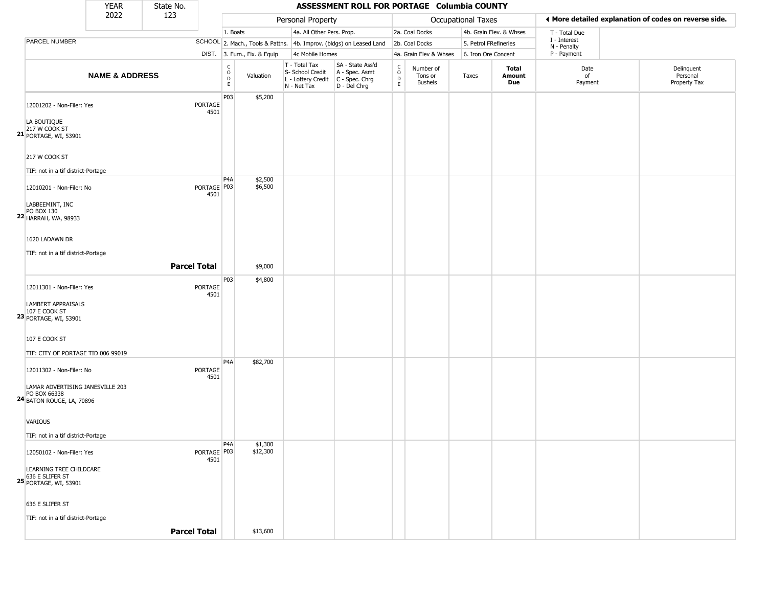|                                                                            | <b>YEAR</b>               | State No.           |                     |                                                 |                              |                                                                                       | ASSESSMENT ROLL FOR PORTAGE Columbia COUNTY                         |                                                          |                                        |                       |                         |                             |                                                       |
|----------------------------------------------------------------------------|---------------------------|---------------------|---------------------|-------------------------------------------------|------------------------------|---------------------------------------------------------------------------------------|---------------------------------------------------------------------|----------------------------------------------------------|----------------------------------------|-----------------------|-------------------------|-----------------------------|-------------------------------------------------------|
|                                                                            | 2022                      | 123                 |                     |                                                 |                              | Personal Property                                                                     |                                                                     |                                                          |                                        | Occupational Taxes    |                         |                             | ♦ More detailed explanation of codes on reverse side. |
|                                                                            |                           |                     |                     | 1. Boats                                        |                              | 4a. All Other Pers. Prop.                                                             |                                                                     |                                                          | 2a. Coal Docks                         |                       | 4b. Grain Elev. & Whses | T - Total Due               |                                                       |
| PARCEL NUMBER                                                              |                           |                     |                     |                                                 |                              |                                                                                       | SCHOOL 2. Mach., Tools & Pattns. 4b. Improv. (bldgs) on Leased Land |                                                          | 2b. Coal Docks                         | 5. Petrol FRefineries |                         | I - Interest<br>N - Penalty |                                                       |
|                                                                            |                           |                     |                     |                                                 | DIST. 3. Furn., Fix. & Equip | 4c Mobile Homes                                                                       |                                                                     |                                                          | 4a. Grain Elev & Whses                 | 6. Iron Ore Concent   |                         | P - Payment                 |                                                       |
|                                                                            | <b>NAME &amp; ADDRESS</b> |                     |                     | $\begin{array}{c} C \\ O \\ D \\ E \end{array}$ | Valuation                    | T - Total Tax<br>S- School Credit<br>L - Lottery Credit C - Spec. Chrg<br>N - Net Tax | SA - State Ass'd<br>A - Spec. Asmt<br>D - Del Chrg                  | $\begin{matrix} 0 \\ 0 \\ 0 \end{matrix}$<br>$\mathsf E$ | Number of<br>Tons or<br><b>Bushels</b> | Taxes                 | Total<br>Amount<br>Due  | Date<br>of<br>Payment       | Delinquent<br>Personal<br>Property Tax                |
| 12001202 - Non-Filer: Yes<br>LA BOUTIQUE                                   |                           |                     | PORTAGE<br>4501     | P03                                             | \$5,200                      |                                                                                       |                                                                     |                                                          |                                        |                       |                         |                             |                                                       |
| 217 W COOK ST<br><b>21 PORTAGE, WI, 53901</b>                              |                           |                     |                     |                                                 |                              |                                                                                       |                                                                     |                                                          |                                        |                       |                         |                             |                                                       |
| 217 W COOK ST<br>TIF: not in a tif district-Portage                        |                           |                     |                     |                                                 |                              |                                                                                       |                                                                     |                                                          |                                        |                       |                         |                             |                                                       |
| 12010201 - Non-Filer: No<br>LABBEEMINT, INC                                |                           |                     | PORTAGE P03<br>4501 | P <sub>4</sub> A                                | \$2,500<br>\$6,500           |                                                                                       |                                                                     |                                                          |                                        |                       |                         |                             |                                                       |
| PO BOX 130<br><b>22 HARRAH, WA, 98933</b>                                  |                           |                     |                     |                                                 |                              |                                                                                       |                                                                     |                                                          |                                        |                       |                         |                             |                                                       |
| 1620 LADAWN DR                                                             |                           |                     |                     |                                                 |                              |                                                                                       |                                                                     |                                                          |                                        |                       |                         |                             |                                                       |
| TIF: not in a tif district-Portage                                         |                           |                     |                     |                                                 |                              |                                                                                       |                                                                     |                                                          |                                        |                       |                         |                             |                                                       |
|                                                                            |                           | <b>Parcel Total</b> |                     |                                                 | \$9,000                      |                                                                                       |                                                                     |                                                          |                                        |                       |                         |                             |                                                       |
| 12011301 - Non-Filer: Yes                                                  |                           |                     | PORTAGE<br>4501     | P03                                             | \$4,800                      |                                                                                       |                                                                     |                                                          |                                        |                       |                         |                             |                                                       |
| LAMBERT APPRAISALS<br>107 E COOK ST<br><b>23 PORTAGE, WI, 53901</b>        |                           |                     |                     |                                                 |                              |                                                                                       |                                                                     |                                                          |                                        |                       |                         |                             |                                                       |
| 107 E COOK ST                                                              |                           |                     |                     |                                                 |                              |                                                                                       |                                                                     |                                                          |                                        |                       |                         |                             |                                                       |
| TIF: CITY OF PORTAGE TID 006 99019                                         |                           |                     |                     |                                                 |                              |                                                                                       |                                                                     |                                                          |                                        |                       |                         |                             |                                                       |
| 12011302 - Non-Filer: No<br>LAMAR ADVERTISING JANESVILLE 203               |                           |                     | PORTAGE<br>4501     | P <sub>4</sub> A                                | \$82,700                     |                                                                                       |                                                                     |                                                          |                                        |                       |                         |                             |                                                       |
| PO BOX 66338<br>24 BATON ROUGE, LA, 70896                                  |                           |                     |                     |                                                 |                              |                                                                                       |                                                                     |                                                          |                                        |                       |                         |                             |                                                       |
| VARIOUS                                                                    |                           |                     |                     |                                                 |                              |                                                                                       |                                                                     |                                                          |                                        |                       |                         |                             |                                                       |
| TIF: not in a tif district-Portage                                         |                           |                     |                     |                                                 |                              |                                                                                       |                                                                     |                                                          |                                        |                       |                         |                             |                                                       |
| 12050102 - Non-Filer: Yes                                                  |                           |                     | PORTAGE P03<br>4501 | P <sub>4</sub> A                                | \$1,300<br>\$12,300          |                                                                                       |                                                                     |                                                          |                                        |                       |                         |                             |                                                       |
| LEARNING TREE CHILDCARE<br>636 E SLIFER ST<br><b>25 PORTAGE, WI, 53901</b> |                           |                     |                     |                                                 |                              |                                                                                       |                                                                     |                                                          |                                        |                       |                         |                             |                                                       |
| 636 E SLIFER ST                                                            |                           |                     |                     |                                                 |                              |                                                                                       |                                                                     |                                                          |                                        |                       |                         |                             |                                                       |
| TIF: not in a tif district-Portage                                         |                           |                     |                     |                                                 |                              |                                                                                       |                                                                     |                                                          |                                        |                       |                         |                             |                                                       |
|                                                                            |                           | <b>Parcel Total</b> |                     |                                                 | \$13,600                     |                                                                                       |                                                                     |                                                          |                                        |                       |                         |                             |                                                       |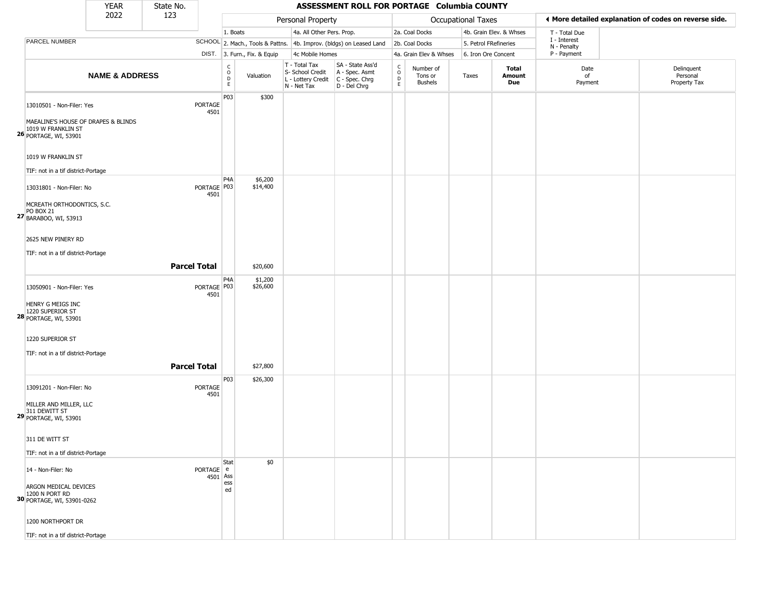|                                                                                    | <b>YEAR</b>               | State No.           |                       |                                              |                              |                                                                                         | ASSESSMENT ROLL FOR PORTAGE Columbia COUNTY                         |                                              |                                        |                       |                         |                             |                                                       |
|------------------------------------------------------------------------------------|---------------------------|---------------------|-----------------------|----------------------------------------------|------------------------------|-----------------------------------------------------------------------------------------|---------------------------------------------------------------------|----------------------------------------------|----------------------------------------|-----------------------|-------------------------|-----------------------------|-------------------------------------------------------|
|                                                                                    | 2022                      | 123                 |                       |                                              |                              | Personal Property                                                                       |                                                                     |                                              |                                        | Occupational Taxes    |                         |                             | ♦ More detailed explanation of codes on reverse side. |
|                                                                                    |                           |                     |                       | 1. Boats                                     |                              | 4a. All Other Pers. Prop.                                                               |                                                                     |                                              | 2a. Coal Docks                         |                       | 4b. Grain Elev. & Whses | T - Total Due               |                                                       |
| PARCEL NUMBER                                                                      |                           |                     |                       |                                              |                              |                                                                                         | SCHOOL 2. Mach., Tools & Pattns. 4b. Improv. (bldgs) on Leased Land |                                              | 2b. Coal Docks                         | 5. Petrol FRefineries |                         | I - Interest<br>N - Penalty |                                                       |
|                                                                                    |                           |                     |                       |                                              | DIST. 3. Furn., Fix. & Equip | 4c Mobile Homes                                                                         |                                                                     |                                              | 4a. Grain Elev & Whses                 | 6. Iron Ore Concent   |                         | P - Payment                 |                                                       |
|                                                                                    | <b>NAME &amp; ADDRESS</b> |                     |                       | $\begin{array}{c}\nC \\ O \\ D\n\end{array}$ | Valuation                    | T - Total Tax<br>S- School Credit<br>L - Lottery Credit   C - Spec. Chrg<br>N - Net Tax | SA - State Ass'd<br>A - Spec. Asmt<br>D - Del Chrg                  | $\begin{array}{c}\nC \\ O \\ D\n\end{array}$ | Number of<br>Tons or<br><b>Bushels</b> | Taxes                 | Total<br>Amount<br>Due  | Date<br>of<br>Payment       | Delinquent<br>Personal<br>Property Tax                |
| 13010501 - Non-Filer: Yes                                                          |                           |                     | PORTAGE<br>4501       | P03                                          | \$300                        |                                                                                         |                                                                     |                                              |                                        |                       |                         |                             |                                                       |
| MAEALINE'S HOUSE OF DRAPES & BLINDS<br>1019 W FRANKLIN ST<br>26 PORTAGE, WI, 53901 |                           |                     |                       |                                              |                              |                                                                                         |                                                                     |                                              |                                        |                       |                         |                             |                                                       |
| 1019 W FRANKLIN ST                                                                 |                           |                     |                       |                                              |                              |                                                                                         |                                                                     |                                              |                                        |                       |                         |                             |                                                       |
| TIF: not in a tif district-Portage<br>13031801 - Non-Filer: No                     |                           |                     | PORTAGE   P03<br>4501 | P <sub>4</sub> A                             | \$6,200<br>\$14,400          |                                                                                         |                                                                     |                                              |                                        |                       |                         |                             |                                                       |
| MCREATH ORTHODONTICS, S.C.<br>PO BOX 21<br>27 BARABOO, WI, 53913                   |                           |                     |                       |                                              |                              |                                                                                         |                                                                     |                                              |                                        |                       |                         |                             |                                                       |
| 2625 NEW PINERY RD                                                                 |                           |                     |                       |                                              |                              |                                                                                         |                                                                     |                                              |                                        |                       |                         |                             |                                                       |
| TIF: not in a tif district-Portage                                                 |                           | <b>Parcel Total</b> |                       |                                              | \$20,600                     |                                                                                         |                                                                     |                                              |                                        |                       |                         |                             |                                                       |
| 13050901 - Non-Filer: Yes                                                          |                           |                     | PORTAGE P03<br>4501   | P <sub>4</sub> A                             | \$1,200<br>\$26,600          |                                                                                         |                                                                     |                                              |                                        |                       |                         |                             |                                                       |
| HENRY G MEIGS INC<br>1220 SUPERIOR ST<br><b>28</b> PORTAGE, WI, 53901              |                           |                     |                       |                                              |                              |                                                                                         |                                                                     |                                              |                                        |                       |                         |                             |                                                       |
| 1220 SUPERIOR ST                                                                   |                           |                     |                       |                                              |                              |                                                                                         |                                                                     |                                              |                                        |                       |                         |                             |                                                       |
| TIF: not in a tif district-Portage                                                 |                           | <b>Parcel Total</b> |                       |                                              | \$27,800                     |                                                                                         |                                                                     |                                              |                                        |                       |                         |                             |                                                       |
| 13091201 - Non-Filer: No                                                           |                           |                     | PORTAGE<br>4501       | P03                                          | \$26,300                     |                                                                                         |                                                                     |                                              |                                        |                       |                         |                             |                                                       |
| MILLER AND MILLER, LLC<br>311 DEWITT ST<br><b>29 PORTAGE, WI, 53901</b>            |                           |                     |                       |                                              |                              |                                                                                         |                                                                     |                                              |                                        |                       |                         |                             |                                                       |
| 311 DE WITT ST                                                                     |                           |                     |                       |                                              |                              |                                                                                         |                                                                     |                                              |                                        |                       |                         |                             |                                                       |
| TIF: not in a tif district-Portage                                                 |                           |                     |                       | Stat                                         | \$0                          |                                                                                         |                                                                     |                                              |                                        |                       |                         |                             |                                                       |
| 14 - Non-Filer: No                                                                 |                           |                     | PORTAGE e<br>4501 Ass |                                              |                              |                                                                                         |                                                                     |                                              |                                        |                       |                         |                             |                                                       |
| ARGON MEDICAL DEVICES<br>1200 N PORT RD<br>30 PORTAGE, WI, 53901-0262              |                           |                     |                       | ess<br>ed                                    |                              |                                                                                         |                                                                     |                                              |                                        |                       |                         |                             |                                                       |
| 1200 NORTHPORT DR                                                                  |                           |                     |                       |                                              |                              |                                                                                         |                                                                     |                                              |                                        |                       |                         |                             |                                                       |
| TIF: not in a tif district-Portage                                                 |                           |                     |                       |                                              |                              |                                                                                         |                                                                     |                                              |                                        |                       |                         |                             |                                                       |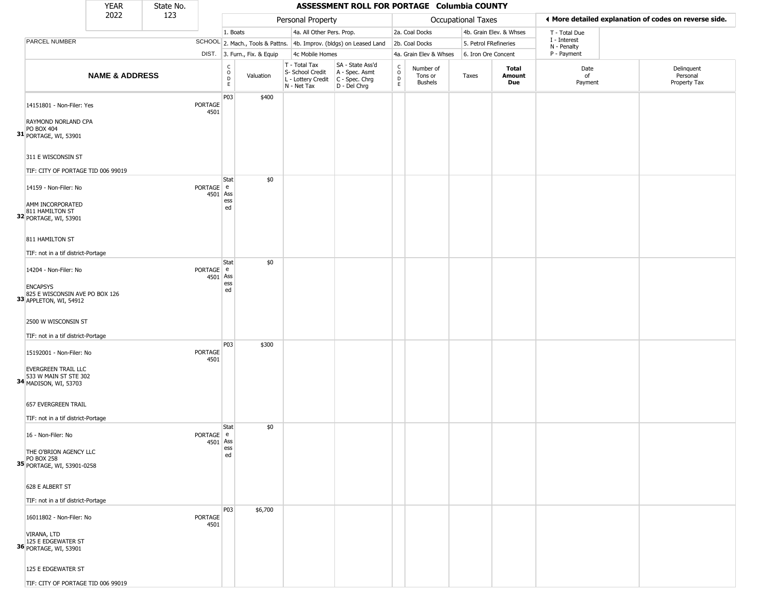|                                                                                                                             | <b>YEAR</b>               | State No. |                       |                                                          |                              |                                                                                         | ASSESSMENT ROLL FOR PORTAGE Columbia COUNTY                         |                                                          |                                        |                           |                         |                             |                                                       |
|-----------------------------------------------------------------------------------------------------------------------------|---------------------------|-----------|-----------------------|----------------------------------------------------------|------------------------------|-----------------------------------------------------------------------------------------|---------------------------------------------------------------------|----------------------------------------------------------|----------------------------------------|---------------------------|-------------------------|-----------------------------|-------------------------------------------------------|
|                                                                                                                             | 2022                      | 123       |                       |                                                          |                              | Personal Property                                                                       |                                                                     |                                                          |                                        | <b>Occupational Taxes</b> |                         |                             | ♦ More detailed explanation of codes on reverse side. |
|                                                                                                                             |                           |           |                       | 1. Boats                                                 |                              | 4a. All Other Pers. Prop.                                                               |                                                                     |                                                          | 2a. Coal Docks                         |                           | 4b. Grain Elev. & Whses | T - Total Due               |                                                       |
| PARCEL NUMBER                                                                                                               |                           |           |                       |                                                          |                              |                                                                                         | SCHOOL 2. Mach., Tools & Pattns. 4b. Improv. (bldgs) on Leased Land |                                                          | 2b. Coal Docks                         | 5. Petrol FRefineries     |                         | I - Interest<br>N - Penalty |                                                       |
|                                                                                                                             |                           |           |                       |                                                          | DIST. 3. Furn., Fix. & Equip | 4c Mobile Homes                                                                         |                                                                     |                                                          | 4a. Grain Elev & Whses                 | 6. Iron Ore Concent       |                         | P - Payment                 |                                                       |
|                                                                                                                             | <b>NAME &amp; ADDRESS</b> |           |                       | $\begin{matrix} 0 \\ 0 \\ D \end{matrix}$<br>$\mathsf E$ | Valuation                    | T - Total Tax<br>S- School Credit<br>L - Lottery Credit   C - Spec. Chrg<br>N - Net Tax | SA - State Ass'd<br>A - Spec. Asmt<br>D - Del Chrg                  | $\begin{smallmatrix} C \\ O \\ D \end{smallmatrix}$<br>E | Number of<br>Tons or<br><b>Bushels</b> | Taxes                     | Total<br>Amount<br>Due  | Date<br>of<br>Payment       | Delinquent<br>Personal<br>Property Tax                |
| 14151801 - Non-Filer: Yes<br>RAYMOND NORLAND CPA<br>PO BOX 404<br>31 PORTAGE, WI, 53901<br>311 E WISCONSIN ST               |                           |           | PORTAGE<br>4501       | P03                                                      | \$400                        |                                                                                         |                                                                     |                                                          |                                        |                           |                         |                             |                                                       |
| TIF: CITY OF PORTAGE TID 006 99019                                                                                          |                           |           |                       |                                                          |                              |                                                                                         |                                                                     |                                                          |                                        |                           |                         |                             |                                                       |
| 14159 - Non-Filer: No<br>AMM INCORPORATED<br>811 HAMILTON ST<br>32 PORTAGE, WI, 53901                                       |                           |           | PORTAGE e<br>4501     | Stat<br>Ass<br>ess<br>ed                                 | \$0                          |                                                                                         |                                                                     |                                                          |                                        |                           |                         |                             |                                                       |
| 811 HAMILTON ST<br>TIF: not in a tif district-Portage                                                                       |                           |           |                       | Stat                                                     | \$0                          |                                                                                         |                                                                     |                                                          |                                        |                           |                         |                             |                                                       |
| 14204 - Non-Filer: No<br><b>ENCAPSYS</b><br>825 E WISCONSIN AVE PO BOX 126<br>33 APPLETON, WI, 54912<br>2500 W WISCONSIN ST |                           |           | PORTAGE e<br>4501     | Ass<br>ess<br>ed                                         |                              |                                                                                         |                                                                     |                                                          |                                        |                           |                         |                             |                                                       |
| TIF: not in a tif district-Portage                                                                                          |                           |           |                       |                                                          |                              |                                                                                         |                                                                     |                                                          |                                        |                           |                         |                             |                                                       |
| 15192001 - Non-Filer: No<br>EVERGREEN TRAIL LLC<br>533 W MAIN ST STE 302<br>34 MADISON, WI, 53703                           |                           |           | PORTAGE<br>4501       | P03                                                      | \$300                        |                                                                                         |                                                                     |                                                          |                                        |                           |                         |                             |                                                       |
| <b>657 EVERGREEN TRAIL</b><br>TIF: not in a tif district-Portage                                                            |                           |           |                       |                                                          |                              |                                                                                         |                                                                     |                                                          |                                        |                           |                         |                             |                                                       |
| 16 - Non-Filer: No<br>THE O'BRION AGENCY LLC<br>PO BOX 258<br>35 PORTAGE, WI, 53901-0258                                    |                           |           | PORTAGE e<br>4501 Ass | Stat<br>ess<br>ed                                        | \$0                          |                                                                                         |                                                                     |                                                          |                                        |                           |                         |                             |                                                       |
| 628 E ALBERT ST<br>TIF: not in a tif district-Portage                                                                       |                           |           |                       |                                                          |                              |                                                                                         |                                                                     |                                                          |                                        |                           |                         |                             |                                                       |
| 16011802 - Non-Filer: No<br>VIRANA, LTD<br>125 E EDGEWATER ST<br>36 PORTAGE, WI, 53901                                      |                           |           | PORTAGE<br>4501       | <b>P03</b>                                               | \$6,700                      |                                                                                         |                                                                     |                                                          |                                        |                           |                         |                             |                                                       |
| 125 E EDGEWATER ST                                                                                                          |                           |           |                       |                                                          |                              |                                                                                         |                                                                     |                                                          |                                        |                           |                         |                             |                                                       |
| TIF: CITY OF PORTAGE TID 006 99019                                                                                          |                           |           |                       |                                                          |                              |                                                                                         |                                                                     |                                                          |                                        |                           |                         |                             |                                                       |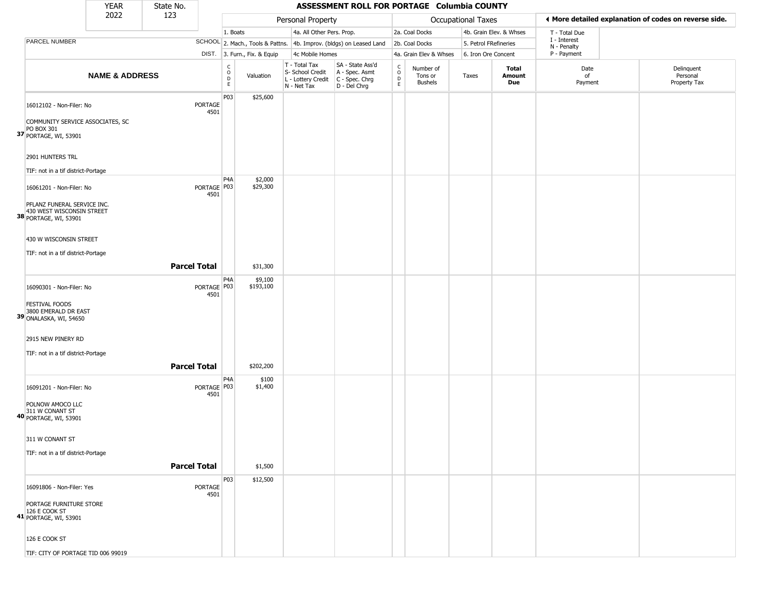|                                                                                   | <b>YEAR</b>               | State No.              |                                              |                              |                                                  | ASSESSMENT ROLL FOR PORTAGE Columbia COUNTY                                               |                  |                                        |                       |                         |                             |                                                       |
|-----------------------------------------------------------------------------------|---------------------------|------------------------|----------------------------------------------|------------------------------|--------------------------------------------------|-------------------------------------------------------------------------------------------|------------------|----------------------------------------|-----------------------|-------------------------|-----------------------------|-------------------------------------------------------|
|                                                                                   | 2022                      | 123                    |                                              |                              | Personal Property                                |                                                                                           |                  |                                        | Occupational Taxes    |                         |                             | ♦ More detailed explanation of codes on reverse side. |
|                                                                                   |                           |                        | 1. Boats                                     |                              | 4a. All Other Pers. Prop.                        |                                                                                           |                  | 2a. Coal Docks                         |                       | 4b. Grain Elev. & Whses | T - Total Due               |                                                       |
| PARCEL NUMBER                                                                     |                           |                        |                                              |                              |                                                  | SCHOOL 2. Mach., Tools & Pattns. 4b. Improv. (bldgs) on Leased Land                       |                  | 2b. Coal Docks                         | 5. Petrol FRefineries |                         | I - Interest<br>N - Penalty |                                                       |
|                                                                                   |                           |                        |                                              | DIST. 3. Furn., Fix. & Equip | 4c Mobile Homes                                  |                                                                                           |                  | 4a. Grain Elev & Whses                 | 6. Iron Ore Concent   |                         | P - Payment                 |                                                       |
|                                                                                   | <b>NAME &amp; ADDRESS</b> |                        | $\begin{array}{c}\nC \\ O \\ D\n\end{array}$ | Valuation                    | T - Total Tax<br>S- School Credit<br>N - Net Tax | SA - State Ass'd<br>A - Spec. Asmt<br>L - Lottery Credit   C - Spec. Chrg<br>D - Del Chrg | C<br>D<br>D<br>E | Number of<br>Tons or<br><b>Bushels</b> | Taxes                 | Total<br>Amount<br>Due  | Date<br>of<br>Payment       | Delinquent<br>Personal<br>Property Tax                |
| 16012102 - Non-Filer: No                                                          |                           | <b>PORTAGE</b><br>4501 | P03                                          | \$25,600                     |                                                  |                                                                                           |                  |                                        |                       |                         |                             |                                                       |
| COMMUNITY SERVICE ASSOCIATES, SC<br>PO BOX 301<br>37 PORTAGE, WI, 53901           |                           |                        |                                              |                              |                                                  |                                                                                           |                  |                                        |                       |                         |                             |                                                       |
| 2901 HUNTERS TRL                                                                  |                           |                        |                                              |                              |                                                  |                                                                                           |                  |                                        |                       |                         |                             |                                                       |
| TIF: not in a tif district-Portage                                                |                           |                        | P4A                                          | \$2,000                      |                                                  |                                                                                           |                  |                                        |                       |                         |                             |                                                       |
| 16061201 - Non-Filer: No                                                          |                           | PORTAGE P03<br>4501    |                                              | \$29,300                     |                                                  |                                                                                           |                  |                                        |                       |                         |                             |                                                       |
| PFLANZ FUNERAL SERVICE INC.<br>430 WEST WISCONSIN STREET<br>38 PORTAGE, WI, 53901 |                           |                        |                                              |                              |                                                  |                                                                                           |                  |                                        |                       |                         |                             |                                                       |
| 430 W WISCONSIN STREET<br>TIF: not in a tif district-Portage                      |                           |                        |                                              |                              |                                                  |                                                                                           |                  |                                        |                       |                         |                             |                                                       |
|                                                                                   |                           | <b>Parcel Total</b>    |                                              | \$31,300                     |                                                  |                                                                                           |                  |                                        |                       |                         |                             |                                                       |
| 16090301 - Non-Filer: No                                                          |                           | PORTAGE P03<br>4501    | P4A                                          | \$9,100<br>\$193,100         |                                                  |                                                                                           |                  |                                        |                       |                         |                             |                                                       |
| <b>FESTIVAL FOODS</b><br>3800 EMERALD DR EAST<br>39 ONALASKA, WI, 54650           |                           |                        |                                              |                              |                                                  |                                                                                           |                  |                                        |                       |                         |                             |                                                       |
| 2915 NEW PINERY RD                                                                |                           |                        |                                              |                              |                                                  |                                                                                           |                  |                                        |                       |                         |                             |                                                       |
| TIF: not in a tif district-Portage                                                |                           |                        |                                              |                              |                                                  |                                                                                           |                  |                                        |                       |                         |                             |                                                       |
|                                                                                   |                           | <b>Parcel Total</b>    |                                              | \$202,200                    |                                                  |                                                                                           |                  |                                        |                       |                         |                             |                                                       |
| 16091201 - Non-Filer: No                                                          |                           | PORTAGE P03<br>4501    | P <sub>4</sub> A                             | \$100<br>\$1,400             |                                                  |                                                                                           |                  |                                        |                       |                         |                             |                                                       |
| POLNOW AMOCO LLC<br>311 W CONANT ST<br>40 PORTAGE, WI, 53901                      |                           |                        |                                              |                              |                                                  |                                                                                           |                  |                                        |                       |                         |                             |                                                       |
| 311 W CONANT ST                                                                   |                           |                        |                                              |                              |                                                  |                                                                                           |                  |                                        |                       |                         |                             |                                                       |
| TIF: not in a tif district-Portage                                                |                           | <b>Parcel Total</b>    |                                              | \$1,500                      |                                                  |                                                                                           |                  |                                        |                       |                         |                             |                                                       |
|                                                                                   |                           |                        | P03                                          | \$12,500                     |                                                  |                                                                                           |                  |                                        |                       |                         |                             |                                                       |
| 16091806 - Non-Filer: Yes                                                         |                           | PORTAGE<br>4501        |                                              |                              |                                                  |                                                                                           |                  |                                        |                       |                         |                             |                                                       |
| PORTAGE FURNITURE STORE<br>126 E COOK ST<br>41 PORTAGE, WI, 53901                 |                           |                        |                                              |                              |                                                  |                                                                                           |                  |                                        |                       |                         |                             |                                                       |
| 126 E COOK ST                                                                     |                           |                        |                                              |                              |                                                  |                                                                                           |                  |                                        |                       |                         |                             |                                                       |
| TIF: CITY OF PORTAGE TID 006 99019                                                |                           |                        |                                              |                              |                                                  |                                                                                           |                  |                                        |                       |                         |                             |                                                       |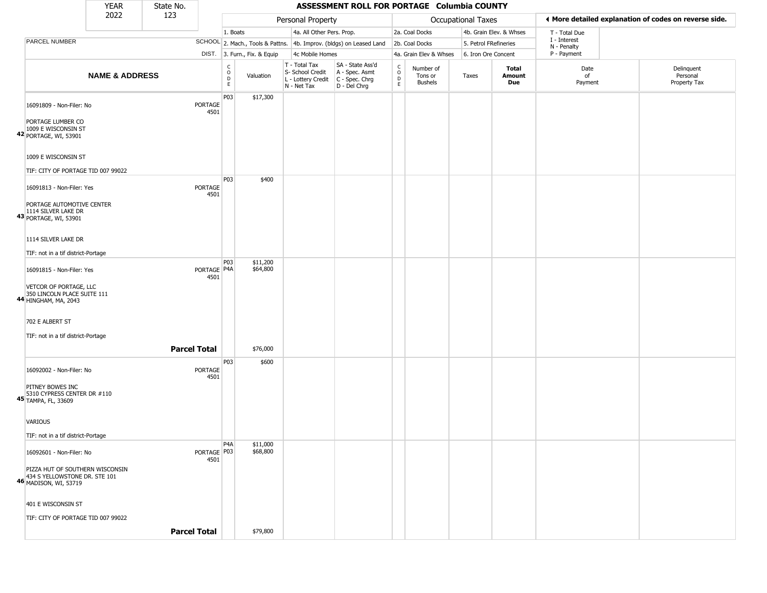|                                                                                           | <b>YEAR</b>               | State No. |                       |                        |                              |                                                                                         | ASSESSMENT ROLL FOR PORTAGE Columbia COUNTY                         |                                                          |                                 |                    |                         |                             |                                                       |
|-------------------------------------------------------------------------------------------|---------------------------|-----------|-----------------------|------------------------|------------------------------|-----------------------------------------------------------------------------------------|---------------------------------------------------------------------|----------------------------------------------------------|---------------------------------|--------------------|-------------------------|-----------------------------|-------------------------------------------------------|
|                                                                                           | 2022                      | 123       |                       |                        |                              | Personal Property                                                                       |                                                                     |                                                          |                                 | Occupational Taxes |                         |                             | ◀ More detailed explanation of codes on reverse side. |
|                                                                                           |                           |           |                       | 1. Boats               |                              | 4a. All Other Pers. Prop.                                                               |                                                                     |                                                          | 2a. Coal Docks                  |                    | 4b. Grain Elev. & Whses | T - Total Due               |                                                       |
| PARCEL NUMBER                                                                             |                           |           |                       |                        |                              |                                                                                         | SCHOOL 2. Mach., Tools & Pattns. 4b. Improv. (bldgs) on Leased Land |                                                          | 2b. Coal Docks                  |                    | 5. Petrol FRefineries   | I - Interest<br>N - Penalty |                                                       |
|                                                                                           |                           |           |                       |                        | DIST. 3. Furn., Fix. & Equip | 4c Mobile Homes                                                                         |                                                                     |                                                          | 4a. Grain Elev & Whses          |                    | 6. Iron Ore Concent     | P - Payment                 |                                                       |
|                                                                                           | <b>NAME &amp; ADDRESS</b> |           |                       | C<br>$\circ$<br>D<br>E | Valuation                    | T - Total Tax<br>S- School Credit<br>L - Lottery Credit   C - Spec. Chrg<br>N - Net Tax | SA - State Ass'd<br>A - Spec. Asmt<br>D - Del Chrg                  | $\begin{matrix} 0 \\ 0 \\ D \end{matrix}$<br>$\mathsf E$ | Number of<br>Tons or<br>Bushels | Taxes              | Total<br>Amount<br>Due  | Date<br>of<br>Payment       | Delinquent<br>Personal<br>Property Tax                |
| 16091809 - Non-Filer: No                                                                  |                           |           | PORTAGE<br>4501       | P03                    | \$17,300                     |                                                                                         |                                                                     |                                                          |                                 |                    |                         |                             |                                                       |
| PORTAGE LUMBER CO<br>1009 E WISCONSIN ST<br>42 PORTAGE, WI, 53901                         |                           |           |                       |                        |                              |                                                                                         |                                                                     |                                                          |                                 |                    |                         |                             |                                                       |
| 1009 E WISCONSIN ST                                                                       |                           |           |                       |                        |                              |                                                                                         |                                                                     |                                                          |                                 |                    |                         |                             |                                                       |
| TIF: CITY OF PORTAGE TID 007 99022                                                        |                           |           |                       |                        |                              |                                                                                         |                                                                     |                                                          |                                 |                    |                         |                             |                                                       |
| 16091813 - Non-Filer: Yes                                                                 |                           |           | PORTAGE<br>4501       | P03                    | \$400                        |                                                                                         |                                                                     |                                                          |                                 |                    |                         |                             |                                                       |
| PORTAGE AUTOMOTIVE CENTER<br>1114 SILVER LAKE DR<br>43 PORTAGE, WI, 53901                 |                           |           |                       |                        |                              |                                                                                         |                                                                     |                                                          |                                 |                    |                         |                             |                                                       |
| 1114 SILVER LAKE DR                                                                       |                           |           |                       |                        |                              |                                                                                         |                                                                     |                                                          |                                 |                    |                         |                             |                                                       |
| TIF: not in a tif district-Portage                                                        |                           |           |                       |                        |                              |                                                                                         |                                                                     |                                                          |                                 |                    |                         |                             |                                                       |
| 16091815 - Non-Filer: Yes                                                                 |                           |           | PORTAGE   P4A<br>4501 | P03                    | \$11,200<br>\$64,800         |                                                                                         |                                                                     |                                                          |                                 |                    |                         |                             |                                                       |
| VETCOR OF PORTAGE, LLC<br>350 LINCOLN PLACE SUITE 111<br>44 HINGHAM, MA, 2043             |                           |           |                       |                        |                              |                                                                                         |                                                                     |                                                          |                                 |                    |                         |                             |                                                       |
| 702 E ALBERT ST                                                                           |                           |           |                       |                        |                              |                                                                                         |                                                                     |                                                          |                                 |                    |                         |                             |                                                       |
| TIF: not in a tif district-Portage                                                        |                           |           |                       |                        |                              |                                                                                         |                                                                     |                                                          |                                 |                    |                         |                             |                                                       |
|                                                                                           |                           |           | <b>Parcel Total</b>   |                        | \$76,000                     |                                                                                         |                                                                     |                                                          |                                 |                    |                         |                             |                                                       |
| 16092002 - Non-Filer: No                                                                  |                           |           | PORTAGE<br>4501       | P03                    | \$600                        |                                                                                         |                                                                     |                                                          |                                 |                    |                         |                             |                                                       |
| PITNEY BOWES INC<br>5310 CYPRESS CENTER DR #110<br>45 TAMPA, FL, 33609                    |                           |           |                       |                        |                              |                                                                                         |                                                                     |                                                          |                                 |                    |                         |                             |                                                       |
| <b>VARIOUS</b>                                                                            |                           |           |                       |                        |                              |                                                                                         |                                                                     |                                                          |                                 |                    |                         |                             |                                                       |
| TIF: not in a tif district-Portage                                                        |                           |           |                       |                        |                              |                                                                                         |                                                                     |                                                          |                                 |                    |                         |                             |                                                       |
| 16092601 - Non-Filer: No                                                                  |                           |           | PORTAGE   P03<br>4501 | P4A                    | \$11,000<br>\$68,800         |                                                                                         |                                                                     |                                                          |                                 |                    |                         |                             |                                                       |
| PIZZA HUT OF SOUTHERN WISCONSIN<br>434 S YELLOWSTONE DR. STE 101<br>46 MADISON, WI, 53719 |                           |           |                       |                        |                              |                                                                                         |                                                                     |                                                          |                                 |                    |                         |                             |                                                       |
| 401 E WISCONSIN ST                                                                        |                           |           |                       |                        |                              |                                                                                         |                                                                     |                                                          |                                 |                    |                         |                             |                                                       |
| TIF: CITY OF PORTAGE TID 007 99022                                                        |                           |           | <b>Parcel Total</b>   |                        |                              |                                                                                         |                                                                     |                                                          |                                 |                    |                         |                             |                                                       |
|                                                                                           |                           |           |                       |                        | \$79,800                     |                                                                                         |                                                                     |                                                          |                                 |                    |                         |                             |                                                       |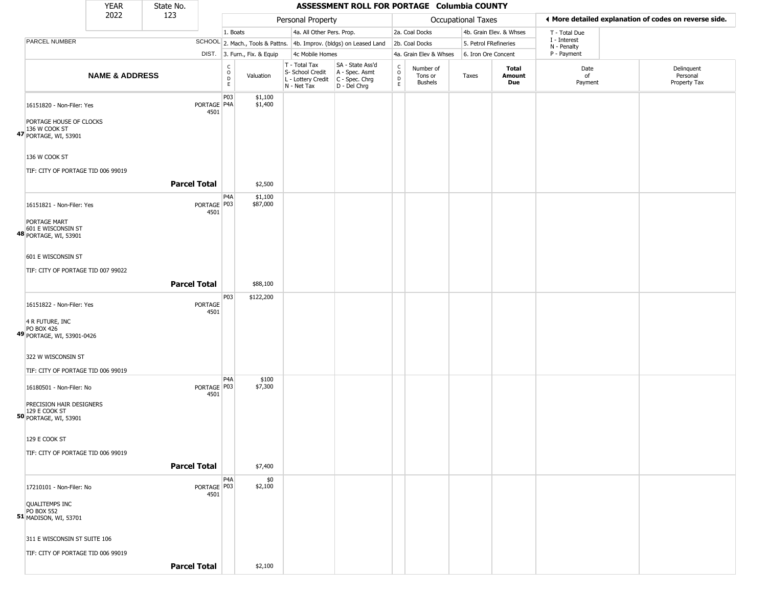|                                                                            | <b>YEAR</b>               | State No.           |                       |                                                       |                              |                                                  | ASSESSMENT ROLL FOR PORTAGE Columbia COUNTY                                             |                                                   |                                        |                    |                         |                             |                                                       |
|----------------------------------------------------------------------------|---------------------------|---------------------|-----------------------|-------------------------------------------------------|------------------------------|--------------------------------------------------|-----------------------------------------------------------------------------------------|---------------------------------------------------|----------------------------------------|--------------------|-------------------------|-----------------------------|-------------------------------------------------------|
|                                                                            | 2022                      | 123                 |                       |                                                       |                              | Personal Property                                |                                                                                         |                                                   |                                        | Occupational Taxes |                         |                             | ◀ More detailed explanation of codes on reverse side. |
|                                                                            |                           |                     |                       | 1. Boats                                              |                              |                                                  | 4a. All Other Pers. Prop.                                                               |                                                   | 2a. Coal Docks                         |                    | 4b. Grain Elev. & Whses | T - Total Due               |                                                       |
| PARCEL NUMBER                                                              |                           |                     |                       |                                                       |                              |                                                  | SCHOOL 2. Mach., Tools & Pattns. 4b. Improv. (bldgs) on Leased Land                     |                                                   | 2b. Coal Docks                         |                    | 5. Petrol FRefineries   | I - Interest<br>N - Penalty |                                                       |
|                                                                            |                           |                     |                       |                                                       | DIST. 3. Furn., Fix. & Equip | 4c Mobile Homes                                  |                                                                                         |                                                   | 4a. Grain Elev & Whses                 |                    | 6. Iron Ore Concent     | P - Payment                 |                                                       |
|                                                                            | <b>NAME &amp; ADDRESS</b> |                     |                       | $\mathsf{C}$<br>$\circ$<br>$\mathsf D$<br>$\mathsf E$ | Valuation                    | T - Total Tax<br>S- School Credit<br>N - Net Tax | SA - State Ass'd<br>A - Spec. Asmt<br>L - Lottery Credit C - Spec. Chrg<br>D - Del Chrg | $\begin{array}{c}\nC \\ O \\ D \\ E\n\end{array}$ | Number of<br>Tons or<br><b>Bushels</b> | Taxes              | Total<br>Amount<br>Due  | Date<br>of<br>Payment       | Delinquent<br>Personal<br>Property Tax                |
| 16151820 - Non-Filer: Yes<br>PORTAGE HOUSE OF CLOCKS<br>136 W COOK ST      |                           |                     | PORTAGE P4A<br>4501   | P03                                                   | \$1,100<br>\$1,400           |                                                  |                                                                                         |                                                   |                                        |                    |                         |                             |                                                       |
| 47 PORTAGE, WI, 53901                                                      |                           |                     |                       |                                                       |                              |                                                  |                                                                                         |                                                   |                                        |                    |                         |                             |                                                       |
| 136 W COOK ST                                                              |                           |                     |                       |                                                       |                              |                                                  |                                                                                         |                                                   |                                        |                    |                         |                             |                                                       |
| TIF: CITY OF PORTAGE TID 006 99019                                         |                           |                     |                       |                                                       |                              |                                                  |                                                                                         |                                                   |                                        |                    |                         |                             |                                                       |
|                                                                            |                           | <b>Parcel Total</b> |                       |                                                       | \$2,500                      |                                                  |                                                                                         |                                                   |                                        |                    |                         |                             |                                                       |
| 16151821 - Non-Filer: Yes                                                  |                           |                     | PORTAGE   P03<br>4501 | P4A                                                   | \$1,100<br>\$87,000          |                                                  |                                                                                         |                                                   |                                        |                    |                         |                             |                                                       |
| PORTAGE MART<br>601 E WISCONSIN ST<br>48 PORTAGE, WI, 53901                |                           |                     |                       |                                                       |                              |                                                  |                                                                                         |                                                   |                                        |                    |                         |                             |                                                       |
| 601 E WISCONSIN ST                                                         |                           |                     |                       |                                                       |                              |                                                  |                                                                                         |                                                   |                                        |                    |                         |                             |                                                       |
| TIF: CITY OF PORTAGE TID 007 99022                                         |                           |                     |                       |                                                       |                              |                                                  |                                                                                         |                                                   |                                        |                    |                         |                             |                                                       |
|                                                                            |                           | <b>Parcel Total</b> |                       |                                                       | \$88,100                     |                                                  |                                                                                         |                                                   |                                        |                    |                         |                             |                                                       |
| 16151822 - Non-Filer: Yes                                                  |                           |                     | PORTAGE<br>4501       | P03                                                   | \$122,200                    |                                                  |                                                                                         |                                                   |                                        |                    |                         |                             |                                                       |
| 4 R FUTURE, INC<br><b>PO BOX 426</b><br>49 PORTAGE, WI, 53901-0426         |                           |                     |                       |                                                       |                              |                                                  |                                                                                         |                                                   |                                        |                    |                         |                             |                                                       |
| 322 W WISCONSIN ST                                                         |                           |                     |                       |                                                       |                              |                                                  |                                                                                         |                                                   |                                        |                    |                         |                             |                                                       |
| TIF: CITY OF PORTAGE TID 006 99019                                         |                           |                     |                       | P4A                                                   | \$100                        |                                                  |                                                                                         |                                                   |                                        |                    |                         |                             |                                                       |
| 16180501 - Non-Filer: No                                                   |                           |                     | PORTAGE P03<br>4501   |                                                       | \$7,300                      |                                                  |                                                                                         |                                                   |                                        |                    |                         |                             |                                                       |
| PRECISION HAIR DESIGNERS<br>129 E COOK ST<br>50 PORTAGE, WI, 53901         |                           |                     |                       |                                                       |                              |                                                  |                                                                                         |                                                   |                                        |                    |                         |                             |                                                       |
| 129 E COOK ST                                                              |                           |                     |                       |                                                       |                              |                                                  |                                                                                         |                                                   |                                        |                    |                         |                             |                                                       |
| TIF: CITY OF PORTAGE TID 006 99019                                         |                           |                     |                       |                                                       |                              |                                                  |                                                                                         |                                                   |                                        |                    |                         |                             |                                                       |
|                                                                            |                           | <b>Parcel Total</b> |                       |                                                       | \$7,400                      |                                                  |                                                                                         |                                                   |                                        |                    |                         |                             |                                                       |
| 17210101 - Non-Filer: No                                                   |                           |                     | PORTAGE   P03<br>4501 | P4A                                                   | \$0<br>\$2,100               |                                                  |                                                                                         |                                                   |                                        |                    |                         |                             |                                                       |
| <b>QUALITEMPS INC</b><br><b>PO BOX 552</b><br><b>51 MADISON, WI, 53701</b> |                           |                     |                       |                                                       |                              |                                                  |                                                                                         |                                                   |                                        |                    |                         |                             |                                                       |
| 311 E WISCONSIN ST SUITE 106                                               |                           |                     |                       |                                                       |                              |                                                  |                                                                                         |                                                   |                                        |                    |                         |                             |                                                       |
| TIF: CITY OF PORTAGE TID 006 99019                                         |                           | <b>Parcel Total</b> |                       |                                                       | \$2,100                      |                                                  |                                                                                         |                                                   |                                        |                    |                         |                             |                                                       |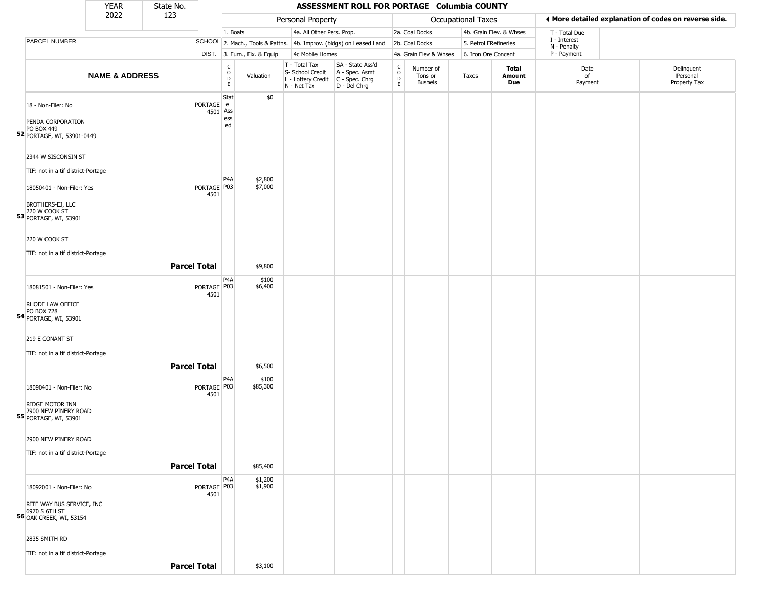|                                                                                                    | <b>YEAR</b>               | State No.             |                                                 |                              |                                                                                         | ASSESSMENT ROLL FOR PORTAGE Columbia COUNTY                         |                                                   |                                        |                       |                         |                             |                                                       |
|----------------------------------------------------------------------------------------------------|---------------------------|-----------------------|-------------------------------------------------|------------------------------|-----------------------------------------------------------------------------------------|---------------------------------------------------------------------|---------------------------------------------------|----------------------------------------|-----------------------|-------------------------|-----------------------------|-------------------------------------------------------|
|                                                                                                    | 2022                      | 123                   |                                                 |                              | Personal Property                                                                       |                                                                     |                                                   |                                        | Occupational Taxes    |                         |                             | ♦ More detailed explanation of codes on reverse side. |
|                                                                                                    |                           |                       | 1. Boats                                        |                              | 4a. All Other Pers. Prop.                                                               |                                                                     |                                                   | 2a. Coal Docks                         |                       | 4b. Grain Elev. & Whses | T - Total Due               |                                                       |
| PARCEL NUMBER                                                                                      |                           |                       |                                                 |                              |                                                                                         | SCHOOL 2. Mach., Tools & Pattns. 4b. Improv. (bldgs) on Leased Land |                                                   | 2b. Coal Docks                         | 5. Petrol FRefineries |                         | I - Interest<br>N - Penalty |                                                       |
|                                                                                                    |                           |                       |                                                 | DIST. 3. Furn., Fix. & Equip | 4c Mobile Homes                                                                         |                                                                     |                                                   | 4a. Grain Elev & Whses                 | 6. Iron Ore Concent   |                         | P - Payment                 |                                                       |
|                                                                                                    | <b>NAME &amp; ADDRESS</b> |                       | $\begin{array}{c} C \\ O \\ D \\ E \end{array}$ | Valuation                    | T - Total Tax<br>S- School Credit<br>L - Lottery Credit   C - Spec. Chrg<br>N - Net Tax | SA - State Ass'd<br>A - Spec. Asmt<br>D - Del Chrg                  | $\begin{array}{c}\nC \\ O \\ D\n\end{array}$<br>E | Number of<br>Tons or<br><b>Bushels</b> | Taxes                 | Total<br>Amount<br>Due  | Date<br>of<br>Payment       | Delinquent<br>Personal<br>Property Tax                |
| 18 - Non-Filer: No<br>PENDA CORPORATION<br>PO BOX 449<br>52 PORTAGE, WI, 53901-0449                |                           | PORTAGE e<br>4501     | Stat<br>Ass<br>ess<br>ed                        | \$0                          |                                                                                         |                                                                     |                                                   |                                        |                       |                         |                             |                                                       |
| 2344 W SISCONSIN ST<br>TIF: not in a tif district-Portage                                          |                           |                       |                                                 |                              |                                                                                         |                                                                     |                                                   |                                        |                       |                         |                             |                                                       |
| 18050401 - Non-Filer: Yes<br><b>BROTHERS-EJ, LLC</b>                                               |                           | PORTAGE   P03<br>4501 | P <sub>4</sub> A                                | \$2,800<br>\$7,000           |                                                                                         |                                                                     |                                                   |                                        |                       |                         |                             |                                                       |
| 220 W COOK ST<br>53 PORTAGE, WI, 53901<br>220 W COOK ST                                            |                           |                       |                                                 |                              |                                                                                         |                                                                     |                                                   |                                        |                       |                         |                             |                                                       |
| TIF: not in a tif district-Portage                                                                 |                           | <b>Parcel Total</b>   |                                                 | \$9,800                      |                                                                                         |                                                                     |                                                   |                                        |                       |                         |                             |                                                       |
|                                                                                                    |                           |                       | P <sub>4</sub> A                                | \$100                        |                                                                                         |                                                                     |                                                   |                                        |                       |                         |                             |                                                       |
| 18081501 - Non-Filer: Yes<br>RHODE LAW OFFICE<br><b>PO BOX 728</b><br><b>54</b> PORTAGE, WI, 53901 |                           | PORTAGE   P03<br>4501 |                                                 | \$6,400                      |                                                                                         |                                                                     |                                                   |                                        |                       |                         |                             |                                                       |
| 219 E CONANT ST                                                                                    |                           |                       |                                                 |                              |                                                                                         |                                                                     |                                                   |                                        |                       |                         |                             |                                                       |
| TIF: not in a tif district-Portage                                                                 |                           | <b>Parcel Total</b>   |                                                 | \$6,500                      |                                                                                         |                                                                     |                                                   |                                        |                       |                         |                             |                                                       |
| 18090401 - Non-Filer: No                                                                           |                           | PORTAGE P03<br>4501   | P <sub>4</sub> A                                | \$100<br>\$85,300            |                                                                                         |                                                                     |                                                   |                                        |                       |                         |                             |                                                       |
| <b>RIDGE MOTOR INN</b><br>2900 NEW PINERY ROAD<br><b>55</b> PORTAGE, WI, 53901                     |                           |                       |                                                 |                              |                                                                                         |                                                                     |                                                   |                                        |                       |                         |                             |                                                       |
| 2900 NEW PINERY ROAD<br>TIF: not in a tif district-Portage                                         |                           |                       |                                                 |                              |                                                                                         |                                                                     |                                                   |                                        |                       |                         |                             |                                                       |
|                                                                                                    |                           | <b>Parcel Total</b>   | P <sub>4</sub> A                                | \$85,400<br>\$1,200          |                                                                                         |                                                                     |                                                   |                                        |                       |                         |                             |                                                       |
| 18092001 - Non-Filer: No                                                                           |                           | PORTAGE   P03<br>4501 |                                                 | \$1,900                      |                                                                                         |                                                                     |                                                   |                                        |                       |                         |                             |                                                       |
| RITE WAY BUS SERVICE, INC<br>6970 S 6TH ST<br><b>56</b> OAK CREEK, WI, 53154                       |                           |                       |                                                 |                              |                                                                                         |                                                                     |                                                   |                                        |                       |                         |                             |                                                       |
| 2835 SMITH RD<br>TIF: not in a tif district-Portage                                                |                           |                       |                                                 |                              |                                                                                         |                                                                     |                                                   |                                        |                       |                         |                             |                                                       |
|                                                                                                    |                           | <b>Parcel Total</b>   |                                                 | \$3,100                      |                                                                                         |                                                                     |                                                   |                                        |                       |                         |                             |                                                       |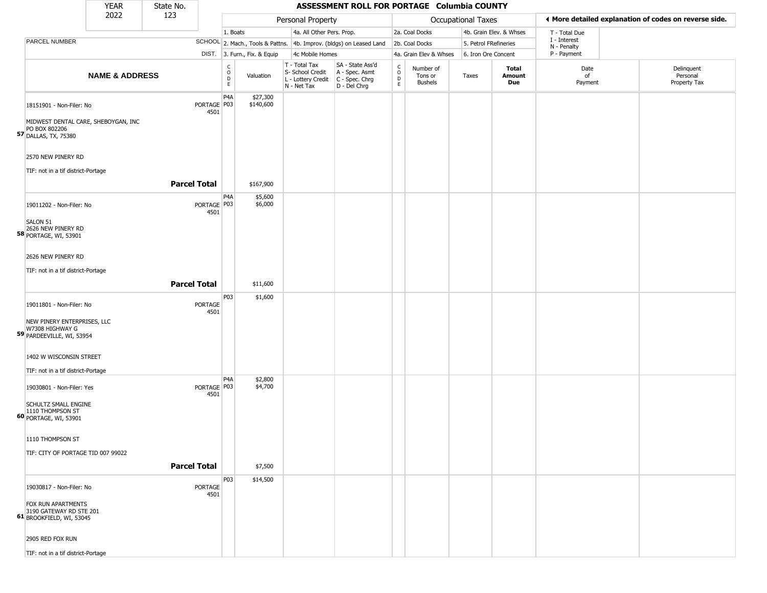|                                                                                                                                    | <b>YEAR</b>               | State No.           |                       |                                   |                              |                                                                                         | ASSESSMENT ROLL FOR PORTAGE Columbia COUNTY                         |                                                   |                                        |                       |                         |                             |                                                       |
|------------------------------------------------------------------------------------------------------------------------------------|---------------------------|---------------------|-----------------------|-----------------------------------|------------------------------|-----------------------------------------------------------------------------------------|---------------------------------------------------------------------|---------------------------------------------------|----------------------------------------|-----------------------|-------------------------|-----------------------------|-------------------------------------------------------|
|                                                                                                                                    | 2022                      | 123                 |                       |                                   |                              | Personal Property                                                                       |                                                                     |                                                   |                                        | Occupational Taxes    |                         |                             | ♦ More detailed explanation of codes on reverse side. |
|                                                                                                                                    |                           |                     |                       | 1. Boats                          |                              | 4a. All Other Pers. Prop.                                                               |                                                                     |                                                   | 2a. Coal Docks                         |                       | 4b. Grain Elev. & Whses | T - Total Due               |                                                       |
| PARCEL NUMBER                                                                                                                      |                           |                     |                       |                                   |                              |                                                                                         | SCHOOL 2. Mach., Tools & Pattns. 4b. Improv. (bldgs) on Leased Land |                                                   | 2b. Coal Docks                         | 5. Petrol FRefineries |                         | I - Interest<br>N - Penalty |                                                       |
|                                                                                                                                    |                           |                     |                       |                                   | DIST. 3. Furn., Fix. & Equip | 4c Mobile Homes                                                                         |                                                                     |                                                   | 4a. Grain Elev & Whses                 | 6. Iron Ore Concent   |                         | P - Payment                 |                                                       |
|                                                                                                                                    | <b>NAME &amp; ADDRESS</b> |                     |                       | $\frac{c}{0}$<br>D<br>$\mathsf E$ | Valuation                    | T - Total Tax<br>S- School Credit<br>L - Lottery Credit   C - Spec. Chrg<br>N - Net Tax | SA - State Ass'd<br>A - Spec. Asmt<br>D - Del Chrg                  | $\begin{array}{c}\nC \\ O \\ D \\ E\n\end{array}$ | Number of<br>Tons or<br><b>Bushels</b> | Taxes                 | Total<br>Amount<br>Due  | Date<br>of<br>Payment       | Delinquent<br>Personal<br>Property Tax                |
| 18151901 - Non-Filer: No<br>MIDWEST DENTAL CARE, SHEBOYGAN, INC<br>PO BOX 802206<br>57 DALLAS, TX, 75380                           |                           |                     | PORTAGE P03<br>4501   | P <sub>4</sub> A                  | \$27,300<br>\$140,600        |                                                                                         |                                                                     |                                                   |                                        |                       |                         |                             |                                                       |
| 2570 NEW PINERY RD<br>TIF: not in a tif district-Portage                                                                           |                           | <b>Parcel Total</b> |                       |                                   | \$167,900                    |                                                                                         |                                                                     |                                                   |                                        |                       |                         |                             |                                                       |
| 19011202 - Non-Filer: No<br>SALON 51<br>2626 NEW PINERY RD<br><b>58 PORTAGE, WI, 53901</b>                                         |                           |                     | PORTAGE   P03<br>4501 | P4A                               | \$5,600<br>\$6,000           |                                                                                         |                                                                     |                                                   |                                        |                       |                         |                             |                                                       |
| 2626 NEW PINERY RD<br>TIF: not in a tif district-Portage                                                                           |                           | <b>Parcel Total</b> |                       |                                   | \$11,600                     |                                                                                         |                                                                     |                                                   |                                        |                       |                         |                             |                                                       |
|                                                                                                                                    |                           |                     |                       | P03                               | \$1,600                      |                                                                                         |                                                                     |                                                   |                                        |                       |                         |                             |                                                       |
| 19011801 - Non-Filer: No<br>NEW PINERY ENTERPRISES, LLC<br>W7308 HIGHWAY G<br>59 PARDEEVILLE, WI, 53954<br>1402 W WISCONSIN STREET |                           |                     | PORTAGE<br>4501       |                                   |                              |                                                                                         |                                                                     |                                                   |                                        |                       |                         |                             |                                                       |
| TIF: not in a tif district-Portage                                                                                                 |                           |                     |                       |                                   |                              |                                                                                         |                                                                     |                                                   |                                        |                       |                         |                             |                                                       |
| 19030801 - Non-Filer: Yes<br><b>SCHULTZ SMALL ENGINE</b><br>1110 THOMPSON ST<br>60 PORTAGE, WI, 53901                              |                           |                     | PORTAGE   P03<br>4501 | P4A                               | \$2,800<br>\$4,700           |                                                                                         |                                                                     |                                                   |                                        |                       |                         |                             |                                                       |
| 1110 THOMPSON ST                                                                                                                   |                           |                     |                       |                                   |                              |                                                                                         |                                                                     |                                                   |                                        |                       |                         |                             |                                                       |
| TIF: CITY OF PORTAGE TID 007 99022                                                                                                 |                           |                     |                       |                                   |                              |                                                                                         |                                                                     |                                                   |                                        |                       |                         |                             |                                                       |
|                                                                                                                                    |                           |                     |                       |                                   |                              |                                                                                         |                                                                     |                                                   |                                        |                       |                         |                             |                                                       |
|                                                                                                                                    |                           | <b>Parcel Total</b> |                       |                                   | \$7,500                      |                                                                                         |                                                                     |                                                   |                                        |                       |                         |                             |                                                       |
| 19030817 - Non-Filer: No<br><b>FOX RUN APARTMENTS</b><br>3190 GATEWAY RD STE 201<br>61 BROOKFIELD, WI, 53045                       |                           |                     | PORTAGE<br>4501       | P03                               | \$14,500                     |                                                                                         |                                                                     |                                                   |                                        |                       |                         |                             |                                                       |
| 2905 RED FOX RUN                                                                                                                   |                           |                     |                       |                                   |                              |                                                                                         |                                                                     |                                                   |                                        |                       |                         |                             |                                                       |
| TIF: not in a tif district-Portage                                                                                                 |                           |                     |                       |                                   |                              |                                                                                         |                                                                     |                                                   |                                        |                       |                         |                             |                                                       |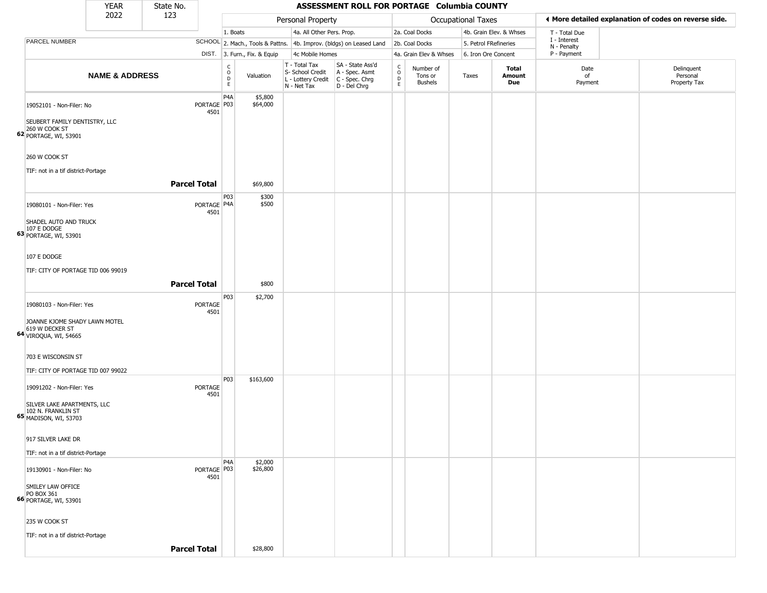|                                                                                   | <b>YEAR</b>               | State No.           |                                             |                              |                                                                                         | ASSESSMENT ROLL FOR PORTAGE Columbia COUNTY                         |                                                          |                                        |                       |                         |                             |                                                       |
|-----------------------------------------------------------------------------------|---------------------------|---------------------|---------------------------------------------|------------------------------|-----------------------------------------------------------------------------------------|---------------------------------------------------------------------|----------------------------------------------------------|----------------------------------------|-----------------------|-------------------------|-----------------------------|-------------------------------------------------------|
|                                                                                   | 2022                      | 123                 |                                             |                              | Personal Property                                                                       |                                                                     |                                                          |                                        | Occupational Taxes    |                         |                             | ♦ More detailed explanation of codes on reverse side. |
|                                                                                   |                           |                     |                                             | 1. Boats                     | 4a. All Other Pers. Prop.                                                               |                                                                     |                                                          | 2a. Coal Docks                         |                       | 4b. Grain Elev. & Whses | T - Total Due               |                                                       |
| PARCEL NUMBER                                                                     |                           |                     |                                             |                              |                                                                                         | SCHOOL 2. Mach., Tools & Pattns. 4b. Improv. (bldgs) on Leased Land |                                                          | 2b. Coal Docks                         | 5. Petrol FRefineries |                         | I - Interest<br>N - Penalty |                                                       |
|                                                                                   |                           |                     |                                             | DIST. 3. Furn., Fix. & Equip | 4c Mobile Homes                                                                         |                                                                     |                                                          | 4a. Grain Elev & Whses                 | 6. Iron Ore Concent   |                         | P - Payment                 |                                                       |
|                                                                                   | <b>NAME &amp; ADDRESS</b> |                     | $\frac{C}{O}$<br>$\mathsf D$<br>$\mathsf E$ | Valuation                    | T - Total Tax<br>S- School Credit<br>L - Lottery Credit   C - Spec. Chrg<br>N - Net Tax | SA - State Ass'd<br>A - Spec. Asmt<br>D - Del Chrg                  | $\begin{matrix} 0 \\ 0 \\ D \end{matrix}$<br>$\mathsf E$ | Number of<br>Tons or<br><b>Bushels</b> | Taxes                 | Total<br>Amount<br>Due  | Date<br>of<br>Payment       | Delinquent<br>Personal<br>Property Tax                |
| 19052101 - Non-Filer: No<br>SEUBERT FAMILY DENTISTRY, LLC<br>260 W COOK ST        |                           |                     | P4A<br>PORTAGE P03<br>4501                  | \$5,800<br>\$64,000          |                                                                                         |                                                                     |                                                          |                                        |                       |                         |                             |                                                       |
| <b>62</b> PORTAGE, WI, 53901<br>260 W COOK ST                                     |                           |                     |                                             |                              |                                                                                         |                                                                     |                                                          |                                        |                       |                         |                             |                                                       |
| TIF: not in a tif district-Portage                                                |                           | <b>Parcel Total</b> |                                             | \$69,800                     |                                                                                         |                                                                     |                                                          |                                        |                       |                         |                             |                                                       |
| 19080101 - Non-Filer: Yes<br>SHADEL AUTO AND TRUCK                                |                           |                     | P03<br>PORTAGE   P4A<br>4501                | \$300<br>\$500               |                                                                                         |                                                                     |                                                          |                                        |                       |                         |                             |                                                       |
| 107 E DODGE<br>63 PORTAGE, WI, 53901                                              |                           |                     |                                             |                              |                                                                                         |                                                                     |                                                          |                                        |                       |                         |                             |                                                       |
| 107 E DODGE                                                                       |                           |                     |                                             |                              |                                                                                         |                                                                     |                                                          |                                        |                       |                         |                             |                                                       |
| TIF: CITY OF PORTAGE TID 006 99019                                                |                           |                     |                                             |                              |                                                                                         |                                                                     |                                                          |                                        |                       |                         |                             |                                                       |
|                                                                                   |                           | <b>Parcel Total</b> |                                             | \$800                        |                                                                                         |                                                                     |                                                          |                                        |                       |                         |                             |                                                       |
| 19080103 - Non-Filer: Yes                                                         |                           | PORTAGE             | P03<br>4501                                 | \$2,700                      |                                                                                         |                                                                     |                                                          |                                        |                       |                         |                             |                                                       |
| JOANNE KJOME SHADY LAWN MOTEL<br>619 W DECKER ST<br>64 VIROQUA, WI, 54665         |                           |                     |                                             |                              |                                                                                         |                                                                     |                                                          |                                        |                       |                         |                             |                                                       |
| 703 E WISCONSIN ST<br>TIF: CITY OF PORTAGE TID 007 99022                          |                           |                     |                                             |                              |                                                                                         |                                                                     |                                                          |                                        |                       |                         |                             |                                                       |
| 19091202 - Non-Filer: Yes                                                         |                           | PORTAGE             | P03<br>4501                                 | \$163,600                    |                                                                                         |                                                                     |                                                          |                                        |                       |                         |                             |                                                       |
| SILVER LAKE APARTMENTS, LLC<br>102 N. FRANKLIN ST<br><b>65</b> MADISON, WI, 53703 |                           |                     |                                             |                              |                                                                                         |                                                                     |                                                          |                                        |                       |                         |                             |                                                       |
| 917 SILVER LAKE DR                                                                |                           |                     |                                             |                              |                                                                                         |                                                                     |                                                          |                                        |                       |                         |                             |                                                       |
| TIF: not in a tif district-Portage                                                |                           |                     | P4A                                         | \$2,000                      |                                                                                         |                                                                     |                                                          |                                        |                       |                         |                             |                                                       |
| 19130901 - Non-Filer: No<br>SMILEY LAW OFFICE                                     |                           |                     | PORTAGE P03<br>4501                         | \$26,800                     |                                                                                         |                                                                     |                                                          |                                        |                       |                         |                             |                                                       |
| PO BOX 361<br>66 PORTAGE, WI, 53901                                               |                           |                     |                                             |                              |                                                                                         |                                                                     |                                                          |                                        |                       |                         |                             |                                                       |
| 235 W COOK ST<br>TIF: not in a tif district-Portage                               |                           |                     |                                             |                              |                                                                                         |                                                                     |                                                          |                                        |                       |                         |                             |                                                       |
|                                                                                   |                           | <b>Parcel Total</b> |                                             | \$28,800                     |                                                                                         |                                                                     |                                                          |                                        |                       |                         |                             |                                                       |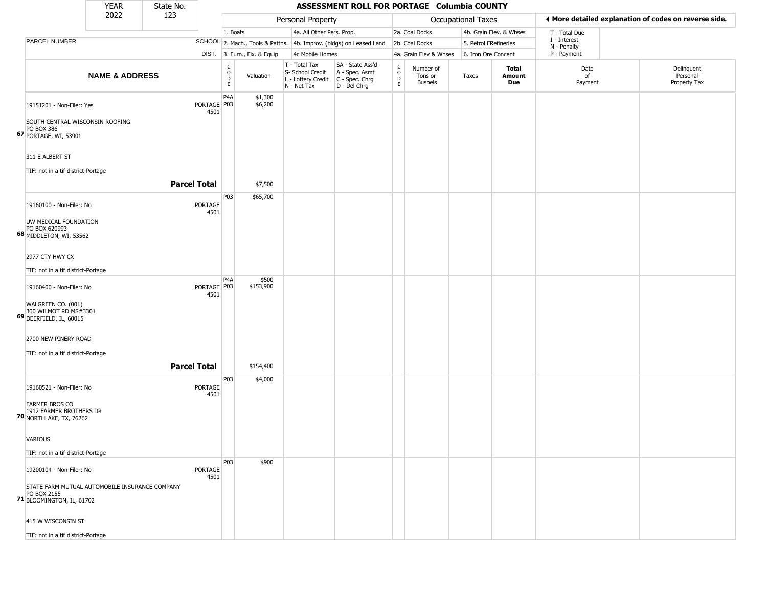|                                                                                       | <b>YEAR</b>                                    | State No.           |                       |                                                 |                              |                                                                                         | ASSESSMENT ROLL FOR PORTAGE Columbia COUNTY                         |                                              |                                        |                    |                         |                             |                                                       |
|---------------------------------------------------------------------------------------|------------------------------------------------|---------------------|-----------------------|-------------------------------------------------|------------------------------|-----------------------------------------------------------------------------------------|---------------------------------------------------------------------|----------------------------------------------|----------------------------------------|--------------------|-------------------------|-----------------------------|-------------------------------------------------------|
|                                                                                       | 2022                                           | 123                 |                       |                                                 |                              | Personal Property                                                                       |                                                                     |                                              |                                        | Occupational Taxes |                         |                             | ← More detailed explanation of codes on reverse side. |
|                                                                                       |                                                |                     |                       | 1. Boats                                        |                              | 4a. All Other Pers. Prop.                                                               |                                                                     |                                              | 2a. Coal Docks                         |                    | 4b. Grain Elev. & Whses | T - Total Due               |                                                       |
| PARCEL NUMBER                                                                         |                                                |                     |                       |                                                 |                              |                                                                                         | SCHOOL 2. Mach., Tools & Pattns. 4b. Improv. (bldgs) on Leased Land |                                              | 2b. Coal Docks                         |                    | 5. Petrol FRefineries   | I - Interest<br>N - Penalty |                                                       |
|                                                                                       |                                                |                     |                       |                                                 | DIST. 3. Furn., Fix. & Equip | 4c Mobile Homes                                                                         |                                                                     |                                              | 4a. Grain Elev & Whses                 |                    | 6. Iron Ore Concent     | P - Payment                 |                                                       |
|                                                                                       | <b>NAME &amp; ADDRESS</b>                      |                     |                       | $\begin{array}{c} C \\ O \\ D \\ E \end{array}$ | Valuation                    | T - Total Tax<br>S- School Credit<br>L - Lottery Credit   C - Spec. Chrg<br>N - Net Tax | SA - State Ass'd<br>A - Spec. Asmt<br>$D - Del Chrg$                | $\begin{array}{c}\nC \\ O \\ D\n\end{array}$ | Number of<br>Tons or<br><b>Bushels</b> | Taxes              | Total<br>Amount<br>Due  | Date<br>of<br>Payment       | Delinquent<br>Personal<br>Property Tax                |
| 19151201 - Non-Filer: Yes<br>PO BOX 386                                               | SOUTH CENTRAL WISCONSIN ROOFING                |                     | PORTAGE   P03<br>4501 | P <sub>4</sub> A                                | \$1,300<br>\$6,200           |                                                                                         |                                                                     |                                              |                                        |                    |                         |                             |                                                       |
| <b>67</b> PORTAGE, WI, 53901<br>311 E ALBERT ST<br>TIF: not in a tif district-Portage |                                                |                     |                       |                                                 |                              |                                                                                         |                                                                     |                                              |                                        |                    |                         |                             |                                                       |
|                                                                                       |                                                | <b>Parcel Total</b> |                       |                                                 | \$7,500                      |                                                                                         |                                                                     |                                              |                                        |                    |                         |                             |                                                       |
| 19160100 - Non-Filer: No<br>UW MEDICAL FOUNDATION                                     |                                                |                     | PORTAGE<br>4501       | P03                                             | \$65,700                     |                                                                                         |                                                                     |                                              |                                        |                    |                         |                             |                                                       |
| PO BOX 620993<br>68 MIDDLETON, WI, 53562                                              |                                                |                     |                       |                                                 |                              |                                                                                         |                                                                     |                                              |                                        |                    |                         |                             |                                                       |
| 2977 CTY HWY CX                                                                       |                                                |                     |                       |                                                 |                              |                                                                                         |                                                                     |                                              |                                        |                    |                         |                             |                                                       |
| TIF: not in a tif district-Portage                                                    |                                                |                     |                       |                                                 |                              |                                                                                         |                                                                     |                                              |                                        |                    |                         |                             |                                                       |
| 19160400 - Non-Filer: No                                                              |                                                |                     | PORTAGE P03<br>4501   | P <sub>4</sub> A                                | \$500<br>\$153,900           |                                                                                         |                                                                     |                                              |                                        |                    |                         |                             |                                                       |
| WALGREEN CO. (001)<br>300 WILMOT RD MS#3301<br>69 DEERFIELD, IL, 60015                |                                                |                     |                       |                                                 |                              |                                                                                         |                                                                     |                                              |                                        |                    |                         |                             |                                                       |
| 2700 NEW PINERY ROAD                                                                  |                                                |                     |                       |                                                 |                              |                                                                                         |                                                                     |                                              |                                        |                    |                         |                             |                                                       |
| TIF: not in a tif district-Portage                                                    |                                                |                     |                       |                                                 |                              |                                                                                         |                                                                     |                                              |                                        |                    |                         |                             |                                                       |
|                                                                                       |                                                | <b>Parcel Total</b> |                       |                                                 | \$154,400                    |                                                                                         |                                                                     |                                              |                                        |                    |                         |                             |                                                       |
| 19160521 - Non-Filer: No                                                              |                                                |                     | PORTAGE<br>4501       | P03                                             | \$4,000                      |                                                                                         |                                                                     |                                              |                                        |                    |                         |                             |                                                       |
| <b>FARMER BROS CO</b><br>1912 FARMER BROTHERS DR<br><b>70 NORTHLAKE, TX, 76262</b>    |                                                |                     |                       |                                                 |                              |                                                                                         |                                                                     |                                              |                                        |                    |                         |                             |                                                       |
| <b>VARIOUS</b>                                                                        |                                                |                     |                       |                                                 |                              |                                                                                         |                                                                     |                                              |                                        |                    |                         |                             |                                                       |
| TIF: not in a tif district-Portage                                                    |                                                |                     |                       |                                                 |                              |                                                                                         |                                                                     |                                              |                                        |                    |                         |                             |                                                       |
| 19200104 - Non-Filer: No                                                              |                                                |                     | PORTAGE<br>4501       | P03                                             | \$900                        |                                                                                         |                                                                     |                                              |                                        |                    |                         |                             |                                                       |
| PO BOX 2155<br>71 BLOOMINGTON, IL, 61702                                              | STATE FARM MUTUAL AUTOMOBILE INSURANCE COMPANY |                     |                       |                                                 |                              |                                                                                         |                                                                     |                                              |                                        |                    |                         |                             |                                                       |
| 415 W WISCONSIN ST                                                                    |                                                |                     |                       |                                                 |                              |                                                                                         |                                                                     |                                              |                                        |                    |                         |                             |                                                       |
| TIF: not in a tif district-Portage                                                    |                                                |                     |                       |                                                 |                              |                                                                                         |                                                                     |                                              |                                        |                    |                         |                             |                                                       |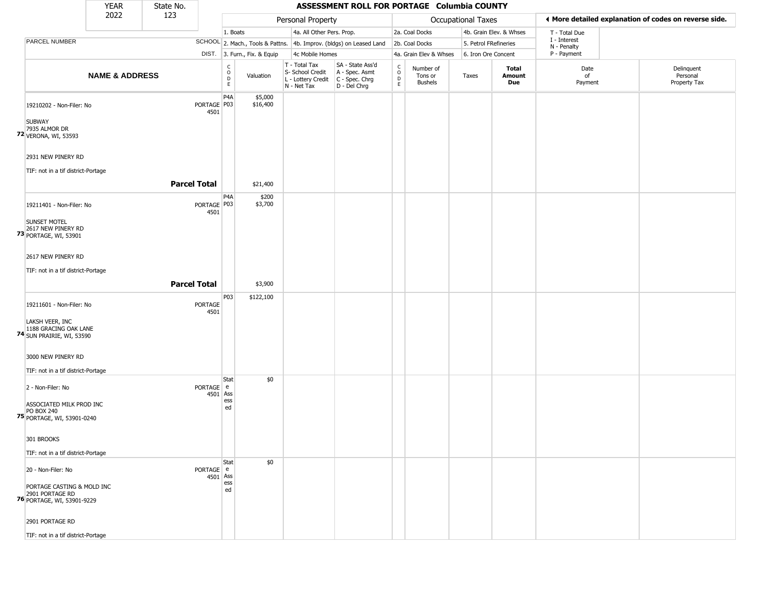|                                                                              | <b>YEAR</b>               | State No.           |                        |                        |                              |                                                                        | ASSESSMENT ROLL FOR PORTAGE Columbia COUNTY                          |                                         |                                        |                       |                         |                             |                                                       |
|------------------------------------------------------------------------------|---------------------------|---------------------|------------------------|------------------------|------------------------------|------------------------------------------------------------------------|----------------------------------------------------------------------|-----------------------------------------|----------------------------------------|-----------------------|-------------------------|-----------------------------|-------------------------------------------------------|
|                                                                              | 2022                      | 123                 |                        |                        |                              | Personal Property                                                      |                                                                      |                                         |                                        | Occupational Taxes    |                         |                             | ♦ More detailed explanation of codes on reverse side. |
|                                                                              |                           |                     |                        | 1. Boats               |                              | 4a. All Other Pers. Prop.                                              |                                                                      |                                         | 2a. Coal Docks                         |                       | 4b. Grain Elev. & Whses | T - Total Due               |                                                       |
| PARCEL NUMBER                                                                |                           |                     |                        |                        |                              |                                                                        | SCHOOL 2. Mach., Tools & Pattns. 4b. Improv. (bldgs) on Leased Land  |                                         | 2b. Coal Docks                         | 5. Petrol FRefineries |                         | I - Interest<br>N - Penalty |                                                       |
|                                                                              |                           |                     |                        |                        | DIST. 3. Furn., Fix. & Equip | 4c Mobile Homes                                                        |                                                                      |                                         | 4a. Grain Elev & Whses                 | 6. Iron Ore Concent   |                         | P - Payment                 |                                                       |
|                                                                              | <b>NAME &amp; ADDRESS</b> |                     |                        | C<br>$\circ$<br>D<br>E | Valuation                    | T - Total Tax<br>S- School Credit<br>L - Lottery Credit<br>N - Net Tax | SA - State Ass'd<br>A - Spec. Asmt<br>C - Spec. Chrg<br>D - Del Chrg | $\delta$<br>$\mathsf{D}$<br>$\mathsf E$ | Number of<br>Tons or<br><b>Bushels</b> | Taxes                 | Total<br>Amount<br>Due  | Date<br>of<br>Payment       | Delinquent<br>Personal<br>Property Tax                |
| 19210202 - Non-Filer: No                                                     |                           |                     | PORTAGE   P03<br>4501  | P4A                    | \$5,000<br>\$16,400          |                                                                        |                                                                      |                                         |                                        |                       |                         |                             |                                                       |
| <b>SUBWAY</b><br>7935 ALMOR DR<br>72 VERONA, WI, 53593                       |                           |                     |                        |                        |                              |                                                                        |                                                                      |                                         |                                        |                       |                         |                             |                                                       |
| 2931 NEW PINERY RD                                                           |                           |                     |                        |                        |                              |                                                                        |                                                                      |                                         |                                        |                       |                         |                             |                                                       |
| TIF: not in a tif district-Portage                                           |                           |                     |                        |                        |                              |                                                                        |                                                                      |                                         |                                        |                       |                         |                             |                                                       |
|                                                                              |                           | <b>Parcel Total</b> |                        |                        | \$21,400                     |                                                                        |                                                                      |                                         |                                        |                       |                         |                             |                                                       |
| 19211401 - Non-Filer: No<br><b>SUNSET MOTEL</b><br>2617 NEW PINERY RD        |                           |                     | PORTAGE P03<br>4501    | P4A                    | \$200<br>\$3,700             |                                                                        |                                                                      |                                         |                                        |                       |                         |                             |                                                       |
| 73 PORTAGE, WI, 53901<br>2617 NEW PINERY RD                                  |                           |                     |                        |                        |                              |                                                                        |                                                                      |                                         |                                        |                       |                         |                             |                                                       |
| TIF: not in a tif district-Portage                                           |                           |                     |                        |                        |                              |                                                                        |                                                                      |                                         |                                        |                       |                         |                             |                                                       |
|                                                                              |                           | <b>Parcel Total</b> |                        |                        | \$3,900                      |                                                                        |                                                                      |                                         |                                        |                       |                         |                             |                                                       |
| 19211601 - Non-Filer: No                                                     |                           |                     | <b>PORTAGE</b><br>4501 | P03                    | \$122,100                    |                                                                        |                                                                      |                                         |                                        |                       |                         |                             |                                                       |
| LAKSH VEER, INC<br>1188 GRACING OAK LANE<br><b>74</b> SUN PRAIRIE, WI, 53590 |                           |                     |                        |                        |                              |                                                                        |                                                                      |                                         |                                        |                       |                         |                             |                                                       |
| 3000 NEW PINERY RD                                                           |                           |                     |                        |                        |                              |                                                                        |                                                                      |                                         |                                        |                       |                         |                             |                                                       |
| TIF: not in a tif district-Portage                                           |                           |                     |                        | Stat                   | \$0                          |                                                                        |                                                                      |                                         |                                        |                       |                         |                             |                                                       |
| 2 - Non-Filer: No                                                            |                           |                     | PORTAGE e<br>4501 Ass  |                        |                              |                                                                        |                                                                      |                                         |                                        |                       |                         |                             |                                                       |
| ASSOCIATED MILK PROD INC<br><b>PO BOX 240</b><br>75 PORTAGE, WI, 53901-0240  |                           |                     |                        | ess<br>ed              |                              |                                                                        |                                                                      |                                         |                                        |                       |                         |                             |                                                       |
| 301 BROOKS                                                                   |                           |                     |                        |                        |                              |                                                                        |                                                                      |                                         |                                        |                       |                         |                             |                                                       |
| TIF: not in a tif district-Portage                                           |                           |                     |                        |                        |                              |                                                                        |                                                                      |                                         |                                        |                       |                         |                             |                                                       |
| 20 - Non-Filer: No                                                           |                           |                     | PORTAGE e<br>4501 Ass  | Stat                   | \$0                          |                                                                        |                                                                      |                                         |                                        |                       |                         |                             |                                                       |
| PORTAGE CASTING & MOLD INC<br>2901 PORTAGE RD<br>76 PORTAGE, WI, 53901-9229  |                           |                     |                        | ess<br>ed              |                              |                                                                        |                                                                      |                                         |                                        |                       |                         |                             |                                                       |
| 2901 PORTAGE RD                                                              |                           |                     |                        |                        |                              |                                                                        |                                                                      |                                         |                                        |                       |                         |                             |                                                       |
| TIF: not in a tif district-Portage                                           |                           |                     |                        |                        |                              |                                                                        |                                                                      |                                         |                                        |                       |                         |                             |                                                       |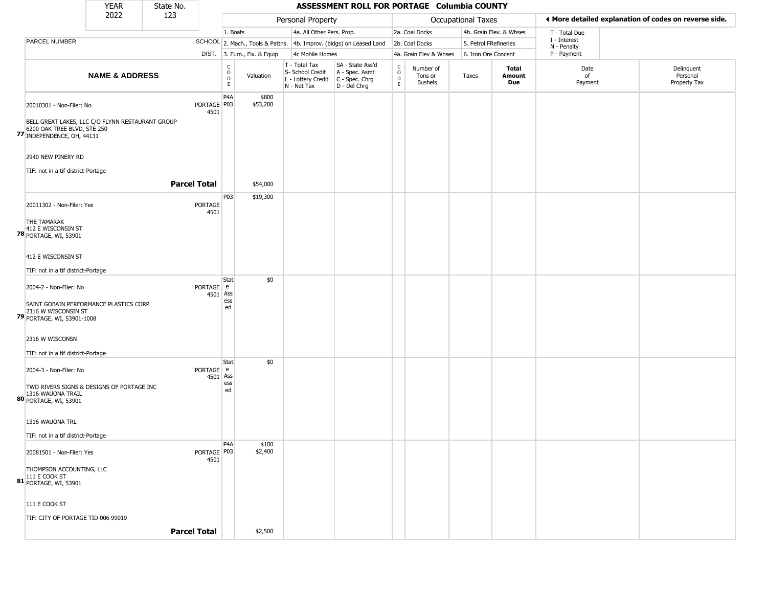|                                                                                                               | <b>YEAR</b>               | State No. |                       |                                                 |                              |                                                  | ASSESSMENT ROLL FOR PORTAGE Columbia COUNTY                                               |                                              |                                        |                    |                         |                             |                                                       |
|---------------------------------------------------------------------------------------------------------------|---------------------------|-----------|-----------------------|-------------------------------------------------|------------------------------|--------------------------------------------------|-------------------------------------------------------------------------------------------|----------------------------------------------|----------------------------------------|--------------------|-------------------------|-----------------------------|-------------------------------------------------------|
|                                                                                                               | 2022                      | 123       |                       |                                                 |                              | Personal Property                                |                                                                                           |                                              |                                        | Occupational Taxes |                         |                             | ♦ More detailed explanation of codes on reverse side. |
|                                                                                                               |                           |           |                       | 1. Boats                                        |                              | 4a. All Other Pers. Prop.                        |                                                                                           |                                              | 2a. Coal Docks                         |                    | 4b. Grain Elev. & Whses | T - Total Due               |                                                       |
| PARCEL NUMBER                                                                                                 |                           |           |                       |                                                 |                              |                                                  | SCHOOL 2. Mach., Tools & Pattns. 4b. Improv. (bldgs) on Leased Land                       |                                              | 2b. Coal Docks                         |                    | 5. Petrol FRefineries   | I - Interest<br>N - Penalty |                                                       |
|                                                                                                               |                           |           |                       |                                                 | DIST. 3. Furn., Fix. & Equip | 4c Mobile Homes                                  |                                                                                           |                                              | 4a. Grain Elev & Whses                 |                    | 6. Iron Ore Concent     | P - Payment                 |                                                       |
|                                                                                                               | <b>NAME &amp; ADDRESS</b> |           |                       | $\begin{array}{c} C \\ O \\ D \\ E \end{array}$ | Valuation                    | T - Total Tax<br>S- School Credit<br>N - Net Tax | SA - State Ass'd<br>A - Spec. Asmt<br>L - Lottery Credit   C - Spec. Chrg<br>D - Del Chrg | $\begin{array}{c}\nC \\ O \\ D\n\end{array}$ | Number of<br>Tons or<br><b>Bushels</b> | Taxes              | Total<br>Amount<br>Due  | Date<br>of<br>Payment       | Delinquent<br>Personal<br>Property Tax                |
| 20010301 - Non-Filer: No                                                                                      |                           |           | PORTAGE P03<br>4501   | P <sub>4</sub> A                                | \$800<br>\$53,200            |                                                  |                                                                                           |                                              |                                        |                    |                         |                             |                                                       |
| BELL GREAT LAKES, LLC C/O FLYNN RESTAURANT GROUP<br>6200 OAK TREE BLVD, STE 250<br>77 INDEPENDENCE, OH, 44131 |                           |           |                       |                                                 |                              |                                                  |                                                                                           |                                              |                                        |                    |                         |                             |                                                       |
| 2940 NEW PINERY RD                                                                                            |                           |           |                       |                                                 |                              |                                                  |                                                                                           |                                              |                                        |                    |                         |                             |                                                       |
| TIF: not in a tif district-Portage                                                                            |                           |           | <b>Parcel Total</b>   |                                                 | \$54,000                     |                                                  |                                                                                           |                                              |                                        |                    |                         |                             |                                                       |
| 20011302 - Non-Filer: Yes                                                                                     |                           |           | PORTAGE<br>4501       | P03                                             | \$19,300                     |                                                  |                                                                                           |                                              |                                        |                    |                         |                             |                                                       |
| THE TAMARAK<br>412 E WISCONSIN ST<br>78 PORTAGE, WI, 53901                                                    |                           |           |                       |                                                 |                              |                                                  |                                                                                           |                                              |                                        |                    |                         |                             |                                                       |
| 412 E WISCONSIN ST                                                                                            |                           |           |                       |                                                 |                              |                                                  |                                                                                           |                                              |                                        |                    |                         |                             |                                                       |
| TIF: not in a tif district-Portage                                                                            |                           |           |                       | Stat                                            | \$0                          |                                                  |                                                                                           |                                              |                                        |                    |                         |                             |                                                       |
| 2004-2 - Non-Filer: No                                                                                        |                           |           | PORTAGE e<br>4501 Ass |                                                 |                              |                                                  |                                                                                           |                                              |                                        |                    |                         |                             |                                                       |
| SAINT GOBAIN PERFORMANCE PLASTICS CORP<br>2316 W WISCONSIN ST<br>79 PORTAGE, WI, 53901-1008                   |                           |           |                       | ess<br>ed                                       |                              |                                                  |                                                                                           |                                              |                                        |                    |                         |                             |                                                       |
| 2316 W WISCONSN                                                                                               |                           |           |                       |                                                 |                              |                                                  |                                                                                           |                                              |                                        |                    |                         |                             |                                                       |
| TIF: not in a tif district-Portage                                                                            |                           |           |                       |                                                 |                              |                                                  |                                                                                           |                                              |                                        |                    |                         |                             |                                                       |
| 2004-3 - Non-Filer: No                                                                                        |                           |           | PORTAGE e<br>4501     | Stat<br>Ass<br>ess                              | \$0                          |                                                  |                                                                                           |                                              |                                        |                    |                         |                             |                                                       |
| TWO RIVERS SIGNS & DESIGNS OF PORTAGE INC<br>1316 WAUONA TRAIL<br>80 PORTAGE, WI, 53901                       |                           |           |                       | ed                                              |                              |                                                  |                                                                                           |                                              |                                        |                    |                         |                             |                                                       |
| 1316 WAUONA TRL                                                                                               |                           |           |                       |                                                 |                              |                                                  |                                                                                           |                                              |                                        |                    |                         |                             |                                                       |
| TIF: not in a tif district-Portage                                                                            |                           |           |                       |                                                 |                              |                                                  |                                                                                           |                                              |                                        |                    |                         |                             |                                                       |
| 20081501 - Non-Filer: Yes                                                                                     |                           |           | PORTAGE P03<br>4501   | P <sub>4</sub> A                                | \$100<br>\$2,400             |                                                  |                                                                                           |                                              |                                        |                    |                         |                             |                                                       |
| THOMPSON ACCOUNTING, LLC<br>111 E COOK ST<br>81 PORTAGE, WI, 53901                                            |                           |           |                       |                                                 |                              |                                                  |                                                                                           |                                              |                                        |                    |                         |                             |                                                       |
| 111 E COOK ST                                                                                                 |                           |           |                       |                                                 |                              |                                                  |                                                                                           |                                              |                                        |                    |                         |                             |                                                       |
| TIF: CITY OF PORTAGE TID 006 99019                                                                            |                           |           |                       |                                                 |                              |                                                  |                                                                                           |                                              |                                        |                    |                         |                             |                                                       |
|                                                                                                               |                           |           | <b>Parcel Total</b>   |                                                 | \$2,500                      |                                                  |                                                                                           |                                              |                                        |                    |                         |                             |                                                       |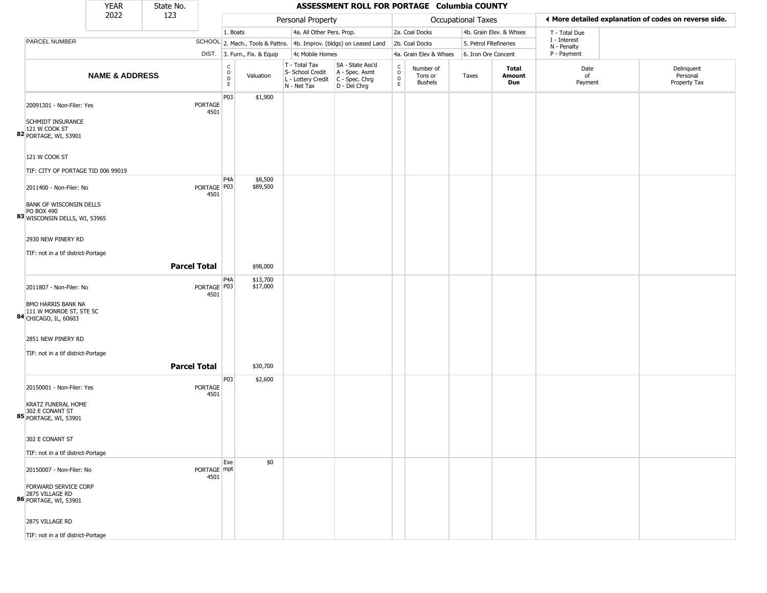|                                                                              | <b>YEAR</b>               | State No.           |                       |                                                 |                              |                                                                                         | ASSESSMENT ROLL FOR PORTAGE Columbia COUNTY                         |                                                          |                                        |                    |                         |                             |                                                       |
|------------------------------------------------------------------------------|---------------------------|---------------------|-----------------------|-------------------------------------------------|------------------------------|-----------------------------------------------------------------------------------------|---------------------------------------------------------------------|----------------------------------------------------------|----------------------------------------|--------------------|-------------------------|-----------------------------|-------------------------------------------------------|
|                                                                              | 2022                      | 123                 |                       |                                                 |                              | Personal Property                                                                       |                                                                     |                                                          |                                        | Occupational Taxes |                         |                             | ♦ More detailed explanation of codes on reverse side. |
|                                                                              |                           |                     |                       | 1. Boats                                        |                              | 4a. All Other Pers. Prop.                                                               |                                                                     |                                                          | 2a. Coal Docks                         |                    | 4b. Grain Elev. & Whses | T - Total Due               |                                                       |
| PARCEL NUMBER                                                                |                           |                     |                       |                                                 |                              |                                                                                         | SCHOOL 2. Mach., Tools & Pattns. 4b. Improv. (bldgs) on Leased Land |                                                          | 2b. Coal Docks                         |                    | 5. Petrol FRefineries   | I - Interest<br>N - Penalty |                                                       |
|                                                                              |                           |                     |                       |                                                 | DIST. 3. Furn., Fix. & Equip | 4c Mobile Homes                                                                         |                                                                     |                                                          | 4a. Grain Elev & Whses                 |                    | 6. Iron Ore Concent     | P - Payment                 |                                                       |
|                                                                              | <b>NAME &amp; ADDRESS</b> |                     |                       | $\begin{array}{c} C \\ O \\ D \\ E \end{array}$ | Valuation                    | T - Total Tax<br>S- School Credit<br>L - Lottery Credit   C - Spec. Chrg<br>N - Net Tax | SA - State Ass'd<br>A - Spec. Asmt<br>D - Del Chrg                  | $\begin{matrix} 0 \\ 0 \\ 0 \end{matrix}$<br>$\mathsf E$ | Number of<br>Tons or<br><b>Bushels</b> | Taxes              | Total<br>Amount<br>Due  | Date<br>of<br>Payment       | Delinquent<br>Personal<br>Property Tax                |
| 20091301 - Non-Filer: Yes<br><b>SCHMIDT INSURANCE</b>                        |                           |                     | PORTAGE<br>4501       | P03                                             | \$1,900                      |                                                                                         |                                                                     |                                                          |                                        |                    |                         |                             |                                                       |
| 121 W COOK ST<br>82 PORTAGE, WI, 53901                                       |                           |                     |                       |                                                 |                              |                                                                                         |                                                                     |                                                          |                                        |                    |                         |                             |                                                       |
| 121 W COOK ST<br>TIF: CITY OF PORTAGE TID 006 99019                          |                           |                     |                       |                                                 |                              |                                                                                         |                                                                     |                                                          |                                        |                    |                         |                             |                                                       |
| 2011400 - Non-Filer: No                                                      |                           |                     | PORTAGE   P03<br>4501 | P <sub>4</sub> A                                | \$8,500<br>\$89,500          |                                                                                         |                                                                     |                                                          |                                        |                    |                         |                             |                                                       |
| BANK OF WISCONSIN DELLS<br>PO BOX 490<br>83 WISCONSIN DELLS, WI, 53965       |                           |                     |                       |                                                 |                              |                                                                                         |                                                                     |                                                          |                                        |                    |                         |                             |                                                       |
| 2930 NEW PINERY RD                                                           |                           |                     |                       |                                                 |                              |                                                                                         |                                                                     |                                                          |                                        |                    |                         |                             |                                                       |
| TIF: not in a tif district-Portage                                           |                           | <b>Parcel Total</b> |                       |                                                 | \$98,000                     |                                                                                         |                                                                     |                                                          |                                        |                    |                         |                             |                                                       |
| 2011807 - Non-Filer: No                                                      |                           |                     | PORTAGE P03<br>4501   | P4A                                             | \$13,700<br>\$17,000         |                                                                                         |                                                                     |                                                          |                                        |                    |                         |                             |                                                       |
| BMO HARRIS BANK NA<br>111 W MONROE ST, STE 5C<br>84 CHICAGO, IL, 60603       |                           |                     |                       |                                                 |                              |                                                                                         |                                                                     |                                                          |                                        |                    |                         |                             |                                                       |
| 2851 NEW PINERY RD                                                           |                           |                     |                       |                                                 |                              |                                                                                         |                                                                     |                                                          |                                        |                    |                         |                             |                                                       |
| TIF: not in a tif district-Portage                                           |                           | <b>Parcel Total</b> |                       |                                                 | \$30,700                     |                                                                                         |                                                                     |                                                          |                                        |                    |                         |                             |                                                       |
| 20150001 - Non-Filer: Yes                                                    |                           |                     | PORTAGE<br>4501       | P03                                             | \$2,600                      |                                                                                         |                                                                     |                                                          |                                        |                    |                         |                             |                                                       |
| <b>KRATZ FUNERAL HOME</b><br>302 E CONANT ST<br><b>85</b> PORTAGE, WI, 53901 |                           |                     |                       |                                                 |                              |                                                                                         |                                                                     |                                                          |                                        |                    |                         |                             |                                                       |
| 302 E CONANT ST                                                              |                           |                     |                       |                                                 |                              |                                                                                         |                                                                     |                                                          |                                        |                    |                         |                             |                                                       |
| TIF: not in a tif district-Portage<br>20150007 - Non-Filer: No               |                           |                     | PORTAGE mpt           | Exe                                             | \$0                          |                                                                                         |                                                                     |                                                          |                                        |                    |                         |                             |                                                       |
| FORWARD SERVICE CORP<br>2875 VILLAGE RD<br>86 PORTAGE, WI, 53901             |                           |                     | 4501                  |                                                 |                              |                                                                                         |                                                                     |                                                          |                                        |                    |                         |                             |                                                       |
| 2875 VILLAGE RD                                                              |                           |                     |                       |                                                 |                              |                                                                                         |                                                                     |                                                          |                                        |                    |                         |                             |                                                       |
| TIF: not in a tif district-Portage                                           |                           |                     |                       |                                                 |                              |                                                                                         |                                                                     |                                                          |                                        |                    |                         |                             |                                                       |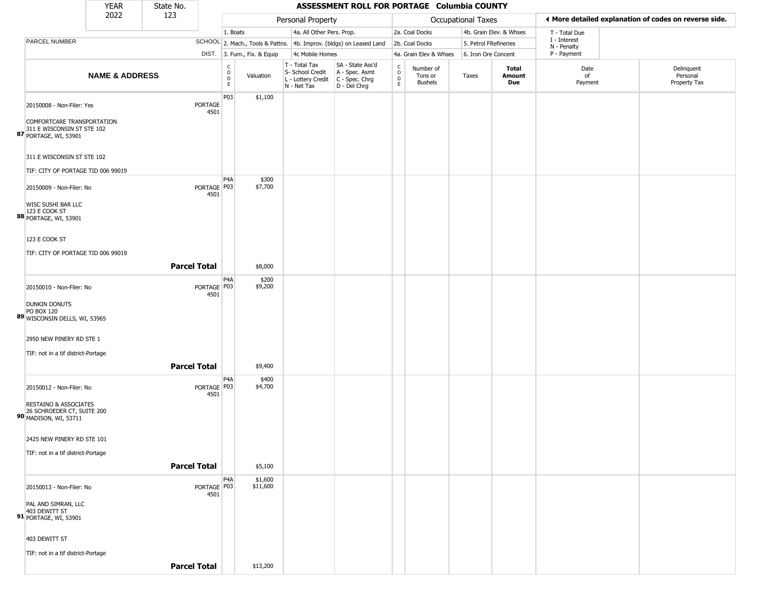|                                                                     | <b>YEAR</b>                                                      | State No.           |                                                          |                              |                                                                                         | ASSESSMENT ROLL FOR PORTAGE Columbia COUNTY                         |                                                          |                                        |                       |                         |                             |                                                       |
|---------------------------------------------------------------------|------------------------------------------------------------------|---------------------|----------------------------------------------------------|------------------------------|-----------------------------------------------------------------------------------------|---------------------------------------------------------------------|----------------------------------------------------------|----------------------------------------|-----------------------|-------------------------|-----------------------------|-------------------------------------------------------|
|                                                                     | 2022                                                             | 123                 |                                                          |                              | Personal Property                                                                       |                                                                     |                                                          |                                        | Occupational Taxes    |                         |                             | ◀ More detailed explanation of codes on reverse side. |
|                                                                     |                                                                  |                     |                                                          | 1. Boats                     | 4a. All Other Pers. Prop.                                                               |                                                                     |                                                          | 2a. Coal Docks                         |                       | 4b. Grain Elev. & Whses | T - Total Due               |                                                       |
| PARCEL NUMBER                                                       |                                                                  |                     |                                                          |                              |                                                                                         | SCHOOL 2. Mach., Tools & Pattns. 4b. Improv. (bldgs) on Leased Land |                                                          | 2b. Coal Docks                         | 5. Petrol FRefineries |                         | I - Interest<br>N - Penalty |                                                       |
|                                                                     |                                                                  |                     |                                                          | DIST. 3. Furn., Fix. & Equip | 4c Mobile Homes                                                                         |                                                                     |                                                          | 4a. Grain Elev & Whses                 | 6. Iron Ore Concent   |                         | P - Payment                 |                                                       |
|                                                                     | <b>NAME &amp; ADDRESS</b>                                        |                     | $\begin{smallmatrix} C \\ O \\ D \end{smallmatrix}$<br>E | Valuation                    | T - Total Tax<br>S- School Credit<br>L - Lottery Credit   C - Spec. Chrg<br>N - Net Tax | SA - State Ass'd<br>A - Spec. Asmt<br>$D - Del Chrg$                | $\begin{matrix} 0 \\ 0 \\ D \end{matrix}$<br>$\mathsf E$ | Number of<br>Tons or<br><b>Bushels</b> | Taxes                 | Total<br>Amount<br>Due  | Date<br>of<br>Payment       | Delinquent<br>Personal<br>Property Tax                |
|                                                                     | 20150008 - Non-Filer: Yes<br>COMFORTCARE TRANSPORTATION          |                     | P03<br>PORTAGE<br>4501                                   | \$1,100                      |                                                                                         |                                                                     |                                                          |                                        |                       |                         |                             |                                                       |
|                                                                     | 311 E WISCONSIN ST STE 102<br>87 PORTAGE, WI, 53901              |                     |                                                          |                              |                                                                                         |                                                                     |                                                          |                                        |                       |                         |                             |                                                       |
|                                                                     | 311 E WISCONSIN ST STE 102<br>TIF: CITY OF PORTAGE TID 006 99019 |                     |                                                          |                              |                                                                                         |                                                                     |                                                          |                                        |                       |                         |                             |                                                       |
|                                                                     | 20150009 - Non-Filer: No                                         |                     | P <sub>4</sub> A<br>PORTAGE   P03<br>4501                | \$300<br>\$7,700             |                                                                                         |                                                                     |                                                          |                                        |                       |                         |                             |                                                       |
| <b>WISC SUSHI BAR LLC</b><br>123 E COOK ST<br>88 PORTAGE, WI, 53901 |                                                                  |                     |                                                          |                              |                                                                                         |                                                                     |                                                          |                                        |                       |                         |                             |                                                       |
| 123 E COOK ST                                                       | TIF: CITY OF PORTAGE TID 006 99019                               |                     |                                                          |                              |                                                                                         |                                                                     |                                                          |                                        |                       |                         |                             |                                                       |
|                                                                     |                                                                  | <b>Parcel Total</b> |                                                          | \$8,000                      |                                                                                         |                                                                     |                                                          |                                        |                       |                         |                             |                                                       |
|                                                                     | 20150010 - Non-Filer: No                                         |                     | P <sub>4</sub> A<br>PORTAGE P03<br>4501                  | \$200<br>\$9,200             |                                                                                         |                                                                     |                                                          |                                        |                       |                         |                             |                                                       |
| <b>DUNKIN DONUTS</b><br>PO BOX 120                                  | 89 WISCONSIN DELLS, WI, 53965                                    |                     |                                                          |                              |                                                                                         |                                                                     |                                                          |                                        |                       |                         |                             |                                                       |
|                                                                     | 2950 NEW PINERY RD STE 1<br>TIF: not in a tif district-Portage   |                     |                                                          |                              |                                                                                         |                                                                     |                                                          |                                        |                       |                         |                             |                                                       |
|                                                                     |                                                                  | <b>Parcel Total</b> |                                                          | \$9,400                      |                                                                                         |                                                                     |                                                          |                                        |                       |                         |                             |                                                       |
|                                                                     | 20150012 - Non-Filer: No                                         |                     | P <sub>4</sub> A<br>PORTAGE P03<br>4501                  | \$400<br>\$4,700             |                                                                                         |                                                                     |                                                          |                                        |                       |                         |                             |                                                       |
| 90 MADISON, WI, 53711                                               | <b>RESTAINO &amp; ASSOCIATES</b><br>26 SCHROEDER CT, SUITE 200   |                     |                                                          |                              |                                                                                         |                                                                     |                                                          |                                        |                       |                         |                             |                                                       |
|                                                                     | 2425 NEW PINERY RD STE 101                                       |                     |                                                          |                              |                                                                                         |                                                                     |                                                          |                                        |                       |                         |                             |                                                       |
|                                                                     | TIF: not in a tif district-Portage                               | <b>Parcel Total</b> |                                                          | \$5,100                      |                                                                                         |                                                                     |                                                          |                                        |                       |                         |                             |                                                       |
|                                                                     | 20150013 - Non-Filer: No                                         |                     | P <sub>4</sub> A<br>PORTAGE P03<br>4501                  | \$1,600<br>\$11,600          |                                                                                         |                                                                     |                                                          |                                        |                       |                         |                             |                                                       |
| PAL AND SIMRAN, LLC<br>403 DEWITT ST<br>91 PORTAGE, WI, 53901       |                                                                  |                     |                                                          |                              |                                                                                         |                                                                     |                                                          |                                        |                       |                         |                             |                                                       |
| 403 DEWITT ST                                                       |                                                                  |                     |                                                          |                              |                                                                                         |                                                                     |                                                          |                                        |                       |                         |                             |                                                       |
|                                                                     | TIF: not in a tif district-Portage                               | <b>Parcel Total</b> |                                                          | \$13,200                     |                                                                                         |                                                                     |                                                          |                                        |                       |                         |                             |                                                       |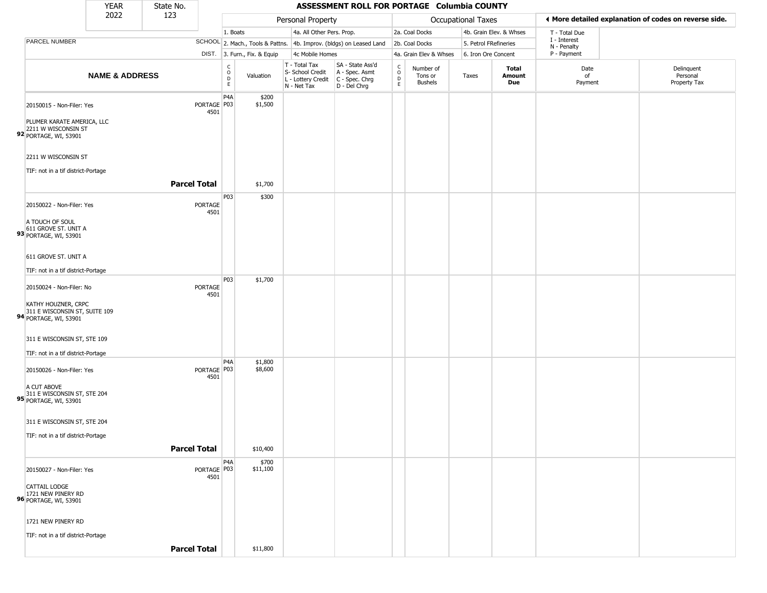|                                               |                                                           | <b>YEAR</b>               | State No.           |                       |                                   |                              |                                                                        | ASSESSMENT ROLL FOR PORTAGE Columbia COUNTY                          |                                    |                                        |                       |                               |                             |                                                       |
|-----------------------------------------------|-----------------------------------------------------------|---------------------------|---------------------|-----------------------|-----------------------------------|------------------------------|------------------------------------------------------------------------|----------------------------------------------------------------------|------------------------------------|----------------------------------------|-----------------------|-------------------------------|-----------------------------|-------------------------------------------------------|
|                                               |                                                           | 2022                      | 123                 |                       |                                   |                              | Personal Property                                                      |                                                                      |                                    |                                        | Occupational Taxes    |                               |                             | ◀ More detailed explanation of codes on reverse side. |
|                                               |                                                           |                           |                     |                       | 1. Boats                          |                              |                                                                        | 4a. All Other Pers. Prop.                                            |                                    | 2a. Coal Docks                         |                       | 4b. Grain Elev. & Whses       | T - Total Due               |                                                       |
|                                               | PARCEL NUMBER                                             |                           |                     |                       |                                   |                              |                                                                        | SCHOOL 2. Mach., Tools & Pattns. 4b. Improv. (bldgs) on Leased Land  |                                    | 2b. Coal Docks                         | 5. Petrol FRefineries |                               | I - Interest<br>N - Penalty |                                                       |
|                                               |                                                           |                           |                     |                       |                                   | DIST. 3. Furn., Fix. & Equip | 4c Mobile Homes                                                        |                                                                      |                                    | 4a. Grain Elev & Whses                 | 6. Iron Ore Concent   |                               | P - Payment                 |                                                       |
|                                               |                                                           | <b>NAME &amp; ADDRESS</b> |                     |                       | $\frac{c}{0}$<br>$\mathsf D$<br>E | Valuation                    | T - Total Tax<br>S- School Credit<br>L - Lottery Credit<br>N - Net Tax | SA - State Ass'd<br>A - Spec. Asmt<br>C - Spec. Chrg<br>D - Del Chrg | $\int_{0}^{c}$<br>D<br>$\mathsf E$ | Number of<br>Tons or<br><b>Bushels</b> | Taxes                 | <b>Total</b><br>Amount<br>Due | Date<br>of<br>Payment       | Delinquent<br>Personal<br>Property Tax                |
|                                               | 20150015 - Non-Filer: Yes                                 |                           |                     | PORTAGE P03<br>4501   | P <sub>4</sub> A                  | \$200<br>\$1,500             |                                                                        |                                                                      |                                    |                                        |                       |                               |                             |                                                       |
| 92 PORTAGE, WI, 53901                         | PLUMER KARATE AMERICA, LLC<br>2211 W WISCONSIN ST         |                           |                     |                       |                                   |                              |                                                                        |                                                                      |                                    |                                        |                       |                               |                             |                                                       |
|                                               | 2211 W WISCONSIN ST<br>TIF: not in a tif district-Portage |                           |                     |                       |                                   |                              |                                                                        |                                                                      |                                    |                                        |                       |                               |                             |                                                       |
|                                               |                                                           |                           | <b>Parcel Total</b> |                       |                                   | \$1,700                      |                                                                        |                                                                      |                                    |                                        |                       |                               |                             |                                                       |
|                                               | 20150022 - Non-Filer: Yes                                 |                           |                     | PORTAGE<br>4501       | P03                               | \$300                        |                                                                        |                                                                      |                                    |                                        |                       |                               |                             |                                                       |
| A TOUCH OF SOUL<br>93 PORTAGE, WI, 53901      | 611 GROVE ST. UNIT A                                      |                           |                     |                       |                                   |                              |                                                                        |                                                                      |                                    |                                        |                       |                               |                             |                                                       |
|                                               | 611 GROVE ST. UNIT A                                      |                           |                     |                       |                                   |                              |                                                                        |                                                                      |                                    |                                        |                       |                               |                             |                                                       |
|                                               | TIF: not in a tif district-Portage                        |                           |                     |                       | P03                               |                              |                                                                        |                                                                      |                                    |                                        |                       |                               |                             |                                                       |
|                                               | 20150024 - Non-Filer: No                                  |                           |                     | PORTAGE<br>4501       |                                   | \$1,700                      |                                                                        |                                                                      |                                    |                                        |                       |                               |                             |                                                       |
| 94 PORTAGE, WI, 53901                         | KATHY HOUZNER, CRPC<br>311 E WISCONSIN ST, SUITE 109      |                           |                     |                       |                                   |                              |                                                                        |                                                                      |                                    |                                        |                       |                               |                             |                                                       |
|                                               | 311 E WISCONSIN ST, STE 109                               |                           |                     |                       |                                   |                              |                                                                        |                                                                      |                                    |                                        |                       |                               |                             |                                                       |
|                                               | TIF: not in a tif district-Portage                        |                           |                     |                       |                                   |                              |                                                                        |                                                                      |                                    |                                        |                       |                               |                             |                                                       |
|                                               | 20150026 - Non-Filer: Yes                                 |                           |                     | PORTAGE P03<br>4501   | P <sub>4</sub> A                  | \$1,800<br>\$8,600           |                                                                        |                                                                      |                                    |                                        |                       |                               |                             |                                                       |
| A CUT ABOVE<br>95 PORTAGE, WI, 53901          | 311 E WISCONSIN ST, STE 204                               |                           |                     |                       |                                   |                              |                                                                        |                                                                      |                                    |                                        |                       |                               |                             |                                                       |
|                                               | 311 E WISCONSIN ST, STE 204                               |                           |                     |                       |                                   |                              |                                                                        |                                                                      |                                    |                                        |                       |                               |                             |                                                       |
|                                               | TIF: not in a tif district-Portage                        |                           |                     |                       |                                   |                              |                                                                        |                                                                      |                                    |                                        |                       |                               |                             |                                                       |
|                                               |                                                           |                           | <b>Parcel Total</b> |                       |                                   | \$10,400                     |                                                                        |                                                                      |                                    |                                        |                       |                               |                             |                                                       |
|                                               | 20150027 - Non-Filer: Yes                                 |                           |                     | PORTAGE   P03<br>4501 | P <sub>4</sub> A                  | \$700<br>\$11,100            |                                                                        |                                                                      |                                    |                                        |                       |                               |                             |                                                       |
| <b>CATTAIL LODGE</b><br>96 PORTAGE, WI, 53901 | 1721 NEW PINERY RD                                        |                           |                     |                       |                                   |                              |                                                                        |                                                                      |                                    |                                        |                       |                               |                             |                                                       |
|                                               | 1721 NEW PINERY RD                                        |                           |                     |                       |                                   |                              |                                                                        |                                                                      |                                    |                                        |                       |                               |                             |                                                       |
|                                               | TIF: not in a tif district-Portage                        |                           |                     |                       |                                   |                              |                                                                        |                                                                      |                                    |                                        |                       |                               |                             |                                                       |
|                                               |                                                           |                           | <b>Parcel Total</b> |                       |                                   | \$11,800                     |                                                                        |                                                                      |                                    |                                        |                       |                               |                             |                                                       |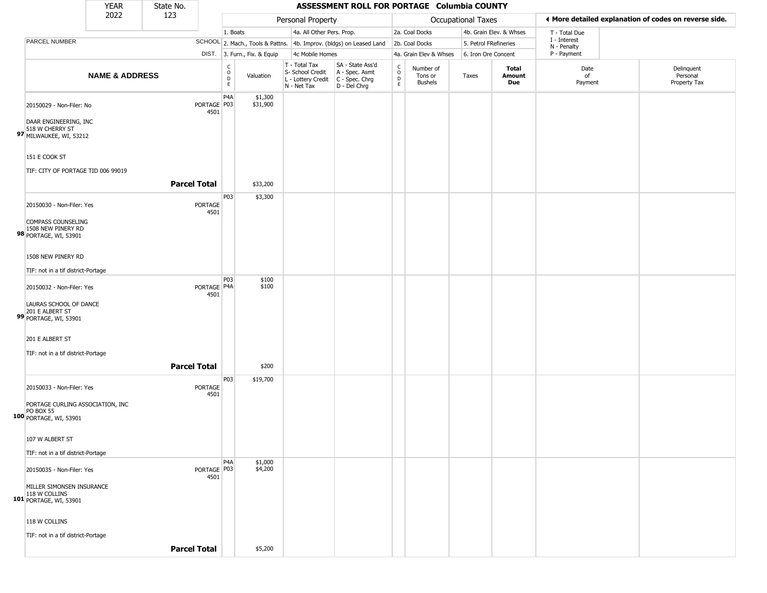|                                                                                                 | <b>YEAR</b>               | State No.           |                                |                                   |                              |                                                                        | ASSESSMENT ROLL FOR PORTAGE Columbia COUNTY                          |                                            |                                        |                       |                         |                             |                                                       |
|-------------------------------------------------------------------------------------------------|---------------------------|---------------------|--------------------------------|-----------------------------------|------------------------------|------------------------------------------------------------------------|----------------------------------------------------------------------|--------------------------------------------|----------------------------------------|-----------------------|-------------------------|-----------------------------|-------------------------------------------------------|
|                                                                                                 | 2022                      | 123                 |                                |                                   |                              | Personal Property                                                      |                                                                      |                                            |                                        | Occupational Taxes    |                         |                             | I More detailed explanation of codes on reverse side. |
|                                                                                                 |                           |                     |                                | 1. Boats                          |                              | 4a. All Other Pers. Prop.                                              |                                                                      |                                            | 2a. Coal Docks                         |                       | 4b. Grain Elev. & Whses | T - Total Due               |                                                       |
| PARCEL NUMBER                                                                                   |                           |                     |                                |                                   |                              |                                                                        | SCHOOL 2. Mach., Tools & Pattns. 4b. Improv. (bldgs) on Leased Land  |                                            | 2b. Coal Docks                         | 5. Petrol FRefineries |                         | I - Interest<br>N - Penalty |                                                       |
|                                                                                                 |                           |                     |                                |                                   | DIST. 3. Furn., Fix. & Equip | 4c Mobile Homes                                                        |                                                                      |                                            | 4a. Grain Elev & Whses                 | 6. Iron Ore Concent   |                         | P - Payment                 |                                                       |
|                                                                                                 | <b>NAME &amp; ADDRESS</b> |                     |                                | $\rm ^c_{o}$<br>$\mathsf{D}$<br>E | Valuation                    | T - Total Tax<br>S- School Credit<br>L - Lottery Credit<br>N - Net Tax | SA - State Ass'd<br>A - Spec. Asmt<br>C - Spec. Chrg<br>D - Del Chrg | C<br>$\circ$<br>$\mathsf D$<br>$\mathsf E$ | Number of<br>Tons or<br><b>Bushels</b> | Taxes                 | Total<br>Amount<br>Due  | Date<br>of<br>Payment       | Delinquent<br>Personal<br>Property Tax                |
| 20150029 - Non-Filer: No<br>DAAR ENGINEERING, INC                                               |                           |                     | PORTAGE   P03<br>4501          | P <sub>4</sub> A                  | \$1,300<br>\$31,900          |                                                                        |                                                                      |                                            |                                        |                       |                         |                             |                                                       |
| 518 W CHERRY ST<br>97 MILWAUKEE, WI, 53212<br>151 E COOK ST                                     |                           |                     |                                |                                   |                              |                                                                        |                                                                      |                                            |                                        |                       |                         |                             |                                                       |
| TIF: CITY OF PORTAGE TID 006 99019                                                              |                           | <b>Parcel Total</b> |                                |                                   | \$33,200                     |                                                                        |                                                                      |                                            |                                        |                       |                         |                             |                                                       |
| 20150030 - Non-Filer: Yes                                                                       |                           |                     | PORTAGE<br>4501                | P03                               | \$3,300                      |                                                                        |                                                                      |                                            |                                        |                       |                         |                             |                                                       |
| COMPASS COUNSELING<br>1508 NEW PINERY RD<br>98 PORTAGE, WI, 53901                               |                           |                     |                                |                                   |                              |                                                                        |                                                                      |                                            |                                        |                       |                         |                             |                                                       |
| 1508 NEW PINERY RD<br>TIF: not in a tif district-Portage                                        |                           |                     |                                |                                   |                              |                                                                        |                                                                      |                                            |                                        |                       |                         |                             |                                                       |
| 20150032 - Non-Filer: Yes<br>LAURAS SCHOOL OF DANCE<br>201 E ALBERT ST<br>99 PORTAGE, WI, 53901 |                           |                     | PORTAGE <sup>P4A</sup><br>4501 | P03                               | \$100<br>\$100               |                                                                        |                                                                      |                                            |                                        |                       |                         |                             |                                                       |
| 201 E ALBERT ST                                                                                 |                           |                     |                                |                                   |                              |                                                                        |                                                                      |                                            |                                        |                       |                         |                             |                                                       |
| TIF: not in a tif district-Portage                                                              |                           | <b>Parcel Total</b> |                                |                                   | \$200                        |                                                                        |                                                                      |                                            |                                        |                       |                         |                             |                                                       |
| 20150033 - Non-Filer: Yes                                                                       |                           |                     | PORTAGE<br>4501                | P03                               | \$19,700                     |                                                                        |                                                                      |                                            |                                        |                       |                         |                             |                                                       |
| PORTAGE CURLING ASSOCIATION, INC<br><b>PO BOX 55</b><br>100 PORTAGE, WI, 53901                  |                           |                     |                                |                                   |                              |                                                                        |                                                                      |                                            |                                        |                       |                         |                             |                                                       |
| 107 W ALBERT ST<br>TIF: not in a tif district-Portage                                           |                           |                     |                                |                                   |                              |                                                                        |                                                                      |                                            |                                        |                       |                         |                             |                                                       |
| 20150035 - Non-Filer: Yes                                                                       |                           |                     | PORTAGE   P03<br>4501          | P <sub>4</sub> A                  | \$1,000<br>\$4,200           |                                                                        |                                                                      |                                            |                                        |                       |                         |                             |                                                       |
| MILLER SIMONSEN INSURANCE<br>101 118 W COLLINS<br>101 PORTAGE, WI, 53901                        |                           |                     |                                |                                   |                              |                                                                        |                                                                      |                                            |                                        |                       |                         |                             |                                                       |
| 118 W COLLINS<br>TIF: not in a tif district-Portage                                             |                           |                     |                                |                                   |                              |                                                                        |                                                                      |                                            |                                        |                       |                         |                             |                                                       |
|                                                                                                 |                           | <b>Parcel Total</b> |                                |                                   | \$5,200                      |                                                                        |                                                                      |                                            |                                        |                       |                         |                             |                                                       |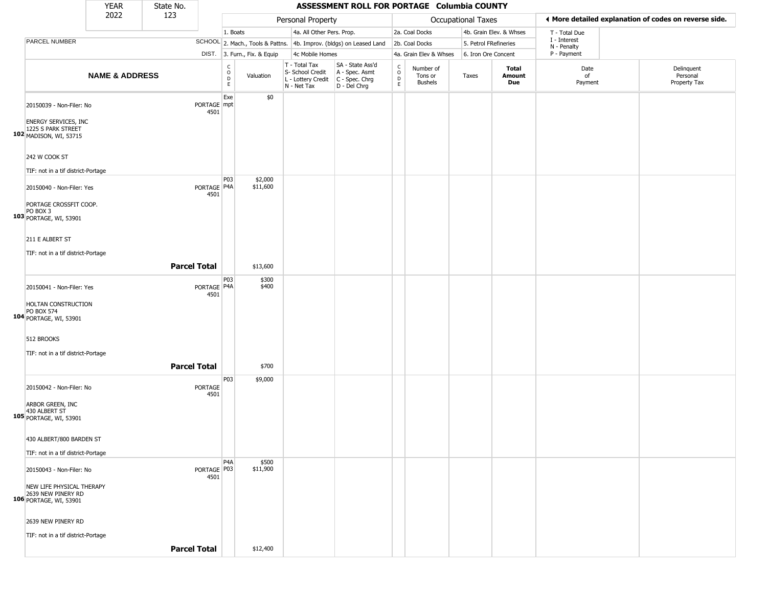|                                                                             | <b>YEAR</b>               | State No.           |                                |                                        |                              |                                                                        | ASSESSMENT ROLL FOR PORTAGE Columbia COUNTY                          |                                   |                                        |                           |                         |                             |                                                       |
|-----------------------------------------------------------------------------|---------------------------|---------------------|--------------------------------|----------------------------------------|------------------------------|------------------------------------------------------------------------|----------------------------------------------------------------------|-----------------------------------|----------------------------------------|---------------------------|-------------------------|-----------------------------|-------------------------------------------------------|
|                                                                             | 2022                      | 123                 |                                |                                        |                              | Personal Property                                                      |                                                                      |                                   |                                        | <b>Occupational Taxes</b> |                         |                             | ◀ More detailed explanation of codes on reverse side. |
|                                                                             |                           |                     |                                | 1. Boats                               |                              | 4a. All Other Pers. Prop.                                              |                                                                      |                                   | 2a. Coal Docks                         |                           | 4b. Grain Elev. & Whses | T - Total Due               |                                                       |
| PARCEL NUMBER                                                               |                           |                     |                                |                                        |                              |                                                                        | SCHOOL 2. Mach., Tools & Pattns. 4b. Improv. (bldgs) on Leased Land  |                                   | 2b. Coal Docks                         | 5. Petrol FRefineries     |                         | I - Interest<br>N - Penalty |                                                       |
|                                                                             |                           |                     |                                |                                        | DIST. 3. Furn., Fix. & Equip | 4c Mobile Homes                                                        |                                                                      |                                   | 4a. Grain Elev & Whses                 | 6. Iron Ore Concent       |                         | P - Payment                 |                                                       |
|                                                                             | <b>NAME &amp; ADDRESS</b> |                     |                                | $_{\rm o}^{\rm c}$<br>$\mathsf D$<br>E | Valuation                    | T - Total Tax<br>S- School Credit<br>L - Lottery Credit<br>N - Net Tax | SA - State Ass'd<br>A - Spec. Asmt<br>C - Spec. Chrg<br>D - Del Chrg | C<br>$\circ$<br>$\mathsf{D}$<br>E | Number of<br>Tons or<br><b>Bushels</b> | Taxes                     | Total<br>Amount<br>Due  | Date<br>of<br>Payment       | Delinquent<br>Personal<br>Property Tax                |
| 20150039 - Non-Filer: No                                                    |                           |                     | PORTAGE mpt<br>4501            | Exe                                    | \$0                          |                                                                        |                                                                      |                                   |                                        |                           |                         |                             |                                                       |
| <b>ENERGY SERVICES, INC</b><br>1225 S PARK STREET<br>102 MADISON, WI, 53715 |                           |                     |                                |                                        |                              |                                                                        |                                                                      |                                   |                                        |                           |                         |                             |                                                       |
| 242 W COOK ST                                                               |                           |                     |                                |                                        |                              |                                                                        |                                                                      |                                   |                                        |                           |                         |                             |                                                       |
| TIF: not in a tif district-Portage                                          |                           |                     |                                | P03                                    |                              |                                                                        |                                                                      |                                   |                                        |                           |                         |                             |                                                       |
| 20150040 - Non-Filer: Yes                                                   |                           |                     | PORTAGE P4A<br>4501            |                                        | \$2,000<br>\$11,600          |                                                                        |                                                                      |                                   |                                        |                           |                         |                             |                                                       |
| PORTAGE CROSSFIT COOP.<br>PO BOX 3<br>103 PORTAGE, WI, 53901                |                           |                     |                                |                                        |                              |                                                                        |                                                                      |                                   |                                        |                           |                         |                             |                                                       |
| 211 E ALBERT ST                                                             |                           |                     |                                |                                        |                              |                                                                        |                                                                      |                                   |                                        |                           |                         |                             |                                                       |
| TIF: not in a tif district-Portage                                          |                           |                     |                                |                                        |                              |                                                                        |                                                                      |                                   |                                        |                           |                         |                             |                                                       |
|                                                                             |                           | <b>Parcel Total</b> |                                |                                        | \$13,600                     |                                                                        |                                                                      |                                   |                                        |                           |                         |                             |                                                       |
| 20150041 - Non-Filer: Yes                                                   |                           |                     | PORTAGE P4A<br>4501            | P03                                    | \$300<br>\$400               |                                                                        |                                                                      |                                   |                                        |                           |                         |                             |                                                       |
| HOLTAN CONSTRUCTION<br>PO BOX 574<br>104 PORTAGE, WI, 53901                 |                           |                     |                                |                                        |                              |                                                                        |                                                                      |                                   |                                        |                           |                         |                             |                                                       |
| 512 BROOKS                                                                  |                           |                     |                                |                                        |                              |                                                                        |                                                                      |                                   |                                        |                           |                         |                             |                                                       |
| TIF: not in a tif district-Portage                                          |                           |                     |                                |                                        |                              |                                                                        |                                                                      |                                   |                                        |                           |                         |                             |                                                       |
|                                                                             |                           | <b>Parcel Total</b> |                                |                                        | \$700                        |                                                                        |                                                                      |                                   |                                        |                           |                         |                             |                                                       |
| 20150042 - Non-Filer: No                                                    |                           |                     | PORTAGE<br>4501                | P03                                    | \$9,000                      |                                                                        |                                                                      |                                   |                                        |                           |                         |                             |                                                       |
| ARBOR GREEN, INC<br>430 ALBERT ST<br>105 PORTAGE, WI, 53901                 |                           |                     |                                |                                        |                              |                                                                        |                                                                      |                                   |                                        |                           |                         |                             |                                                       |
| 430 ALBERT/800 BARDEN ST                                                    |                           |                     |                                |                                        |                              |                                                                        |                                                                      |                                   |                                        |                           |                         |                             |                                                       |
| TIF: not in a tif district-Portage                                          |                           |                     |                                |                                        |                              |                                                                        |                                                                      |                                   |                                        |                           |                         |                             |                                                       |
| 20150043 - Non-Filer: No                                                    |                           |                     | PORTAGE <sup>P03</sup><br>4501 | P4A                                    | \$500<br>\$11,900            |                                                                        |                                                                      |                                   |                                        |                           |                         |                             |                                                       |
| NEW LIFE PHYSICAL THERAPY<br>2639 NEW PINERY RD<br>106 PORTAGE, WI, 53901   |                           |                     |                                |                                        |                              |                                                                        |                                                                      |                                   |                                        |                           |                         |                             |                                                       |
| 2639 NEW PINERY RD                                                          |                           |                     |                                |                                        |                              |                                                                        |                                                                      |                                   |                                        |                           |                         |                             |                                                       |
| TIF: not in a tif district-Portage                                          |                           |                     |                                |                                        |                              |                                                                        |                                                                      |                                   |                                        |                           |                         |                             |                                                       |
|                                                                             |                           | <b>Parcel Total</b> |                                |                                        | \$12,400                     |                                                                        |                                                                      |                                   |                                        |                           |                         |                             |                                                       |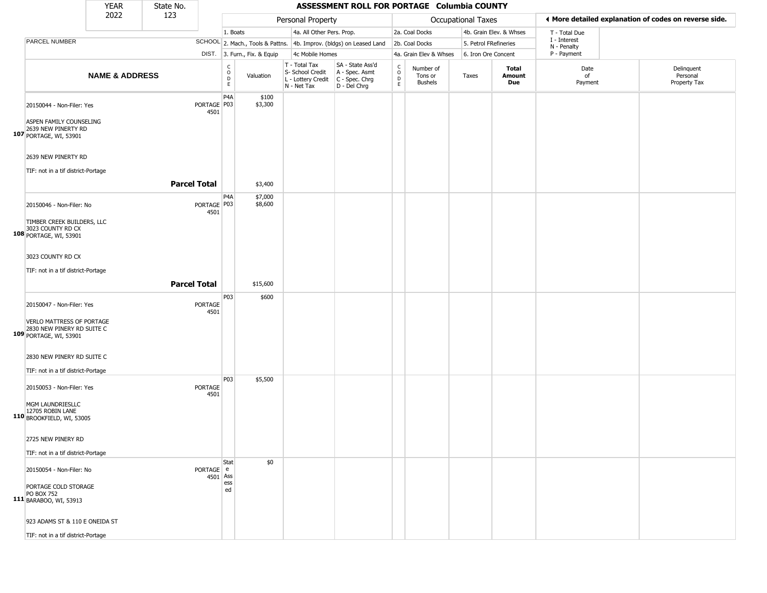|                                                                                                                | <b>YEAR</b>               | State No.           |                        |                                        |                              |                                                                        | ASSESSMENT ROLL FOR PORTAGE Columbia COUNTY                            |                                |                                        |                       |                         |                             |                                                       |
|----------------------------------------------------------------------------------------------------------------|---------------------------|---------------------|------------------------|----------------------------------------|------------------------------|------------------------------------------------------------------------|------------------------------------------------------------------------|--------------------------------|----------------------------------------|-----------------------|-------------------------|-----------------------------|-------------------------------------------------------|
|                                                                                                                | 2022                      | 123                 |                        |                                        |                              | Personal Property                                                      |                                                                        |                                |                                        | Occupational Taxes    |                         |                             | I More detailed explanation of codes on reverse side. |
|                                                                                                                |                           |                     |                        | 1. Boats                               |                              | 4a. All Other Pers. Prop.                                              |                                                                        |                                | 2a. Coal Docks                         |                       | 4b. Grain Elev. & Whses | T - Total Due               |                                                       |
| PARCEL NUMBER                                                                                                  |                           |                     |                        |                                        |                              |                                                                        | SCHOOL 2. Mach., Tools & Pattns. 4b. Improv. (bldgs) on Leased Land    |                                | 2b. Coal Docks                         | 5. Petrol FRefineries |                         | I - Interest<br>N - Penalty |                                                       |
|                                                                                                                |                           |                     |                        |                                        | DIST. 3. Furn., Fix. & Equip | 4c Mobile Homes                                                        |                                                                        |                                | 4a. Grain Elev & Whses                 | 6. Iron Ore Concent   |                         | P - Payment                 |                                                       |
|                                                                                                                | <b>NAME &amp; ADDRESS</b> |                     |                        | $_{\rm o}^{\rm c}$<br>D<br>$\mathsf E$ | Valuation                    | T - Total Tax<br>S- School Credit<br>L - Lottery Credit<br>N - Net Tax | SA - State Ass'd<br>A - Spec. Asmt<br>$C - Spec. Chrg$<br>D - Del Chrg | $\rm _o^C$<br>D<br>$\mathsf E$ | Number of<br>Tons or<br><b>Bushels</b> | Taxes                 | Total<br>Amount<br>Due  | Date<br>of<br>Payment       | Delinquent<br>Personal<br>Property Tax                |
| 20150044 - Non-Filer: Yes<br>ASPEN FAMILY COUNSELING<br>2639 NEW PINERTY RD<br>107 PORTAGE, WI, 53901          |                           |                     | PORTAGE   P03<br>4501  | P <sub>4</sub> A                       | \$100<br>\$3,300             |                                                                        |                                                                        |                                |                                        |                       |                         |                             |                                                       |
| 2639 NEW PINERTY RD<br>TIF: not in a tif district-Portage                                                      |                           |                     |                        |                                        |                              |                                                                        |                                                                        |                                |                                        |                       |                         |                             |                                                       |
|                                                                                                                |                           | <b>Parcel Total</b> |                        |                                        | \$3,400                      |                                                                        |                                                                        |                                |                                        |                       |                         |                             |                                                       |
| 20150046 - Non-Filer: No<br>TIMBER CREEK BUILDERS, LLC<br>3023 COUNTY RD CX<br>108 PORTAGE, WI, 53901          |                           |                     | PORTAGE   P03<br>4501  | P4A                                    | \$7,000<br>\$8,600           |                                                                        |                                                                        |                                |                                        |                       |                         |                             |                                                       |
| 3023 COUNTY RD CX<br>TIF: not in a tif district-Portage                                                        |                           | <b>Parcel Total</b> |                        |                                        | \$15,600                     |                                                                        |                                                                        |                                |                                        |                       |                         |                             |                                                       |
| 20150047 - Non-Filer: Yes<br>VERLO MATTRESS OF PORTAGE<br>2830 NEW PINERY RD SUITE C<br>109 PORTAGE, WI, 53901 |                           |                     | <b>PORTAGE</b><br>4501 | P03                                    | \$600                        |                                                                        |                                                                        |                                |                                        |                       |                         |                             |                                                       |
| 2830 NEW PINERY RD SUITE C<br>TIF: not in a tif district-Portage                                               |                           |                     |                        |                                        |                              |                                                                        |                                                                        |                                |                                        |                       |                         |                             |                                                       |
| 20150053 - Non-Filer: Yes<br>MGM LAUNDRIESLLC<br>12705 ROBIN LANE<br>110 BROOKFIELD, WI, 53005                 |                           |                     | <b>PORTAGE</b><br>4501 | P03                                    | \$5,500                      |                                                                        |                                                                        |                                |                                        |                       |                         |                             |                                                       |
| 2725 NEW PINERY RD<br>TIF: not in a tif district-Portage                                                       |                           |                     |                        |                                        |                              |                                                                        |                                                                        |                                |                                        |                       |                         |                             |                                                       |
| 20150054 - Non-Filer: No<br>PORTAGE COLD STORAGE<br><b>PO BOX 752</b><br>111 BARABOO, WI, 53913                |                           |                     | PORTAGE e<br>4501 Ass  | Stat<br>ess<br>ed                      | \$0                          |                                                                        |                                                                        |                                |                                        |                       |                         |                             |                                                       |
| 923 ADAMS ST & 110 E ONEIDA ST<br>TIF: not in a tif district-Portage                                           |                           |                     |                        |                                        |                              |                                                                        |                                                                        |                                |                                        |                       |                         |                             |                                                       |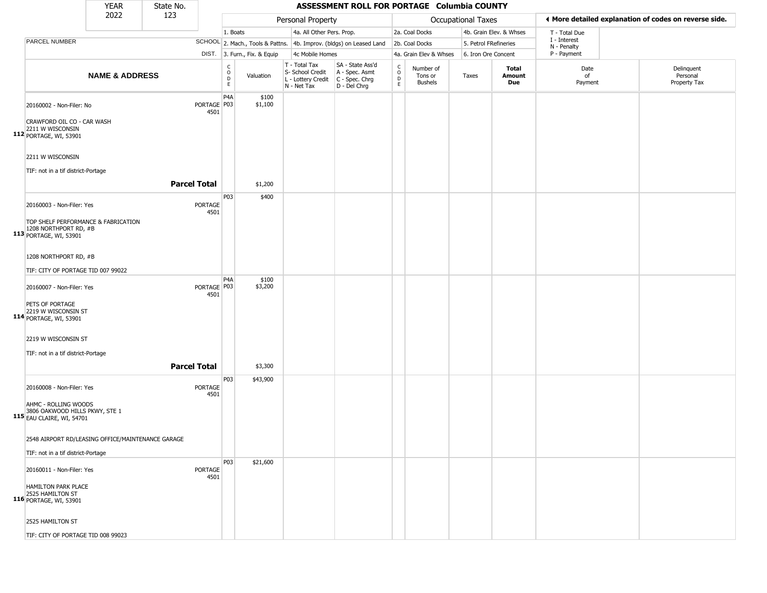|                                                                                        | <b>YEAR</b>               | State No.           |                       |                                             |                              |                                                                        | ASSESSMENT ROLL FOR PORTAGE Columbia COUNTY                            |                                                          |                                 |                       |                         |                             |                                                       |
|----------------------------------------------------------------------------------------|---------------------------|---------------------|-----------------------|---------------------------------------------|------------------------------|------------------------------------------------------------------------|------------------------------------------------------------------------|----------------------------------------------------------|---------------------------------|-----------------------|-------------------------|-----------------------------|-------------------------------------------------------|
|                                                                                        | 2022                      | 123                 |                       |                                             |                              | Personal Property                                                      |                                                                        |                                                          |                                 | Occupational Taxes    |                         |                             | ◀ More detailed explanation of codes on reverse side. |
|                                                                                        |                           |                     |                       | 1. Boats                                    |                              | 4a. All Other Pers. Prop.                                              |                                                                        |                                                          | 2a. Coal Docks                  |                       | 4b. Grain Elev. & Whses | T - Total Due               |                                                       |
| PARCEL NUMBER                                                                          |                           |                     |                       |                                             |                              |                                                                        | SCHOOL 2. Mach., Tools & Pattns. 4b. Improv. (bldgs) on Leased Land    |                                                          | 2b. Coal Docks                  | 5. Petrol FRefineries |                         | I - Interest<br>N - Penalty |                                                       |
|                                                                                        |                           |                     |                       |                                             | DIST. 3. Furn., Fix. & Equip | 4c Mobile Homes                                                        |                                                                        |                                                          | 4a. Grain Elev & Whses          | 6. Iron Ore Concent   |                         | P - Payment                 |                                                       |
|                                                                                        | <b>NAME &amp; ADDRESS</b> |                     |                       | $\mathsf{C}$<br>$\circ$<br>$\mathsf D$<br>E | Valuation                    | T - Total Tax<br>S- School Credit<br>L - Lottery Credit<br>N - Net Tax | SA - State Ass'd<br>A - Spec. Asmt<br>$C - Spec. Chrg$<br>D - Del Chrg | $\begin{matrix} 0 \\ 0 \\ D \end{matrix}$<br>$\mathsf E$ | Number of<br>Tons or<br>Bushels | Taxes                 | Total<br>Amount<br>Due  | Date<br>of<br>Payment       | Delinquent<br>Personal<br>Property Tax                |
| 20160002 - Non-Filer: No<br>CRAWFORD OIL CO - CAR WASH                                 |                           |                     | PORTAGE P03<br>4501   | P4A                                         | \$100<br>\$1,100             |                                                                        |                                                                        |                                                          |                                 |                       |                         |                             |                                                       |
| 2211 W WISCONSIN<br>112 PORTAGE, WI, 53901                                             |                           |                     |                       |                                             |                              |                                                                        |                                                                        |                                                          |                                 |                       |                         |                             |                                                       |
| 2211 W WISCONSIN                                                                       |                           |                     |                       |                                             |                              |                                                                        |                                                                        |                                                          |                                 |                       |                         |                             |                                                       |
| TIF: not in a tif district-Portage                                                     |                           |                     |                       |                                             |                              |                                                                        |                                                                        |                                                          |                                 |                       |                         |                             |                                                       |
|                                                                                        |                           | <b>Parcel Total</b> |                       |                                             | \$1,200                      |                                                                        |                                                                        |                                                          |                                 |                       |                         |                             |                                                       |
| 20160003 - Non-Filer: Yes                                                              |                           |                     | PORTAGE<br>4501       | P03                                         | \$400                        |                                                                        |                                                                        |                                                          |                                 |                       |                         |                             |                                                       |
| TOP SHELF PERFORMANCE & FABRICATION<br>1208 NORTHPORT RD, #B<br>113 PORTAGE, WI, 53901 |                           |                     |                       |                                             |                              |                                                                        |                                                                        |                                                          |                                 |                       |                         |                             |                                                       |
| 1208 NORTHPORT RD, #B<br>TIF: CITY OF PORTAGE TID 007 99022                            |                           |                     |                       |                                             |                              |                                                                        |                                                                        |                                                          |                                 |                       |                         |                             |                                                       |
| 20160007 - Non-Filer: Yes                                                              |                           |                     | PORTAGE   P03<br>4501 | P4A                                         | \$100<br>\$3,200             |                                                                        |                                                                        |                                                          |                                 |                       |                         |                             |                                                       |
| PETS OF PORTAGE<br>2219 W WISCONSIN ST<br>114 PORTAGE, WI, 53901                       |                           |                     |                       |                                             |                              |                                                                        |                                                                        |                                                          |                                 |                       |                         |                             |                                                       |
| 2219 W WISCONSIN ST<br>TIF: not in a tif district-Portage                              |                           |                     |                       |                                             |                              |                                                                        |                                                                        |                                                          |                                 |                       |                         |                             |                                                       |
|                                                                                        |                           | <b>Parcel Total</b> |                       |                                             | \$3,300                      |                                                                        |                                                                        |                                                          |                                 |                       |                         |                             |                                                       |
|                                                                                        |                           |                     |                       | P03                                         | \$43,900                     |                                                                        |                                                                        |                                                          |                                 |                       |                         |                             |                                                       |
| 20160008 - Non-Filer: Yes                                                              |                           |                     | PORTAGE<br>4501       |                                             |                              |                                                                        |                                                                        |                                                          |                                 |                       |                         |                             |                                                       |
| AHMC - ROLLING WOODS<br>3806 OAKWOOD HILLS PKWY, STE 1<br>115 EAU CLAIRE, WI, 54701    |                           |                     |                       |                                             |                              |                                                                        |                                                                        |                                                          |                                 |                       |                         |                             |                                                       |
| 2548 AIRPORT RD/LEASING OFFICE/MAINTENANCE GARAGE                                      |                           |                     |                       |                                             |                              |                                                                        |                                                                        |                                                          |                                 |                       |                         |                             |                                                       |
| TIF: not in a tif district-Portage                                                     |                           |                     |                       |                                             |                              |                                                                        |                                                                        |                                                          |                                 |                       |                         |                             |                                                       |
| 20160011 - Non-Filer: Yes                                                              |                           |                     | PORTAGE<br>4501       | <b>P03</b>                                  | \$21,600                     |                                                                        |                                                                        |                                                          |                                 |                       |                         |                             |                                                       |
| HAMILTON PARK PLACE<br>2525 HAMILTON ST<br>116 PORTAGE, WI, 53901                      |                           |                     |                       |                                             |                              |                                                                        |                                                                        |                                                          |                                 |                       |                         |                             |                                                       |
| 2525 HAMILTON ST                                                                       |                           |                     |                       |                                             |                              |                                                                        |                                                                        |                                                          |                                 |                       |                         |                             |                                                       |
| TIF: CITY OF PORTAGE TID 008 99023                                                     |                           |                     |                       |                                             |                              |                                                                        |                                                                        |                                                          |                                 |                       |                         |                             |                                                       |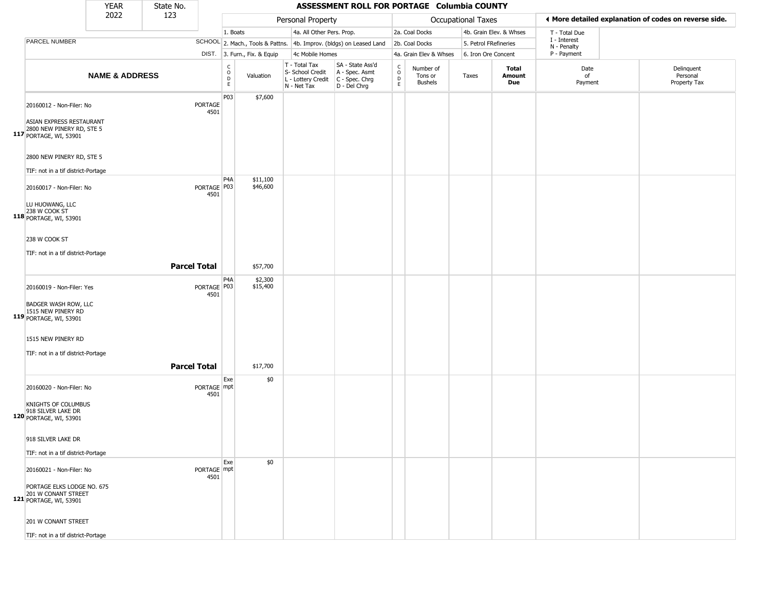|                                                                             | <b>YEAR</b>               | State No.           |                       |                                              |                              |                                                                                         | ASSESSMENT ROLL FOR PORTAGE Columbia COUNTY                         |                        |                                        |                       |                         |                             |                                                       |
|-----------------------------------------------------------------------------|---------------------------|---------------------|-----------------------|----------------------------------------------|------------------------------|-----------------------------------------------------------------------------------------|---------------------------------------------------------------------|------------------------|----------------------------------------|-----------------------|-------------------------|-----------------------------|-------------------------------------------------------|
|                                                                             | 2022                      | 123                 |                       |                                              |                              | Personal Property                                                                       |                                                                     |                        |                                        | Occupational Taxes    |                         |                             | ◀ More detailed explanation of codes on reverse side. |
|                                                                             |                           |                     |                       | 1. Boats                                     |                              | 4a. All Other Pers. Prop.                                                               |                                                                     |                        | 2a. Coal Docks                         |                       | 4b. Grain Elev. & Whses | T - Total Due               |                                                       |
| PARCEL NUMBER                                                               |                           |                     |                       |                                              |                              |                                                                                         | SCHOOL 2. Mach., Tools & Pattns. 4b. Improv. (bldgs) on Leased Land |                        | 2b. Coal Docks                         | 5. Petrol FRefineries |                         | I - Interest<br>N - Penalty |                                                       |
|                                                                             |                           |                     |                       |                                              | DIST. 3. Furn., Fix. & Equip | 4c Mobile Homes                                                                         |                                                                     |                        | 4a. Grain Elev & Whses                 | 6. Iron Ore Concent   |                         | P - Payment                 |                                                       |
|                                                                             | <b>NAME &amp; ADDRESS</b> |                     |                       | $\begin{array}{c}\nC \\ O \\ D\n\end{array}$ | Valuation                    | T - Total Tax<br>S- School Credit<br>L - Lottery Credit   C - Spec. Chrg<br>N - Net Tax | SA - State Ass'd<br>A - Spec. Asmt<br>D - Del Chrg                  | C<br>$\circ$<br>D<br>E | Number of<br>Tons or<br><b>Bushels</b> | Taxes                 | Total<br>Amount<br>Due  | Date<br>of<br>Payment       | Delinquent<br>Personal<br>Property Tax                |
| 20160012 - Non-Filer: No<br>ASIAN EXPRESS RESTAURANT                        |                           |                     | PORTAGE<br>4501       | P03                                          | \$7,600                      |                                                                                         |                                                                     |                        |                                        |                       |                         |                             |                                                       |
| 2800 NEW PINERY RD, STE 5<br>117 PORTAGE, WI, 53901                         |                           |                     |                       |                                              |                              |                                                                                         |                                                                     |                        |                                        |                       |                         |                             |                                                       |
| 2800 NEW PINERY RD, STE 5<br>TIF: not in a tif district-Portage             |                           |                     |                       |                                              |                              |                                                                                         |                                                                     |                        |                                        |                       |                         |                             |                                                       |
| 20160017 - Non-Filer: No                                                    |                           |                     | PORTAGE P03<br>4501   | P4A                                          | \$11,100<br>\$46,600         |                                                                                         |                                                                     |                        |                                        |                       |                         |                             |                                                       |
| LU HUOWANG, LLC<br>238 W COOK ST<br>118 PORTAGE, WI, 53901                  |                           |                     |                       |                                              |                              |                                                                                         |                                                                     |                        |                                        |                       |                         |                             |                                                       |
| 238 W COOK ST                                                               |                           |                     |                       |                                              |                              |                                                                                         |                                                                     |                        |                                        |                       |                         |                             |                                                       |
| TIF: not in a tif district-Portage                                          |                           | <b>Parcel Total</b> |                       |                                              | \$57,700                     |                                                                                         |                                                                     |                        |                                        |                       |                         |                             |                                                       |
| 20160019 - Non-Filer: Yes                                                   |                           |                     | PORTAGE   P03<br>4501 | P <sub>4</sub> A                             | \$2,300<br>\$15,400          |                                                                                         |                                                                     |                        |                                        |                       |                         |                             |                                                       |
| <b>BADGER WASH ROW, LLC</b><br>119 1515 NEW PINERY RD<br>PORTAGE, WI, 53901 |                           |                     |                       |                                              |                              |                                                                                         |                                                                     |                        |                                        |                       |                         |                             |                                                       |
| 1515 NEW PINERY RD                                                          |                           |                     |                       |                                              |                              |                                                                                         |                                                                     |                        |                                        |                       |                         |                             |                                                       |
| TIF: not in a tif district-Portage                                          |                           | <b>Parcel Total</b> |                       |                                              | \$17,700                     |                                                                                         |                                                                     |                        |                                        |                       |                         |                             |                                                       |
| 20160020 - Non-Filer: No                                                    |                           |                     | PORTAGE mpt<br>4501   | Exe                                          | \$0                          |                                                                                         |                                                                     |                        |                                        |                       |                         |                             |                                                       |
| KNIGHTS OF COLUMBUS<br>918 SILVER LAKE DR<br>120 PORTAGE, WI, 53901         |                           |                     |                       |                                              |                              |                                                                                         |                                                                     |                        |                                        |                       |                         |                             |                                                       |
| 918 SILVER LAKE DR                                                          |                           |                     |                       |                                              |                              |                                                                                         |                                                                     |                        |                                        |                       |                         |                             |                                                       |
| TIF: not in a tif district-Portage<br>20160021 - Non-Filer: No              |                           |                     | PORTAGE mpt           | Exe                                          | \$0                          |                                                                                         |                                                                     |                        |                                        |                       |                         |                             |                                                       |
| PORTAGE ELKS LODGE NO. 675<br>201 W CONANT STREET<br>121 PORTAGE, WI, 53901 |                           |                     | 4501                  |                                              |                              |                                                                                         |                                                                     |                        |                                        |                       |                         |                             |                                                       |
| 201 W CONANT STREET                                                         |                           |                     |                       |                                              |                              |                                                                                         |                                                                     |                        |                                        |                       |                         |                             |                                                       |
| TIF: not in a tif district-Portage                                          |                           |                     |                       |                                              |                              |                                                                                         |                                                                     |                        |                                        |                       |                         |                             |                                                       |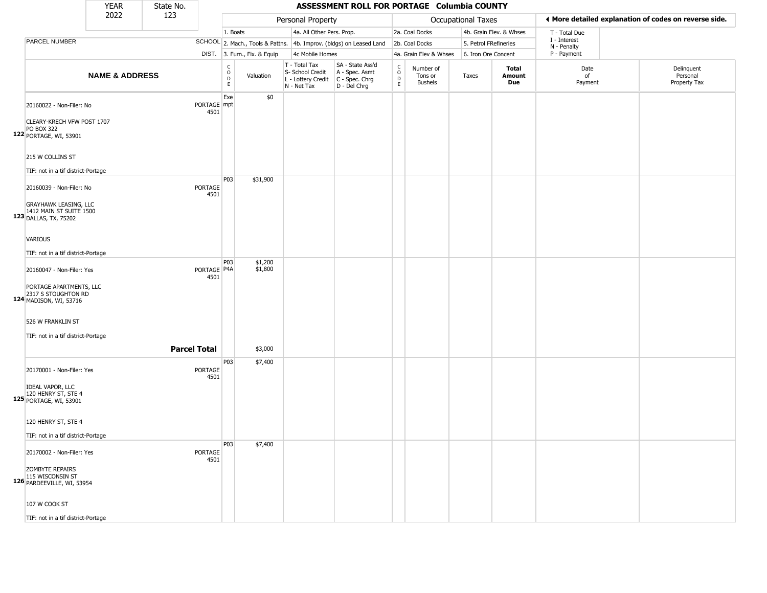|                                                                                  | <b>YEAR</b>               | State No.           |                        |                                       |                              |                                                                        | ASSESSMENT ROLL FOR PORTAGE Columbia COUNTY                          |                                |                                        |                       |                         |                             |                                                       |
|----------------------------------------------------------------------------------|---------------------------|---------------------|------------------------|---------------------------------------|------------------------------|------------------------------------------------------------------------|----------------------------------------------------------------------|--------------------------------|----------------------------------------|-----------------------|-------------------------|-----------------------------|-------------------------------------------------------|
|                                                                                  | 2022                      | 123                 |                        |                                       |                              | Personal Property                                                      |                                                                      |                                |                                        | Occupational Taxes    |                         |                             | ♦ More detailed explanation of codes on reverse side. |
|                                                                                  |                           |                     |                        | 1. Boats                              |                              | 4a. All Other Pers. Prop.                                              |                                                                      |                                | 2a. Coal Docks                         |                       | 4b. Grain Elev. & Whses | T - Total Due               |                                                       |
| PARCEL NUMBER                                                                    |                           |                     |                        |                                       |                              |                                                                        | SCHOOL 2. Mach., Tools & Pattns. 4b. Improv. (bldgs) on Leased Land  |                                | 2b. Coal Docks                         | 5. Petrol FRefineries |                         | I - Interest<br>N - Penalty |                                                       |
|                                                                                  |                           |                     |                        |                                       | DIST. 3. Furn., Fix. & Equip | 4c Mobile Homes                                                        |                                                                      |                                | 4a. Grain Elev & Whses                 | 6. Iron Ore Concent   |                         | P - Payment                 |                                                       |
|                                                                                  | <b>NAME &amp; ADDRESS</b> |                     |                        | $\mathsf{C}$<br>$\mathsf O$<br>D<br>E | Valuation                    | T - Total Tax<br>S- School Credit<br>L - Lottery Credit<br>N - Net Tax | SA - State Ass'd<br>A - Spec. Asmt<br>C - Spec. Chrg<br>D - Del Chrg | $\rm _o^C$<br>D<br>$\mathsf E$ | Number of<br>Tons or<br><b>Bushels</b> | Taxes                 | Total<br>Amount<br>Due  | Date<br>of<br>Payment       | Delinquent<br>Personal<br>Property Tax                |
| 20160022 - Non-Filer: No                                                         |                           |                     | PORTAGE mpt<br>4501    | Exe                                   | \$0                          |                                                                        |                                                                      |                                |                                        |                       |                         |                             |                                                       |
| CLEARY-KRECH VFW POST 1707<br><b>PO BOX 322</b><br>122 PORTAGE, WI, 53901        |                           |                     |                        |                                       |                              |                                                                        |                                                                      |                                |                                        |                       |                         |                             |                                                       |
| 215 W COLLINS ST                                                                 |                           |                     |                        |                                       |                              |                                                                        |                                                                      |                                |                                        |                       |                         |                             |                                                       |
| TIF: not in a tif district-Portage                                               |                           |                     |                        | P03                                   | \$31,900                     |                                                                        |                                                                      |                                |                                        |                       |                         |                             |                                                       |
| 20160039 - Non-Filer: No                                                         |                           |                     | <b>PORTAGE</b><br>4501 |                                       |                              |                                                                        |                                                                      |                                |                                        |                       |                         |                             |                                                       |
| <b>GRAYHAWK LEASING, LLC</b><br>1412 MAIN ST SUITE 1500<br>123 DALLAS, TX, 75202 |                           |                     |                        |                                       |                              |                                                                        |                                                                      |                                |                                        |                       |                         |                             |                                                       |
| VARIOUS                                                                          |                           |                     |                        |                                       |                              |                                                                        |                                                                      |                                |                                        |                       |                         |                             |                                                       |
| TIF: not in a tif district-Portage                                               |                           |                     |                        | P03                                   | \$1,200                      |                                                                        |                                                                      |                                |                                        |                       |                         |                             |                                                       |
| 20160047 - Non-Filer: Yes                                                        |                           |                     | PORTAGE   P4A<br>4501  |                                       | \$1,800                      |                                                                        |                                                                      |                                |                                        |                       |                         |                             |                                                       |
| PORTAGE APARTMENTS, LLC<br>2317 S STOUGHTON RD<br>124 MADISON, WI, 53716         |                           |                     |                        |                                       |                              |                                                                        |                                                                      |                                |                                        |                       |                         |                             |                                                       |
| 526 W FRANKLIN ST                                                                |                           |                     |                        |                                       |                              |                                                                        |                                                                      |                                |                                        |                       |                         |                             |                                                       |
| TIF: not in a tif district-Portage                                               |                           | <b>Parcel Total</b> |                        |                                       | \$3,000                      |                                                                        |                                                                      |                                |                                        |                       |                         |                             |                                                       |
| 20170001 - Non-Filer: Yes                                                        |                           |                     | <b>PORTAGE</b><br>4501 | P03                                   | \$7,400                      |                                                                        |                                                                      |                                |                                        |                       |                         |                             |                                                       |
| <b>IDEAL VAPOR, LLC</b><br>120 HENRY ST, STE 4<br>125 PORTAGE, WI, 53901         |                           |                     |                        |                                       |                              |                                                                        |                                                                      |                                |                                        |                       |                         |                             |                                                       |
| 120 HENRY ST, STE 4                                                              |                           |                     |                        |                                       |                              |                                                                        |                                                                      |                                |                                        |                       |                         |                             |                                                       |
| TIF: not in a tif district-Portage                                               |                           |                     |                        |                                       |                              |                                                                        |                                                                      |                                |                                        |                       |                         |                             |                                                       |
| 20170002 - Non-Filer: Yes                                                        |                           |                     | <b>PORTAGE</b><br>4501 | P03                                   | \$7,400                      |                                                                        |                                                                      |                                |                                        |                       |                         |                             |                                                       |
| <b>ZOMBYTE REPAIRS</b><br>115 WISCONSIN ST<br>126 PARDEEVILLE, WI, 53954         |                           |                     |                        |                                       |                              |                                                                        |                                                                      |                                |                                        |                       |                         |                             |                                                       |
| 107 W COOK ST                                                                    |                           |                     |                        |                                       |                              |                                                                        |                                                                      |                                |                                        |                       |                         |                             |                                                       |
| TIF: not in a tif district-Portage                                               |                           |                     |                        |                                       |                              |                                                                        |                                                                      |                                |                                        |                       |                         |                             |                                                       |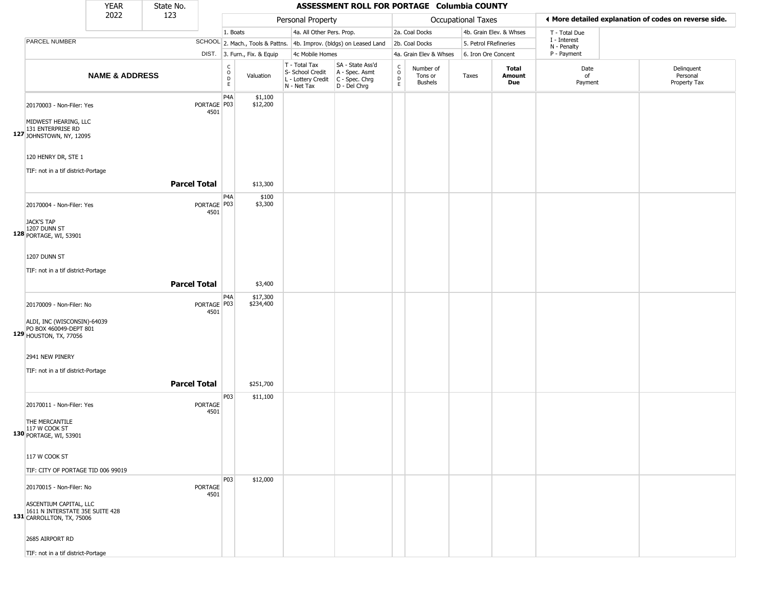|                                                                                                                                       | <b>YEAR</b>               | State No.           |                       |                                                      |                              |                                                                        | ASSESSMENT ROLL FOR PORTAGE Columbia COUNTY                          |                                                   |                                        |                       |                         |                             |                                                       |
|---------------------------------------------------------------------------------------------------------------------------------------|---------------------------|---------------------|-----------------------|------------------------------------------------------|------------------------------|------------------------------------------------------------------------|----------------------------------------------------------------------|---------------------------------------------------|----------------------------------------|-----------------------|-------------------------|-----------------------------|-------------------------------------------------------|
|                                                                                                                                       | 2022                      | 123                 |                       |                                                      |                              | Personal Property                                                      |                                                                      |                                                   |                                        | Occupational Taxes    |                         |                             | ♦ More detailed explanation of codes on reverse side. |
|                                                                                                                                       |                           |                     |                       | 1. Boats                                             |                              | 4a. All Other Pers. Prop.                                              |                                                                      |                                                   | 2a. Coal Docks                         |                       | 4b. Grain Elev. & Whses | T - Total Due               |                                                       |
| PARCEL NUMBER                                                                                                                         |                           |                     |                       |                                                      |                              |                                                                        | SCHOOL 2. Mach., Tools & Pattns. 4b. Improv. (bldgs) on Leased Land  |                                                   | 2b. Coal Docks                         | 5. Petrol FRefineries |                         | I - Interest<br>N - Penalty |                                                       |
|                                                                                                                                       |                           |                     |                       |                                                      | DIST. 3. Furn., Fix. & Equip | 4c Mobile Homes                                                        |                                                                      |                                                   | 4a. Grain Elev & Whses                 | 6. Iron Ore Concent   |                         | P - Payment                 |                                                       |
|                                                                                                                                       | <b>NAME &amp; ADDRESS</b> |                     |                       | $\mathsf C$<br>$\circ$<br>$\mathsf D$<br>$\mathsf E$ | Valuation                    | T - Total Tax<br>S- School Credit<br>L - Lottery Credit<br>N - Net Tax | SA - State Ass'd<br>A - Spec. Asmt<br>C - Spec. Chrg<br>D - Del Chrg | $\rm _o^C$<br>$\mathrel{\mathsf{D}}_{\mathsf{E}}$ | Number of<br>Tons or<br><b>Bushels</b> | Taxes                 | Total<br>Amount<br>Due  | Date<br>of<br>Payment       | Delinquent<br>Personal<br>Property Tax                |
| 20170003 - Non-Filer: Yes<br>MIDWEST HEARING, LLC<br>131 ENTERPRISE RD<br>127 JOHNSTOWN, NY, 12095                                    |                           |                     | PORTAGE P03<br>4501   | P4A                                                  | \$1,100<br>\$12,200          |                                                                        |                                                                      |                                                   |                                        |                       |                         |                             |                                                       |
| 120 HENRY DR, STE 1<br>TIF: not in a tif district-Portage                                                                             |                           | <b>Parcel Total</b> |                       |                                                      | \$13,300                     |                                                                        |                                                                      |                                                   |                                        |                       |                         |                             |                                                       |
| 20170004 - Non-Filer: Yes<br><b>JACK'S TAP</b><br>1207 DUNN ST<br>128 PORTAGE, WI, 53901                                              |                           |                     | PORTAGE   P03<br>4501 | P4A                                                  | \$100<br>\$3,300             |                                                                        |                                                                      |                                                   |                                        |                       |                         |                             |                                                       |
| 1207 DUNN ST<br>TIF: not in a tif district-Portage                                                                                    |                           | <b>Parcel Total</b> |                       |                                                      | \$3,400                      |                                                                        |                                                                      |                                                   |                                        |                       |                         |                             |                                                       |
| 20170009 - Non-Filer: No<br>ALDI, INC (WISCONSIN)-64039<br>PO BOX 460049-DEPT 801<br>129 <b>HOUSTON, TX, 77056</b>                    |                           |                     | PORTAGE P03<br>4501   | P <sub>4</sub> A                                     | \$17,300<br>\$234,400        |                                                                        |                                                                      |                                                   |                                        |                       |                         |                             |                                                       |
| 2941 NEW PINERY<br>TIF: not in a tif district-Portage                                                                                 |                           | <b>Parcel Total</b> |                       |                                                      | \$251,700                    |                                                                        |                                                                      |                                                   |                                        |                       |                         |                             |                                                       |
| 20170011 - Non-Filer: Yes<br>THE MERCANTILE<br>117 W COOK ST<br>130 PORTAGE, WI, 53901                                                |                           |                     | PORTAGE<br>4501       | P03                                                  | \$11,100                     |                                                                        |                                                                      |                                                   |                                        |                       |                         |                             |                                                       |
| 117 W COOK ST<br>TIF: CITY OF PORTAGE TID 006 99019                                                                                   |                           |                     |                       |                                                      |                              |                                                                        |                                                                      |                                                   |                                        |                       |                         |                             |                                                       |
| 20170015 - Non-Filer: No<br>ASCENTIUM CAPITAL, LLC<br>1611 N INTERSTATE 35E SUITE 428<br>131 CARROLLTON, TX, 75006<br>2685 AIRPORT RD |                           |                     | PORTAGE<br>4501       | P03                                                  | \$12,000                     |                                                                        |                                                                      |                                                   |                                        |                       |                         |                             |                                                       |
| TIF: not in a tif district-Portage                                                                                                    |                           |                     |                       |                                                      |                              |                                                                        |                                                                      |                                                   |                                        |                       |                         |                             |                                                       |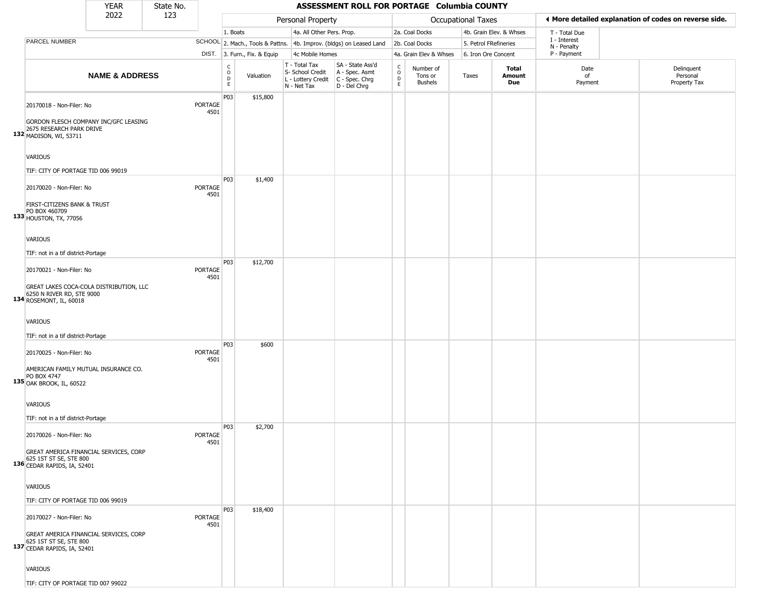|                                                                                                                             | <b>YEAR</b>               | State No. |                        |                              |                              |                                                                        | ASSESSMENT ROLL FOR PORTAGE Columbia COUNTY                          |                                                 |                                        |                           |                         |                                                       |                                        |
|-----------------------------------------------------------------------------------------------------------------------------|---------------------------|-----------|------------------------|------------------------------|------------------------------|------------------------------------------------------------------------|----------------------------------------------------------------------|-------------------------------------------------|----------------------------------------|---------------------------|-------------------------|-------------------------------------------------------|----------------------------------------|
|                                                                                                                             | 2022                      | 123       |                        |                              |                              | Personal Property                                                      |                                                                      |                                                 |                                        | <b>Occupational Taxes</b> |                         | ♦ More detailed explanation of codes on reverse side. |                                        |
|                                                                                                                             |                           |           |                        | 1. Boats                     |                              | 4a. All Other Pers. Prop.                                              |                                                                      |                                                 | 2a. Coal Docks                         |                           | 4b. Grain Elev. & Whses | T - Total Due                                         |                                        |
| PARCEL NUMBER                                                                                                               |                           |           |                        |                              |                              |                                                                        | SCHOOL 2. Mach., Tools & Pattns. 4b. Improv. (bldgs) on Leased Land  |                                                 | 2b. Coal Docks                         | 5. Petrol FRefineries     |                         | I - Interest<br>N - Penalty                           |                                        |
|                                                                                                                             |                           |           |                        |                              | DIST. 3. Furn., Fix. & Equip | 4c Mobile Homes                                                        |                                                                      |                                                 | 4a. Grain Elev & Whses                 | 6. Iron Ore Concent       |                         | P - Payment                                           |                                        |
|                                                                                                                             | <b>NAME &amp; ADDRESS</b> |           |                        | $_{\rm o}^{\rm c}$<br>D<br>E | Valuation                    | T - Total Tax<br>S- School Credit<br>L - Lottery Credit<br>N - Net Tax | SA - State Ass'd<br>A - Spec. Asmt<br>C - Spec. Chrg<br>D - Del Chrg | $\begin{array}{c} C \\ O \\ D \\ E \end{array}$ | Number of<br>Tons or<br><b>Bushels</b> | Taxes                     | Total<br>Amount<br>Due  | Date<br>of<br>Payment                                 | Delinquent<br>Personal<br>Property Tax |
| 20170018 - Non-Filer: No<br>GORDON FLESCH COMPANY INC/GFC LEASING<br>2675 RESEARCH PARK DRIVE<br>132 MADISON, WI, 53711     |                           |           | PORTAGE<br>4501        | P03                          | \$15,800                     |                                                                        |                                                                      |                                                 |                                        |                           |                         |                                                       |                                        |
| <b>VARIOUS</b><br>TIF: CITY OF PORTAGE TID 006 99019                                                                        |                           |           |                        |                              |                              |                                                                        |                                                                      |                                                 |                                        |                           |                         |                                                       |                                        |
| 20170020 - Non-Filer: No<br>FIRST-CITIZENS BANK & TRUST<br>PO BOX 460709<br>133 HOUSTON, TX, 77056                          |                           |           | PORTAGE<br>4501        | P03                          | \$1,400                      |                                                                        |                                                                      |                                                 |                                        |                           |                         |                                                       |                                        |
| <b>VARIOUS</b><br>TIF: not in a tif district-Portage                                                                        |                           |           |                        |                              |                              |                                                                        |                                                                      |                                                 |                                        |                           |                         |                                                       |                                        |
| 20170021 - Non-Filer: No<br>GREAT LAKES COCA-COLA DISTRIBUTION, LLC                                                         |                           |           | PORTAGE<br>4501        | P03                          | \$12,700                     |                                                                        |                                                                      |                                                 |                                        |                           |                         |                                                       |                                        |
| 6250 N RIVER RD, STE 9000<br>134 ROSEMONT, IL, 60018<br><b>VARIOUS</b><br>TIF: not in a tif district-Portage                |                           |           |                        |                              |                              |                                                                        |                                                                      |                                                 |                                        |                           |                         |                                                       |                                        |
| 20170025 - Non-Filer: No<br>AMERICAN FAMILY MUTUAL INSURANCE CO.<br>PO BOX 4747<br>135 OAK BROOK, IL, 60522                 |                           |           | PORTAGE<br>4501        | P03                          | \$600                        |                                                                        |                                                                      |                                                 |                                        |                           |                         |                                                       |                                        |
| <b>VARIOUS</b><br>TIF: not in a tif district-Portage                                                                        |                           |           |                        |                              |                              |                                                                        |                                                                      |                                                 |                                        |                           |                         |                                                       |                                        |
| 20170026 - Non-Filer: No<br>GREAT AMERICA FINANCIAL SERVICES, CORP<br>625 1ST ST SE, STE 800<br>136 CEDAR RAPIDS, IA, 52401 |                           |           | <b>PORTAGE</b><br>4501 | P03                          | \$2,700                      |                                                                        |                                                                      |                                                 |                                        |                           |                         |                                                       |                                        |
| <b>VARIOUS</b><br>TIF: CITY OF PORTAGE TID 006 99019                                                                        |                           |           |                        | P03                          | \$18,400                     |                                                                        |                                                                      |                                                 |                                        |                           |                         |                                                       |                                        |
| 20170027 - Non-Filer: No<br>GREAT AMERICA FINANCIAL SERVICES, CORP<br>625 1ST ST SE, STE 800<br>137 CEDAR RAPIDS, IA, 52401 |                           |           | <b>PORTAGE</b><br>4501 |                              |                              |                                                                        |                                                                      |                                                 |                                        |                           |                         |                                                       |                                        |
| <b>VARIOUS</b><br>TIF: CITY OF PORTAGE TID 007 99022                                                                        |                           |           |                        |                              |                              |                                                                        |                                                                      |                                                 |                                        |                           |                         |                                                       |                                        |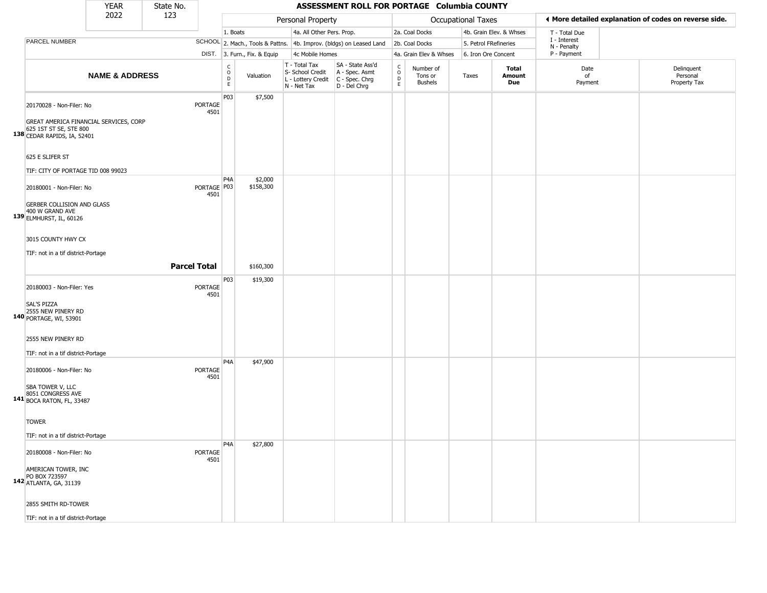|                                                                                                             | <b>YEAR</b>               | State No. |                     |                                            |                              |                                                                        | ASSESSMENT ROLL FOR PORTAGE Columbia COUNTY                          |                  |                                        |                       |                         |                             |                                                       |
|-------------------------------------------------------------------------------------------------------------|---------------------------|-----------|---------------------|--------------------------------------------|------------------------------|------------------------------------------------------------------------|----------------------------------------------------------------------|------------------|----------------------------------------|-----------------------|-------------------------|-----------------------------|-------------------------------------------------------|
|                                                                                                             | 2022                      | 123       |                     |                                            |                              | Personal Property                                                      |                                                                      |                  |                                        | Occupational Taxes    |                         |                             | ♦ More detailed explanation of codes on reverse side. |
|                                                                                                             |                           |           |                     | 1. Boats                                   |                              | 4a. All Other Pers. Prop.                                              |                                                                      |                  | 2a. Coal Docks                         |                       | 4b. Grain Elev. & Whses | T - Total Due               |                                                       |
| PARCEL NUMBER                                                                                               |                           |           |                     |                                            |                              |                                                                        | SCHOOL 2. Mach., Tools & Pattns. 4b. Improv. (bldgs) on Leased Land  |                  | 2b. Coal Docks                         | 5. Petrol FRefineries |                         | I - Interest<br>N - Penalty |                                                       |
|                                                                                                             |                           |           |                     |                                            | DIST. 3. Furn., Fix. & Equip | 4c Mobile Homes                                                        |                                                                      |                  | 4a. Grain Elev & Whses                 | 6. Iron Ore Concent   |                         | P - Payment                 |                                                       |
|                                                                                                             | <b>NAME &amp; ADDRESS</b> |           |                     | C<br>$\circ$<br>$\mathsf D$<br>$\mathsf E$ | Valuation                    | T - Total Tax<br>S- School Credit<br>L - Lottery Credit<br>N - Net Tax | SA - State Ass'd<br>A - Spec. Asmt<br>C - Spec. Chrg<br>D - Del Chrg | C<br>D<br>D<br>E | Number of<br>Tons or<br><b>Bushels</b> | Taxes                 | Total<br>Amount<br>Due  | Date<br>of<br>Payment       | Delinquent<br>Personal<br>Property Tax                |
| 20170028 - Non-Filer: No<br>GREAT AMERICA FINANCIAL SERVICES, CORP                                          |                           |           | PORTAGE<br>4501     | P03                                        | \$7,500                      |                                                                        |                                                                      |                  |                                        |                       |                         |                             |                                                       |
| 625 1ST ST SE, STE 800<br>138 CEDAR RAPIDS, IA, 52401<br>625 E SLIFER ST                                    |                           |           |                     |                                            |                              |                                                                        |                                                                      |                  |                                        |                       |                         |                             |                                                       |
| TIF: CITY OF PORTAGE TID 008 99023                                                                          |                           |           |                     |                                            |                              |                                                                        |                                                                      |                  |                                        |                       |                         |                             |                                                       |
| 20180001 - Non-Filer: No<br><b>GERBER COLLISION AND GLASS</b><br>400 W GRAND AVE<br>139 ELMHURST, IL, 60126 |                           |           | PORTAGE P03<br>4501 | P <sub>4</sub> A                           | \$2,000<br>\$158,300         |                                                                        |                                                                      |                  |                                        |                       |                         |                             |                                                       |
| 3015 COUNTY HWY CX<br>TIF: not in a tif district-Portage                                                    |                           |           | <b>Parcel Total</b> |                                            | \$160,300                    |                                                                        |                                                                      |                  |                                        |                       |                         |                             |                                                       |
|                                                                                                             |                           |           |                     |                                            |                              |                                                                        |                                                                      |                  |                                        |                       |                         |                             |                                                       |
| 20180003 - Non-Filer: Yes<br><b>SAL'S PIZZA</b><br>2555 NEW PINERY RD<br>140 PORTAGE, WI, 53901             |                           |           | PORTAGE<br>4501     | P03                                        | \$19,300                     |                                                                        |                                                                      |                  |                                        |                       |                         |                             |                                                       |
| 2555 NEW PINERY RD<br>TIF: not in a tif district-Portage                                                    |                           |           |                     |                                            |                              |                                                                        |                                                                      |                  |                                        |                       |                         |                             |                                                       |
| 20180006 - Non-Filer: No<br>SBA TOWER V, LLC<br>8051 CONGRESS AVE<br>141 BOCA RATON, FL, 33487              |                           |           | PORTAGE<br>4501     | P <sub>4</sub> A                           | \$47,900                     |                                                                        |                                                                      |                  |                                        |                       |                         |                             |                                                       |
| <b>TOWER</b><br>TIF: not in a tif district-Portage                                                          |                           |           |                     |                                            |                              |                                                                        |                                                                      |                  |                                        |                       |                         |                             |                                                       |
| 20180008 - Non-Filer: No<br>AMERICAN TOWER, INC                                                             |                           |           | PORTAGE<br>4501     | P <sub>4</sub> A                           | \$27,800                     |                                                                        |                                                                      |                  |                                        |                       |                         |                             |                                                       |
| PO BOX 723597<br>142 ATLANTA, GA, 31139<br>2855 SMITH RD-TOWER                                              |                           |           |                     |                                            |                              |                                                                        |                                                                      |                  |                                        |                       |                         |                             |                                                       |
| TIF: not in a tif district-Portage                                                                          |                           |           |                     |                                            |                              |                                                                        |                                                                      |                  |                                        |                       |                         |                             |                                                       |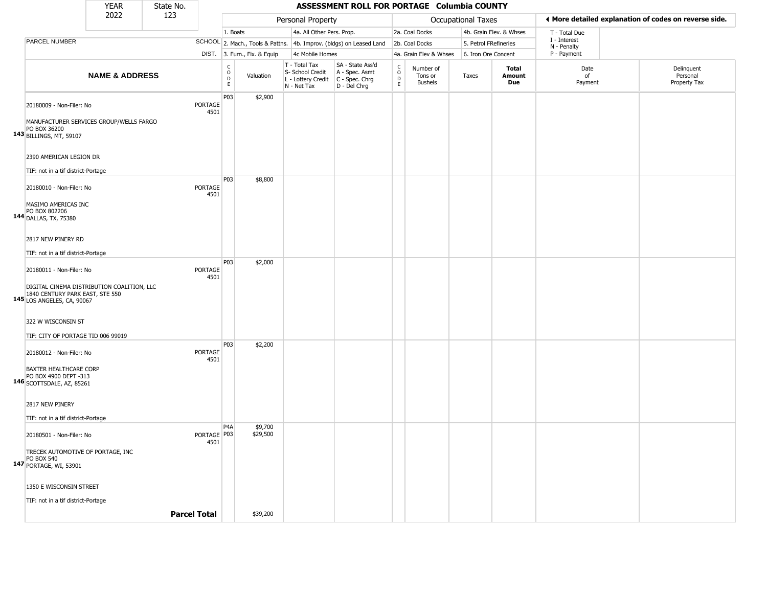|                                                                                                             | <b>YEAR</b>               | State No. |                        |                                        |                              |                                                                        | ASSESSMENT ROLL FOR PORTAGE Columbia COUNTY                          |                                                |                                 |                       |                         |                             |                                                       |
|-------------------------------------------------------------------------------------------------------------|---------------------------|-----------|------------------------|----------------------------------------|------------------------------|------------------------------------------------------------------------|----------------------------------------------------------------------|------------------------------------------------|---------------------------------|-----------------------|-------------------------|-----------------------------|-------------------------------------------------------|
|                                                                                                             | 2022                      | 123       |                        |                                        |                              | Personal Property                                                      |                                                                      |                                                |                                 | Occupational Taxes    |                         |                             | ◀ More detailed explanation of codes on reverse side. |
|                                                                                                             |                           |           |                        | 1. Boats                               |                              | 4a. All Other Pers. Prop.                                              |                                                                      |                                                | 2a. Coal Docks                  |                       | 4b. Grain Elev. & Whses | T - Total Due               |                                                       |
| <b>PARCEL NUMBER</b>                                                                                        |                           |           |                        |                                        |                              |                                                                        | SCHOOL 2. Mach., Tools & Pattns. 4b. Improv. (bldgs) on Leased Land  |                                                | 2b. Coal Docks                  | 5. Petrol FRefineries |                         | I - Interest<br>N - Penalty |                                                       |
|                                                                                                             |                           |           |                        |                                        | DIST. 3. Furn., Fix. & Equip | 4c Mobile Homes                                                        |                                                                      |                                                | 4a. Grain Elev & Whses          | 6. Iron Ore Concent   |                         | P - Payment                 |                                                       |
|                                                                                                             | <b>NAME &amp; ADDRESS</b> |           |                        | $_{\rm o}^{\rm c}$<br>D<br>$\mathsf E$ | Valuation                    | T - Total Tax<br>S- School Credit<br>L - Lottery Credit<br>N - Net Tax | SA - State Ass'd<br>A - Spec. Asmt<br>C - Spec. Chrg<br>D - Del Chrg | $\frac{C}{O}$<br>$\overline{D}$<br>$\mathsf E$ | Number of<br>Tons or<br>Bushels | Taxes                 | Total<br>Amount<br>Due  | Date<br>of<br>Payment       | Delinquent<br>Personal<br>Property Tax                |
| 20180009 - Non-Filer: No                                                                                    |                           |           | <b>PORTAGE</b><br>4501 | P03                                    | \$2,900                      |                                                                        |                                                                      |                                                |                                 |                       |                         |                             |                                                       |
| MANUFACTURER SERVICES GROUP/WELLS FARGO<br>PO BOX 36200<br>143 BILLINGS, MT, 59107                          |                           |           |                        |                                        |                              |                                                                        |                                                                      |                                                |                                 |                       |                         |                             |                                                       |
| 2390 AMERICAN LEGION DR<br>TIF: not in a tif district-Portage                                               |                           |           |                        |                                        |                              |                                                                        |                                                                      |                                                |                                 |                       |                         |                             |                                                       |
|                                                                                                             |                           |           |                        | P03                                    | \$8,800                      |                                                                        |                                                                      |                                                |                                 |                       |                         |                             |                                                       |
| 20180010 - Non-Filer: No                                                                                    |                           |           | <b>PORTAGE</b><br>4501 |                                        |                              |                                                                        |                                                                      |                                                |                                 |                       |                         |                             |                                                       |
| MASIMO AMERICAS INC<br>PO BOX 802206<br>144 DALLAS, TX, 75380                                               |                           |           |                        |                                        |                              |                                                                        |                                                                      |                                                |                                 |                       |                         |                             |                                                       |
| 2817 NEW PINERY RD                                                                                          |                           |           |                        |                                        |                              |                                                                        |                                                                      |                                                |                                 |                       |                         |                             |                                                       |
| TIF: not in a tif district-Portage                                                                          |                           |           |                        |                                        |                              |                                                                        |                                                                      |                                                |                                 |                       |                         |                             |                                                       |
| 20180011 - Non-Filer: No                                                                                    |                           |           | <b>PORTAGE</b><br>4501 | P03                                    | \$2,000                      |                                                                        |                                                                      |                                                |                                 |                       |                         |                             |                                                       |
| DIGITAL CINEMA DISTRIBUTION COALITION, LLC<br>1840 CENTURY PARK EAST, STE 550<br>145 LOS ANGELES, CA, 90067 |                           |           |                        |                                        |                              |                                                                        |                                                                      |                                                |                                 |                       |                         |                             |                                                       |
| 322 W WISCONSIN ST                                                                                          |                           |           |                        |                                        |                              |                                                                        |                                                                      |                                                |                                 |                       |                         |                             |                                                       |
| TIF: CITY OF PORTAGE TID 006 99019                                                                          |                           |           |                        | P03                                    | \$2,200                      |                                                                        |                                                                      |                                                |                                 |                       |                         |                             |                                                       |
| 20180012 - Non-Filer: No                                                                                    |                           |           | PORTAGE<br>4501        |                                        |                              |                                                                        |                                                                      |                                                |                                 |                       |                         |                             |                                                       |
| <b>BAXTER HEALTHCARE CORP</b><br>PO BOX 4900 DEPT -313<br>146 SCOTTSDALE, AZ, 85261                         |                           |           |                        |                                        |                              |                                                                        |                                                                      |                                                |                                 |                       |                         |                             |                                                       |
| 2817 NEW PINERY                                                                                             |                           |           |                        |                                        |                              |                                                                        |                                                                      |                                                |                                 |                       |                         |                             |                                                       |
| TIF: not in a tif district-Portage                                                                          |                           |           |                        |                                        |                              |                                                                        |                                                                      |                                                |                                 |                       |                         |                             |                                                       |
| 20180501 - Non-Filer: No                                                                                    |                           |           | PORTAGE P03<br>4501    | P4A                                    | \$9,700<br>\$29,500          |                                                                        |                                                                      |                                                |                                 |                       |                         |                             |                                                       |
| TRECEK AUTOMOTIVE OF PORTAGE, INC<br><b>PO BOX 540</b><br>147 PORTAGE, WI, 53901                            |                           |           |                        |                                        |                              |                                                                        |                                                                      |                                                |                                 |                       |                         |                             |                                                       |
| 1350 E WISCONSIN STREET                                                                                     |                           |           |                        |                                        |                              |                                                                        |                                                                      |                                                |                                 |                       |                         |                             |                                                       |
| TIF: not in a tif district-Portage                                                                          |                           |           |                        |                                        |                              |                                                                        |                                                                      |                                                |                                 |                       |                         |                             |                                                       |
|                                                                                                             |                           |           | <b>Parcel Total</b>    |                                        | \$39,200                     |                                                                        |                                                                      |                                                |                                 |                       |                         |                             |                                                       |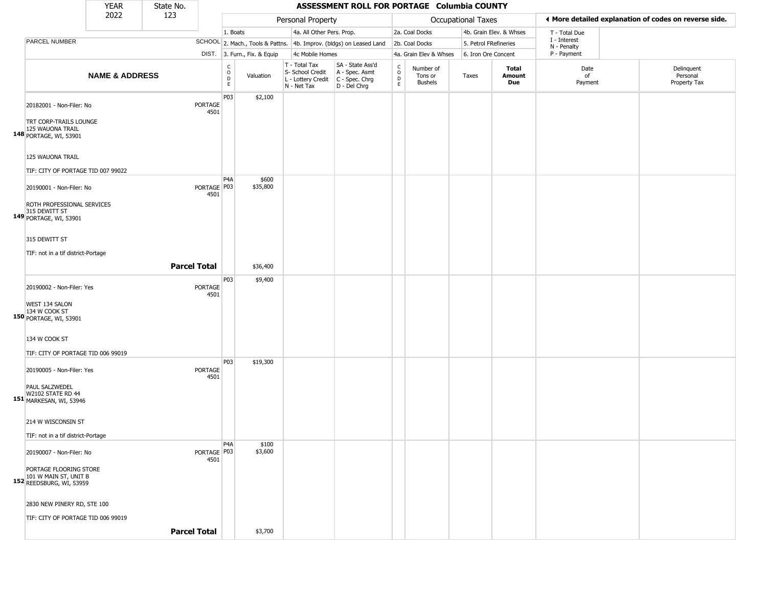|                                                                                                         | <b>YEAR</b>               | State No.           |                                         |                                                                     |                                                                        | ASSESSMENT ROLL FOR PORTAGE Columbia COUNTY                          |                                   |                                        |                       |                         |                             |                                                       |
|---------------------------------------------------------------------------------------------------------|---------------------------|---------------------|-----------------------------------------|---------------------------------------------------------------------|------------------------------------------------------------------------|----------------------------------------------------------------------|-----------------------------------|----------------------------------------|-----------------------|-------------------------|-----------------------------|-------------------------------------------------------|
|                                                                                                         | 2022                      | 123                 |                                         |                                                                     | Personal Property                                                      |                                                                      |                                   |                                        | Occupational Taxes    |                         |                             | I More detailed explanation of codes on reverse side. |
|                                                                                                         |                           |                     |                                         | 1. Boats                                                            | 4a. All Other Pers. Prop.                                              |                                                                      |                                   | 2a. Coal Docks                         |                       | 4b. Grain Elev. & Whses | T - Total Due               |                                                       |
| PARCEL NUMBER                                                                                           |                           |                     |                                         | SCHOOL 2. Mach., Tools & Pattns. 4b. Improv. (bldgs) on Leased Land |                                                                        |                                                                      |                                   | 2b. Coal Docks                         | 5. Petrol FRefineries |                         | I - Interest<br>N - Penalty |                                                       |
|                                                                                                         |                           |                     |                                         | DIST. 3. Furn., Fix. & Equip                                        | 4c Mobile Homes                                                        |                                                                      |                                   | 4a. Grain Elev & Whses                 | 6. Iron Ore Concent   |                         | P - Payment                 |                                                       |
|                                                                                                         | <b>NAME &amp; ADDRESS</b> |                     |                                         | C<br>$\circ$<br>Valuation<br>$\mathsf{D}$<br>E                      | T - Total Tax<br>S- School Credit<br>L - Lottery Credit<br>N - Net Tax | SA - State Ass'd<br>A - Spec. Asmt<br>C - Spec. Chrg<br>D - Del Chrg | $\frac{c}{0}$<br>$\mathsf D$<br>E | Number of<br>Tons or<br><b>Bushels</b> | Taxes                 | Total<br>Amount<br>Due  | Date<br>of<br>Payment       | Delinquent<br>Personal<br>Property Tax                |
| 20182001 - Non-Filer: No<br>TRT CORP-TRAILS LOUNGE<br>125 WAUONA TRAIL<br>148 PORTAGE, WI, 53901        |                           |                     | P03<br>PORTAGE<br>4501                  | \$2,100                                                             |                                                                        |                                                                      |                                   |                                        |                       |                         |                             |                                                       |
| 125 WAUONA TRAIL<br>TIF: CITY OF PORTAGE TID 007 99022                                                  |                           |                     |                                         |                                                                     |                                                                        |                                                                      |                                   |                                        |                       |                         |                             |                                                       |
| 20190001 - Non-Filer: No<br>ROTH PROFESSIONAL SERVICES<br>315 DEWITT ST<br>149 PORTAGE, WI, 53901       |                           |                     | P <sub>4</sub> A<br>PORTAGE P03<br>4501 | \$600<br>\$35,800                                                   |                                                                        |                                                                      |                                   |                                        |                       |                         |                             |                                                       |
| 315 DEWITT ST<br>TIF: not in a tif district-Portage                                                     |                           | <b>Parcel Total</b> |                                         | \$36,400                                                            |                                                                        |                                                                      |                                   |                                        |                       |                         |                             |                                                       |
| 20190002 - Non-Filer: Yes<br>WEST 134 SALON<br>134 W COOK ST<br>150 PORTAGE, WI, 53901                  |                           |                     | P03<br>PORTAGE<br>4501                  | \$9,400                                                             |                                                                        |                                                                      |                                   |                                        |                       |                         |                             |                                                       |
| 134 W COOK ST<br>TIF: CITY OF PORTAGE TID 006 99019                                                     |                           |                     |                                         |                                                                     |                                                                        |                                                                      |                                   |                                        |                       |                         |                             |                                                       |
| 20190005 - Non-Filer: Yes<br>PAUL SALZWEDEL<br><b>W2102 STATE RD 44</b><br>151 MARKESAN, WI, 53946      |                           |                     | P03<br><b>PORTAGE</b><br>4501           | \$19,300                                                            |                                                                        |                                                                      |                                   |                                        |                       |                         |                             |                                                       |
| 214 W WISCONSIN ST<br>TIF: not in a tif district-Portage                                                |                           |                     |                                         |                                                                     |                                                                        |                                                                      |                                   |                                        |                       |                         |                             |                                                       |
| 20190007 - Non-Filer: No<br>PORTAGE FLOORING STORE<br>101 W MAIN ST, UNIT B<br>152 REEDSBURG, WI, 53959 |                           |                     | P4A<br>PORTAGE   P03<br>4501            | \$100<br>\$3,600                                                    |                                                                        |                                                                      |                                   |                                        |                       |                         |                             |                                                       |
| 2830 NEW PINERY RD, STE 100<br>TIF: CITY OF PORTAGE TID 006 99019                                       |                           |                     |                                         |                                                                     |                                                                        |                                                                      |                                   |                                        |                       |                         |                             |                                                       |
|                                                                                                         |                           | <b>Parcel Total</b> |                                         | \$3,700                                                             |                                                                        |                                                                      |                                   |                                        |                       |                         |                             |                                                       |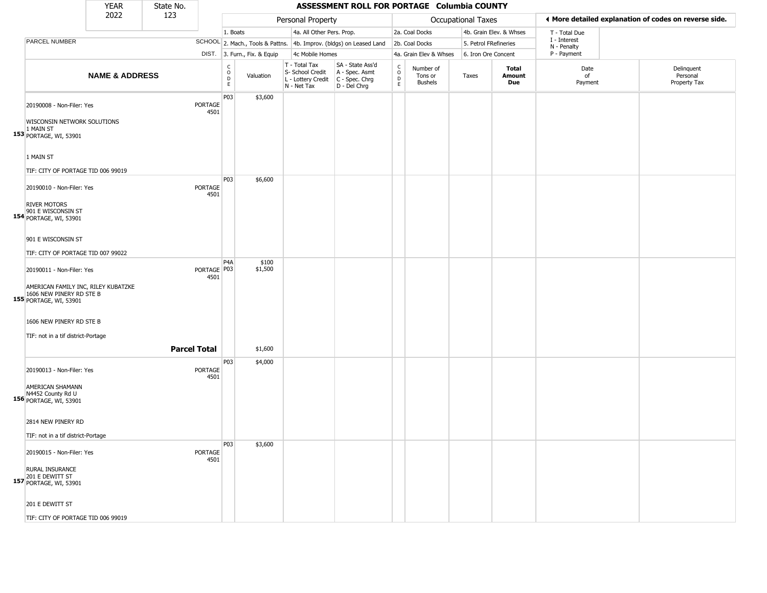|                                                                                           | <b>YEAR</b>               | State No.           |                        |                                                |                              |                                                                        | ASSESSMENT ROLL FOR PORTAGE Columbia COUNTY                          |                                             |                                        |                           |                         |                             |                                                       |
|-------------------------------------------------------------------------------------------|---------------------------|---------------------|------------------------|------------------------------------------------|------------------------------|------------------------------------------------------------------------|----------------------------------------------------------------------|---------------------------------------------|----------------------------------------|---------------------------|-------------------------|-----------------------------|-------------------------------------------------------|
|                                                                                           | 2022                      | 123                 |                        |                                                |                              | Personal Property                                                      |                                                                      |                                             |                                        | <b>Occupational Taxes</b> |                         |                             | ♦ More detailed explanation of codes on reverse side. |
|                                                                                           |                           |                     |                        | 1. Boats                                       |                              | 4a. All Other Pers. Prop.                                              |                                                                      |                                             | 2a. Coal Docks                         |                           | 4b. Grain Elev. & Whses | T - Total Due               |                                                       |
| PARCEL NUMBER                                                                             |                           |                     |                        |                                                |                              |                                                                        | SCHOOL 2. Mach., Tools & Pattns. 4b. Improv. (bldgs) on Leased Land  |                                             | 2b. Coal Docks                         | 5. Petrol FRefineries     |                         | I - Interest<br>N - Penalty |                                                       |
|                                                                                           |                           |                     |                        |                                                | DIST. 3. Furn., Fix. & Equip | 4c Mobile Homes                                                        |                                                                      |                                             | 4a. Grain Elev & Whses                 | 6. Iron Ore Concent       |                         | P - Payment                 |                                                       |
|                                                                                           | <b>NAME &amp; ADDRESS</b> |                     |                        | C<br>$\mathsf O$<br>$\mathsf D$<br>$\mathsf E$ | Valuation                    | T - Total Tax<br>S- School Credit<br>L - Lottery Credit<br>N - Net Tax | SA - State Ass'd<br>A - Spec. Asmt<br>C - Spec. Chrg<br>D - Del Chrg | $\frac{c}{0}$<br>$\mathsf D$<br>$\mathsf E$ | Number of<br>Tons or<br><b>Bushels</b> | Taxes                     | Total<br>Amount<br>Due  | Date<br>of<br>Payment       | Delinquent<br>Personal<br>Property Tax                |
| 20190008 - Non-Filer: Yes<br>WISCONSIN NETWORK SOLUTIONS                                  |                           |                     | <b>PORTAGE</b><br>4501 | P03                                            | \$3,600                      |                                                                        |                                                                      |                                             |                                        |                           |                         |                             |                                                       |
| 1 MAIN ST<br>153 PORTAGE, WI, 53901                                                       |                           |                     |                        |                                                |                              |                                                                        |                                                                      |                                             |                                        |                           |                         |                             |                                                       |
| 1 MAIN ST                                                                                 |                           |                     |                        |                                                |                              |                                                                        |                                                                      |                                             |                                        |                           |                         |                             |                                                       |
| TIF: CITY OF PORTAGE TID 006 99019                                                        |                           |                     |                        | P03                                            | \$6,600                      |                                                                        |                                                                      |                                             |                                        |                           |                         |                             |                                                       |
| 20190010 - Non-Filer: Yes                                                                 |                           |                     | <b>PORTAGE</b><br>4501 |                                                |                              |                                                                        |                                                                      |                                             |                                        |                           |                         |                             |                                                       |
| <b>RIVER MOTORS</b><br>901 E WISCONSIN ST<br>154 PORTAGE, WI, 53901                       |                           |                     |                        |                                                |                              |                                                                        |                                                                      |                                             |                                        |                           |                         |                             |                                                       |
| 901 E WISCONSIN ST                                                                        |                           |                     |                        |                                                |                              |                                                                        |                                                                      |                                             |                                        |                           |                         |                             |                                                       |
| TIF: CITY OF PORTAGE TID 007 99022                                                        |                           |                     |                        |                                                |                              |                                                                        |                                                                      |                                             |                                        |                           |                         |                             |                                                       |
| 20190011 - Non-Filer: Yes                                                                 |                           |                     | PORTAGE   P03<br>4501  | P4A                                            | \$100<br>\$1,500             |                                                                        |                                                                      |                                             |                                        |                           |                         |                             |                                                       |
| AMERICAN FAMILY INC, RILEY KUBATZKE<br>1606 NEW PINERY RD STE B<br>155 PORTAGE, WI, 53901 |                           |                     |                        |                                                |                              |                                                                        |                                                                      |                                             |                                        |                           |                         |                             |                                                       |
| 1606 NEW PINERY RD STE B                                                                  |                           |                     |                        |                                                |                              |                                                                        |                                                                      |                                             |                                        |                           |                         |                             |                                                       |
| TIF: not in a tif district-Portage                                                        |                           |                     |                        |                                                |                              |                                                                        |                                                                      |                                             |                                        |                           |                         |                             |                                                       |
|                                                                                           |                           | <b>Parcel Total</b> |                        |                                                | \$1,600                      |                                                                        |                                                                      |                                             |                                        |                           |                         |                             |                                                       |
| 20190013 - Non-Filer: Yes                                                                 |                           |                     | <b>PORTAGE</b><br>4501 | P03                                            | \$4,000                      |                                                                        |                                                                      |                                             |                                        |                           |                         |                             |                                                       |
| AMERICAN SHAMANN<br>N4452 County Rd U<br>156 PORTAGE, WI, 53901                           |                           |                     |                        |                                                |                              |                                                                        |                                                                      |                                             |                                        |                           |                         |                             |                                                       |
| 2814 NEW PINERY RD                                                                        |                           |                     |                        |                                                |                              |                                                                        |                                                                      |                                             |                                        |                           |                         |                             |                                                       |
|                                                                                           |                           |                     |                        |                                                |                              |                                                                        |                                                                      |                                             |                                        |                           |                         |                             |                                                       |
| TIF: not in a tif district-Portage                                                        |                           |                     |                        | P03                                            | \$3,600                      |                                                                        |                                                                      |                                             |                                        |                           |                         |                             |                                                       |
| 20190015 - Non-Filer: Yes                                                                 |                           |                     | <b>PORTAGE</b><br>4501 |                                                |                              |                                                                        |                                                                      |                                             |                                        |                           |                         |                             |                                                       |
| <b>RURAL INSURANCE</b><br>201 E DEWITT ST<br>157 PORTAGE, WI, 53901                       |                           |                     |                        |                                                |                              |                                                                        |                                                                      |                                             |                                        |                           |                         |                             |                                                       |
| 201 E DEWITT ST                                                                           |                           |                     |                        |                                                |                              |                                                                        |                                                                      |                                             |                                        |                           |                         |                             |                                                       |
| TIF: CITY OF PORTAGE TID 006 99019                                                        |                           |                     |                        |                                                |                              |                                                                        |                                                                      |                                             |                                        |                           |                         |                             |                                                       |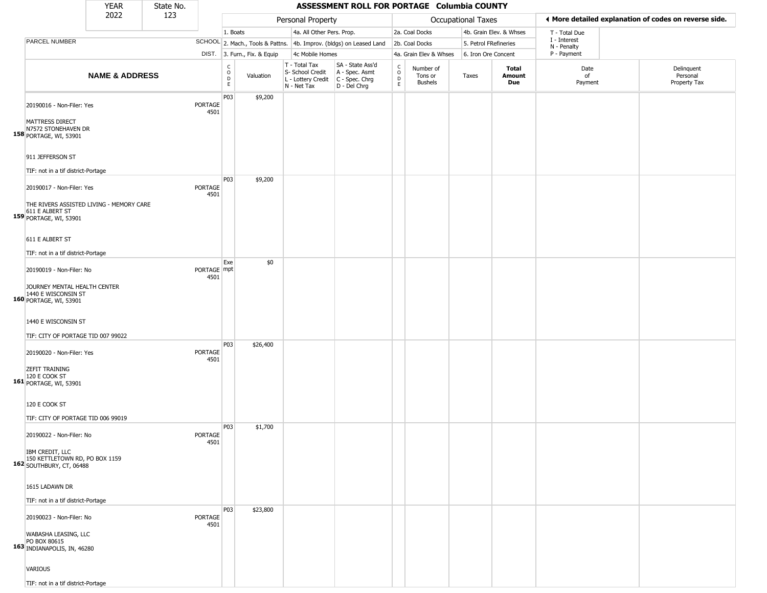|                                                                                                                                       | <b>YEAR</b>               | State No. |                        |                              |                              |                                                                        | ASSESSMENT ROLL FOR PORTAGE Columbia COUNTY                          |                                                 |                                        |                           |                         |                             |                                                       |
|---------------------------------------------------------------------------------------------------------------------------------------|---------------------------|-----------|------------------------|------------------------------|------------------------------|------------------------------------------------------------------------|----------------------------------------------------------------------|-------------------------------------------------|----------------------------------------|---------------------------|-------------------------|-----------------------------|-------------------------------------------------------|
|                                                                                                                                       | 2022                      | 123       |                        |                              |                              | Personal Property                                                      |                                                                      |                                                 |                                        | <b>Occupational Taxes</b> |                         |                             | ◀ More detailed explanation of codes on reverse side. |
|                                                                                                                                       |                           |           |                        | 1. Boats                     |                              | 4a. All Other Pers. Prop.                                              |                                                                      |                                                 | 2a. Coal Docks                         |                           | 4b. Grain Elev. & Whses | T - Total Due               |                                                       |
| PARCEL NUMBER                                                                                                                         |                           |           |                        |                              |                              |                                                                        | SCHOOL 2. Mach., Tools & Pattns. 4b. Improv. (bldgs) on Leased Land  |                                                 | 2b. Coal Docks                         | 5. Petrol FRefineries     |                         | I - Interest<br>N - Penalty |                                                       |
|                                                                                                                                       |                           |           |                        |                              | DIST. 3. Furn., Fix. & Equip | 4c Mobile Homes                                                        |                                                                      |                                                 | 4a. Grain Elev & Whses                 | 6. Iron Ore Concent       |                         | P - Payment                 |                                                       |
|                                                                                                                                       | <b>NAME &amp; ADDRESS</b> |           |                        | $_{\rm o}^{\rm c}$<br>D<br>E | Valuation                    | T - Total Tax<br>S- School Credit<br>L - Lottery Credit<br>N - Net Tax | SA - State Ass'd<br>A - Spec. Asmt<br>C - Spec. Chrg<br>D - Del Chrg | $\begin{array}{c} C \\ O \\ D \\ E \end{array}$ | Number of<br>Tons or<br><b>Bushels</b> | Taxes                     | Total<br>Amount<br>Due  | Date<br>of<br>Payment       | Delinquent<br>Personal<br>Property Tax                |
| 20190016 - Non-Filer: Yes<br>MATTRESS DIRECT<br>N7572 STONEHAVEN DR<br>158 PORTAGE, WI, 53901<br>911 JEFFERSON ST                     |                           |           | PORTAGE<br>4501        | P03                          | \$9,200                      |                                                                        |                                                                      |                                                 |                                        |                           |                         |                             |                                                       |
| TIF: not in a tif district-Portage                                                                                                    |                           |           |                        |                              |                              |                                                                        |                                                                      |                                                 |                                        |                           |                         |                             |                                                       |
| 20190017 - Non-Filer: Yes<br>THE RIVERS ASSISTED LIVING - MEMORY CARE<br>611 E ALBERT ST<br>159 PORTAGE, WI, 53901<br>611 E ALBERT ST |                           |           | PORTAGE<br>4501        | P03                          | \$9,200                      |                                                                        |                                                                      |                                                 |                                        |                           |                         |                             |                                                       |
| TIF: not in a tif district-Portage                                                                                                    |                           |           |                        |                              |                              |                                                                        |                                                                      |                                                 |                                        |                           |                         |                             |                                                       |
| 20190019 - Non-Filer: No<br>JOURNEY MENTAL HEALTH CENTER<br>1440 E WISCONSIN ST<br>160 PORTAGE, WI, 53901                             |                           |           | PORTAGE mpt<br>4501    | Exe                          | \$0                          |                                                                        |                                                                      |                                                 |                                        |                           |                         |                             |                                                       |
| 1440 E WISCONSIN ST<br>TIF: CITY OF PORTAGE TID 007 99022                                                                             |                           |           |                        |                              |                              |                                                                        |                                                                      |                                                 |                                        |                           |                         |                             |                                                       |
| 20190020 - Non-Filer: Yes<br><b>ZEFIT TRAINING</b><br>120 E COOK ST<br>161 PORTAGE, WI, 53901                                         |                           |           | PORTAGE<br>4501        | P03                          | \$26,400                     |                                                                        |                                                                      |                                                 |                                        |                           |                         |                             |                                                       |
| 120 E COOK ST<br>TIF: CITY OF PORTAGE TID 006 99019                                                                                   |                           |           |                        | P03                          | \$1,700                      |                                                                        |                                                                      |                                                 |                                        |                           |                         |                             |                                                       |
| 20190022 - Non-Filer: No<br>IBM CREDIT, LLC<br>150 KETTLETOWN RD, PO BOX 1159<br><b>162 SOUTHBURY, CT, 06488</b>                      |                           |           | PORTAGE<br>4501        |                              |                              |                                                                        |                                                                      |                                                 |                                        |                           |                         |                             |                                                       |
| 1615 LADAWN DR<br>TIF: not in a tif district-Portage                                                                                  |                           |           |                        |                              |                              |                                                                        |                                                                      |                                                 |                                        |                           |                         |                             |                                                       |
| 20190023 - Non-Filer: No<br>WABASHA LEASING, LLC<br>PO BOX 80615<br>163 INDIANAPOLIS, IN, 46280                                       |                           |           | <b>PORTAGE</b><br>4501 | P03                          | \$23,800                     |                                                                        |                                                                      |                                                 |                                        |                           |                         |                             |                                                       |
| <b>VARIOUS</b><br>TIF: not in a tif district-Portage                                                                                  |                           |           |                        |                              |                              |                                                                        |                                                                      |                                                 |                                        |                           |                         |                             |                                                       |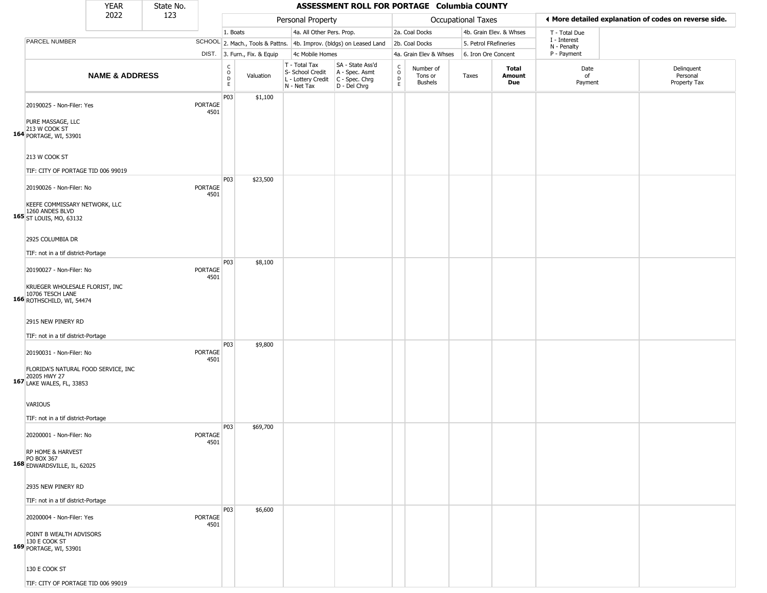|                                                                                                                             | <b>YEAR</b>               | State No. |                        |                              |                              |                                                                                         | ASSESSMENT ROLL FOR PORTAGE Columbia COUNTY                         |                                                          |                                        |                           |                         |                             |                                                       |
|-----------------------------------------------------------------------------------------------------------------------------|---------------------------|-----------|------------------------|------------------------------|------------------------------|-----------------------------------------------------------------------------------------|---------------------------------------------------------------------|----------------------------------------------------------|----------------------------------------|---------------------------|-------------------------|-----------------------------|-------------------------------------------------------|
|                                                                                                                             | 2022                      | 123       |                        |                              |                              | Personal Property                                                                       |                                                                     |                                                          |                                        | <b>Occupational Taxes</b> |                         |                             | ◀ More detailed explanation of codes on reverse side. |
|                                                                                                                             |                           |           |                        | 1. Boats                     |                              | 4a. All Other Pers. Prop.                                                               |                                                                     |                                                          | 2a. Coal Docks                         |                           | 4b. Grain Elev. & Whses | T - Total Due               |                                                       |
| <b>PARCEL NUMBER</b>                                                                                                        |                           |           |                        |                              |                              |                                                                                         | SCHOOL 2. Mach., Tools & Pattns. 4b. Improv. (bldgs) on Leased Land |                                                          | 2b. Coal Docks                         | 5. Petrol FRefineries     |                         | I - Interest<br>N - Penalty |                                                       |
|                                                                                                                             |                           |           |                        |                              | DIST. 3. Furn., Fix. & Equip | 4c Mobile Homes                                                                         |                                                                     |                                                          | 4a. Grain Elev & Whses                 | 6. Iron Ore Concent       |                         | P - Payment                 |                                                       |
|                                                                                                                             | <b>NAME &amp; ADDRESS</b> |           |                        | $_{\rm o}^{\rm c}$<br>D<br>E | Valuation                    | T - Total Tax<br>S- School Credit<br>L - Lottery Credit   C - Spec. Chrg<br>N - Net Tax | SA - State Ass'd<br>A - Spec. Asmt<br>D - Del Chrg                  | $\begin{matrix} 0 \\ 0 \\ D \end{matrix}$<br>$\mathsf E$ | Number of<br>Tons or<br><b>Bushels</b> | Taxes                     | Total<br>Amount<br>Due  | Date<br>of<br>Payment       | Delinquent<br>Personal<br>Property Tax                |
| 20190025 - Non-Filer: Yes<br>PURE MASSAGE, LLC<br>213 W COOK ST<br>164 PORTAGE, WI, 53901<br>213 W COOK ST                  |                           |           | <b>PORTAGE</b><br>4501 | P03                          | \$1,100                      |                                                                                         |                                                                     |                                                          |                                        |                           |                         |                             |                                                       |
| TIF: CITY OF PORTAGE TID 006 99019                                                                                          |                           |           |                        |                              |                              |                                                                                         |                                                                     |                                                          |                                        |                           |                         |                             |                                                       |
| 20190026 - Non-Filer: No<br>KEEFE COMMISSARY NETWORK, LLC<br>1260 ANDES BLVD<br>165 ST LOUIS, MO, 63132<br>2925 COLUMBIA DR |                           |           | PORTAGE<br>4501        | P03                          | \$23,500                     |                                                                                         |                                                                     |                                                          |                                        |                           |                         |                             |                                                       |
| TIF: not in a tif district-Portage                                                                                          |                           |           |                        |                              |                              |                                                                                         |                                                                     |                                                          |                                        |                           |                         |                             |                                                       |
| 20190027 - Non-Filer: No<br>KRUEGER WHOLESALE FLORIST, INC<br>10706 TESCH LANE<br>166 ROTHSCHILD, WI, 54474                 |                           |           | PORTAGE<br>4501        | P03                          | \$8,100                      |                                                                                         |                                                                     |                                                          |                                        |                           |                         |                             |                                                       |
| 2915 NEW PINERY RD                                                                                                          |                           |           |                        |                              |                              |                                                                                         |                                                                     |                                                          |                                        |                           |                         |                             |                                                       |
| TIF: not in a tif district-Portage                                                                                          |                           |           |                        |                              |                              |                                                                                         |                                                                     |                                                          |                                        |                           |                         |                             |                                                       |
| 20190031 - Non-Filer: No<br>FLORIDA'S NATURAL FOOD SERVICE, INC<br>20205 HWY 27<br>167 LAKE WALES, FL, 33853                |                           |           | PORTAGE<br>4501        | P03                          | \$9,800                      |                                                                                         |                                                                     |                                                          |                                        |                           |                         |                             |                                                       |
|                                                                                                                             |                           |           |                        |                              |                              |                                                                                         |                                                                     |                                                          |                                        |                           |                         |                             |                                                       |
| <b>VARIOUS</b>                                                                                                              |                           |           |                        |                              |                              |                                                                                         |                                                                     |                                                          |                                        |                           |                         |                             |                                                       |
| TIF: not in a tif district-Portage                                                                                          |                           |           |                        |                              |                              |                                                                                         |                                                                     |                                                          |                                        |                           |                         |                             |                                                       |
| 20200001 - Non-Filer: No<br>RP HOME & HARVEST<br>PO BOX 367<br>168 EDWARDSVILLE, IL, 62025                                  |                           |           | <b>PORTAGE</b><br>4501 | P03                          | \$69,700                     |                                                                                         |                                                                     |                                                          |                                        |                           |                         |                             |                                                       |
| 2935 NEW PINERY RD                                                                                                          |                           |           |                        |                              |                              |                                                                                         |                                                                     |                                                          |                                        |                           |                         |                             |                                                       |
|                                                                                                                             |                           |           |                        |                              |                              |                                                                                         |                                                                     |                                                          |                                        |                           |                         |                             |                                                       |
| TIF: not in a tif district-Portage                                                                                          |                           |           |                        | P03                          | \$6,600                      |                                                                                         |                                                                     |                                                          |                                        |                           |                         |                             |                                                       |
| 20200004 - Non-Filer: Yes<br>POINT B WEALTH ADVISORS<br>130 E COOK ST<br>169 PORTAGE, WI, 53901                             |                           |           | <b>PORTAGE</b><br>4501 |                              |                              |                                                                                         |                                                                     |                                                          |                                        |                           |                         |                             |                                                       |
| 130 E COOK ST                                                                                                               |                           |           |                        |                              |                              |                                                                                         |                                                                     |                                                          |                                        |                           |                         |                             |                                                       |
| TIF: CITY OF PORTAGE TID 006 99019                                                                                          |                           |           |                        |                              |                              |                                                                                         |                                                                     |                                                          |                                        |                           |                         |                             |                                                       |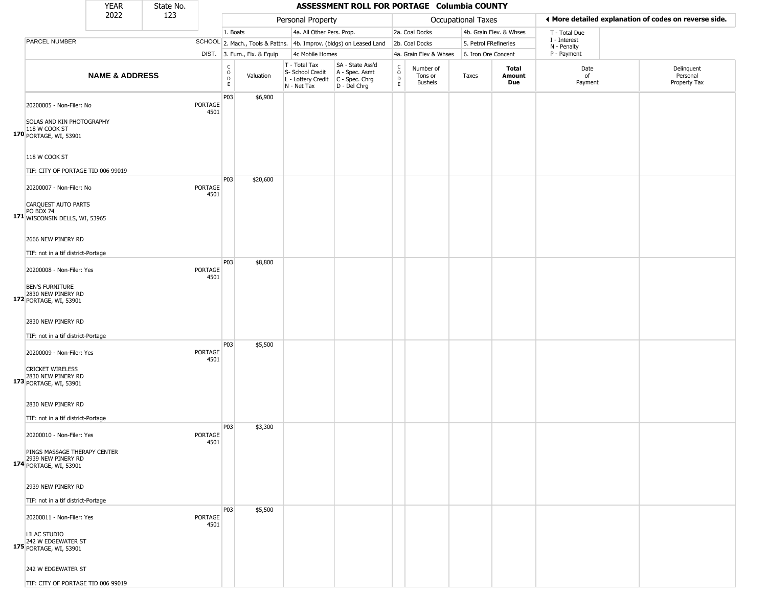|                                                                                                                           | <b>YEAR</b>               | State No. |                        |                                                |                              |                                                                                                          | ASSESSMENT ROLL FOR PORTAGE Columbia COUNTY                         |                                                                    |                                 |                           |                         |                             |                                                       |
|---------------------------------------------------------------------------------------------------------------------------|---------------------------|-----------|------------------------|------------------------------------------------|------------------------------|----------------------------------------------------------------------------------------------------------|---------------------------------------------------------------------|--------------------------------------------------------------------|---------------------------------|---------------------------|-------------------------|-----------------------------|-------------------------------------------------------|
|                                                                                                                           | 2022                      | 123       |                        |                                                |                              | Personal Property                                                                                        |                                                                     |                                                                    |                                 | <b>Occupational Taxes</b> |                         |                             | ♦ More detailed explanation of codes on reverse side. |
|                                                                                                                           |                           |           |                        | 1. Boats                                       |                              | 4a. All Other Pers. Prop.                                                                                |                                                                     |                                                                    | 2a. Coal Docks                  |                           | 4b. Grain Elev. & Whses | T - Total Due               |                                                       |
| PARCEL NUMBER                                                                                                             |                           |           |                        |                                                |                              |                                                                                                          | SCHOOL 2. Mach., Tools & Pattns. 4b. Improv. (bldgs) on Leased Land |                                                                    | 2b. Coal Docks                  | 5. Petrol FRefineries     |                         | I - Interest<br>N - Penalty |                                                       |
|                                                                                                                           |                           |           |                        |                                                | DIST. 3. Furn., Fix. & Equip | 4c Mobile Homes                                                                                          |                                                                     |                                                                    | 4a. Grain Elev & Whses          | 6. Iron Ore Concent       |                         | P - Payment                 |                                                       |
|                                                                                                                           | <b>NAME &amp; ADDRESS</b> |           |                        | $\begin{matrix} 0 \\ 0 \\ D \end{matrix}$<br>E | Valuation                    | T - Total Tax<br>S- School Credit   A - Spec. Asmt<br>L - Lottery Credit   C - Spec. Chrg<br>N - Net Tax | SA - State Ass'd<br>D - Del Chrg                                    | $\begin{smallmatrix} C \\ O \\ D \end{smallmatrix}$<br>$\mathsf E$ | Number of<br>Tons or<br>Bushels | Taxes                     | Total<br>Amount<br>Due  | Date<br>of<br>Payment       | Delinquent<br>Personal<br>Property Tax                |
| 20200005 - Non-Filer: No<br><b>SOLAS AND KIN PHOTOGRAPHY</b><br>118 W COOK ST<br>170 PORTAGE, WI, 53901<br>118 W COOK ST  |                           |           | PORTAGE<br>4501        | P03                                            | \$6,900                      |                                                                                                          |                                                                     |                                                                    |                                 |                           |                         |                             |                                                       |
| TIF: CITY OF PORTAGE TID 006 99019                                                                                        |                           |           |                        |                                                |                              |                                                                                                          |                                                                     |                                                                    |                                 |                           |                         |                             |                                                       |
| 20200007 - Non-Filer: No<br>CARQUEST AUTO PARTS<br>PO BOX 74<br>171 WISCONSIN DELLS, WI, 53965                            |                           |           | <b>PORTAGE</b><br>4501 | P03                                            | \$20,600                     |                                                                                                          |                                                                     |                                                                    |                                 |                           |                         |                             |                                                       |
| 2666 NEW PINERY RD<br>TIF: not in a tif district-Portage                                                                  |                           |           |                        | <b>P03</b>                                     | \$8,800                      |                                                                                                          |                                                                     |                                                                    |                                 |                           |                         |                             |                                                       |
| 20200008 - Non-Filer: Yes<br><b>BEN'S FURNITURE</b><br>2830 NEW PINERY RD<br>172 PORTAGE, WI, 53901<br>2830 NEW PINERY RD |                           |           | PORTAGE<br>4501        |                                                |                              |                                                                                                          |                                                                     |                                                                    |                                 |                           |                         |                             |                                                       |
| TIF: not in a tif district-Portage                                                                                        |                           |           |                        |                                                |                              |                                                                                                          |                                                                     |                                                                    |                                 |                           |                         |                             |                                                       |
| 20200009 - Non-Filer: Yes<br><b>CRICKET WIRELESS</b><br>2830 NEW PINERY RD<br>173 PORTAGE, WI, 53901                      |                           |           | PORTAGE<br>4501        | P03                                            | \$5,500                      |                                                                                                          |                                                                     |                                                                    |                                 |                           |                         |                             |                                                       |
| 2830 NEW PINERY RD<br>TIF: not in a tif district-Portage                                                                  |                           |           |                        |                                                |                              |                                                                                                          |                                                                     |                                                                    |                                 |                           |                         |                             |                                                       |
| 20200010 - Non-Filer: Yes<br>PINGS MASSAGE THERAPY CENTER<br>2939 NEW PINERY RD<br>174 PORTAGE, WI, 53901                 |                           |           | PORTAGE<br>4501        | P03                                            | \$3,300                      |                                                                                                          |                                                                     |                                                                    |                                 |                           |                         |                             |                                                       |
| 2939 NEW PINERY RD<br>TIF: not in a tif district-Portage                                                                  |                           |           |                        |                                                |                              |                                                                                                          |                                                                     |                                                                    |                                 |                           |                         |                             |                                                       |
| 20200011 - Non-Filer: Yes<br>LILAC STUDIO<br>242 W EDGEWATER ST<br>175 PORTAGE, WI, 53901                                 |                           |           | PORTAGE<br>4501        | P03                                            | \$5,500                      |                                                                                                          |                                                                     |                                                                    |                                 |                           |                         |                             |                                                       |
| 242 W EDGEWATER ST<br>TIF: CITY OF PORTAGE TID 006 99019                                                                  |                           |           |                        |                                                |                              |                                                                                                          |                                                                     |                                                                    |                                 |                           |                         |                             |                                                       |
|                                                                                                                           |                           |           |                        |                                                |                              |                                                                                                          |                                                                     |                                                                    |                                 |                           |                         |                             |                                                       |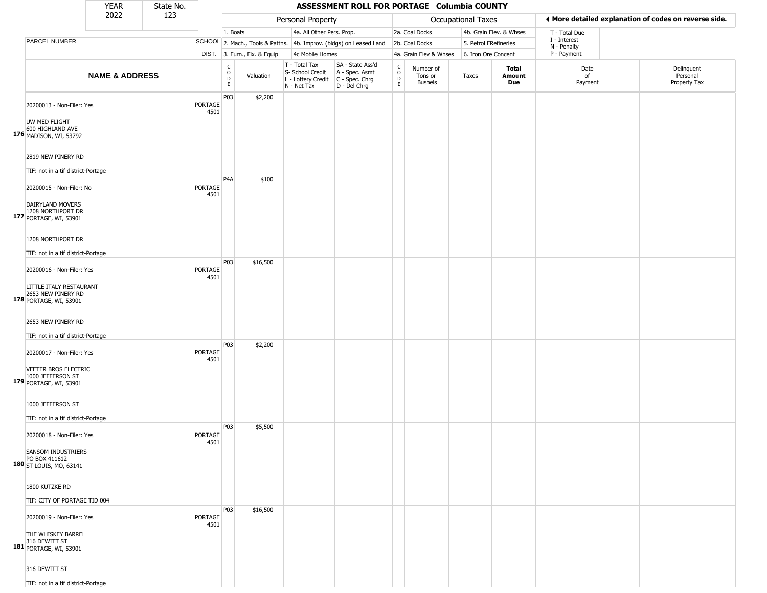| 2022<br>123<br>◀ More detailed explanation of codes on reverse side.<br>Personal Property<br><b>Occupational Taxes</b><br>1. Boats<br>4a. All Other Pers. Prop.<br>2a. Coal Docks<br>4b. Grain Elev. & Whses<br>T - Total Due<br>I - Interest<br>PARCEL NUMBER<br>SCHOOL 2. Mach., Tools & Pattns. 4b. Improv. (bldgs) on Leased Land<br>2b. Coal Docks<br>5. Petrol FRefineries<br>N - Penalty<br>P - Payment<br>DIST. 3. Furn., Fix. & Equip<br>4c Mobile Homes<br>4a. Grain Elev & Whses<br>6. Iron Ore Concent<br>SA - State Ass'd<br>T - Total Tax<br>$_{\rm o}^{\rm c}$<br>$\begin{array}{c} C \\ O \\ D \\ E \end{array}$<br>Number of<br>Total<br>Date<br>S- School Credit<br>A - Spec. Asmt<br><b>NAME &amp; ADDRESS</b><br>Valuation<br>Amount<br>of<br>Tons or<br>Taxes<br>$\overline{D}$<br>L - Lottery Credit<br>C - Spec. Chrg<br><b>Bushels</b><br>Due<br>Payment<br>E<br>N - Net Tax<br>D - Del Chrg<br>P03<br>\$2,200<br>PORTAGE<br>20200013 - Non-Filer: Yes<br>4501<br>UW MED FLIGHT<br>600 HIGHLAND AVE<br>176 MADISON, WI, 53792<br>2819 NEW PINERY RD<br>TIF: not in a tif district-Portage<br>P <sub>4</sub> A<br>\$100<br>20200015 - Non-Filer: No<br>PORTAGE<br>4501<br>DAIRYLAND MOVERS<br>1208 NORTHPORT DR<br>177 PORTAGE, WI, 53901<br>1208 NORTHPORT DR<br>TIF: not in a tif district-Portage<br>P03<br>\$16,500<br>PORTAGE<br>20200016 - Non-Filer: Yes<br>4501<br>LITTLE ITALY RESTAURANT<br>2653 NEW PINERY RD<br>178 PORTAGE, WI, 53901<br>2653 NEW PINERY RD<br>TIF: not in a tif district-Portage<br>P03<br>\$2,200<br>PORTAGE<br>20200017 - Non-Filer: Yes<br>4501<br>VEETER BROS ELECTRIC<br>1000 JEFFERSON ST<br>179 PORTAGE, WI, 53901<br>1000 JEFFERSON ST<br>TIF: not in a tif district-Portage |                                        |
|-------------------------------------------------------------------------------------------------------------------------------------------------------------------------------------------------------------------------------------------------------------------------------------------------------------------------------------------------------------------------------------------------------------------------------------------------------------------------------------------------------------------------------------------------------------------------------------------------------------------------------------------------------------------------------------------------------------------------------------------------------------------------------------------------------------------------------------------------------------------------------------------------------------------------------------------------------------------------------------------------------------------------------------------------------------------------------------------------------------------------------------------------------------------------------------------------------------------------------------------------------------------------------------------------------------------------------------------------------------------------------------------------------------------------------------------------------------------------------------------------------------------------------------------------------------------------------------------------------------------------------------------------------------------------------------------------------------------------------------------|----------------------------------------|
|                                                                                                                                                                                                                                                                                                                                                                                                                                                                                                                                                                                                                                                                                                                                                                                                                                                                                                                                                                                                                                                                                                                                                                                                                                                                                                                                                                                                                                                                                                                                                                                                                                                                                                                                           |                                        |
|                                                                                                                                                                                                                                                                                                                                                                                                                                                                                                                                                                                                                                                                                                                                                                                                                                                                                                                                                                                                                                                                                                                                                                                                                                                                                                                                                                                                                                                                                                                                                                                                                                                                                                                                           |                                        |
|                                                                                                                                                                                                                                                                                                                                                                                                                                                                                                                                                                                                                                                                                                                                                                                                                                                                                                                                                                                                                                                                                                                                                                                                                                                                                                                                                                                                                                                                                                                                                                                                                                                                                                                                           |                                        |
|                                                                                                                                                                                                                                                                                                                                                                                                                                                                                                                                                                                                                                                                                                                                                                                                                                                                                                                                                                                                                                                                                                                                                                                                                                                                                                                                                                                                                                                                                                                                                                                                                                                                                                                                           |                                        |
|                                                                                                                                                                                                                                                                                                                                                                                                                                                                                                                                                                                                                                                                                                                                                                                                                                                                                                                                                                                                                                                                                                                                                                                                                                                                                                                                                                                                                                                                                                                                                                                                                                                                                                                                           | Delinquent<br>Personal<br>Property Tax |
|                                                                                                                                                                                                                                                                                                                                                                                                                                                                                                                                                                                                                                                                                                                                                                                                                                                                                                                                                                                                                                                                                                                                                                                                                                                                                                                                                                                                                                                                                                                                                                                                                                                                                                                                           |                                        |
|                                                                                                                                                                                                                                                                                                                                                                                                                                                                                                                                                                                                                                                                                                                                                                                                                                                                                                                                                                                                                                                                                                                                                                                                                                                                                                                                                                                                                                                                                                                                                                                                                                                                                                                                           |                                        |
|                                                                                                                                                                                                                                                                                                                                                                                                                                                                                                                                                                                                                                                                                                                                                                                                                                                                                                                                                                                                                                                                                                                                                                                                                                                                                                                                                                                                                                                                                                                                                                                                                                                                                                                                           |                                        |
|                                                                                                                                                                                                                                                                                                                                                                                                                                                                                                                                                                                                                                                                                                                                                                                                                                                                                                                                                                                                                                                                                                                                                                                                                                                                                                                                                                                                                                                                                                                                                                                                                                                                                                                                           |                                        |
|                                                                                                                                                                                                                                                                                                                                                                                                                                                                                                                                                                                                                                                                                                                                                                                                                                                                                                                                                                                                                                                                                                                                                                                                                                                                                                                                                                                                                                                                                                                                                                                                                                                                                                                                           |                                        |
|                                                                                                                                                                                                                                                                                                                                                                                                                                                                                                                                                                                                                                                                                                                                                                                                                                                                                                                                                                                                                                                                                                                                                                                                                                                                                                                                                                                                                                                                                                                                                                                                                                                                                                                                           |                                        |
|                                                                                                                                                                                                                                                                                                                                                                                                                                                                                                                                                                                                                                                                                                                                                                                                                                                                                                                                                                                                                                                                                                                                                                                                                                                                                                                                                                                                                                                                                                                                                                                                                                                                                                                                           |                                        |
|                                                                                                                                                                                                                                                                                                                                                                                                                                                                                                                                                                                                                                                                                                                                                                                                                                                                                                                                                                                                                                                                                                                                                                                                                                                                                                                                                                                                                                                                                                                                                                                                                                                                                                                                           |                                        |
|                                                                                                                                                                                                                                                                                                                                                                                                                                                                                                                                                                                                                                                                                                                                                                                                                                                                                                                                                                                                                                                                                                                                                                                                                                                                                                                                                                                                                                                                                                                                                                                                                                                                                                                                           |                                        |
|                                                                                                                                                                                                                                                                                                                                                                                                                                                                                                                                                                                                                                                                                                                                                                                                                                                                                                                                                                                                                                                                                                                                                                                                                                                                                                                                                                                                                                                                                                                                                                                                                                                                                                                                           |                                        |
| P03<br>\$5,500<br>20200018 - Non-Filer: Yes<br><b>PORTAGE</b><br>4501<br>SANSOM INDUSTRIERS<br>PO BOX 411612<br>180 ST LOUIS, MO, 63141                                                                                                                                                                                                                                                                                                                                                                                                                                                                                                                                                                                                                                                                                                                                                                                                                                                                                                                                                                                                                                                                                                                                                                                                                                                                                                                                                                                                                                                                                                                                                                                                   |                                        |
| 1800 KUTZKE RD<br>TIF: CITY OF PORTAGE TID 004                                                                                                                                                                                                                                                                                                                                                                                                                                                                                                                                                                                                                                                                                                                                                                                                                                                                                                                                                                                                                                                                                                                                                                                                                                                                                                                                                                                                                                                                                                                                                                                                                                                                                            |                                        |
| P03<br>\$16,500<br><b>PORTAGE</b><br>20200019 - Non-Filer: Yes                                                                                                                                                                                                                                                                                                                                                                                                                                                                                                                                                                                                                                                                                                                                                                                                                                                                                                                                                                                                                                                                                                                                                                                                                                                                                                                                                                                                                                                                                                                                                                                                                                                                            |                                        |
| 4501<br>THE WHISKEY BARREL<br>316 DEWITT ST<br>181 PORTAGE, WI, 53901                                                                                                                                                                                                                                                                                                                                                                                                                                                                                                                                                                                                                                                                                                                                                                                                                                                                                                                                                                                                                                                                                                                                                                                                                                                                                                                                                                                                                                                                                                                                                                                                                                                                     |                                        |
| 316 DEWITT ST<br>TIF: not in a tif district-Portage                                                                                                                                                                                                                                                                                                                                                                                                                                                                                                                                                                                                                                                                                                                                                                                                                                                                                                                                                                                                                                                                                                                                                                                                                                                                                                                                                                                                                                                                                                                                                                                                                                                                                       |                                        |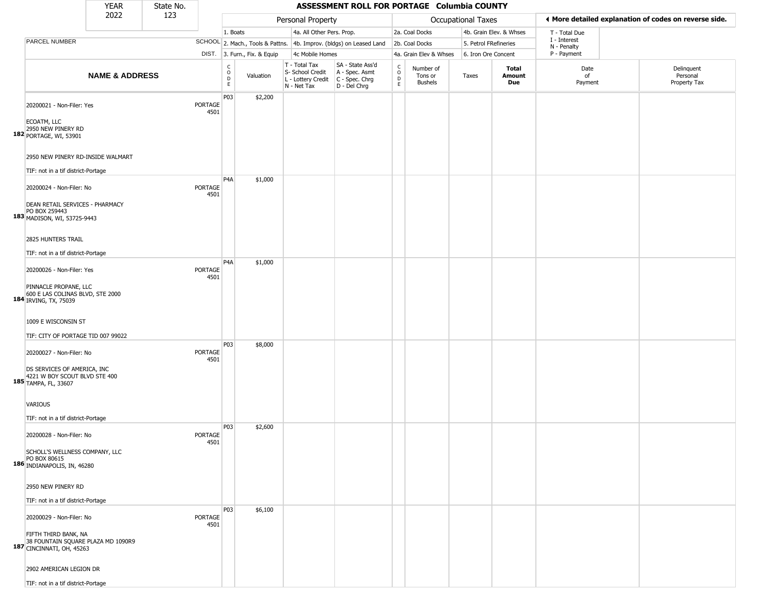|                                                                                                                               | YEAR                      | State No. |                        |                                      |                              |                                                                        | ASSESSMENT ROLL FOR PORTAGE Columbia COUNTY                          |                         |                                        |                       |                         |                            |                                                       |
|-------------------------------------------------------------------------------------------------------------------------------|---------------------------|-----------|------------------------|--------------------------------------|------------------------------|------------------------------------------------------------------------|----------------------------------------------------------------------|-------------------------|----------------------------------------|-----------------------|-------------------------|----------------------------|-------------------------------------------------------|
|                                                                                                                               | 2022                      | 123       |                        |                                      |                              | Personal Property                                                      |                                                                      |                         |                                        | Occupational Taxes    |                         |                            | I More detailed explanation of codes on reverse side. |
|                                                                                                                               |                           |           |                        | 1. Boats                             |                              | 4a. All Other Pers. Prop.                                              |                                                                      |                         | 2a. Coal Docks                         |                       | 4b. Grain Elev. & Whses | T - Total Due              |                                                       |
| PARCEL NUMBER                                                                                                                 |                           |           |                        |                                      |                              |                                                                        | SCHOOL 2. Mach., Tools & Pattns. 4b. Improv. (bldgs) on Leased Land  |                         | 2b. Coal Docks                         | 5. Petrol FRefineries |                         | I - Interest               |                                                       |
|                                                                                                                               |                           |           |                        |                                      | DIST. 3. Furn., Fix. & Equip | 4c Mobile Homes                                                        |                                                                      |                         | 4a. Grain Elev & Whses                 | 6. Iron Ore Concent   |                         | N - Penalty<br>P - Payment |                                                       |
|                                                                                                                               | <b>NAME &amp; ADDRESS</b> |           |                        | c<br>$\mathsf O$<br>$\mathsf D$<br>E | Valuation                    | T - Total Tax<br>S- School Credit<br>L - Lottery Credit<br>N - Net Tax | SA - State Ass'd<br>A - Spec. Asmt<br>C - Spec. Chrg<br>D - Del Chrg | $\frac{c}{0}$<br>D<br>E | Number of<br>Tons or<br><b>Bushels</b> | Taxes                 | Total<br>Amount<br>Due  | Date<br>of<br>Payment      | Delinquent<br>Personal<br>Property Tax                |
| 20200021 - Non-Filer: Yes<br>ECOATM, LLC<br>2950 NEW PINERY RD<br>182 PORTAGE, WI, 53901<br>2950 NEW PINERY RD-INSIDE WALMART |                           |           | PORTAGE<br>4501        | P03                                  | \$2,200                      |                                                                        |                                                                      |                         |                                        |                       |                         |                            |                                                       |
| TIF: not in a tif district-Portage                                                                                            |                           |           |                        |                                      |                              |                                                                        |                                                                      |                         |                                        |                       |                         |                            |                                                       |
| 20200024 - Non-Filer: No<br>DEAN RETAIL SERVICES - PHARMACY<br>PO BOX 259443<br>183 MADISON, WI, 53725-9443                   |                           |           | PORTAGE<br>4501        | P4A                                  | \$1,000                      |                                                                        |                                                                      |                         |                                        |                       |                         |                            |                                                       |
| 2825 HUNTERS TRAIL                                                                                                            |                           |           |                        |                                      |                              |                                                                        |                                                                      |                         |                                        |                       |                         |                            |                                                       |
|                                                                                                                               |                           |           |                        |                                      |                              |                                                                        |                                                                      |                         |                                        |                       |                         |                            |                                                       |
| TIF: not in a tif district-Portage                                                                                            |                           |           |                        |                                      |                              |                                                                        |                                                                      |                         |                                        |                       |                         |                            |                                                       |
| 20200026 - Non-Filer: Yes<br>PINNACLE PROPANE, LLC<br>600 E LAS COLINAS BLVD, STE 2000                                        |                           |           | PORTAGE<br>4501        | P <sub>4</sub> A                     | \$1,000                      |                                                                        |                                                                      |                         |                                        |                       |                         |                            |                                                       |
| 184 IRVING, TX, 75039<br>1009 E WISCONSIN ST<br>TIF: CITY OF PORTAGE TID 007 99022                                            |                           |           |                        |                                      |                              |                                                                        |                                                                      |                         |                                        |                       |                         |                            |                                                       |
| 20200027 - Non-Filer: No<br>DS SERVICES OF AMERICA, INC<br>4221 W BOY SCOUT BLVD STE 400<br>185 TAMPA, FL, 33607              |                           |           | PORTAGE<br>4501        | P03                                  | \$8,000                      |                                                                        |                                                                      |                         |                                        |                       |                         |                            |                                                       |
| VARIOUS<br>TIF: not in a tif district-Portage                                                                                 |                           |           |                        |                                      |                              |                                                                        |                                                                      |                         |                                        |                       |                         |                            |                                                       |
| 20200028 - Non-Filer: No<br>SCHOLL'S WELLNESS COMPANY, LLC<br>PO BOX 80615<br>186 INDIANAPOLIS, IN, 46280                     |                           |           | PORTAGE<br>4501        | P03                                  | \$2,600                      |                                                                        |                                                                      |                         |                                        |                       |                         |                            |                                                       |
| 2950 NEW PINERY RD<br>TIF: not in a tif district-Portage                                                                      |                           |           |                        |                                      |                              |                                                                        |                                                                      |                         |                                        |                       |                         |                            |                                                       |
| 20200029 - Non-Filer: No                                                                                                      |                           |           | <b>PORTAGE</b><br>4501 | P03                                  | \$6,100                      |                                                                        |                                                                      |                         |                                        |                       |                         |                            |                                                       |
| FIFTH THIRD BANK, NA<br>38 FOUNTAIN SQUARE PLAZA MD 1090R9<br>187 CINCINNATI, OH, 45263                                       |                           |           |                        |                                      |                              |                                                                        |                                                                      |                         |                                        |                       |                         |                            |                                                       |
| 2902 AMERICAN LEGION DR                                                                                                       |                           |           |                        |                                      |                              |                                                                        |                                                                      |                         |                                        |                       |                         |                            |                                                       |
| TIF: not in a tif district-Portage                                                                                            |                           |           |                        |                                      |                              |                                                                        |                                                                      |                         |                                        |                       |                         |                            |                                                       |

 $\overline{\phantom{a}}$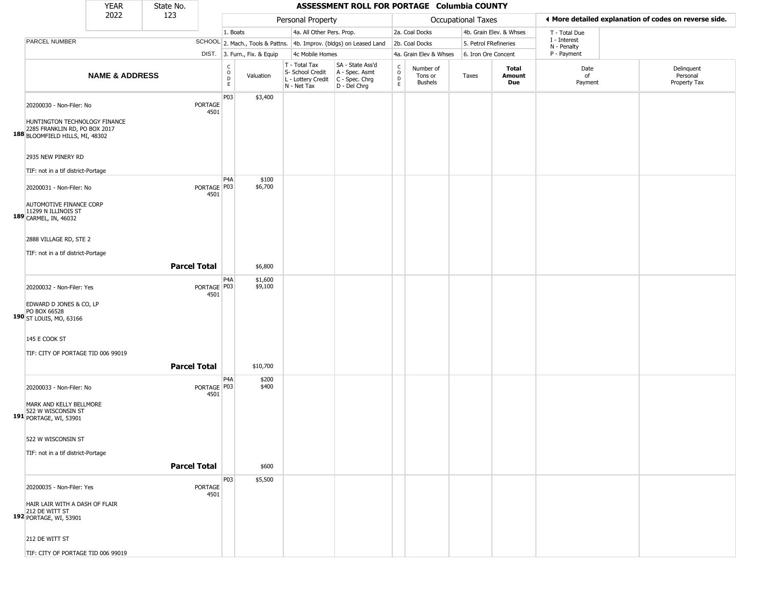|                                                                                                   | <b>YEAR</b>               | State No.           |                       |                                                          |                              |                                                                        | ASSESSMENT ROLL FOR PORTAGE Columbia COUNTY                          |                               |                                        |                       |                         |                             |                                                       |
|---------------------------------------------------------------------------------------------------|---------------------------|---------------------|-----------------------|----------------------------------------------------------|------------------------------|------------------------------------------------------------------------|----------------------------------------------------------------------|-------------------------------|----------------------------------------|-----------------------|-------------------------|-----------------------------|-------------------------------------------------------|
|                                                                                                   | 2022                      | 123                 |                       |                                                          |                              | Personal Property                                                      |                                                                      |                               |                                        | Occupational Taxes    |                         |                             | ♦ More detailed explanation of codes on reverse side. |
|                                                                                                   |                           |                     |                       | 1. Boats                                                 |                              | 4a. All Other Pers. Prop.                                              |                                                                      |                               | 2a. Coal Docks                         |                       | 4b. Grain Elev. & Whses | T - Total Due               |                                                       |
| PARCEL NUMBER                                                                                     |                           |                     |                       |                                                          |                              |                                                                        | SCHOOL 2. Mach., Tools & Pattns. 4b. Improv. (bldgs) on Leased Land  |                               | 2b. Coal Docks                         | 5. Petrol FRefineries |                         | I - Interest<br>N - Penalty |                                                       |
|                                                                                                   |                           |                     |                       |                                                          | DIST. 3. Furn., Fix. & Equip | 4c Mobile Homes                                                        |                                                                      |                               | 4a. Grain Elev & Whses                 | 6. Iron Ore Concent   |                         | P - Payment                 |                                                       |
|                                                                                                   | <b>NAME &amp; ADDRESS</b> |                     |                       | $\begin{matrix} 0 \\ 0 \\ D \end{matrix}$<br>$\mathsf E$ | Valuation                    | T - Total Tax<br>S- School Credit<br>L - Lottery Credit<br>N - Net Tax | SA - State Ass'd<br>A - Spec. Asmt<br>C - Spec. Chrg<br>D - Del Chrg | $\delta$<br>$\mathsf{D}$<br>E | Number of<br>Tons or<br><b>Bushels</b> | Taxes                 | Total<br>Amount<br>Due  | Date<br>of<br>Payment       | Delinquent<br>Personal<br>Property Tax                |
| 20200030 - Non-Filer: No                                                                          |                           |                     | PORTAGE<br>4501       | P03                                                      | \$3,400                      |                                                                        |                                                                      |                               |                                        |                       |                         |                             |                                                       |
| HUNTINGTON TECHNOLOGY FINANCE<br>2285 FRANKLIN RD, PO BOX 2017<br>188 BLOOMFIELD HILLS, MI, 48302 |                           |                     |                       |                                                          |                              |                                                                        |                                                                      |                               |                                        |                       |                         |                             |                                                       |
| 2935 NEW PINERY RD                                                                                |                           |                     |                       |                                                          |                              |                                                                        |                                                                      |                               |                                        |                       |                         |                             |                                                       |
| TIF: not in a tif district-Portage                                                                |                           |                     |                       | P4A                                                      | \$100                        |                                                                        |                                                                      |                               |                                        |                       |                         |                             |                                                       |
| 20200031 - Non-Filer: No                                                                          |                           |                     | PORTAGE P03<br>4501   |                                                          | \$6,700                      |                                                                        |                                                                      |                               |                                        |                       |                         |                             |                                                       |
| AUTOMOTIVE FINANCE CORP<br>11299 N ILLINOIS ST<br>189 CARMEL, IN, 46032                           |                           |                     |                       |                                                          |                              |                                                                        |                                                                      |                               |                                        |                       |                         |                             |                                                       |
| 2888 VILLAGE RD, STE 2                                                                            |                           |                     |                       |                                                          |                              |                                                                        |                                                                      |                               |                                        |                       |                         |                             |                                                       |
| TIF: not in a tif district-Portage                                                                |                           | <b>Parcel Total</b> |                       |                                                          | \$6,800                      |                                                                        |                                                                      |                               |                                        |                       |                         |                             |                                                       |
| 20200032 - Non-Filer: Yes                                                                         |                           |                     | PORTAGE   P03<br>4501 | P4A                                                      | \$1,600<br>\$9,100           |                                                                        |                                                                      |                               |                                        |                       |                         |                             |                                                       |
| EDWARD D JONES & CO, LP<br>PO BOX 66528<br>190 ST LOUIS, MO, 63166                                |                           |                     |                       |                                                          |                              |                                                                        |                                                                      |                               |                                        |                       |                         |                             |                                                       |
| 145 E COOK ST                                                                                     |                           |                     |                       |                                                          |                              |                                                                        |                                                                      |                               |                                        |                       |                         |                             |                                                       |
| TIF: CITY OF PORTAGE TID 006 99019                                                                |                           | <b>Parcel Total</b> |                       |                                                          | \$10,700                     |                                                                        |                                                                      |                               |                                        |                       |                         |                             |                                                       |
| 20200033 - Non-Filer: No                                                                          |                           |                     | PORTAGE P03<br>4501   | P <sub>4</sub> A                                         | \$200<br>\$400               |                                                                        |                                                                      |                               |                                        |                       |                         |                             |                                                       |
| MARK AND KELLY BELLMORE<br>522 W WISCONSIN ST<br>191 PORTAGE, WI, 53901                           |                           |                     |                       |                                                          |                              |                                                                        |                                                                      |                               |                                        |                       |                         |                             |                                                       |
| 522 W WISCONSIN ST                                                                                |                           |                     |                       |                                                          |                              |                                                                        |                                                                      |                               |                                        |                       |                         |                             |                                                       |
| TIF: not in a tif district-Portage                                                                |                           | <b>Parcel Total</b> |                       |                                                          | \$600                        |                                                                        |                                                                      |                               |                                        |                       |                         |                             |                                                       |
| 20200035 - Non-Filer: Yes                                                                         |                           |                     | PORTAGE               | P03                                                      | \$5,500                      |                                                                        |                                                                      |                               |                                        |                       |                         |                             |                                                       |
| HAIR LAIR WITH A DASH OF FLAIR<br>212 DE WITT ST<br>192 PORTAGE, WI, 53901                        |                           |                     | 4501                  |                                                          |                              |                                                                        |                                                                      |                               |                                        |                       |                         |                             |                                                       |
| 212 DE WITT ST                                                                                    |                           |                     |                       |                                                          |                              |                                                                        |                                                                      |                               |                                        |                       |                         |                             |                                                       |
| TIF: CITY OF PORTAGE TID 006 99019                                                                |                           |                     |                       |                                                          |                              |                                                                        |                                                                      |                               |                                        |                       |                         |                             |                                                       |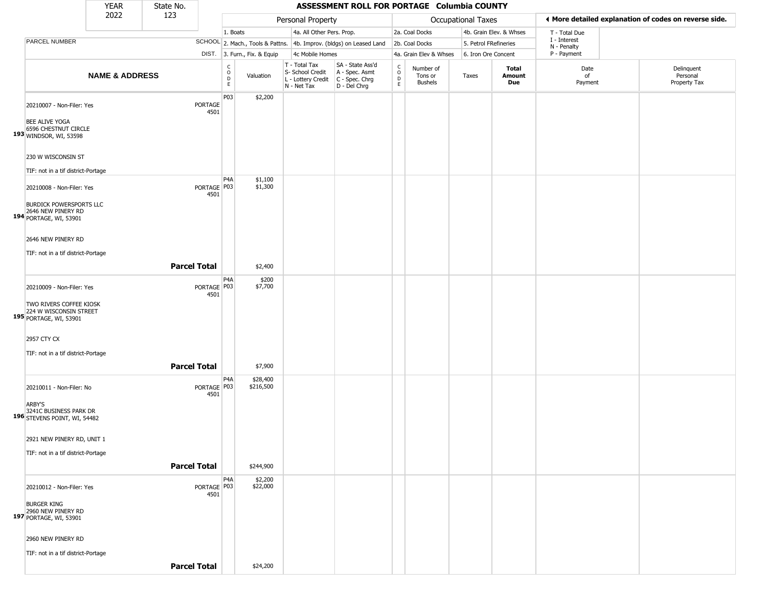|                                                                                                              | <b>YEAR</b>               | State No.           |                        |                                     |                              |                                                                        | ASSESSMENT ROLL FOR PORTAGE Columbia COUNTY                          |                                            |                                        |                           |                         |                             |                                                       |
|--------------------------------------------------------------------------------------------------------------|---------------------------|---------------------|------------------------|-------------------------------------|------------------------------|------------------------------------------------------------------------|----------------------------------------------------------------------|--------------------------------------------|----------------------------------------|---------------------------|-------------------------|-----------------------------|-------------------------------------------------------|
|                                                                                                              | 2022                      | 123                 |                        |                                     |                              | Personal Property                                                      |                                                                      |                                            |                                        | <b>Occupational Taxes</b> |                         |                             | ◀ More detailed explanation of codes on reverse side. |
|                                                                                                              |                           |                     |                        | 1. Boats                            |                              | 4a. All Other Pers. Prop.                                              |                                                                      |                                            | 2a. Coal Docks                         |                           | 4b. Grain Elev. & Whses | T - Total Due               |                                                       |
| PARCEL NUMBER                                                                                                |                           |                     |                        |                                     |                              |                                                                        | SCHOOL 2. Mach., Tools & Pattns. 4b. Improv. (bldgs) on Leased Land  |                                            | 2b. Coal Docks                         | 5. Petrol FRefineries     |                         | I - Interest<br>N - Penalty |                                                       |
|                                                                                                              |                           |                     |                        |                                     | DIST. 3. Furn., Fix. & Equip | 4c Mobile Homes                                                        |                                                                      |                                            | 4a. Grain Elev & Whses                 | 6. Iron Ore Concent       |                         | P - Payment                 |                                                       |
|                                                                                                              | <b>NAME &amp; ADDRESS</b> |                     |                        | C<br>$\circ$<br>$\overline{D}$<br>E | Valuation                    | T - Total Tax<br>S- School Credit<br>L - Lottery Credit<br>N - Net Tax | SA - State Ass'd<br>A - Spec. Asmt<br>C - Spec. Chrg<br>D - Del Chrg | $\begin{array}{c} C \\ 0 \\ E \end{array}$ | Number of<br>Tons or<br><b>Bushels</b> | Taxes                     | Total<br>Amount<br>Due  | Date<br>of<br>Payment       | Delinquent<br>Personal<br>Property Tax                |
| 20210007 - Non-Filer: Yes<br>BEE ALIVE YOGA<br>6596 CHESTNUT CIRCLE<br>193 WINDSOR, WI, 53598                |                           |                     | <b>PORTAGE</b><br>4501 | P03                                 | \$2,200                      |                                                                        |                                                                      |                                            |                                        |                           |                         |                             |                                                       |
| 230 W WISCONSIN ST<br>TIF: not in a tif district-Portage                                                     |                           |                     |                        | P <sub>4</sub> A                    | \$1,100                      |                                                                        |                                                                      |                                            |                                        |                           |                         |                             |                                                       |
| 20210008 - Non-Filer: Yes<br><b>BURDICK POWERSPORTS LLC</b><br>2646 NEW PINERY RD<br>194 PORTAGE, WI, 53901  |                           |                     | PORTAGE P03<br>4501    |                                     | \$1,300                      |                                                                        |                                                                      |                                            |                                        |                           |                         |                             |                                                       |
| 2646 NEW PINERY RD<br>TIF: not in a tif district-Portage                                                     |                           | <b>Parcel Total</b> |                        |                                     | \$2,400                      |                                                                        |                                                                      |                                            |                                        |                           |                         |                             |                                                       |
| 20210009 - Non-Filer: Yes<br>TWO RIVERS COFFEE KIOSK<br>195 224 W WISCONSIN STREET<br>195 PORTAGE, WI, 53901 |                           |                     | PORTAGE P03<br>4501    | P4A                                 | \$200<br>\$7,700             |                                                                        |                                                                      |                                            |                                        |                           |                         |                             |                                                       |
| 2957 CTY CX<br>TIF: not in a tif district-Portage                                                            |                           | <b>Parcel Total</b> |                        |                                     | \$7,900                      |                                                                        |                                                                      |                                            |                                        |                           |                         |                             |                                                       |
| 20210011 - Non-Filer: No<br>ARBY'S<br>3241C BUSINESS PARK DR<br>196 STEVENS POINT, WI, 54482                 |                           |                     | PORTAGE P03<br>4501    | P <sub>4</sub> A                    | \$28,400<br>\$216,500        |                                                                        |                                                                      |                                            |                                        |                           |                         |                             |                                                       |
| 2921 NEW PINERY RD, UNIT 1<br>TIF: not in a tif district-Portage                                             |                           | <b>Parcel Total</b> |                        |                                     | \$244,900                    |                                                                        |                                                                      |                                            |                                        |                           |                         |                             |                                                       |
| 20210012 - Non-Filer: Yes<br><b>BURGER KING</b><br>2960 NEW PINERY RD<br>197 PORTAGE, WI, 53901              |                           |                     | PORTAGE P03<br>4501    | P4A                                 | \$2,200<br>\$22,000          |                                                                        |                                                                      |                                            |                                        |                           |                         |                             |                                                       |
| 2960 NEW PINERY RD<br>TIF: not in a tif district-Portage                                                     |                           | <b>Parcel Total</b> |                        |                                     | \$24,200                     |                                                                        |                                                                      |                                            |                                        |                           |                         |                             |                                                       |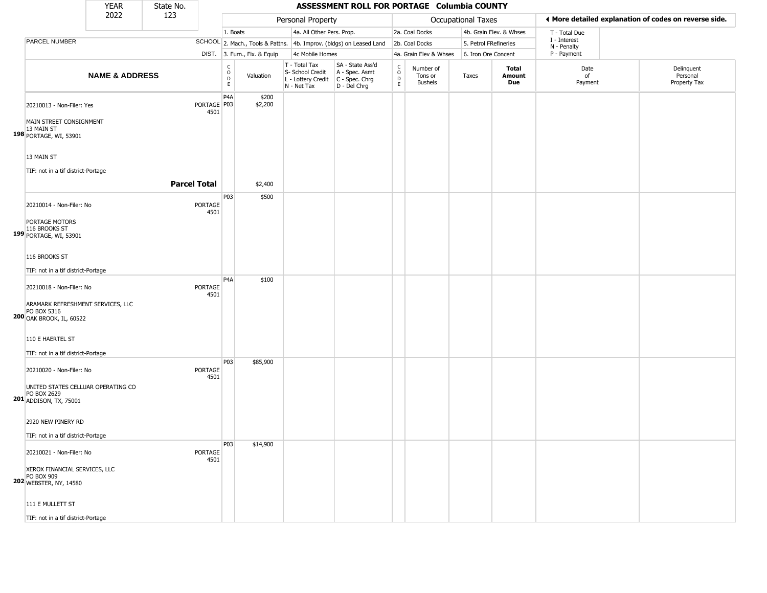|                                                                                                                 | <b>YEAR</b>               | State No.           |                        |                                |                              |                                                                        | ASSESSMENT ROLL FOR PORTAGE Columbia COUNTY                          |                                 |                                        |                       |                         |                             |                                                       |
|-----------------------------------------------------------------------------------------------------------------|---------------------------|---------------------|------------------------|--------------------------------|------------------------------|------------------------------------------------------------------------|----------------------------------------------------------------------|---------------------------------|----------------------------------------|-----------------------|-------------------------|-----------------------------|-------------------------------------------------------|
|                                                                                                                 | 2022                      | 123                 |                        |                                |                              | Personal Property                                                      |                                                                      |                                 |                                        | Occupational Taxes    |                         |                             | ◀ More detailed explanation of codes on reverse side. |
|                                                                                                                 |                           |                     |                        | 1. Boats                       |                              | 4a. All Other Pers. Prop.                                              |                                                                      |                                 | 2a. Coal Docks                         |                       | 4b. Grain Elev. & Whses | T - Total Due               |                                                       |
| PARCEL NUMBER                                                                                                   |                           |                     |                        |                                |                              |                                                                        | SCHOOL 2. Mach., Tools & Pattns. 4b. Improv. (bldgs) on Leased Land  |                                 | 2b. Coal Docks                         | 5. Petrol FRefineries |                         | I - Interest<br>N - Penalty |                                                       |
|                                                                                                                 |                           |                     |                        |                                | DIST. 3. Furn., Fix. & Equip | 4c Mobile Homes                                                        |                                                                      |                                 | 4a. Grain Elev & Whses                 | 6. Iron Ore Concent   |                         | P - Payment                 |                                                       |
|                                                                                                                 | <b>NAME &amp; ADDRESS</b> |                     |                        | $\rm ^c_o$<br>$\mathsf D$<br>E | Valuation                    | T - Total Tax<br>S- School Credit<br>L - Lottery Credit<br>N - Net Tax | SA - State Ass'd<br>A - Spec. Asmt<br>C - Spec. Chrg<br>D - Del Chrg | $\rm _o^C$<br>$\mathsf D$<br>E. | Number of<br>Tons or<br><b>Bushels</b> | Taxes                 | Total<br>Amount<br>Due  | Date<br>of<br>Payment       | Delinquent<br>Personal<br>Property Tax                |
| 20210013 - Non-Filer: Yes                                                                                       |                           |                     | PORTAGE   P03<br>4501  | P <sub>4</sub> A               | \$200<br>\$2,200             |                                                                        |                                                                      |                                 |                                        |                       |                         |                             |                                                       |
| MAIN STREET CONSIGNMENT<br>13 MAIN ST<br>198 PORTAGE, WI, 53901                                                 |                           |                     |                        |                                |                              |                                                                        |                                                                      |                                 |                                        |                       |                         |                             |                                                       |
| 13 MAIN ST<br>TIF: not in a tif district-Portage                                                                |                           |                     |                        |                                |                              |                                                                        |                                                                      |                                 |                                        |                       |                         |                             |                                                       |
|                                                                                                                 |                           | <b>Parcel Total</b> |                        |                                | \$2,400                      |                                                                        |                                                                      |                                 |                                        |                       |                         |                             |                                                       |
| 20210014 - Non-Filer: No                                                                                        |                           |                     | PORTAGE<br>4501        | P <sub>03</sub>                | \$500                        |                                                                        |                                                                      |                                 |                                        |                       |                         |                             |                                                       |
| PORTAGE MOTORS<br>116 BROOKS ST<br>199 PORTAGE, WI, 53901                                                       |                           |                     |                        |                                |                              |                                                                        |                                                                      |                                 |                                        |                       |                         |                             |                                                       |
| 116 BROOKS ST                                                                                                   |                           |                     |                        |                                |                              |                                                                        |                                                                      |                                 |                                        |                       |                         |                             |                                                       |
| TIF: not in a tif district-Portage                                                                              |                           |                     |                        |                                |                              |                                                                        |                                                                      |                                 |                                        |                       |                         |                             |                                                       |
|                                                                                                                 |                           |                     |                        | P <sub>4</sub> A               | \$100                        |                                                                        |                                                                      |                                 |                                        |                       |                         |                             |                                                       |
| 20210018 - Non-Filer: No<br>ARAMARK REFRESHMENT SERVICES, LLC<br>PO BOX 5316<br><b>200 OAK BROOK, IL, 60522</b> |                           |                     | PORTAGE<br>4501        |                                |                              |                                                                        |                                                                      |                                 |                                        |                       |                         |                             |                                                       |
| 110 E HAERTEL ST<br>TIF: not in a tif district-Portage                                                          |                           |                     |                        |                                |                              |                                                                        |                                                                      |                                 |                                        |                       |                         |                             |                                                       |
| 20210020 - Non-Filer: No                                                                                        |                           |                     | <b>PORTAGE</b><br>4501 | P03                            | \$85,900                     |                                                                        |                                                                      |                                 |                                        |                       |                         |                             |                                                       |
| UNITED STATES CELLUAR OPERATING CO<br>PO BOX 2629<br>201 ADDISON, TX, 75001                                     |                           |                     |                        |                                |                              |                                                                        |                                                                      |                                 |                                        |                       |                         |                             |                                                       |
| 2920 NEW PINERY RD                                                                                              |                           |                     |                        |                                |                              |                                                                        |                                                                      |                                 |                                        |                       |                         |                             |                                                       |
| TIF: not in a tif district-Portage                                                                              |                           |                     |                        |                                |                              |                                                                        |                                                                      |                                 |                                        |                       |                         |                             |                                                       |
| 20210021 - Non-Filer: No                                                                                        |                           |                     | PORTAGE<br>4501        | P03                            | \$14,900                     |                                                                        |                                                                      |                                 |                                        |                       |                         |                             |                                                       |
| XEROX FINANCIAL SERVICES, LLC<br>PO BOX 909<br>202 WEBSTER, NY, 14580                                           |                           |                     |                        |                                |                              |                                                                        |                                                                      |                                 |                                        |                       |                         |                             |                                                       |
| 111 E MULLETT ST                                                                                                |                           |                     |                        |                                |                              |                                                                        |                                                                      |                                 |                                        |                       |                         |                             |                                                       |
| TIF: not in a tif district-Portage                                                                              |                           |                     |                        |                                |                              |                                                                        |                                                                      |                                 |                                        |                       |                         |                             |                                                       |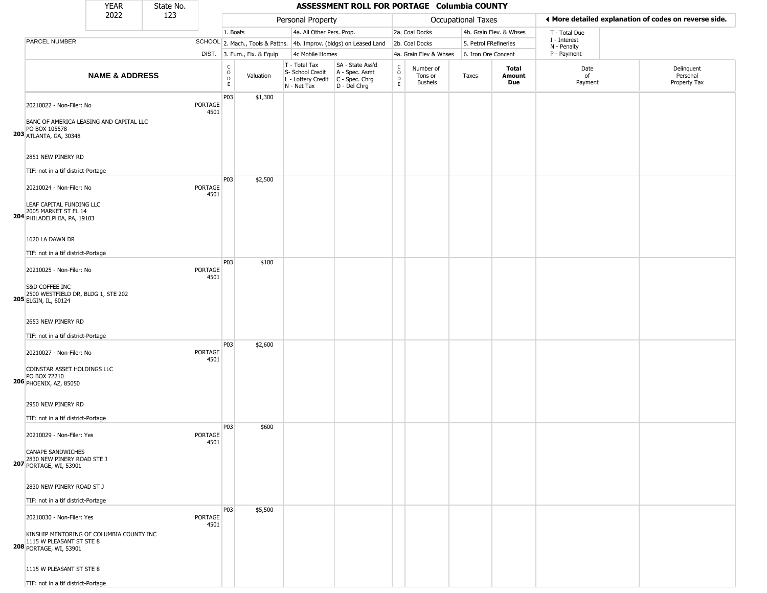|                                                                                                                                      | <b>YEAR</b>               | State No. |                        |                   |                              |                                                                        | ASSESSMENT ROLL FOR PORTAGE Columbia COUNTY                          |                                              |                                        |                           |                         |                             |                                                       |
|--------------------------------------------------------------------------------------------------------------------------------------|---------------------------|-----------|------------------------|-------------------|------------------------------|------------------------------------------------------------------------|----------------------------------------------------------------------|----------------------------------------------|----------------------------------------|---------------------------|-------------------------|-----------------------------|-------------------------------------------------------|
|                                                                                                                                      | 2022                      | 123       |                        |                   |                              | Personal Property                                                      |                                                                      |                                              |                                        | <b>Occupational Taxes</b> |                         |                             | ♦ More detailed explanation of codes on reverse side. |
|                                                                                                                                      |                           |           |                        | 1. Boats          |                              | 4a. All Other Pers. Prop.                                              |                                                                      |                                              | 2a. Coal Docks                         |                           | 4b. Grain Elev. & Whses | T - Total Due               |                                                       |
| <b>PARCEL NUMBER</b>                                                                                                                 |                           |           |                        |                   |                              |                                                                        | SCHOOL 2. Mach., Tools & Pattns. 4b. Improv. (bldgs) on Leased Land  |                                              | 2b. Coal Docks                         | 5. Petrol FRefineries     |                         | I - Interest<br>N - Penalty |                                                       |
|                                                                                                                                      |                           |           |                        |                   | DIST. 3. Furn., Fix. & Equip | 4c Mobile Homes                                                        |                                                                      |                                              | 4a. Grain Elev & Whses                 | 6. Iron Ore Concent       |                         | P - Payment                 |                                                       |
|                                                                                                                                      | <b>NAME &amp; ADDRESS</b> |           |                        | C<br>0<br>D<br>E. | Valuation                    | T - Total Tax<br>S- School Credit<br>L - Lottery Credit<br>N - Net Tax | SA - State Ass'd<br>A - Spec. Asmt<br>C - Spec. Chrg<br>D - Del Chrg | $\mathsf{C}$<br>$\circ$<br>$\mathsf{D}$<br>E | Number of<br>Tons or<br><b>Bushels</b> | Taxes                     | Total<br>Amount<br>Due  | Date<br>of<br>Payment       | Delinquent<br>Personal<br>Property Tax                |
| 20210022 - Non-Filer: No<br>BANC OF AMERICA LEASING AND CAPITAL LLC<br>PO BOX 105578<br>203 ATLANTA, GA, 30348<br>2851 NEW PINERY RD |                           |           | <b>PORTAGE</b><br>4501 | P03               | \$1,300                      |                                                                        |                                                                      |                                              |                                        |                           |                         |                             |                                                       |
| TIF: not in a tif district-Portage                                                                                                   |                           |           |                        |                   |                              |                                                                        |                                                                      |                                              |                                        |                           |                         |                             |                                                       |
| 20210024 - Non-Filer: No<br>LEAF CAPITAL FUNDING LLC<br>2005 MARKET ST FL 14<br>204 PHILADELPHIA, PA, 19103                          |                           |           | <b>PORTAGE</b><br>4501 | P03               | \$2,500                      |                                                                        |                                                                      |                                              |                                        |                           |                         |                             |                                                       |
| 1620 LA DAWN DR<br>TIF: not in a tif district-Portage                                                                                |                           |           |                        |                   |                              |                                                                        |                                                                      |                                              |                                        |                           |                         |                             |                                                       |
| 20210025 - Non-Filer: No<br>S&D COFFEE INC<br>2500 WESTFIELD DR, BLDG 1, STE 202<br>205 ELGIN, IL, 60124                             |                           |           | PORTAGE<br>4501        | P03               | \$100                        |                                                                        |                                                                      |                                              |                                        |                           |                         |                             |                                                       |
| 2653 NEW PINERY RD<br>TIF: not in a tif district-Portage                                                                             |                           |           |                        | P03               | \$2,600                      |                                                                        |                                                                      |                                              |                                        |                           |                         |                             |                                                       |
| 20210027 - Non-Filer: No<br>COINSTAR ASSET HOLDINGS LLC<br>PO BOX 72210<br>206 PHOENIX, AZ, 85050                                    |                           |           | <b>PORTAGE</b><br>4501 |                   |                              |                                                                        |                                                                      |                                              |                                        |                           |                         |                             |                                                       |
| 2950 NEW PINERY RD<br>TIF: not in a tif district-Portage                                                                             |                           |           |                        |                   |                              |                                                                        |                                                                      |                                              |                                        |                           |                         |                             |                                                       |
| 20210029 - Non-Filer: Yes<br><b>CANAPE SANDWICHES</b><br>2830 NEW PINERY ROAD STE J<br><b>207 PORTAGE, WI, 53901</b>                 |                           |           | <b>PORTAGE</b><br>4501 | P03               | \$600                        |                                                                        |                                                                      |                                              |                                        |                           |                         |                             |                                                       |
| 2830 NEW PINERY ROAD ST J<br>TIF: not in a tif district-Portage                                                                      |                           |           |                        |                   |                              |                                                                        |                                                                      |                                              |                                        |                           |                         |                             |                                                       |
| 20210030 - Non-Filer: Yes<br>KINSHIP MENTORING OF COLUMBIA COUNTY INC<br>1115 W PLEASANT ST STE 8<br><b>208 PORTAGE, WI, 53901</b>   |                           |           | <b>PORTAGE</b><br>4501 | P03               | \$5,500                      |                                                                        |                                                                      |                                              |                                        |                           |                         |                             |                                                       |
| 1115 W PLEASANT ST STE 8<br>TIF: not in a tif district-Portage                                                                       |                           |           |                        |                   |                              |                                                                        |                                                                      |                                              |                                        |                           |                         |                             |                                                       |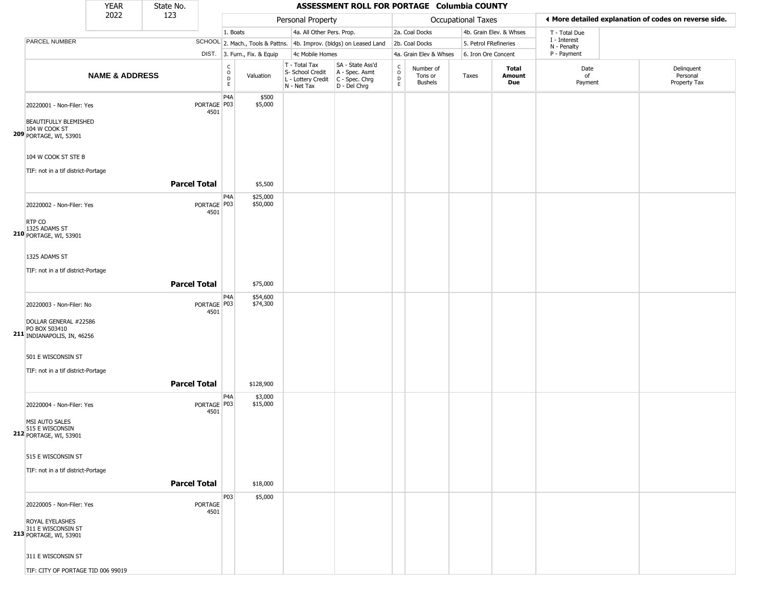|                                                                                                                                                               | <b>YEAR</b>               | State No.           |                        |                                                  |                              |                                                                        | ASSESSMENT ROLL FOR PORTAGE Columbia COUNTY                            |                                |                                        |                           |                               |                             |                                                       |
|---------------------------------------------------------------------------------------------------------------------------------------------------------------|---------------------------|---------------------|------------------------|--------------------------------------------------|------------------------------|------------------------------------------------------------------------|------------------------------------------------------------------------|--------------------------------|----------------------------------------|---------------------------|-------------------------------|-----------------------------|-------------------------------------------------------|
|                                                                                                                                                               | 2022                      | 123                 |                        |                                                  |                              | Personal Property                                                      |                                                                        |                                |                                        | <b>Occupational Taxes</b> |                               |                             | ♦ More detailed explanation of codes on reverse side. |
|                                                                                                                                                               |                           |                     |                        | 1. Boats                                         |                              | 4a. All Other Pers. Prop.                                              |                                                                        |                                | 2a. Coal Docks                         |                           | 4b. Grain Elev. & Whses       | T - Total Due               |                                                       |
| PARCEL NUMBER                                                                                                                                                 |                           |                     |                        |                                                  |                              |                                                                        | SCHOOL 2. Mach., Tools & Pattns. 4b. Improv. (bldgs) on Leased Land    |                                | 2b. Coal Docks                         | 5. Petrol FRefineries     |                               | I - Interest<br>N - Penalty |                                                       |
|                                                                                                                                                               |                           |                     |                        |                                                  | DIST. 3. Furn., Fix. & Equip | 4c Mobile Homes                                                        |                                                                        |                                | 4a. Grain Elev & Whses                 | 6. Iron Ore Concent       |                               | P - Payment                 |                                                       |
|                                                                                                                                                               | <b>NAME &amp; ADDRESS</b> |                     |                        | $_{\rm o}^{\rm c}$<br>$\mathsf D$<br>$\mathsf E$ | Valuation                    | T - Total Tax<br>S- School Credit<br>L - Lottery Credit<br>N - Net Tax | SA - State Ass'd<br>A - Spec. Asmt<br>$C - Spec. Chrg$<br>D - Del Chrg | $\rm _o^C$<br>D<br>$\mathsf E$ | Number of<br>Tons or<br><b>Bushels</b> | Taxes                     | <b>Total</b><br>Amount<br>Due | Date<br>of<br>Payment       | Delinquent<br>Personal<br>Property Tax                |
| 20220001 - Non-Filer: Yes<br><b>BEAUTIFULLY BLEMISHED</b><br>104 W COOK ST<br><b>209 PORTAGE, WI, 53901</b>                                                   |                           |                     | PORTAGE   P03<br>4501  | P4A                                              | \$500<br>\$5,000             |                                                                        |                                                                        |                                |                                        |                           |                               |                             |                                                       |
| 104 W COOK ST STE B<br>TIF: not in a tif district-Portage                                                                                                     |                           | <b>Parcel Total</b> |                        |                                                  | \$5,500                      |                                                                        |                                                                        |                                |                                        |                           |                               |                             |                                                       |
| 20220002 - Non-Filer: Yes<br>RTP CO                                                                                                                           |                           |                     | PORTAGE   P03<br>4501  | P4A                                              | \$25,000<br>\$50,000         |                                                                        |                                                                        |                                |                                        |                           |                               |                             |                                                       |
| 1325 ADAMS ST<br><b>210 PORTAGE, WI, 53901</b><br>1325 ADAMS ST<br>TIF: not in a tif district-Portage                                                         |                           | <b>Parcel Total</b> |                        |                                                  | \$75,000                     |                                                                        |                                                                        |                                |                                        |                           |                               |                             |                                                       |
| 20220003 - Non-Filer: No<br>DOLLAR GENERAL #22586<br>PO BOX 503410<br>211 INDIANAPOLIS, IN, 46256<br>501 E WISCONSIN ST<br>TIF: not in a tif district-Portage |                           |                     | PORTAGE   P03<br>4501  | P4A                                              | \$54,600<br>\$74,300         |                                                                        |                                                                        |                                |                                        |                           |                               |                             |                                                       |
|                                                                                                                                                               |                           | <b>Parcel Total</b> |                        |                                                  | \$128,900                    |                                                                        |                                                                        |                                |                                        |                           |                               |                             |                                                       |
| 20220004 - Non-Filer: Yes<br>MSI AUTO SALES<br>515 E WISCONSIN<br><b>212</b> PORTAGE, WI, 53901                                                               |                           |                     | PORTAGE   P03<br>4501  | P4A                                              | \$3,000<br>\$15,000          |                                                                        |                                                                        |                                |                                        |                           |                               |                             |                                                       |
| 515 E WISCONSIN ST<br>TIF: not in a tif district-Portage                                                                                                      |                           | <b>Parcel Total</b> |                        |                                                  | \$18,000                     |                                                                        |                                                                        |                                |                                        |                           |                               |                             |                                                       |
| 20220005 - Non-Filer: Yes<br>ROYAL EYELASHES<br>311 E WISCONSIN ST<br>213 PORTAGE, WI, 53901<br>311 E WISCONSIN ST                                            |                           |                     | <b>PORTAGE</b><br>4501 | P03                                              | \$5,000                      |                                                                        |                                                                        |                                |                                        |                           |                               |                             |                                                       |
| TIF: CITY OF PORTAGE TID 006 99019                                                                                                                            |                           |                     |                        |                                                  |                              |                                                                        |                                                                        |                                |                                        |                           |                               |                             |                                                       |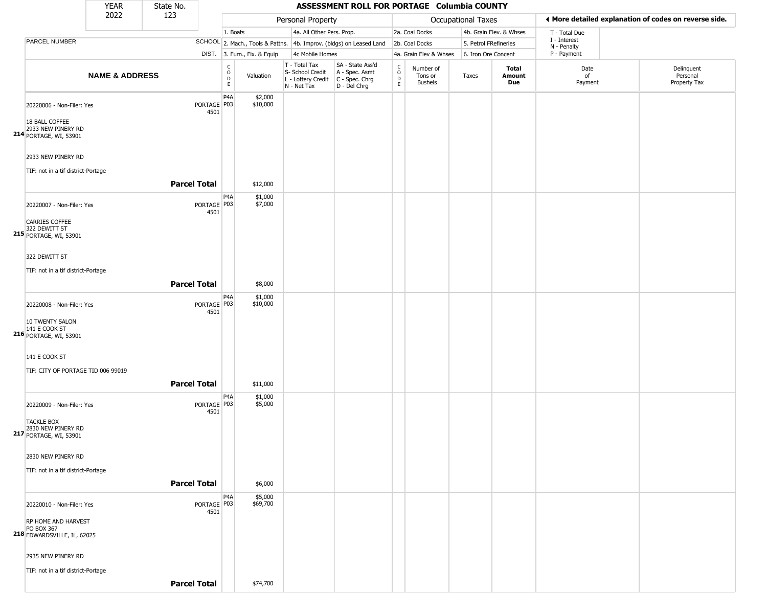|                                                                                                       | <b>YEAR</b>               | State No.           |                       |                              |                              |                                                                        | ASSESSMENT ROLL FOR PORTAGE Columbia COUNTY                          |                              |                                        |                           |                         |                             |                                                       |
|-------------------------------------------------------------------------------------------------------|---------------------------|---------------------|-----------------------|------------------------------|------------------------------|------------------------------------------------------------------------|----------------------------------------------------------------------|------------------------------|----------------------------------------|---------------------------|-------------------------|-----------------------------|-------------------------------------------------------|
|                                                                                                       | 2022                      | 123                 |                       |                              |                              | Personal Property                                                      |                                                                      |                              |                                        | <b>Occupational Taxes</b> |                         |                             | ♦ More detailed explanation of codes on reverse side. |
|                                                                                                       |                           |                     |                       | 1. Boats                     |                              | 4a. All Other Pers. Prop.                                              |                                                                      |                              | 2a. Coal Docks                         |                           | 4b. Grain Elev. & Whses | T - Total Due               |                                                       |
| PARCEL NUMBER                                                                                         |                           |                     |                       |                              |                              |                                                                        | SCHOOL 2. Mach., Tools & Pattns. 4b. Improv. (bldgs) on Leased Land  |                              | 2b. Coal Docks                         | 5. Petrol FRefineries     |                         | I - Interest<br>N - Penalty |                                                       |
|                                                                                                       |                           |                     |                       |                              | DIST. 3. Furn., Fix. & Equip | 4c Mobile Homes                                                        |                                                                      |                              | 4a. Grain Elev & Whses                 | 6. Iron Ore Concent       |                         | P - Payment                 |                                                       |
|                                                                                                       | <b>NAME &amp; ADDRESS</b> |                     |                       | $_{\rm o}^{\rm c}$<br>D<br>E | Valuation                    | T - Total Tax<br>S- School Credit<br>L - Lottery Credit<br>N - Net Tax | SA - State Ass'd<br>A - Spec. Asmt<br>C - Spec. Chrg<br>D - Del Chrg | $_{\rm o}^{\rm c}$<br>D<br>E | Number of<br>Tons or<br><b>Bushels</b> | Taxes                     | Total<br>Amount<br>Due  | Date<br>of<br>Payment       | Delinquent<br>Personal<br>Property Tax                |
| 20220006 - Non-Filer: Yes<br>18 BALL COFFEE<br>2933 NEW PINERY RD<br><b>214</b> PORTAGE, WI, 53901    |                           |                     | PORTAGE P03<br>4501   | P <sub>4</sub> A             | \$2,000<br>\$10,000          |                                                                        |                                                                      |                              |                                        |                           |                         |                             |                                                       |
| 2933 NEW PINERY RD<br>TIF: not in a tif district-Portage                                              |                           |                     |                       |                              |                              |                                                                        |                                                                      |                              |                                        |                           |                         |                             |                                                       |
|                                                                                                       |                           | <b>Parcel Total</b> |                       |                              | \$12,000                     |                                                                        |                                                                      |                              |                                        |                           |                         |                             |                                                       |
| 20220007 - Non-Filer: Yes<br>CARRIES COFFEE<br>322 DEWITT ST<br>215 PORTAGE, WI, 53901                |                           |                     | PORTAGE P03<br>4501   | P <sub>4</sub> A             | \$1,000<br>\$7,000           |                                                                        |                                                                      |                              |                                        |                           |                         |                             |                                                       |
| 322 DEWITT ST<br>TIF: not in a tif district-Portage                                                   |                           |                     |                       |                              |                              |                                                                        |                                                                      |                              |                                        |                           |                         |                             |                                                       |
|                                                                                                       |                           | <b>Parcel Total</b> |                       |                              | \$8,000                      |                                                                        |                                                                      |                              |                                        |                           |                         |                             |                                                       |
| 20220008 - Non-Filer: Yes<br>10 TWENTY SALON<br>141 E COOK ST<br>216 PORTAGE, WI, 53901               |                           |                     | PORTAGE   P03<br>4501 | P <sub>4</sub> A             | \$1,000<br>\$10,000          |                                                                        |                                                                      |                              |                                        |                           |                         |                             |                                                       |
| 141 E COOK ST<br>TIF: CITY OF PORTAGE TID 006 99019                                                   |                           | <b>Parcel Total</b> |                       |                              | \$11,000                     |                                                                        |                                                                      |                              |                                        |                           |                         |                             |                                                       |
| 20220009 - Non-Filer: Yes<br><b>TACKLE BOX</b><br>2830 NEW PINERY RD<br><b>217</b> PORTAGE, WI, 53901 |                           |                     | PORTAGE P03<br>4501   | P4A                          | \$1,000<br>\$5,000           |                                                                        |                                                                      |                              |                                        |                           |                         |                             |                                                       |
| 2830 NEW PINERY RD<br>TIF: not in a tif district-Portage                                              |                           | <b>Parcel Total</b> |                       |                              | \$6,000                      |                                                                        |                                                                      |                              |                                        |                           |                         |                             |                                                       |
| 20220010 - Non-Filer: Yes                                                                             |                           |                     | PORTAGE   P03<br>4501 | P4A                          | \$5,000<br>\$69,700          |                                                                        |                                                                      |                              |                                        |                           |                         |                             |                                                       |
| RP HOME AND HARVEST<br>PO BOX 367<br><b>218</b> EDWARDSVILLE, IL, 62025                               |                           |                     |                       |                              |                              |                                                                        |                                                                      |                              |                                        |                           |                         |                             |                                                       |
| 2935 NEW PINERY RD<br>TIF: not in a tif district-Portage                                              |                           |                     |                       |                              |                              |                                                                        |                                                                      |                              |                                        |                           |                         |                             |                                                       |
|                                                                                                       |                           | <b>Parcel Total</b> |                       |                              | \$74,700                     |                                                                        |                                                                      |                              |                                        |                           |                         |                             |                                                       |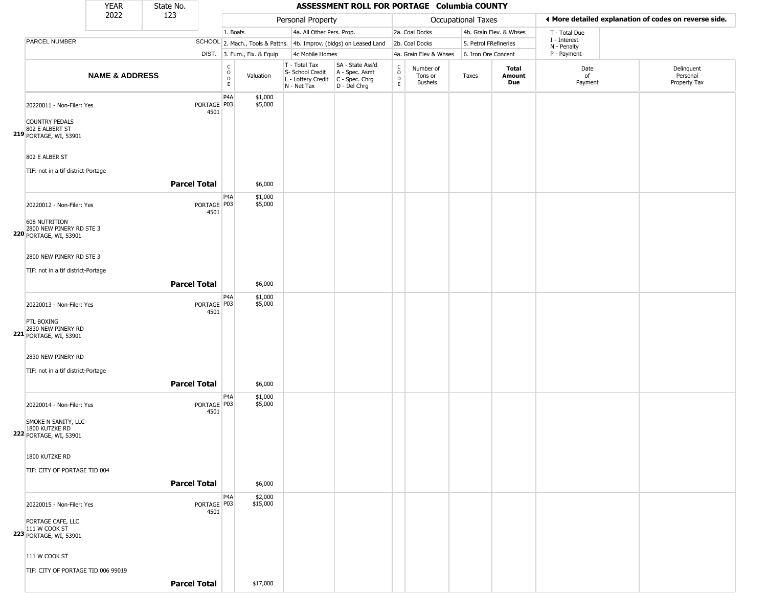|                                                                                                                | <b>YEAR</b>               | State No.           |                       |                        |                              |                                                                        | ASSESSMENT ROLL FOR PORTAGE Columbia COUNTY                            |                                   |                                        |                       |                         |                             |                                                       |
|----------------------------------------------------------------------------------------------------------------|---------------------------|---------------------|-----------------------|------------------------|------------------------------|------------------------------------------------------------------------|------------------------------------------------------------------------|-----------------------------------|----------------------------------------|-----------------------|-------------------------|-----------------------------|-------------------------------------------------------|
|                                                                                                                | 2022                      | 123                 |                       |                        |                              | Personal Property                                                      |                                                                        |                                   |                                        | Occupational Taxes    |                         |                             | ♦ More detailed explanation of codes on reverse side. |
|                                                                                                                |                           |                     |                       | 1. Boats               |                              | 4a. All Other Pers. Prop.                                              |                                                                        |                                   | 2a. Coal Docks                         |                       | 4b. Grain Elev. & Whses | T - Total Due               |                                                       |
| PARCEL NUMBER                                                                                                  |                           |                     |                       |                        |                              |                                                                        | SCHOOL 2. Mach., Tools & Pattns. 4b. Improv. (bldgs) on Leased Land    |                                   | 2b. Coal Docks                         | 5. Petrol FRefineries |                         | I - Interest<br>N - Penalty |                                                       |
|                                                                                                                |                           |                     |                       |                        | DIST. 3. Furn., Fix. & Equip | 4c Mobile Homes                                                        |                                                                        |                                   | 4a. Grain Elev & Whses                 | 6. Iron Ore Concent   |                         | P - Payment                 |                                                       |
|                                                                                                                | <b>NAME &amp; ADDRESS</b> |                     |                       | c<br>$\circ$<br>D<br>E | Valuation                    | T - Total Tax<br>S- School Credit<br>L - Lottery Credit<br>N - Net Tax | SA - State Ass'd<br>A - Spec. Asmt<br>$C - Spec. Chrg$<br>D - Del Chrg | $\mathsf{C}$<br>$\circ$<br>D<br>E | Number of<br>Tons or<br><b>Bushels</b> | Taxes                 | Total<br>Amount<br>Due  | Date<br>of<br>Payment       | Delinquent<br>Personal<br>Property Tax                |
| 20220011 - Non-Filer: Yes<br><b>COUNTRY PEDALS</b><br>802 E ALBERT ST<br>219 PORTAGE, WI, 53901                |                           |                     | PORTAGE P03<br>4501   | P4A                    | \$1,000<br>\$5,000           |                                                                        |                                                                        |                                   |                                        |                       |                         |                             |                                                       |
| 802 E ALBER ST<br>TIF: not in a tif district-Portage                                                           |                           |                     |                       |                        |                              |                                                                        |                                                                        |                                   |                                        |                       |                         |                             |                                                       |
|                                                                                                                |                           | <b>Parcel Total</b> |                       |                        | \$6,000                      |                                                                        |                                                                        |                                   |                                        |                       |                         |                             |                                                       |
| 20220012 - Non-Filer: Yes<br><b>608 NUTRITION</b><br>2800 NEW PINERY RD STE 3<br><b>220 PORTAGE, WI, 53901</b> |                           |                     | PORTAGE   P03<br>4501 | P4A                    | \$1,000<br>\$5,000           |                                                                        |                                                                        |                                   |                                        |                       |                         |                             |                                                       |
| 2800 NEW PINERY RD STE 3<br>TIF: not in a tif district-Portage                                                 |                           | <b>Parcel Total</b> |                       |                        | \$6,000                      |                                                                        |                                                                        |                                   |                                        |                       |                         |                             |                                                       |
| 20220013 - Non-Filer: Yes<br>PTL BOXING<br>221 2830 NEW PINERY RD<br><b>221</b> PORTAGE, WI, 53901             |                           |                     | PORTAGE   P03<br>4501 | P4A                    | \$1,000<br>\$5,000           |                                                                        |                                                                        |                                   |                                        |                       |                         |                             |                                                       |
| 2830 NEW PINERY RD<br>TIF: not in a tif district-Portage                                                       |                           | <b>Parcel Total</b> |                       |                        | \$6,000                      |                                                                        |                                                                        |                                   |                                        |                       |                         |                             |                                                       |
| 20220014 - Non-Filer: Yes<br>SMOKE N SANITY, LLC<br>1800 KUTZKE RD<br><b>222 PORTAGE, WI, 53901</b>            |                           |                     | PORTAGE P03<br>4501   | P4A                    | \$1,000<br>\$5,000           |                                                                        |                                                                        |                                   |                                        |                       |                         |                             |                                                       |
| 1800 KUTZKE RD<br>TIF: CITY OF PORTAGE TID 004                                                                 |                           | <b>Parcel Total</b> |                       |                        | \$6,000                      |                                                                        |                                                                        |                                   |                                        |                       |                         |                             |                                                       |
| 20220015 - Non-Filer: Yes<br>PORTAGE CAFE, LLC<br>$111$ W COOK ST<br>223 PORTAGE, WI, 53901                    |                           |                     | PORTAGE P03<br>4501   | P4A                    | \$2,000<br>\$15,000          |                                                                        |                                                                        |                                   |                                        |                       |                         |                             |                                                       |
| 111 W COOK ST<br>TIF: CITY OF PORTAGE TID 006 99019                                                            |                           |                     |                       |                        |                              |                                                                        |                                                                        |                                   |                                        |                       |                         |                             |                                                       |
|                                                                                                                |                           | <b>Parcel Total</b> |                       |                        | \$17,000                     |                                                                        |                                                                        |                                   |                                        |                       |                         |                             |                                                       |

 $\sqrt{2}$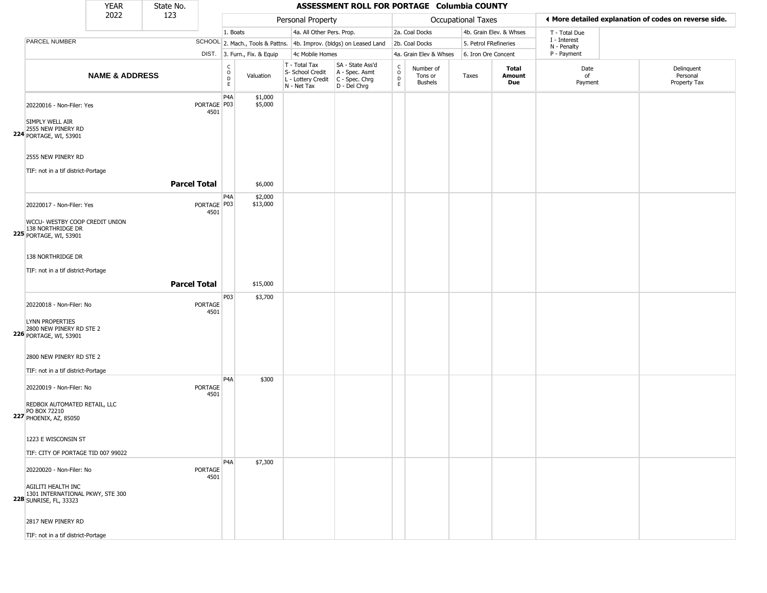|                                                                                         | <b>YEAR</b>               | State No.           |                                |                                      |                              |                                                                        | ASSESSMENT ROLL FOR PORTAGE Columbia COUNTY                          |                                |                                        |                       |                         |                                                       |                                        |
|-----------------------------------------------------------------------------------------|---------------------------|---------------------|--------------------------------|--------------------------------------|------------------------------|------------------------------------------------------------------------|----------------------------------------------------------------------|--------------------------------|----------------------------------------|-----------------------|-------------------------|-------------------------------------------------------|----------------------------------------|
|                                                                                         | 2022                      | 123                 |                                |                                      |                              | Personal Property                                                      |                                                                      |                                |                                        | Occupational Taxes    |                         | ♦ More detailed explanation of codes on reverse side. |                                        |
|                                                                                         |                           |                     |                                | 1. Boats                             |                              | 4a. All Other Pers. Prop.                                              |                                                                      |                                | 2a. Coal Docks                         |                       | 4b. Grain Elev. & Whses | T - Total Due                                         |                                        |
| PARCEL NUMBER                                                                           |                           |                     |                                |                                      |                              |                                                                        | SCHOOL 2. Mach., Tools & Pattns. 4b. Improv. (bldgs) on Leased Land  |                                | 2b. Coal Docks                         | 5. Petrol FRefineries |                         | I - Interest<br>N - Penalty                           |                                        |
|                                                                                         |                           |                     |                                |                                      | DIST. 3. Furn., Fix. & Equip | 4c Mobile Homes                                                        |                                                                      |                                | 4a. Grain Elev & Whses                 | 6. Iron Ore Concent   |                         | P - Payment                                           |                                        |
|                                                                                         | <b>NAME &amp; ADDRESS</b> |                     |                                | $\rm\frac{C}{O}$<br>$\mathsf D$<br>E | Valuation                    | T - Total Tax<br>S- School Credit<br>L - Lottery Credit<br>N - Net Tax | SA - State Ass'd<br>A - Spec. Asmt<br>C - Spec. Chrg<br>D - Del Chrg | $\frac{c}{0}$<br>$\frac{D}{E}$ | Number of<br>Tons or<br><b>Bushels</b> | Taxes                 | Total<br>Amount<br>Due  | Date<br>of<br>Payment                                 | Delinquent<br>Personal<br>Property Tax |
| 20220016 - Non-Filer: Yes                                                               |                           |                     | PORTAGE <sup>P03</sup><br>4501 | P <sub>4</sub> A                     | \$1,000<br>\$5,000           |                                                                        |                                                                      |                                |                                        |                       |                         |                                                       |                                        |
| SIMPLY WELL AIR<br>2555 NEW PINERY RD<br><b>224</b> PORTAGE, WI, 53901                  |                           |                     |                                |                                      |                              |                                                                        |                                                                      |                                |                                        |                       |                         |                                                       |                                        |
| 2555 NEW PINERY RD                                                                      |                           |                     |                                |                                      |                              |                                                                        |                                                                      |                                |                                        |                       |                         |                                                       |                                        |
| TIF: not in a tif district-Portage                                                      |                           | <b>Parcel Total</b> |                                |                                      | \$6,000                      |                                                                        |                                                                      |                                |                                        |                       |                         |                                                       |                                        |
| 20220017 - Non-Filer: Yes<br>WCCU- WESTBY COOP CREDIT UNION                             |                           |                     | PORTAGE P03<br>4501            | P <sub>4</sub> A                     | \$2,000<br>\$13,000          |                                                                        |                                                                      |                                |                                        |                       |                         |                                                       |                                        |
| 138 NORTHRIDGE DR<br>225 PORTAGE, WI, 53901                                             |                           |                     |                                |                                      |                              |                                                                        |                                                                      |                                |                                        |                       |                         |                                                       |                                        |
| 138 NORTHRIDGE DR<br>TIF: not in a tif district-Portage                                 |                           |                     |                                |                                      |                              |                                                                        |                                                                      |                                |                                        |                       |                         |                                                       |                                        |
|                                                                                         |                           | <b>Parcel Total</b> |                                |                                      | \$15,000                     |                                                                        |                                                                      |                                |                                        |                       |                         |                                                       |                                        |
| 20220018 - Non-Filer: No                                                                |                           |                     | PORTAGE<br>4501                | P03                                  | \$3,700                      |                                                                        |                                                                      |                                |                                        |                       |                         |                                                       |                                        |
| LYNN PROPERTIES<br>2800 NEW PINERY RD STE 2<br><b>226</b> PORTAGE, WI, 53901            |                           |                     |                                |                                      |                              |                                                                        |                                                                      |                                |                                        |                       |                         |                                                       |                                        |
| 2800 NEW PINERY RD STE 2<br>TIF: not in a tif district-Portage                          |                           |                     |                                |                                      |                              |                                                                        |                                                                      |                                |                                        |                       |                         |                                                       |                                        |
| 20220019 - Non-Filer: No                                                                |                           |                     | <b>PORTAGE</b><br>4501         | P <sub>4</sub> A                     | \$300                        |                                                                        |                                                                      |                                |                                        |                       |                         |                                                       |                                        |
| REDBOX AUTOMATED RETAIL, LLC<br>PO BOX 72210<br><b>227 PHOENIX, AZ, 85050</b>           |                           |                     |                                |                                      |                              |                                                                        |                                                                      |                                |                                        |                       |                         |                                                       |                                        |
| 1223 E WISCONSIN ST<br>TIF: CITY OF PORTAGE TID 007 99022                               |                           |                     |                                |                                      |                              |                                                                        |                                                                      |                                |                                        |                       |                         |                                                       |                                        |
| 20220020 - Non-Filer: No                                                                |                           |                     | PORTAGE<br>4501                | P <sub>4</sub> A                     | \$7,300                      |                                                                        |                                                                      |                                |                                        |                       |                         |                                                       |                                        |
| AGILITI HEALTH INC<br>1301 INTERNATIONAL PKWY, STE 300<br><b>228</b> SUNRISE, FL, 33323 |                           |                     |                                |                                      |                              |                                                                        |                                                                      |                                |                                        |                       |                         |                                                       |                                        |
| 2817 NEW PINERY RD                                                                      |                           |                     |                                |                                      |                              |                                                                        |                                                                      |                                |                                        |                       |                         |                                                       |                                        |
| TIF: not in a tif district-Portage                                                      |                           |                     |                                |                                      |                              |                                                                        |                                                                      |                                |                                        |                       |                         |                                                       |                                        |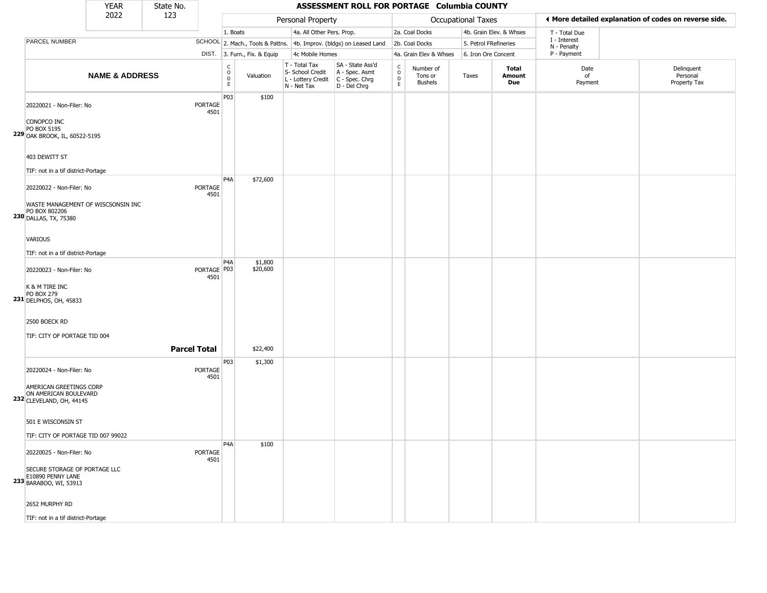|                                                                                                                                                                  | <b>YEAR</b>               | State No.           |                        |                                                          |                              |                                                                        | ASSESSMENT ROLL FOR PORTAGE Columbia COUNTY                          |                                                |                                 |                       |                               |                             |                                                       |
|------------------------------------------------------------------------------------------------------------------------------------------------------------------|---------------------------|---------------------|------------------------|----------------------------------------------------------|------------------------------|------------------------------------------------------------------------|----------------------------------------------------------------------|------------------------------------------------|---------------------------------|-----------------------|-------------------------------|-----------------------------|-------------------------------------------------------|
|                                                                                                                                                                  | 2022                      | 123                 |                        |                                                          |                              | Personal Property                                                      |                                                                      |                                                |                                 | Occupational Taxes    |                               |                             | ♦ More detailed explanation of codes on reverse side. |
|                                                                                                                                                                  |                           |                     |                        | 1. Boats                                                 |                              | 4a. All Other Pers. Prop.                                              |                                                                      |                                                | 2a. Coal Docks                  |                       | 4b. Grain Elev. & Whses       | T - Total Due               |                                                       |
| PARCEL NUMBER                                                                                                                                                    |                           |                     |                        |                                                          |                              |                                                                        | SCHOOL 2. Mach., Tools & Pattns. 4b. Improv. (bldgs) on Leased Land  |                                                | 2b. Coal Docks                  | 5. Petrol FRefineries |                               | I - Interest<br>N - Penalty |                                                       |
|                                                                                                                                                                  |                           |                     |                        |                                                          | DIST. 3. Furn., Fix. & Equip | 4c Mobile Homes                                                        |                                                                      |                                                | 4a. Grain Elev & Whses          | 6. Iron Ore Concent   |                               | P - Payment                 |                                                       |
|                                                                                                                                                                  | <b>NAME &amp; ADDRESS</b> |                     |                        | $\begin{matrix} C \\ O \\ D \end{matrix}$<br>$\mathsf E$ | Valuation                    | T - Total Tax<br>S- School Credit<br>L - Lottery Credit<br>N - Net Tax | SA - State Ass'd<br>A - Spec. Asmt<br>C - Spec. Chrg<br>D - Del Chrg | $\frac{C}{O}$<br>$\overline{D}$<br>$\mathsf E$ | Number of<br>Tons or<br>Bushels | Taxes                 | <b>Total</b><br>Amount<br>Due | Date<br>of<br>Payment       | Delinquent<br>Personal<br>Property Tax                |
| 20220021 - Non-Filer: No<br>CONOPCO INC<br>PO BOX 5195<br>229 OAK BROOK, IL, 60522-5195                                                                          |                           |                     | <b>PORTAGE</b><br>4501 | P03                                                      | \$100                        |                                                                        |                                                                      |                                                |                                 |                       |                               |                             |                                                       |
| 403 DEWITT ST<br>TIF: not in a tif district-Portage                                                                                                              |                           |                     |                        |                                                          |                              |                                                                        |                                                                      |                                                |                                 |                       |                               |                             |                                                       |
| 20220022 - Non-Filer: No<br>WASTE MANAGEMENT OF WISCSONSIN INC<br>PO BOX 802206<br>230 DALLAS, TX, 75380                                                         |                           |                     | <b>PORTAGE</b><br>4501 | P <sub>4</sub> A                                         | \$72,600                     |                                                                        |                                                                      |                                                |                                 |                       |                               |                             |                                                       |
| VARIOUS<br>TIF: not in a tif district-Portage                                                                                                                    |                           |                     |                        | P <sub>4</sub> A                                         | \$1,800                      |                                                                        |                                                                      |                                                |                                 |                       |                               |                             |                                                       |
| 20220023 - Non-Filer: No<br>K & M TIRE INC<br><b>PO BOX 279</b><br>231 DELPHOS, OH, 45833                                                                        |                           |                     | PORTAGE P03<br>4501    |                                                          | \$20,600                     |                                                                        |                                                                      |                                                |                                 |                       |                               |                             |                                                       |
| 2500 BOECK RD<br>TIF: CITY OF PORTAGE TID 004                                                                                                                    |                           | <b>Parcel Total</b> |                        |                                                          | \$22,400                     |                                                                        |                                                                      |                                                |                                 |                       |                               |                             |                                                       |
| 20220024 - Non-Filer: No<br>AMERICAN GREETINGS CORP<br>ON AMERICAN BOULEVARD<br>232 CLEVELAND, OH, 44145                                                         |                           |                     | <b>PORTAGE</b><br>4501 | P03                                                      | \$1,300                      |                                                                        |                                                                      |                                                |                                 |                       |                               |                             |                                                       |
| 501 E WISCONSIN ST<br>TIF: CITY OF PORTAGE TID 007 99022                                                                                                         |                           |                     |                        |                                                          |                              |                                                                        |                                                                      |                                                |                                 |                       |                               |                             |                                                       |
| 20220025 - Non-Filer: No<br>SECURE STORAGE OF PORTAGE LLC<br>E10890 PENNY LANE<br>233 BARABOO, WI, 53913<br>2652 MURPHY RD<br>TIF: not in a tif district-Portage |                           |                     | <b>PORTAGE</b><br>4501 | P <sub>4</sub> A                                         | \$100                        |                                                                        |                                                                      |                                                |                                 |                       |                               |                             |                                                       |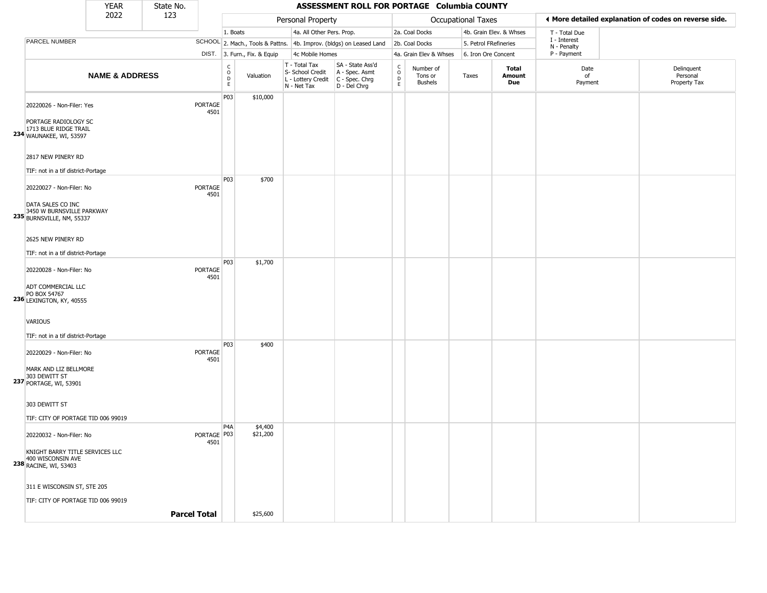|                                                                                                              | <b>YEAR</b>               | State No.           |                       |                                                   |                                                                        | ASSESSMENT ROLL FOR PORTAGE Columbia COUNTY                          |                                |                                        |                       |                         |                             |                                                       |
|--------------------------------------------------------------------------------------------------------------|---------------------------|---------------------|-----------------------|---------------------------------------------------|------------------------------------------------------------------------|----------------------------------------------------------------------|--------------------------------|----------------------------------------|-----------------------|-------------------------|-----------------------------|-------------------------------------------------------|
|                                                                                                              | 2022                      | 123                 |                       |                                                   | Personal Property                                                      |                                                                      |                                |                                        | Occupational Taxes    |                         |                             | I More detailed explanation of codes on reverse side. |
|                                                                                                              |                           |                     |                       | 1. Boats                                          | 4a. All Other Pers. Prop.                                              |                                                                      |                                | 2a. Coal Docks                         |                       | 4b. Grain Elev. & Whses | T - Total Due               |                                                       |
| PARCEL NUMBER                                                                                                |                           |                     |                       |                                                   |                                                                        | SCHOOL 2. Mach., Tools & Pattns. 4b. Improv. (bldgs) on Leased Land  |                                | 2b. Coal Docks                         | 5. Petrol FRefineries |                         | I - Interest<br>N - Penalty |                                                       |
|                                                                                                              |                           |                     |                       | DIST. 3. Furn., Fix. & Equip                      | 4c Mobile Homes                                                        |                                                                      |                                | 4a. Grain Elev & Whses                 | 6. Iron Ore Concent   |                         | P - Payment                 |                                                       |
|                                                                                                              | <b>NAME &amp; ADDRESS</b> |                     |                       | $\rm\frac{C}{O}$<br>Valuation<br>$\mathsf D$<br>E | T - Total Tax<br>S- School Credit<br>L - Lottery Credit<br>N - Net Tax | SA - State Ass'd<br>A - Spec. Asmt<br>C - Spec. Chrg<br>D - Del Chrg | $\rm ^c_o$<br>$\mathsf D$<br>E | Number of<br>Tons or<br><b>Bushels</b> | Taxes                 | Total<br>Amount<br>Due  | Date<br>of<br>Payment       | Delinquent<br>Personal<br>Property Tax                |
| 20220026 - Non-Filer: Yes<br>PORTAGE RADIOLOGY SC<br>1713 BLUE RIDGE TRAIL<br><b>234</b> WAUNAKEE, WI, 53597 |                           |                     | PORTAGE<br>4501       | P03<br>\$10,000                                   |                                                                        |                                                                      |                                |                                        |                       |                         |                             |                                                       |
| 2817 NEW PINERY RD<br>TIF: not in a tif district-Portage                                                     |                           |                     |                       |                                                   |                                                                        |                                                                      |                                |                                        |                       |                         |                             |                                                       |
| 20220027 - Non-Filer: No<br>DATA SALES CO INC<br>3450 W BURNSVILLE PARKWAY<br>235 BURNSVILLE, NM, 55337      |                           |                     | PORTAGE<br>4501       | P03<br>\$700                                      |                                                                        |                                                                      |                                |                                        |                       |                         |                             |                                                       |
| 2625 NEW PINERY RD<br>TIF: not in a tif district-Portage                                                     |                           |                     |                       |                                                   |                                                                        |                                                                      |                                |                                        |                       |                         |                             |                                                       |
| 20220028 - Non-Filer: No<br>ADT COMMERCIAL LLC<br>PO BOX 54767<br>236 LEXINGTON, KY, 40555                   |                           |                     | PORTAGE<br>4501       | P03<br>\$1,700                                    |                                                                        |                                                                      |                                |                                        |                       |                         |                             |                                                       |
| VARIOUS<br>TIF: not in a tif district-Portage                                                                |                           |                     |                       |                                                   |                                                                        |                                                                      |                                |                                        |                       |                         |                             |                                                       |
| 20220029 - Non-Filer: No<br>MARK AND LIZ BELLMORE<br>303 DEWITT ST<br>237 PORTAGE, WI, 53901                 |                           |                     | PORTAGE<br>4501       | P03<br>\$400                                      |                                                                        |                                                                      |                                |                                        |                       |                         |                             |                                                       |
| 303 DEWITT ST<br>TIF: CITY OF PORTAGE TID 006 99019                                                          |                           |                     |                       |                                                   |                                                                        |                                                                      |                                |                                        |                       |                         |                             |                                                       |
| 20220032 - Non-Filer: No<br>KNIGHT BARRY TITLE SERVICES LLC<br>400 WISCONSIN AVE<br>238 RACINE, WI, 53403    |                           |                     | PORTAGE   P03<br>4501 | P4A<br>\$4,400<br>\$21,200                        |                                                                        |                                                                      |                                |                                        |                       |                         |                             |                                                       |
| 311 E WISCONSIN ST, STE 205<br>TIF: CITY OF PORTAGE TID 006 99019                                            |                           | <b>Parcel Total</b> |                       | \$25,600                                          |                                                                        |                                                                      |                                |                                        |                       |                         |                             |                                                       |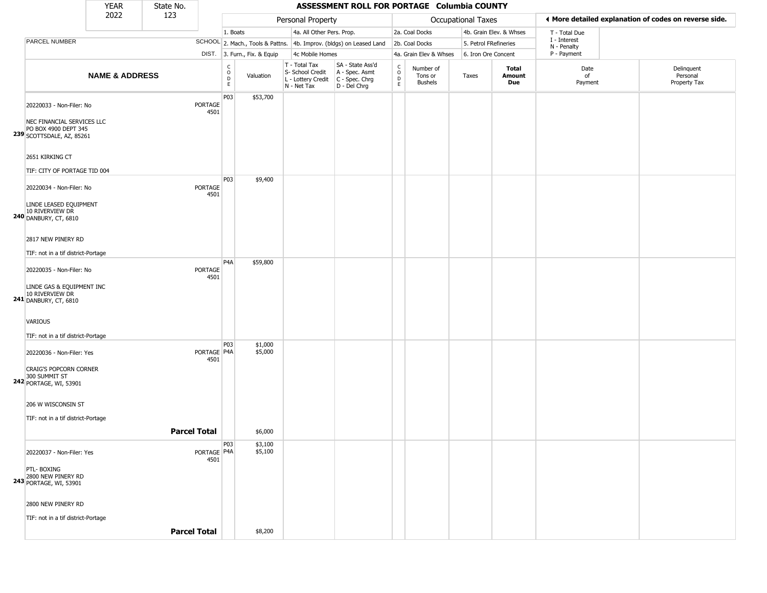|                                                                                                             | <b>YEAR</b>               | State No.           |                        |                                                 |                              |                                                                        | ASSESSMENT ROLL FOR PORTAGE Columbia COUNTY                            |                                                 |                                        |                       |                         |                             |                                                       |
|-------------------------------------------------------------------------------------------------------------|---------------------------|---------------------|------------------------|-------------------------------------------------|------------------------------|------------------------------------------------------------------------|------------------------------------------------------------------------|-------------------------------------------------|----------------------------------------|-----------------------|-------------------------|-----------------------------|-------------------------------------------------------|
|                                                                                                             | 2022                      | 123                 |                        |                                                 |                              | Personal Property                                                      |                                                                        |                                                 |                                        | Occupational Taxes    |                         |                             | ♦ More detailed explanation of codes on reverse side. |
|                                                                                                             |                           |                     |                        | 1. Boats                                        |                              | 4a. All Other Pers. Prop.                                              |                                                                        |                                                 | 2a. Coal Docks                         |                       | 4b. Grain Elev. & Whses | T - Total Due               |                                                       |
| PARCEL NUMBER                                                                                               |                           |                     |                        |                                                 |                              |                                                                        | SCHOOL 2. Mach., Tools & Pattns. 4b. Improv. (bldgs) on Leased Land    |                                                 | 2b. Coal Docks                         | 5. Petrol FRefineries |                         | I - Interest<br>N - Penalty |                                                       |
|                                                                                                             |                           |                     |                        |                                                 | DIST. 3. Furn., Fix. & Equip | 4c Mobile Homes                                                        |                                                                        |                                                 | 4a. Grain Elev & Whses                 | 6. Iron Ore Concent   |                         | P - Payment                 |                                                       |
|                                                                                                             | <b>NAME &amp; ADDRESS</b> |                     |                        | $\begin{array}{c} C \\ O \\ D \\ E \end{array}$ | Valuation                    | T - Total Tax<br>S- School Credit<br>L - Lottery Credit<br>N - Net Tax | SA - State Ass'd<br>A - Spec. Asmt<br>$C - Spec. Chrg$<br>D - Del Chrg | $\begin{array}{c} C \\ O \\ D \\ E \end{array}$ | Number of<br>Tons or<br><b>Bushels</b> | Taxes                 | Total<br>Amount<br>Due  | Date<br>of<br>Payment       | Delinquent<br>Personal<br>Property Tax                |
| 20220033 - Non-Filer: No<br>NEC FINANCIAL SERVICES LLC<br>PO BOX 4900 DEPT 345<br>239 SCOTTSDALE, AZ, 85261 |                           |                     | <b>PORTAGE</b><br>4501 | P03                                             | \$53,700                     |                                                                        |                                                                        |                                                 |                                        |                       |                         |                             |                                                       |
| 2651 KIRKING CT<br>TIF: CITY OF PORTAGE TID 004                                                             |                           |                     |                        | P03                                             | \$9,400                      |                                                                        |                                                                        |                                                 |                                        |                       |                         |                             |                                                       |
| 20220034 - Non-Filer: No<br>LINDE LEASED EQUIPMENT<br>10 RIVERVIEW DR<br><b>240 DANBURY, CT, 6810</b>       |                           |                     | PORTAGE<br>4501        |                                                 |                              |                                                                        |                                                                        |                                                 |                                        |                       |                         |                             |                                                       |
| 2817 NEW PINERY RD<br>TIF: not in a tif district-Portage                                                    |                           |                     |                        |                                                 |                              |                                                                        |                                                                        |                                                 |                                        |                       |                         |                             |                                                       |
| 20220035 - Non-Filer: No<br>LINDE GAS & EQUIPMENT INC<br>241 10 RIVERVIEW DR<br>DANBURY, CT, 6810           |                           |                     | PORTAGE<br>4501        | P <sub>4</sub> A                                | \$59,800                     |                                                                        |                                                                        |                                                 |                                        |                       |                         |                             |                                                       |
| <b>VARIOUS</b><br>TIF: not in a tif district-Portage                                                        |                           |                     |                        |                                                 |                              |                                                                        |                                                                        |                                                 |                                        |                       |                         |                             |                                                       |
| 20220036 - Non-Filer: Yes<br>CRAIG'S POPCORN CORNER<br>300 SUMMIT ST<br>242 PORTAGE, WI, 53901              |                           |                     | PORTAGE P4A<br>4501    | P03                                             | \$1,000<br>\$5,000           |                                                                        |                                                                        |                                                 |                                        |                       |                         |                             |                                                       |
| 206 W WISCONSIN ST<br>TIF: not in a tif district-Portage                                                    |                           | <b>Parcel Total</b> |                        |                                                 | \$6,000                      |                                                                        |                                                                        |                                                 |                                        |                       |                         |                             |                                                       |
|                                                                                                             |                           |                     |                        | P03                                             | \$3,100                      |                                                                        |                                                                        |                                                 |                                        |                       |                         |                             |                                                       |
| 20220037 - Non-Filer: Yes<br>PTL- BOXING<br>2800 NEW PINERY RD<br>243 PORTAGE, WI, 53901                    |                           |                     | PORTAGE   P4A<br>4501  |                                                 | \$5,100                      |                                                                        |                                                                        |                                                 |                                        |                       |                         |                             |                                                       |
| 2800 NEW PINERY RD<br>TIF: not in a tif district-Portage                                                    |                           | <b>Parcel Total</b> |                        |                                                 | \$8,200                      |                                                                        |                                                                        |                                                 |                                        |                       |                         |                             |                                                       |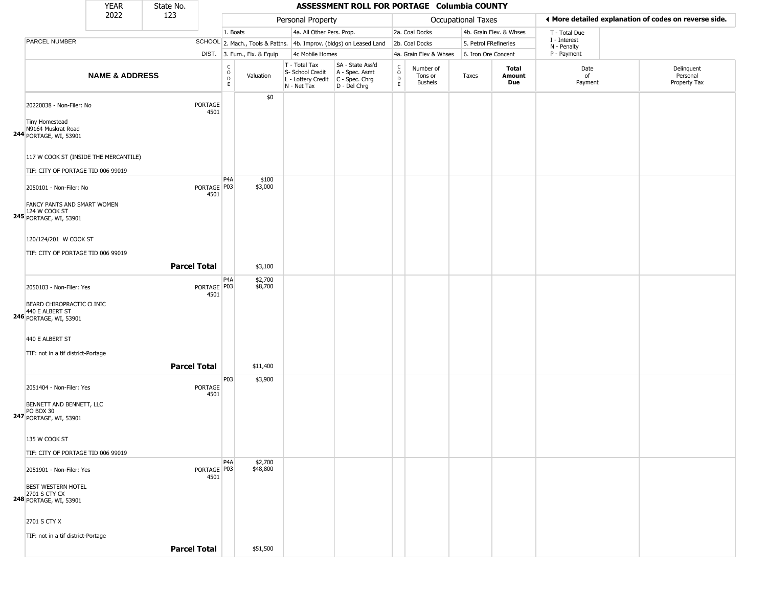|                                                                      | <b>YEAR</b>               | State No.           |                                |                                                |                              |                                                                        | ASSESSMENT ROLL FOR PORTAGE Columbia COUNTY                            |                                                          |                                        |                     |                         |                             |                                                       |
|----------------------------------------------------------------------|---------------------------|---------------------|--------------------------------|------------------------------------------------|------------------------------|------------------------------------------------------------------------|------------------------------------------------------------------------|----------------------------------------------------------|----------------------------------------|---------------------|-------------------------|-----------------------------|-------------------------------------------------------|
|                                                                      | 2022                      | 123                 |                                |                                                |                              | Personal Property                                                      |                                                                        |                                                          |                                        | Occupational Taxes  |                         |                             | I More detailed explanation of codes on reverse side. |
|                                                                      |                           |                     |                                | 1. Boats                                       |                              | 4a. All Other Pers. Prop.                                              |                                                                        |                                                          | 2a. Coal Docks                         |                     | 4b. Grain Elev. & Whses | T - Total Due               |                                                       |
| PARCEL NUMBER                                                        |                           |                     |                                |                                                |                              |                                                                        | SCHOOL 2. Mach., Tools & Pattns. 4b. Improv. (bldgs) on Leased Land    |                                                          | 2b. Coal Docks                         |                     | 5. Petrol FRefineries   | I - Interest<br>N - Penalty |                                                       |
|                                                                      |                           |                     |                                |                                                | DIST. 3. Furn., Fix. & Equip | 4c Mobile Homes                                                        |                                                                        |                                                          | 4a. Grain Elev & Whses                 | 6. Iron Ore Concent |                         | P - Payment                 |                                                       |
|                                                                      | <b>NAME &amp; ADDRESS</b> |                     |                                | $\begin{matrix} 0 \\ 0 \\ D \end{matrix}$<br>E | Valuation                    | T - Total Tax<br>S- School Credit<br>L - Lottery Credit<br>N - Net Tax | SA - State Ass'd<br>A - Spec. Asmt<br>$C - Spec. Chrg$<br>D - Del Chrg | $\begin{smallmatrix} C \\ 0 \\ D \end{smallmatrix}$<br>E | Number of<br>Tons or<br><b>Bushels</b> | Taxes               | Total<br>Amount<br>Due  | Date<br>of<br>Payment       | Delinquent<br>Personal<br>Property Tax                |
| 20220038 - Non-Filer: No                                             |                           |                     | PORTAGE<br>4501                |                                                | \$0                          |                                                                        |                                                                        |                                                          |                                        |                     |                         |                             |                                                       |
| Tiny Homestead<br>N9164 Muskrat Road<br>244 PORTAGE, WI, 53901       |                           |                     |                                |                                                |                              |                                                                        |                                                                        |                                                          |                                        |                     |                         |                             |                                                       |
| 117 W COOK ST (INSIDE THE MERCANTILE)                                |                           |                     |                                |                                                |                              |                                                                        |                                                                        |                                                          |                                        |                     |                         |                             |                                                       |
| TIF: CITY OF PORTAGE TID 006 99019                                   |                           |                     |                                | P4A                                            | \$100                        |                                                                        |                                                                        |                                                          |                                        |                     |                         |                             |                                                       |
| 2050101 - Non-Filer: No<br>FANCY PANTS AND SMART WOMEN               |                           |                     | PORTAGE P03<br>4501            |                                                | \$3,000                      |                                                                        |                                                                        |                                                          |                                        |                     |                         |                             |                                                       |
| 124 W COOK ST<br><b>245</b> PORTAGE, WI, 53901                       |                           |                     |                                |                                                |                              |                                                                        |                                                                        |                                                          |                                        |                     |                         |                             |                                                       |
| 120/124/201 W COOK ST<br>TIF: CITY OF PORTAGE TID 006 99019          |                           |                     |                                |                                                |                              |                                                                        |                                                                        |                                                          |                                        |                     |                         |                             |                                                       |
|                                                                      |                           | <b>Parcel Total</b> |                                |                                                |                              |                                                                        |                                                                        |                                                          |                                        |                     |                         |                             |                                                       |
|                                                                      |                           |                     |                                |                                                | \$3,100                      |                                                                        |                                                                        |                                                          |                                        |                     |                         |                             |                                                       |
| 2050103 - Non-Filer: Yes<br>BEARD CHIROPRACTIC CLINIC                |                           |                     | PORTAGE   P03<br>4501          | P <sub>4</sub> A                               | \$2,700<br>\$8,700           |                                                                        |                                                                        |                                                          |                                        |                     |                         |                             |                                                       |
| 440 E ALBERT ST<br>246 PORTAGE, WI, 53901                            |                           |                     |                                |                                                |                              |                                                                        |                                                                        |                                                          |                                        |                     |                         |                             |                                                       |
| 440 E ALBERT ST                                                      |                           |                     |                                |                                                |                              |                                                                        |                                                                        |                                                          |                                        |                     |                         |                             |                                                       |
| TIF: not in a tif district-Portage                                   |                           |                     |                                |                                                |                              |                                                                        |                                                                        |                                                          |                                        |                     |                         |                             |                                                       |
|                                                                      |                           | <b>Parcel Total</b> |                                |                                                | \$11,400                     |                                                                        |                                                                        |                                                          |                                        |                     |                         |                             |                                                       |
| 2051404 - Non-Filer: Yes                                             |                           |                     | PORTAGE<br>4501                | P03                                            | \$3,900                      |                                                                        |                                                                        |                                                          |                                        |                     |                         |                             |                                                       |
| BENNETT AND BENNETT, LLC<br>PO BOX 30<br>247 PORTAGE, WI, 53901      |                           |                     |                                |                                                |                              |                                                                        |                                                                        |                                                          |                                        |                     |                         |                             |                                                       |
| 135 W COOK ST                                                        |                           |                     |                                |                                                |                              |                                                                        |                                                                        |                                                          |                                        |                     |                         |                             |                                                       |
| TIF: CITY OF PORTAGE TID 006 99019                                   |                           |                     |                                |                                                |                              |                                                                        |                                                                        |                                                          |                                        |                     |                         |                             |                                                       |
| 2051901 - Non-Filer: Yes                                             |                           |                     | PORTAGE <sup>P03</sup><br>4501 | P <sub>4</sub> A                               | \$2,700<br>\$48,800          |                                                                        |                                                                        |                                                          |                                        |                     |                         |                             |                                                       |
| <b>BEST WESTERN HOTEL</b><br>2701 S CTY CX<br>248 PORTAGE, WI, 53901 |                           |                     |                                |                                                |                              |                                                                        |                                                                        |                                                          |                                        |                     |                         |                             |                                                       |
| 2701 S CTY X                                                         |                           |                     |                                |                                                |                              |                                                                        |                                                                        |                                                          |                                        |                     |                         |                             |                                                       |
| TIF: not in a tif district-Portage                                   |                           | <b>Parcel Total</b> |                                |                                                | \$51,500                     |                                                                        |                                                                        |                                                          |                                        |                     |                         |                             |                                                       |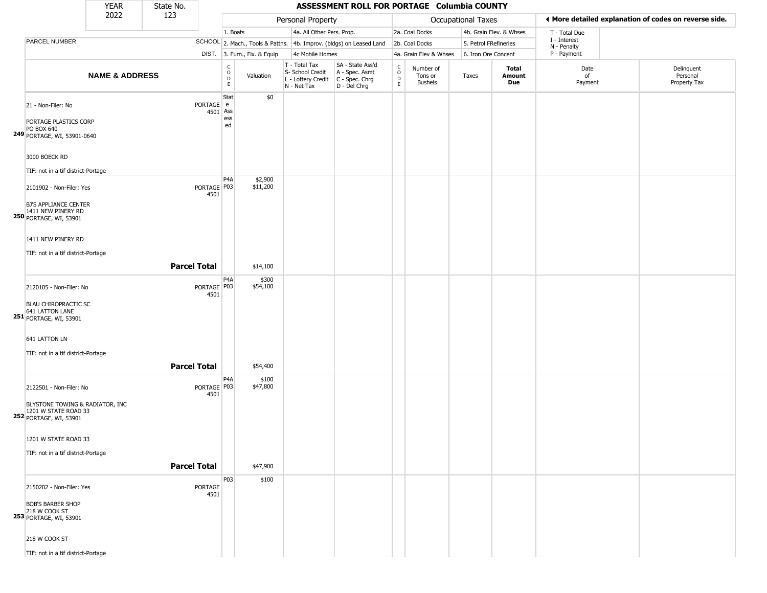|                                                                                                                         | <b>YEAR</b>               | State No.           |                     |                                              |                              |                                                                        | ASSESSMENT ROLL FOR PORTAGE Columbia COUNTY                          |                                    |                                        |                       |                         |                            |                                                       |
|-------------------------------------------------------------------------------------------------------------------------|---------------------------|---------------------|---------------------|----------------------------------------------|------------------------------|------------------------------------------------------------------------|----------------------------------------------------------------------|------------------------------------|----------------------------------------|-----------------------|-------------------------|----------------------------|-------------------------------------------------------|
|                                                                                                                         | 2022                      | 123                 |                     |                                              |                              | Personal Property                                                      |                                                                      |                                    |                                        | Occupational Taxes    |                         |                            | ♦ More detailed explanation of codes on reverse side. |
|                                                                                                                         |                           |                     |                     | 1. Boats                                     |                              | 4a. All Other Pers. Prop.                                              |                                                                      |                                    | 2a. Coal Docks                         |                       | 4b. Grain Elev. & Whses | T - Total Due              |                                                       |
| PARCEL NUMBER                                                                                                           |                           |                     |                     |                                              |                              |                                                                        | SCHOOL 2. Mach., Tools & Pattns. 4b. Improv. (bldgs) on Leased Land  |                                    | 2b. Coal Docks                         | 5. Petrol FRefineries |                         | I - Interest               |                                                       |
|                                                                                                                         |                           |                     |                     |                                              | DIST. 3. Furn., Fix. & Equip | 4c Mobile Homes                                                        |                                                                      |                                    | 4a. Grain Elev & Whses                 | 6. Iron Ore Concent   |                         | N - Penalty<br>P - Payment |                                                       |
|                                                                                                                         | <b>NAME &amp; ADDRESS</b> |                     |                     | $\begin{array}{c}\nC \\ O \\ E\n\end{array}$ | Valuation                    | T - Total Tax<br>S- School Credit<br>L - Lottery Credit<br>N - Net Tax | SA - State Ass'd<br>A - Spec. Asmt<br>C - Spec. Chrg<br>D - Del Chrg | $\int_{0}^{c}$<br>D<br>$\mathsf E$ | Number of<br>Tons or<br><b>Bushels</b> | Taxes                 | Total<br>Amount<br>Due  | Date<br>of<br>Payment      | Delinquent<br>Personal<br>Property Tax                |
| 21 - Non-Filer: No<br>PORTAGE PLASTICS CORP<br>PO BOX 640<br>249 PORTAGE, WI, 53901-0640                                |                           |                     | PORTAGE e<br>4501   | Stat<br>Ass<br>ess<br>ed                     | \$0                          |                                                                        |                                                                      |                                    |                                        |                       |                         |                            |                                                       |
| 3000 BOECK RD                                                                                                           |                           |                     |                     |                                              |                              |                                                                        |                                                                      |                                    |                                        |                       |                         |                            |                                                       |
| TIF: not in a tif district-Portage                                                                                      |                           |                     |                     | P <sub>4</sub> A                             | \$2,900                      |                                                                        |                                                                      |                                    |                                        |                       |                         |                            |                                                       |
| 2101902 - Non-Filer: Yes<br><b>BJ'S APPLIANCE CENTER</b><br>1411 NEW PINERY RD<br>250 PORTAGE, WI, 53901                |                           |                     | PORTAGE P03<br>4501 |                                              | \$11,200                     |                                                                        |                                                                      |                                    |                                        |                       |                         |                            |                                                       |
| 1411 NEW PINERY RD<br>TIF: not in a tif district-Portage                                                                |                           | <b>Parcel Total</b> |                     |                                              | \$14,100                     |                                                                        |                                                                      |                                    |                                        |                       |                         |                            |                                                       |
|                                                                                                                         |                           |                     |                     | P4A                                          | \$300                        |                                                                        |                                                                      |                                    |                                        |                       |                         |                            |                                                       |
| 2120105 - Non-Filer: No<br><b>BLAU CHIROPRACTIC SC</b><br>641 LATTON LANE<br><b>251</b> PORTAGE, WI, 53901              |                           |                     | PORTAGE P03<br>4501 |                                              | \$54,100                     |                                                                        |                                                                      |                                    |                                        |                       |                         |                            |                                                       |
| 641 LATTON LN                                                                                                           |                           |                     |                     |                                              |                              |                                                                        |                                                                      |                                    |                                        |                       |                         |                            |                                                       |
| TIF: not in a tif district-Portage                                                                                      |                           |                     |                     |                                              |                              |                                                                        |                                                                      |                                    |                                        |                       |                         |                            |                                                       |
|                                                                                                                         |                           | <b>Parcel Total</b> |                     |                                              | \$54,400                     |                                                                        |                                                                      |                                    |                                        |                       |                         |                            |                                                       |
| 2122501 - Non-Filer: No<br>BLYSTONE TOWING & RADIATOR, INC<br>1201 W STATE ROAD 33<br>252 PORTAGE, WI, 53901            |                           |                     | PORTAGE P03<br>4501 | P <sub>4</sub> A                             | \$100<br>\$47,800            |                                                                        |                                                                      |                                    |                                        |                       |                         |                            |                                                       |
| 1201 W STATE ROAD 33<br>TIF: not in a tif district-Portage                                                              |                           | <b>Parcel Total</b> |                     |                                              | \$47,900                     |                                                                        |                                                                      |                                    |                                        |                       |                         |                            |                                                       |
|                                                                                                                         |                           |                     |                     |                                              |                              |                                                                        |                                                                      |                                    |                                        |                       |                         |                            |                                                       |
| 2150202 - Non-Filer: Yes<br><b>BOB'S BARBER SHOP</b><br>218 W COOK ST<br><b>253 PORTAGE, WI, 53901</b><br>218 W COOK ST |                           |                     | PORTAGE<br>4501     | P03                                          | \$100                        |                                                                        |                                                                      |                                    |                                        |                       |                         |                            |                                                       |
| TIF: not in a tif district-Portage                                                                                      |                           |                     |                     |                                              |                              |                                                                        |                                                                      |                                    |                                        |                       |                         |                            |                                                       |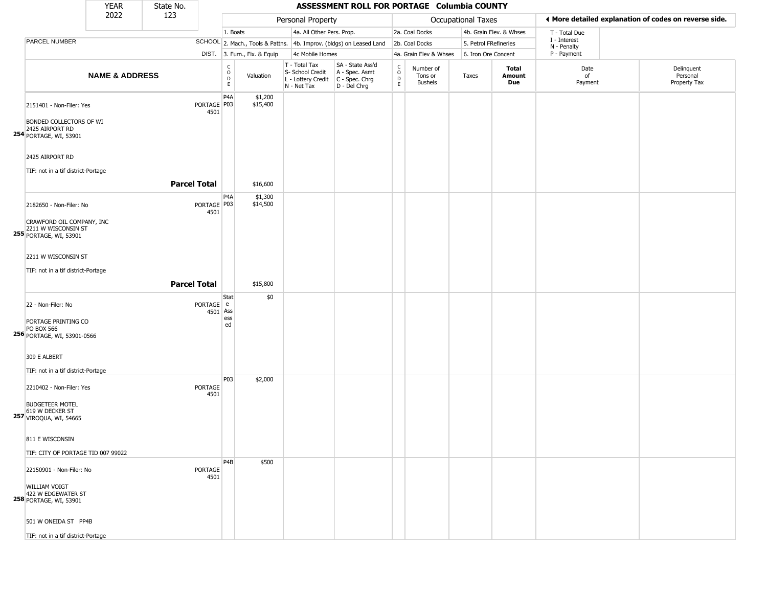|                                                                                                                                               | <b>YEAR</b>               | State No.           |                        |                                             |                              |                                                                        | ASSESSMENT ROLL FOR PORTAGE Columbia COUNTY                          |                                             |                                        |                       |                         |                             |                                                       |
|-----------------------------------------------------------------------------------------------------------------------------------------------|---------------------------|---------------------|------------------------|---------------------------------------------|------------------------------|------------------------------------------------------------------------|----------------------------------------------------------------------|---------------------------------------------|----------------------------------------|-----------------------|-------------------------|-----------------------------|-------------------------------------------------------|
|                                                                                                                                               | 2022                      | 123                 |                        |                                             |                              | Personal Property                                                      |                                                                      |                                             |                                        | Occupational Taxes    |                         |                             | ♦ More detailed explanation of codes on reverse side. |
|                                                                                                                                               |                           |                     |                        | 1. Boats                                    |                              | 4a. All Other Pers. Prop.                                              |                                                                      |                                             | 2a. Coal Docks                         |                       | 4b. Grain Elev. & Whses | T - Total Due               |                                                       |
| <b>PARCEL NUMBER</b>                                                                                                                          |                           |                     |                        |                                             |                              |                                                                        | SCHOOL 2. Mach., Tools & Pattns. 4b. Improv. (bldgs) on Leased Land  |                                             | 2b. Coal Docks                         | 5. Petrol FRefineries |                         | I - Interest<br>N - Penalty |                                                       |
|                                                                                                                                               |                           |                     |                        |                                             | DIST. 3. Furn., Fix. & Equip | 4c Mobile Homes                                                        |                                                                      |                                             | 4a. Grain Elev & Whses                 | 6. Iron Ore Concent   |                         | P - Payment                 |                                                       |
|                                                                                                                                               | <b>NAME &amp; ADDRESS</b> |                     |                        | $\frac{c}{0}$<br>$\mathsf D$<br>$\mathsf E$ | Valuation                    | T - Total Tax<br>S- School Credit<br>L - Lottery Credit<br>N - Net Tax | SA - State Ass'd<br>A - Spec. Asmt<br>C - Spec. Chrg<br>D - Del Chrg | $\frac{c}{0}$<br>$\mathsf D$<br>$\mathsf E$ | Number of<br>Tons or<br><b>Bushels</b> | Taxes                 | Total<br>Amount<br>Due  | Date<br>of<br>Payment       | Delinquent<br>Personal<br>Property Tax                |
| 2151401 - Non-Filer: Yes<br>BONDED COLLECTORS OF WI<br>2425 AIRPORT RD<br><b>254</b> PORTAGE, WI, 53901                                       |                           |                     | PORTAGE P03<br>4501    | P4A                                         | \$1,200<br>\$15,400          |                                                                        |                                                                      |                                             |                                        |                       |                         |                             |                                                       |
| 2425 AIRPORT RD<br>TIF: not in a tif district-Portage                                                                                         |                           |                     |                        |                                             |                              |                                                                        |                                                                      |                                             |                                        |                       |                         |                             |                                                       |
|                                                                                                                                               |                           | <b>Parcel Total</b> |                        |                                             | \$16,600                     |                                                                        |                                                                      |                                             |                                        |                       |                         |                             |                                                       |
| 2182650 - Non-Filer: No<br>CRAWFORD OIL COMPANY, INC<br>2211 W WISCONSIN ST<br>255 PORTAGE, WI, 53901                                         |                           |                     | PORTAGE   P03<br>4501  | P4A                                         | \$1,300<br>\$14,500          |                                                                        |                                                                      |                                             |                                        |                       |                         |                             |                                                       |
| 2211 W WISCONSIN ST<br>TIF: not in a tif district-Portage                                                                                     |                           | <b>Parcel Total</b> |                        |                                             | \$15,800                     |                                                                        |                                                                      |                                             |                                        |                       |                         |                             |                                                       |
| 22 - Non-Filer: No<br>PORTAGE PRINTING CO<br>PO BOX 566<br>256 PORTAGE, WI, 53901-0566                                                        |                           |                     | PORTAGE e<br>4501 Ass  | Stat<br>ess<br>ed                           | \$0                          |                                                                        |                                                                      |                                             |                                        |                       |                         |                             |                                                       |
| 309 E ALBERT                                                                                                                                  |                           |                     |                        |                                             |                              |                                                                        |                                                                      |                                             |                                        |                       |                         |                             |                                                       |
| TIF: not in a tif district-Portage                                                                                                            |                           |                     |                        |                                             |                              |                                                                        |                                                                      |                                             |                                        |                       |                         |                             |                                                       |
| 2210402 - Non-Filer: Yes<br><b>BUDGETEER MOTEL</b><br>619 W DECKER ST<br><b>257 VIROQUA, WI, 54665</b>                                        |                           |                     | <b>PORTAGE</b><br>4501 | P03                                         | \$2,000                      |                                                                        |                                                                      |                                             |                                        |                       |                         |                             |                                                       |
| 811 E WISCONSIN                                                                                                                               |                           |                     |                        |                                             |                              |                                                                        |                                                                      |                                             |                                        |                       |                         |                             |                                                       |
|                                                                                                                                               |                           |                     |                        |                                             |                              |                                                                        |                                                                      |                                             |                                        |                       |                         |                             |                                                       |
| TIF: CITY OF PORTAGE TID 007 99022<br>22150901 - Non-Filer: No<br><b>WILLIAM VOIGT</b><br>422 W EDGEWATER ST<br><b>258 PORTAGE, WI, 53901</b> |                           |                     | <b>PORTAGE</b><br>4501 | P <sub>4</sub> B                            | \$500                        |                                                                        |                                                                      |                                             |                                        |                       |                         |                             |                                                       |
| 501 W ONEIDA ST PP4B<br>TIF: not in a tif district-Portage                                                                                    |                           |                     |                        |                                             |                              |                                                                        |                                                                      |                                             |                                        |                       |                         |                             |                                                       |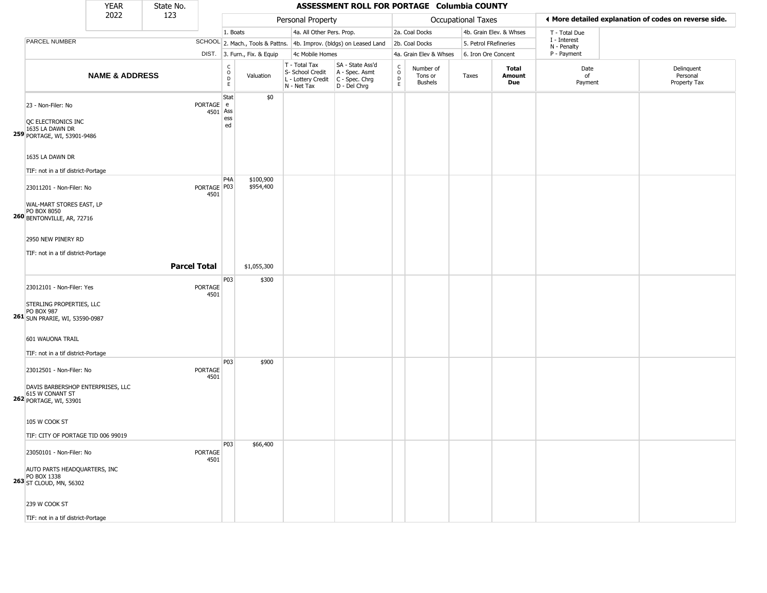|                                                                                                                     | <b>YEAR</b>               | State No.           |                        |                                        |                              |                                                                        | ASSESSMENT ROLL FOR PORTAGE Columbia COUNTY                          |                                                          |                                 |                       |                         |                             |                                                       |
|---------------------------------------------------------------------------------------------------------------------|---------------------------|---------------------|------------------------|----------------------------------------|------------------------------|------------------------------------------------------------------------|----------------------------------------------------------------------|----------------------------------------------------------|---------------------------------|-----------------------|-------------------------|-----------------------------|-------------------------------------------------------|
|                                                                                                                     | 2022                      | 123                 |                        |                                        |                              | Personal Property                                                      |                                                                      |                                                          |                                 | Occupational Taxes    |                         |                             | ♦ More detailed explanation of codes on reverse side. |
|                                                                                                                     |                           |                     |                        | 1. Boats                               |                              | 4a. All Other Pers. Prop.                                              |                                                                      |                                                          | 2a. Coal Docks                  |                       | 4b. Grain Elev. & Whses | T - Total Due               |                                                       |
| PARCEL NUMBER                                                                                                       |                           |                     |                        |                                        |                              |                                                                        | SCHOOL 2. Mach., Tools & Pattns. 4b. Improv. (bldgs) on Leased Land  |                                                          | 2b. Coal Docks                  | 5. Petrol FRefineries |                         | I - Interest<br>N - Penalty |                                                       |
|                                                                                                                     |                           |                     |                        |                                        | DIST. 3. Furn., Fix. & Equip | 4c Mobile Homes                                                        |                                                                      |                                                          | 4a. Grain Elev & Whses          | 6. Iron Ore Concent   |                         | P - Payment                 |                                                       |
|                                                                                                                     | <b>NAME &amp; ADDRESS</b> |                     |                        | $_{\rm o}^{\rm c}$<br>D<br>$\mathsf E$ | Valuation                    | T - Total Tax<br>S- School Credit<br>L - Lottery Credit<br>N - Net Tax | SA - State Ass'd<br>A - Spec. Asmt<br>C - Spec. Chrg<br>D - Del Chrg | $\begin{matrix} 0 \\ 0 \\ 0 \end{matrix}$<br>$\mathsf E$ | Number of<br>Tons or<br>Bushels | Taxes                 | Total<br>Amount<br>Due  | Date<br>of<br>Payment       | Delinquent<br>Personal<br>Property Tax                |
| 23 - Non-Filer: No<br>QC ELECTRONICS INC<br>1635 LA DAWN DR<br>259 PORTAGE, WI, 53901-9486                          |                           |                     | PORTAGE e<br>4501 Ass  | Stat<br>ess<br>ed                      | \$0                          |                                                                        |                                                                      |                                                          |                                 |                       |                         |                             |                                                       |
| 1635 LA DAWN DR<br>TIF: not in a tif district-Portage                                                               |                           |                     |                        |                                        |                              |                                                                        |                                                                      |                                                          |                                 |                       |                         |                             |                                                       |
| 23011201 - Non-Filer: No<br>WAL-MART STORES EAST, LP<br>PO BOX 8050<br><b>260 BENTONVILLE, AR, 72716</b>            |                           |                     | PORTAGE   P03<br>4501  | P <sub>4</sub> A                       | \$100,900<br>\$954,400       |                                                                        |                                                                      |                                                          |                                 |                       |                         |                             |                                                       |
| 2950 NEW PINERY RD<br>TIF: not in a tif district-Portage                                                            |                           | <b>Parcel Total</b> |                        |                                        | \$1,055,300                  |                                                                        |                                                                      |                                                          |                                 |                       |                         |                             |                                                       |
|                                                                                                                     |                           |                     |                        | P03                                    | \$300                        |                                                                        |                                                                      |                                                          |                                 |                       |                         |                             |                                                       |
| 23012101 - Non-Filer: Yes<br>STERLING PROPERTIES, LLC<br>PO BOX 987<br>261 SUN PRARIE, WI, 53590-0987               |                           |                     | <b>PORTAGE</b><br>4501 |                                        |                              |                                                                        |                                                                      |                                                          |                                 |                       |                         |                             |                                                       |
| 601 WAUONA TRAIL<br>TIF: not in a tif district-Portage                                                              |                           |                     |                        |                                        |                              |                                                                        |                                                                      |                                                          |                                 |                       |                         |                             |                                                       |
| 23012501 - Non-Filer: No<br>DAVIS BARBERSHOP ENTERPRISES, LLC<br>615 W CONANT ST<br>262 PORTAGE, WI, 53901          |                           |                     | <b>PORTAGE</b><br>4501 | P03                                    | \$900                        |                                                                        |                                                                      |                                                          |                                 |                       |                         |                             |                                                       |
| 105 W COOK ST<br>TIF: CITY OF PORTAGE TID 006 99019                                                                 |                           |                     |                        |                                        |                              |                                                                        |                                                                      |                                                          |                                 |                       |                         |                             |                                                       |
| 23050101 - Non-Filer: No<br>AUTO PARTS HEADQUARTERS, INC<br>PO BOX 1338<br>263 ST CLOUD, MN, 56302<br>239 W COOK ST |                           |                     | <b>PORTAGE</b><br>4501 | P03                                    | \$66,400                     |                                                                        |                                                                      |                                                          |                                 |                       |                         |                             |                                                       |
| TIF: not in a tif district-Portage                                                                                  |                           |                     |                        |                                        |                              |                                                                        |                                                                      |                                                          |                                 |                       |                         |                             |                                                       |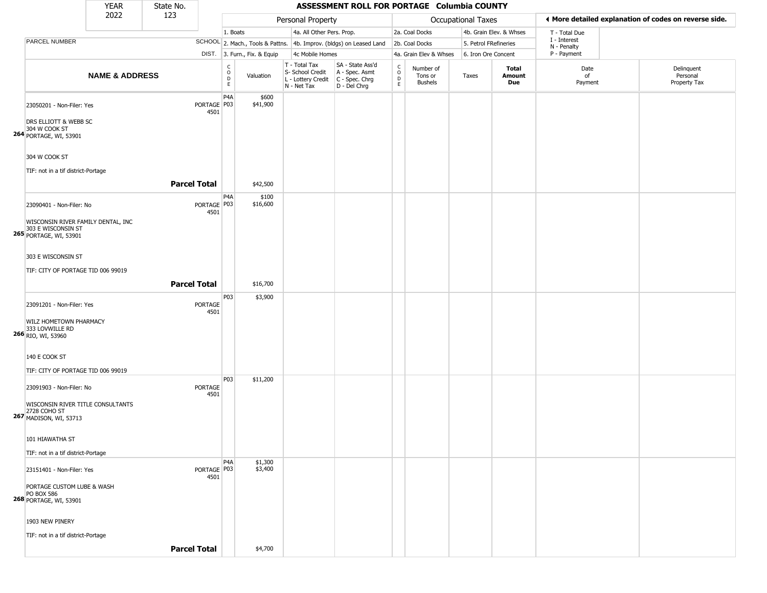|                                                                                                                | <b>YEAR</b>               | State No.           |                                                |                              |                                                                        | ASSESSMENT ROLL FOR PORTAGE Columbia COUNTY                          |                                      |                                 |                       |                         |                             |                                                       |
|----------------------------------------------------------------------------------------------------------------|---------------------------|---------------------|------------------------------------------------|------------------------------|------------------------------------------------------------------------|----------------------------------------------------------------------|--------------------------------------|---------------------------------|-----------------------|-------------------------|-----------------------------|-------------------------------------------------------|
|                                                                                                                | 2022                      | 123                 |                                                |                              | Personal Property                                                      |                                                                      |                                      |                                 | Occupational Taxes    |                         |                             | ♦ More detailed explanation of codes on reverse side. |
|                                                                                                                |                           |                     |                                                | 1. Boats                     | 4a. All Other Pers. Prop.                                              |                                                                      |                                      | 2a. Coal Docks                  |                       | 4b. Grain Elev. & Whses | T - Total Due               |                                                       |
| PARCEL NUMBER                                                                                                  |                           |                     |                                                |                              |                                                                        | SCHOOL 2. Mach., Tools & Pattns. 4b. Improv. (bldgs) on Leased Land  |                                      | 2b. Coal Docks                  | 5. Petrol FRefineries |                         | I - Interest<br>N - Penalty |                                                       |
|                                                                                                                |                           |                     |                                                | DIST. 3. Furn., Fix. & Equip | 4c Mobile Homes                                                        |                                                                      |                                      | 4a. Grain Elev & Whses          | 6. Iron Ore Concent   |                         | P - Payment                 |                                                       |
|                                                                                                                | <b>NAME &amp; ADDRESS</b> |                     | $\begin{matrix} 0 \\ 0 \\ D \end{matrix}$<br>E | Valuation                    | T - Total Tax<br>S- School Credit<br>L - Lottery Credit<br>N - Net Tax | SA - State Ass'd<br>A - Spec. Asmt<br>C - Spec. Chrg<br>D - Del Chrg | $\frac{c}{0}$<br>$\overline{D}$<br>E | Number of<br>Tons or<br>Bushels | Taxes                 | Total<br>Amount<br>Due  | Date<br>of<br>Payment       | Delinquent<br>Personal<br>Property Tax                |
| 23050201 - Non-Filer: Yes<br>DRS ELLIOTT & WEBB SC<br>304 W COOK ST<br>264 PORTAGE, WI, 53901                  |                           |                     | P4A<br>PORTAGE P03<br>4501                     | \$600<br>\$41,900            |                                                                        |                                                                      |                                      |                                 |                       |                         |                             |                                                       |
| 304 W COOK ST<br>TIF: not in a tif district-Portage                                                            |                           | <b>Parcel Total</b> |                                                | \$42,500                     |                                                                        |                                                                      |                                      |                                 |                       |                         |                             |                                                       |
| 23090401 - Non-Filer: No<br>WISCONSIN RIVER FAMILY DENTAL, INC<br>303 E WISCONSIN ST<br>265 PORTAGE, WI, 53901 |                           |                     | P <sub>4</sub> A<br>PORTAGE   P03<br>4501      | \$100<br>\$16,600            |                                                                        |                                                                      |                                      |                                 |                       |                         |                             |                                                       |
| 303 E WISCONSIN ST<br>TIF: CITY OF PORTAGE TID 006 99019                                                       |                           | <b>Parcel Total</b> |                                                | \$16,700                     |                                                                        |                                                                      |                                      |                                 |                       |                         |                             |                                                       |
| 23091201 - Non-Filer: Yes<br>WILZ HOMETOWN PHARMACY<br>333 LOVWILLE RD<br>266 RIO, WI, 53960                   |                           |                     | P03<br>PORTAGE<br>4501                         | \$3,900                      |                                                                        |                                                                      |                                      |                                 |                       |                         |                             |                                                       |
| 140 E COOK ST<br>TIF: CITY OF PORTAGE TID 006 99019                                                            |                           |                     |                                                |                              |                                                                        |                                                                      |                                      |                                 |                       |                         |                             |                                                       |
| 23091903 - Non-Filer: No<br>WISCONSIN RIVER TITLE CONSULTANTS<br>2728 COHO ST<br>267 MADISON, WI, 53713        |                           |                     | P03<br>PORTAGE<br>4501                         | \$11,200                     |                                                                        |                                                                      |                                      |                                 |                       |                         |                             |                                                       |
| 101 HIAWATHA ST<br>TIF: not in a tif district-Portage                                                          |                           |                     |                                                |                              |                                                                        |                                                                      |                                      |                                 |                       |                         |                             |                                                       |
| 23151401 - Non-Filer: Yes<br>PORTAGE CUSTOM LUBE & WASH<br><b>PO BOX 586</b><br>268 PORTAGE, WI, 53901         |                           |                     | P <sub>4</sub> A<br>PORTAGE P03<br>4501        | \$1,300<br>\$3,400           |                                                                        |                                                                      |                                      |                                 |                       |                         |                             |                                                       |
| 1903 NEW PINERY<br>TIF: not in a tif district-Portage                                                          |                           | <b>Parcel Total</b> |                                                | \$4,700                      |                                                                        |                                                                      |                                      |                                 |                       |                         |                             |                                                       |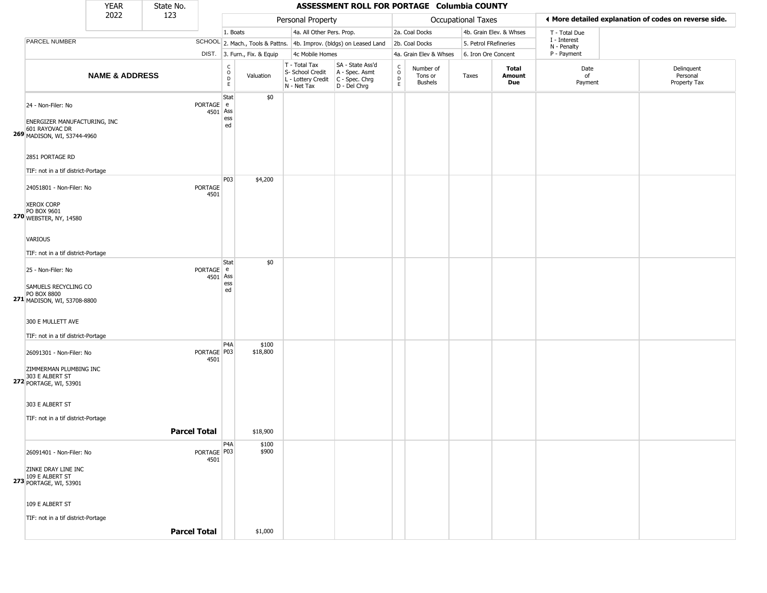|                                                                                                     | <b>YEAR</b>               | State No.           |                                |                                                 |                              |                                                                        | ASSESSMENT ROLL FOR PORTAGE Columbia COUNTY                            |                                                 |                                        |                       |                         |                             |                                                       |
|-----------------------------------------------------------------------------------------------------|---------------------------|---------------------|--------------------------------|-------------------------------------------------|------------------------------|------------------------------------------------------------------------|------------------------------------------------------------------------|-------------------------------------------------|----------------------------------------|-----------------------|-------------------------|-----------------------------|-------------------------------------------------------|
|                                                                                                     | 2022                      | 123                 |                                |                                                 |                              | Personal Property                                                      |                                                                        |                                                 |                                        | Occupational Taxes    |                         |                             | ♦ More detailed explanation of codes on reverse side. |
|                                                                                                     |                           |                     |                                | 1. Boats                                        |                              | 4a. All Other Pers. Prop.                                              |                                                                        |                                                 | 2a. Coal Docks                         |                       | 4b. Grain Elev. & Whses | T - Total Due               |                                                       |
| PARCEL NUMBER                                                                                       |                           |                     |                                |                                                 |                              |                                                                        | SCHOOL 2. Mach., Tools & Pattns. 4b. Improv. (bldgs) on Leased Land    |                                                 | 2b. Coal Docks                         | 5. Petrol FRefineries |                         | I - Interest<br>N - Penalty |                                                       |
|                                                                                                     |                           |                     |                                |                                                 | DIST. 3. Furn., Fix. & Equip | 4c Mobile Homes                                                        |                                                                        |                                                 | 4a. Grain Elev & Whses                 | 6. Iron Ore Concent   |                         | P - Payment                 |                                                       |
|                                                                                                     | <b>NAME &amp; ADDRESS</b> |                     |                                | $\begin{array}{c} C \\ O \\ D \\ E \end{array}$ | Valuation                    | T - Total Tax<br>S- School Credit<br>L - Lottery Credit<br>N - Net Tax | SA - State Ass'd<br>A - Spec. Asmt<br>$C - Spec. Chrg$<br>D - Del Chrg | $\begin{array}{c} C \\ O \\ D \\ E \end{array}$ | Number of<br>Tons or<br><b>Bushels</b> | Taxes                 | Total<br>Amount<br>Due  | Date<br>of<br>Payment       | Delinquent<br>Personal<br>Property Tax                |
| 24 - Non-Filer: No<br>ENERGIZER MANUFACTURING, INC<br>601 RAYOVAC DR<br>269 MADISON, WI, 53744-4960 |                           |                     | PORTAGE e<br>4501 Ass          | Stat<br>ess<br>ed                               | \$0                          |                                                                        |                                                                        |                                                 |                                        |                       |                         |                             |                                                       |
| 2851 PORTAGE RD<br>TIF: not in a tif district-Portage                                               |                           |                     |                                |                                                 |                              |                                                                        |                                                                        |                                                 |                                        |                       |                         |                             |                                                       |
| 24051801 - Non-Filer: No<br><b>XEROX CORP</b><br>PO BOX 9601                                        |                           |                     | PORTAGE<br>4501                | P03                                             | \$4,200                      |                                                                        |                                                                        |                                                 |                                        |                       |                         |                             |                                                       |
| 270 WEBSTER, NY, 14580<br><b>VARIOUS</b><br>TIF: not in a tif district-Portage                      |                           |                     |                                |                                                 |                              |                                                                        |                                                                        |                                                 |                                        |                       |                         |                             |                                                       |
| 25 - Non-Filer: No                                                                                  |                           |                     | PORTAGE e                      | Stat                                            | \$0                          |                                                                        |                                                                        |                                                 |                                        |                       |                         |                             |                                                       |
| SAMUELS RECYCLING CO<br>PO BOX 8800<br>271 MADISON, WI, 53708-8800                                  |                           |                     | 4501                           | Ass<br>ess<br>ed                                |                              |                                                                        |                                                                        |                                                 |                                        |                       |                         |                             |                                                       |
| 300 E MULLETT AVE<br>TIF: not in a tif district-Portage                                             |                           |                     |                                |                                                 |                              |                                                                        |                                                                        |                                                 |                                        |                       |                         |                             |                                                       |
| 26091301 - Non-Filer: No<br>ZIMMERMAN PLUMBING INC<br>303 E ALBERT ST<br>272 PORTAGE, WI, 53901     |                           |                     | PORTAGE <sup>P03</sup><br>4501 | P <sub>4</sub> A                                | \$100<br>\$18,800            |                                                                        |                                                                        |                                                 |                                        |                       |                         |                             |                                                       |
| 303 E ALBERT ST<br>TIF: not in a tif district-Portage                                               |                           | <b>Parcel Total</b> |                                |                                                 | \$18,900                     |                                                                        |                                                                        |                                                 |                                        |                       |                         |                             |                                                       |
|                                                                                                     |                           |                     |                                |                                                 |                              |                                                                        |                                                                        |                                                 |                                        |                       |                         |                             |                                                       |
| 26091401 - Non-Filer: No<br>ZINKE DRAY LINE INC<br>109 E ALBERT ST<br>273 PORTAGE, WI, 53901        |                           |                     | PORTAGE   P03<br>4501          | P <sub>4</sub> A                                | \$100<br>\$900               |                                                                        |                                                                        |                                                 |                                        |                       |                         |                             |                                                       |
| 109 E ALBERT ST<br>TIF: not in a tif district-Portage                                               |                           | <b>Parcel Total</b> |                                |                                                 | \$1,000                      |                                                                        |                                                                        |                                                 |                                        |                       |                         |                             |                                                       |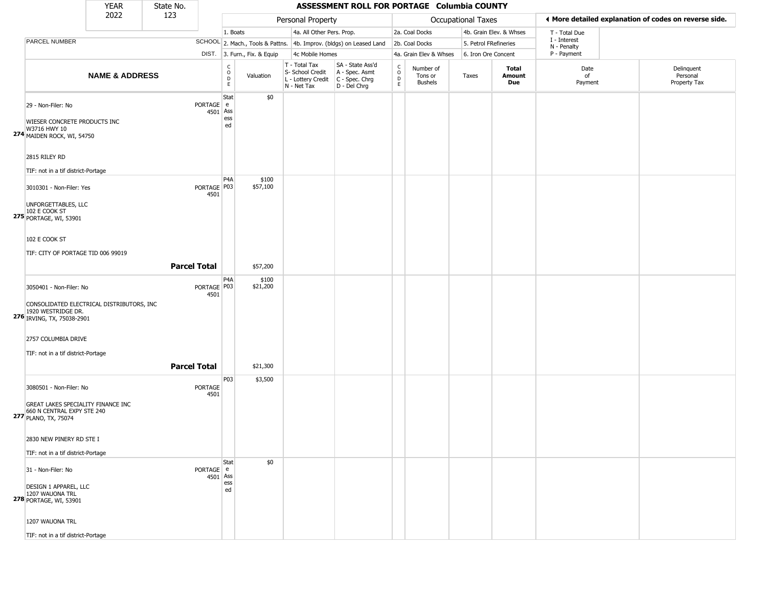|                                                                                                                          | <b>YEAR</b>               | State No.           |                       |                                      |                              |                                                                        | ASSESSMENT ROLL FOR PORTAGE Columbia COUNTY                            |                                |                                        |                       |                         |                             |                                                       |
|--------------------------------------------------------------------------------------------------------------------------|---------------------------|---------------------|-----------------------|--------------------------------------|------------------------------|------------------------------------------------------------------------|------------------------------------------------------------------------|--------------------------------|----------------------------------------|-----------------------|-------------------------|-----------------------------|-------------------------------------------------------|
|                                                                                                                          | 2022                      | 123                 |                       |                                      |                              | Personal Property                                                      |                                                                        |                                |                                        | Occupational Taxes    |                         |                             | ♦ More detailed explanation of codes on reverse side. |
|                                                                                                                          |                           |                     |                       | 1. Boats                             |                              | 4a. All Other Pers. Prop.                                              |                                                                        |                                | 2a. Coal Docks                         |                       | 4b. Grain Elev. & Whses | T - Total Due               |                                                       |
| PARCEL NUMBER                                                                                                            |                           |                     |                       |                                      |                              |                                                                        | SCHOOL 2. Mach., Tools & Pattns. 4b. Improv. (bldgs) on Leased Land    |                                | 2b. Coal Docks                         | 5. Petrol FRefineries |                         | I - Interest<br>N - Penalty |                                                       |
|                                                                                                                          |                           |                     |                       |                                      | DIST. 3. Furn., Fix. & Equip | 4c Mobile Homes                                                        |                                                                        |                                | 4a. Grain Elev & Whses                 | 6. Iron Ore Concent   |                         | P - Payment                 |                                                       |
|                                                                                                                          | <b>NAME &amp; ADDRESS</b> |                     |                       | $\mathsf C$<br>$\mathsf O$<br>D<br>E | Valuation                    | T - Total Tax<br>S- School Credit<br>L - Lottery Credit<br>N - Net Tax | SA - State Ass'd<br>A - Spec. Asmt<br>$C - Spec. Chrg$<br>D - Del Chrg | $\rm _o^C$<br>D<br>$\mathsf E$ | Number of<br>Tons or<br><b>Bushels</b> | Taxes                 | Total<br>Amount<br>Due  | Date<br>of<br>Payment       | Delinquent<br>Personal<br>Property Tax                |
| 29 - Non-Filer: No<br>WIESER CONCRETE PRODUCTS INC<br>W3716 HWY 10<br>274 MAIDEN ROCK, WI, 54750<br>2815 RILEY RD        |                           |                     | PORTAGE e<br>4501 Ass | Stat<br>ess<br>ed                    | \$0                          |                                                                        |                                                                        |                                |                                        |                       |                         |                             |                                                       |
| TIF: not in a tif district-Portage                                                                                       |                           |                     |                       | P <sub>4</sub> A                     | \$100                        |                                                                        |                                                                        |                                |                                        |                       |                         |                             |                                                       |
| 3010301 - Non-Filer: Yes<br>UNFORGETTABLES, LLC<br>102 E COOK ST<br>275 PORTAGE, WI, 53901                               |                           |                     | PORTAGE   P03<br>4501 |                                      | \$57,100                     |                                                                        |                                                                        |                                |                                        |                       |                         |                             |                                                       |
| 102 E COOK ST<br>TIF: CITY OF PORTAGE TID 006 99019                                                                      |                           | <b>Parcel Total</b> |                       |                                      | \$57,200                     |                                                                        |                                                                        |                                |                                        |                       |                         |                             |                                                       |
| 3050401 - Non-Filer: No<br>CONSOLIDATED ELECTRICAL DISTRIBUTORS, INC<br>1920 WESTRIDGE DR.<br>276 IRVING, TX, 75038-2901 |                           |                     | PORTAGE   P03<br>4501 | P <sub>4</sub> A                     | \$100<br>\$21,200            |                                                                        |                                                                        |                                |                                        |                       |                         |                             |                                                       |
| 2757 COLUMBIA DRIVE<br>TIF: not in a tif district-Portage                                                                |                           | <b>Parcel Total</b> |                       |                                      | \$21,300                     |                                                                        |                                                                        |                                |                                        |                       |                         |                             |                                                       |
| 3080501 - Non-Filer: No<br>GREAT LAKES SPECIALITY FINANCE INC<br>660 N CENTRAL EXPY STE 240<br>277 PLANO, TX, 75074      |                           |                     | PORTAGE<br>4501       | P03                                  | \$3,500                      |                                                                        |                                                                        |                                |                                        |                       |                         |                             |                                                       |
| 2830 NEW PINERY RD STE I<br>TIF: not in a tif district-Portage                                                           |                           |                     |                       |                                      |                              |                                                                        |                                                                        |                                |                                        |                       |                         |                             |                                                       |
| 31 - Non-Filer: No<br>DESIGN 1 APPAREL, LLC<br>1207 WAUONA TRL<br>278 PORTAGE, WI, 53901                                 |                           |                     | PORTAGE e<br>4501 Ass | Stat<br>ess<br>ed                    | \$0                          |                                                                        |                                                                        |                                |                                        |                       |                         |                             |                                                       |
| 1207 WAUONA TRL<br>TIF: not in a tif district-Portage                                                                    |                           |                     |                       |                                      |                              |                                                                        |                                                                        |                                |                                        |                       |                         |                             |                                                       |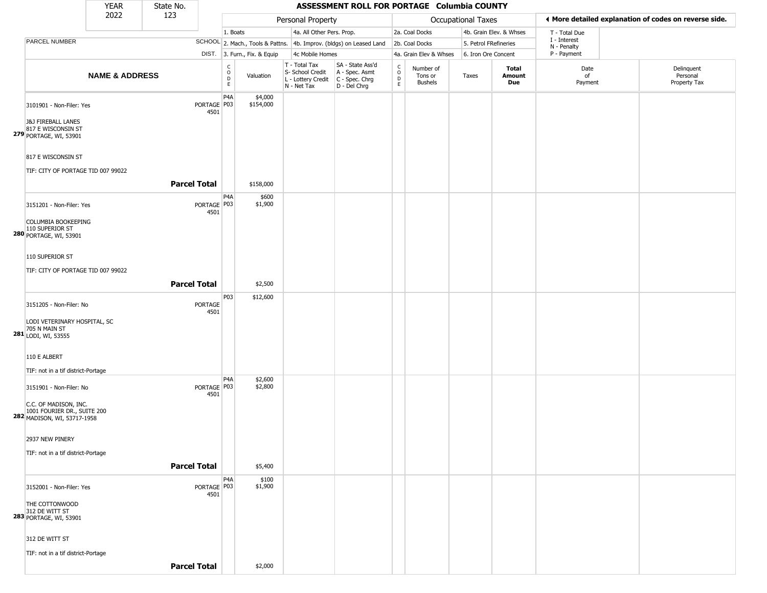|                                                                                                                  | <b>YEAR</b>               | State No.           |                                |                                                |                              |                                                                        | ASSESSMENT ROLL FOR PORTAGE Columbia COUNTY                            |                                                |                                        |                       |                               |                             |                                                       |
|------------------------------------------------------------------------------------------------------------------|---------------------------|---------------------|--------------------------------|------------------------------------------------|------------------------------|------------------------------------------------------------------------|------------------------------------------------------------------------|------------------------------------------------|----------------------------------------|-----------------------|-------------------------------|-----------------------------|-------------------------------------------------------|
|                                                                                                                  | 2022                      | 123                 |                                |                                                |                              | Personal Property                                                      |                                                                        |                                                |                                        | Occupational Taxes    |                               |                             | ♦ More detailed explanation of codes on reverse side. |
|                                                                                                                  |                           |                     |                                | 1. Boats                                       |                              | 4a. All Other Pers. Prop.                                              |                                                                        |                                                | 2a. Coal Docks                         |                       | 4b. Grain Elev. & Whses       | T - Total Due               |                                                       |
| PARCEL NUMBER                                                                                                    |                           |                     |                                |                                                |                              |                                                                        | SCHOOL 2. Mach., Tools & Pattns. 4b. Improv. (bldgs) on Leased Land    |                                                | 2b. Coal Docks                         | 5. Petrol FRefineries |                               | I - Interest<br>N - Penalty |                                                       |
|                                                                                                                  |                           |                     |                                |                                                | DIST. 3. Furn., Fix. & Equip | 4c Mobile Homes                                                        |                                                                        |                                                | 4a. Grain Elev & Whses                 | 6. Iron Ore Concent   |                               | P - Payment                 |                                                       |
|                                                                                                                  | <b>NAME &amp; ADDRESS</b> |                     |                                | $\begin{matrix} 0 \\ 0 \\ D \end{matrix}$<br>E | Valuation                    | T - Total Tax<br>S- School Credit<br>L - Lottery Credit<br>N - Net Tax | SA - State Ass'd<br>A - Spec. Asmt<br>$C - Spec. Chrg$<br>D - Del Chrg | $\begin{matrix} 0 \\ 0 \\ D \end{matrix}$<br>E | Number of<br>Tons or<br><b>Bushels</b> | Taxes                 | Total<br>Amount<br><b>Due</b> | Date<br>of<br>Payment       | Delinquent<br>Personal<br>Property Tax                |
| 3101901 - Non-Filer: Yes<br><b>J&amp;J FIREBALL LANES</b><br>817 E WISCONSIN ST<br><b>279 PORTAGE, WI, 53901</b> |                           |                     | PORTAGE P03<br>4501            | P <sub>4</sub> A                               | \$4,000<br>\$154,000         |                                                                        |                                                                        |                                                |                                        |                       |                               |                             |                                                       |
| 817 E WISCONSIN ST<br>TIF: CITY OF PORTAGE TID 007 99022                                                         |                           |                     |                                |                                                |                              |                                                                        |                                                                        |                                                |                                        |                       |                               |                             |                                                       |
|                                                                                                                  |                           | <b>Parcel Total</b> |                                |                                                | \$158,000                    |                                                                        |                                                                        |                                                |                                        |                       |                               |                             |                                                       |
| 3151201 - Non-Filer: Yes<br>COLUMBIA BOOKEEPING<br>110 SUPERIOR ST<br>280 PORTAGE, WI, 53901                     |                           |                     | PORTAGE   P03<br>4501          | P <sub>4</sub> A                               | \$600<br>\$1,900             |                                                                        |                                                                        |                                                |                                        |                       |                               |                             |                                                       |
| 110 SUPERIOR ST                                                                                                  |                           |                     |                                |                                                |                              |                                                                        |                                                                        |                                                |                                        |                       |                               |                             |                                                       |
| TIF: CITY OF PORTAGE TID 007 99022                                                                               |                           | <b>Parcel Total</b> |                                |                                                | \$2,500                      |                                                                        |                                                                        |                                                |                                        |                       |                               |                             |                                                       |
| 3151205 - Non-Filer: No<br>LODI VETERINARY HOSPITAL, SC                                                          |                           |                     | PORTAGE<br>4501                | P03                                            | \$12,600                     |                                                                        |                                                                        |                                                |                                        |                       |                               |                             |                                                       |
| 281 705 N MAIN ST<br>LODI, WI, 53555<br>110 E ALBERT                                                             |                           |                     |                                |                                                |                              |                                                                        |                                                                        |                                                |                                        |                       |                               |                             |                                                       |
| TIF: not in a tif district-Portage                                                                               |                           |                     |                                |                                                |                              |                                                                        |                                                                        |                                                |                                        |                       |                               |                             |                                                       |
| 3151901 - Non-Filer: No                                                                                          |                           |                     | PORTAGE <sup>P03</sup><br>4501 | P <sub>4</sub> A                               | \$2,600<br>\$2,800           |                                                                        |                                                                        |                                                |                                        |                       |                               |                             |                                                       |
| C.C. OF MADISON, INC.<br>1001 FOURIER DR., SUITE 200<br>282 MADISON, WI, 53717-1958                              |                           |                     |                                |                                                |                              |                                                                        |                                                                        |                                                |                                        |                       |                               |                             |                                                       |
| 2937 NEW PINERY<br>TIF: not in a tif district-Portage                                                            |                           |                     |                                |                                                |                              |                                                                        |                                                                        |                                                |                                        |                       |                               |                             |                                                       |
|                                                                                                                  |                           | <b>Parcel Total</b> |                                |                                                | \$5,400                      |                                                                        |                                                                        |                                                |                                        |                       |                               |                             |                                                       |
| 3152001 - Non-Filer: Yes                                                                                         |                           |                     | PORTAGE P03<br>4501            | P <sub>4</sub> A                               | \$100<br>\$1,900             |                                                                        |                                                                        |                                                |                                        |                       |                               |                             |                                                       |
| THE COTTONWOOD<br>312 DE WITT ST<br>283 PORTAGE, WI, 53901                                                       |                           |                     |                                |                                                |                              |                                                                        |                                                                        |                                                |                                        |                       |                               |                             |                                                       |
| 312 DE WITT ST<br>TIF: not in a tif district-Portage                                                             |                           |                     |                                |                                                |                              |                                                                        |                                                                        |                                                |                                        |                       |                               |                             |                                                       |
|                                                                                                                  |                           | <b>Parcel Total</b> |                                |                                                | \$2,000                      |                                                                        |                                                                        |                                                |                                        |                       |                               |                             |                                                       |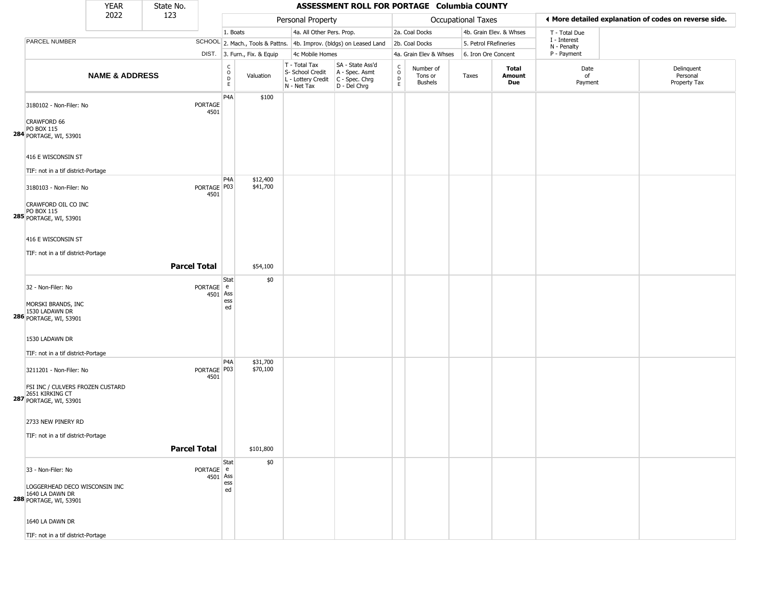|                                                                                                                                                           | 2022                      | 123                 |                       |                                            |                              |                                                                        |                                                                      |                                             |                                        |                           |                         |                             |                                                       |
|-----------------------------------------------------------------------------------------------------------------------------------------------------------|---------------------------|---------------------|-----------------------|--------------------------------------------|------------------------------|------------------------------------------------------------------------|----------------------------------------------------------------------|---------------------------------------------|----------------------------------------|---------------------------|-------------------------|-----------------------------|-------------------------------------------------------|
|                                                                                                                                                           |                           |                     |                       |                                            |                              | Personal Property                                                      |                                                                      |                                             |                                        | <b>Occupational Taxes</b> |                         |                             | I More detailed explanation of codes on reverse side. |
|                                                                                                                                                           |                           |                     |                       | 1. Boats                                   |                              | 4a. All Other Pers. Prop.                                              |                                                                      |                                             | 2a. Coal Docks                         |                           | 4b. Grain Elev. & Whses | T - Total Due               |                                                       |
| PARCEL NUMBER                                                                                                                                             |                           |                     |                       |                                            |                              |                                                                        | SCHOOL 2. Mach., Tools & Pattns. 4b. Improv. (bldgs) on Leased Land  |                                             | 2b. Coal Docks                         | 5. Petrol FRefineries     |                         | I - Interest<br>N - Penalty |                                                       |
|                                                                                                                                                           |                           |                     |                       |                                            | DIST. 3. Furn., Fix. & Equip | 4c Mobile Homes                                                        |                                                                      |                                             | 4a. Grain Elev & Whses                 | 6. Iron Ore Concent       |                         | P - Payment                 |                                                       |
|                                                                                                                                                           | <b>NAME &amp; ADDRESS</b> |                     |                       | C<br>$\circ$<br>$\mathsf D$<br>$\mathsf E$ | Valuation                    | T - Total Tax<br>S- School Credit<br>L - Lottery Credit<br>N - Net Tax | SA - State Ass'd<br>A - Spec. Asmt<br>C - Spec. Chrg<br>D - Del Chrg | $\frac{c}{0}$<br>$\mathsf D$<br>$\mathsf E$ | Number of<br>Tons or<br><b>Bushels</b> | Taxes                     | Total<br>Amount<br>Due  | Date<br>of<br>Payment       | Delinquent<br>Personal<br>Property Tax                |
| 3180102 - Non-Filer: No<br>CRAWFORD 66<br>PO BOX 115<br>284 PORTAGE, WI, 53901                                                                            |                           |                     | PORTAGE<br>4501       | P <sub>4</sub> A                           | \$100                        |                                                                        |                                                                      |                                             |                                        |                           |                         |                             |                                                       |
| 416 E WISCONSIN ST<br>TIF: not in a tif district-Portage                                                                                                  |                           |                     |                       | P <sub>4</sub> A                           |                              |                                                                        |                                                                      |                                             |                                        |                           |                         |                             |                                                       |
| 3180103 - Non-Filer: No<br>CRAWFORD OIL CO INC<br>PO BOX 115<br>285 PORTAGE, WI, 53901                                                                    |                           |                     | PORTAGE P03<br>4501   |                                            | \$12,400<br>\$41,700         |                                                                        |                                                                      |                                             |                                        |                           |                         |                             |                                                       |
| 416 E WISCONSIN ST<br>TIF: not in a tif district-Portage                                                                                                  |                           | <b>Parcel Total</b> |                       |                                            | \$54,100                     |                                                                        |                                                                      |                                             |                                        |                           |                         |                             |                                                       |
| 32 - Non-Filer: No<br>MORSKI BRANDS, INC<br><b>286</b> 1530 LADAWN DR<br><b>286</b> PORTAGE, WI, 53901                                                    |                           |                     | PORTAGE e<br>4501 Ass | Stat<br>ess<br>ed                          | \$0                          |                                                                        |                                                                      |                                             |                                        |                           |                         |                             |                                                       |
| 1530 LADAWN DR<br>TIF: not in a tif district-Portage                                                                                                      |                           |                     |                       |                                            |                              |                                                                        |                                                                      |                                             |                                        |                           |                         |                             |                                                       |
| 3211201 - Non-Filer: No<br>FSI INC / CULVERS FROZEN CUSTARD<br>2651 KIRKING CT<br>287 PORTAGE, WI, 53901                                                  |                           |                     | PORTAGE   P03<br>4501 | P <sub>4</sub> A                           | \$31,700<br>\$70,100         |                                                                        |                                                                      |                                             |                                        |                           |                         |                             |                                                       |
| 2733 NEW PINERY RD<br>TIF: not in a tif district-Portage                                                                                                  |                           | <b>Parcel Total</b> |                       |                                            | \$101,800                    |                                                                        |                                                                      |                                             |                                        |                           |                         |                             |                                                       |
| 33 - Non-Filer: No<br>LOGGERHEAD DECO WISCONSIN INC<br>1640 LA DAWN DR<br>288 PORTAGE, WI, 53901<br>1640 LA DAWN DR<br>TIF: not in a tif district-Portage |                           |                     | PORTAGE e<br>4501 Ass | Stat<br>ess<br>ed                          | \$0                          |                                                                        |                                                                      |                                             |                                        |                           |                         |                             |                                                       |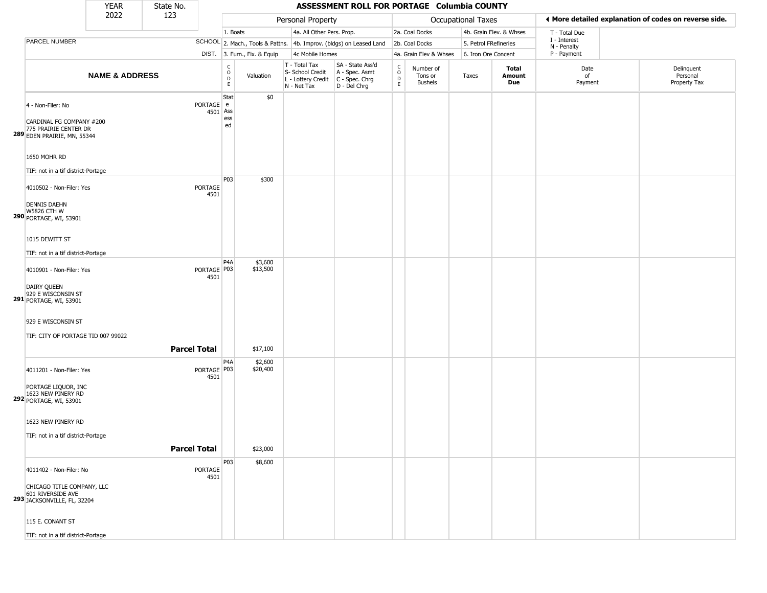|                                                                                                                       | <b>YEAR</b>               | State No.           |                     |                                                 |                              |                                                                        | ASSESSMENT ROLL FOR PORTAGE Columbia COUNTY                          |                                                 |                                        |                           |                         |                             |                                                       |
|-----------------------------------------------------------------------------------------------------------------------|---------------------------|---------------------|---------------------|-------------------------------------------------|------------------------------|------------------------------------------------------------------------|----------------------------------------------------------------------|-------------------------------------------------|----------------------------------------|---------------------------|-------------------------|-----------------------------|-------------------------------------------------------|
|                                                                                                                       | 2022                      | 123                 |                     |                                                 |                              | Personal Property                                                      |                                                                      |                                                 |                                        | <b>Occupational Taxes</b> |                         |                             | ◀ More detailed explanation of codes on reverse side. |
|                                                                                                                       |                           |                     |                     | 1. Boats                                        |                              | 4a. All Other Pers. Prop.                                              |                                                                      |                                                 | 2a. Coal Docks                         |                           | 4b. Grain Elev. & Whses | T - Total Due               |                                                       |
| PARCEL NUMBER                                                                                                         |                           |                     |                     |                                                 |                              |                                                                        | SCHOOL 2. Mach., Tools & Pattns. 4b. Improv. (bldgs) on Leased Land  |                                                 | 2b. Coal Docks                         | 5. Petrol FRefineries     |                         | I - Interest<br>N - Penalty |                                                       |
|                                                                                                                       |                           |                     |                     |                                                 | DIST. 3. Furn., Fix. & Equip | 4c Mobile Homes                                                        |                                                                      |                                                 | 4a. Grain Elev & Whses                 | 6. Iron Ore Concent       |                         | P - Payment                 |                                                       |
|                                                                                                                       | <b>NAME &amp; ADDRESS</b> |                     |                     | $\begin{array}{c} C \\ O \\ D \\ E \end{array}$ | Valuation                    | T - Total Tax<br>S- School Credit<br>L - Lottery Credit<br>N - Net Tax | SA - State Ass'd<br>A - Spec. Asmt<br>C - Spec. Chrg<br>D - Del Chrg | $\begin{array}{c} C \\ C \\ D \\ E \end{array}$ | Number of<br>Tons or<br><b>Bushels</b> | Taxes                     | Total<br>Amount<br>Due  | Date<br>of<br>Payment       | Delinquent<br>Personal<br>Property Tax                |
| 4 - Non-Filer: No<br>CARDINAL FG COMPANY #200<br>775 PRAIRIE CENTER DR<br>289 EDEN PRAIRIE, MN, 55344<br>1650 MOHR RD |                           |                     | PORTAGE e<br>4501   | Stat<br>Ass<br>ess<br>ed                        | \$0                          |                                                                        |                                                                      |                                                 |                                        |                           |                         |                             |                                                       |
| TIF: not in a tif district-Portage                                                                                    |                           |                     |                     |                                                 |                              |                                                                        |                                                                      |                                                 |                                        |                           |                         |                             |                                                       |
| 4010502 - Non-Filer: Yes<br><b>DENNIS DAEHN</b><br><b>W5826 CTH W</b><br>290 PORTAGE, WI, 53901                       |                           |                     | PORTAGE<br>4501     | P03                                             | \$300                        |                                                                        |                                                                      |                                                 |                                        |                           |                         |                             |                                                       |
| 1015 DEWITT ST<br>TIF: not in a tif district-Portage                                                                  |                           |                     |                     |                                                 |                              |                                                                        |                                                                      |                                                 |                                        |                           |                         |                             |                                                       |
| 4010901 - Non-Filer: Yes<br>DAIRY QUEEN<br>929 E WISCONSIN ST<br><b>291</b> PORTAGE, WI, 53901                        |                           |                     | PORTAGE P03<br>4501 | P <sub>4</sub> A                                | \$3,600<br>\$13,500          |                                                                        |                                                                      |                                                 |                                        |                           |                         |                             |                                                       |
| 929 E WISCONSIN ST<br>TIF: CITY OF PORTAGE TID 007 99022                                                              |                           | <b>Parcel Total</b> |                     |                                                 | \$17,100                     |                                                                        |                                                                      |                                                 |                                        |                           |                         |                             |                                                       |
| 4011201 - Non-Filer: Yes<br>PORTAGE LIQUOR, INC<br>1623 NEW PINERY RD<br><b>292</b> PORTAGE, WI, 53901                |                           |                     | PORTAGE P03<br>4501 | P <sub>4</sub> A                                | \$2,600<br>\$20,400          |                                                                        |                                                                      |                                                 |                                        |                           |                         |                             |                                                       |
| 1623 NEW PINERY RD<br>TIF: not in a tif district-Portage                                                              |                           | <b>Parcel Total</b> |                     |                                                 | \$23,000                     |                                                                        |                                                                      |                                                 |                                        |                           |                         |                             |                                                       |
| 4011402 - Non-Filer: No<br>CHICAGO TITLE COMPANY, LLC<br>601 RIVERSIDE AVE<br>293 JACKSONVILLE, FL, 32204             |                           |                     | PORTAGE<br>4501     | P03                                             | \$8,600                      |                                                                        |                                                                      |                                                 |                                        |                           |                         |                             |                                                       |
| 115 E. CONANT ST<br>TIF: not in a tif district-Portage                                                                |                           |                     |                     |                                                 |                              |                                                                        |                                                                      |                                                 |                                        |                           |                         |                             |                                                       |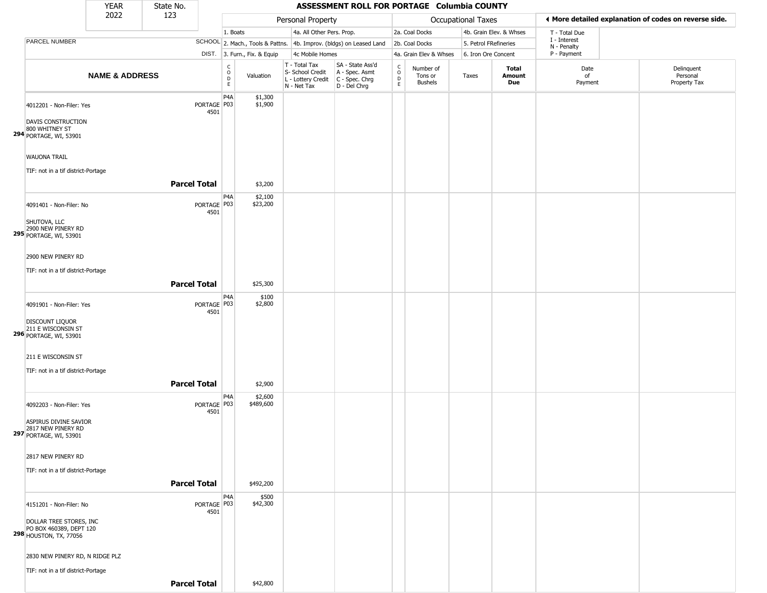|                                                                                                          | <b>YEAR</b>               | State No.           |                       |                              |                              |                                                                        | ASSESSMENT ROLL FOR PORTAGE Columbia COUNTY                          |                              |                                        |                       |                         |                             |                                                       |
|----------------------------------------------------------------------------------------------------------|---------------------------|---------------------|-----------------------|------------------------------|------------------------------|------------------------------------------------------------------------|----------------------------------------------------------------------|------------------------------|----------------------------------------|-----------------------|-------------------------|-----------------------------|-------------------------------------------------------|
|                                                                                                          | 2022                      | 123                 |                       |                              |                              | Personal Property                                                      |                                                                      |                              |                                        | Occupational Taxes    |                         |                             | ◀ More detailed explanation of codes on reverse side. |
|                                                                                                          |                           |                     |                       | 1. Boats                     |                              | 4a. All Other Pers. Prop.                                              |                                                                      |                              | 2a. Coal Docks                         |                       | 4b. Grain Elev. & Whses | T - Total Due               |                                                       |
| PARCEL NUMBER                                                                                            |                           |                     |                       |                              |                              |                                                                        | SCHOOL 2. Mach., Tools & Pattns. 4b. Improv. (bldgs) on Leased Land  |                              | 2b. Coal Docks                         | 5. Petrol FRefineries |                         | I - Interest<br>N - Penalty |                                                       |
|                                                                                                          |                           |                     |                       |                              | DIST. 3. Furn., Fix. & Equip | 4c Mobile Homes                                                        |                                                                      |                              | 4a. Grain Elev & Whses                 | 6. Iron Ore Concent   |                         | P - Payment                 |                                                       |
|                                                                                                          | <b>NAME &amp; ADDRESS</b> |                     |                       | $_{\rm o}^{\rm c}$<br>D<br>E | Valuation                    | T - Total Tax<br>S- School Credit<br>L - Lottery Credit<br>N - Net Tax | SA - State Ass'd<br>A - Spec. Asmt<br>C - Spec. Chrg<br>D - Del Chrg | $_{\rm o}^{\rm c}$<br>D<br>E | Number of<br>Tons or<br><b>Bushels</b> | Taxes                 | Total<br>Amount<br>Due  | Date<br>of<br>Payment       | Delinquent<br>Personal<br>Property Tax                |
| 4012201 - Non-Filer: Yes<br>DAVIS CONSTRUCTION<br>800 WHITNEY ST<br>294 PORTAGE, WI, 53901               |                           |                     | PORTAGE P03<br>4501   | P <sub>4</sub> A             | \$1,300<br>\$1,900           |                                                                        |                                                                      |                              |                                        |                       |                         |                             |                                                       |
| <b>WAUONA TRAIL</b><br>TIF: not in a tif district-Portage                                                |                           |                     |                       |                              |                              |                                                                        |                                                                      |                              |                                        |                       |                         |                             |                                                       |
|                                                                                                          |                           | <b>Parcel Total</b> |                       |                              | \$3,200                      |                                                                        |                                                                      |                              |                                        |                       |                         |                             |                                                       |
| 4091401 - Non-Filer: No<br>SHUTOVA, LLC<br>2900 NEW PINERY RD<br>295 PORTAGE, WI, 53901                  |                           |                     | PORTAGE P03<br>4501   | P <sub>4</sub> A             | \$2,100<br>\$23,200          |                                                                        |                                                                      |                              |                                        |                       |                         |                             |                                                       |
| 2900 NEW PINERY RD<br>TIF: not in a tif district-Portage                                                 |                           | <b>Parcel Total</b> |                       |                              | \$25,300                     |                                                                        |                                                                      |                              |                                        |                       |                         |                             |                                                       |
| 4091901 - Non-Filer: Yes<br>DISCOUNT LIQUOR<br>211 E WISCONSIN ST<br>296 PORTAGE, WI, 53901              |                           |                     | PORTAGE P03<br>4501   | P4A                          | \$100<br>\$2,800             |                                                                        |                                                                      |                              |                                        |                       |                         |                             |                                                       |
| 211 E WISCONSIN ST<br>TIF: not in a tif district-Portage                                                 |                           | <b>Parcel Total</b> |                       |                              | \$2,900                      |                                                                        |                                                                      |                              |                                        |                       |                         |                             |                                                       |
| 4092203 - Non-Filer: Yes<br>ASPIRUS DIVINE SAVIOR<br>2817 NEW PINERY RD<br><b>297</b> PORTAGE, WI, 53901 |                           |                     | PORTAGE P03<br>4501   | P4A                          | \$2,600<br>\$489,600         |                                                                        |                                                                      |                              |                                        |                       |                         |                             |                                                       |
| 2817 NEW PINERY RD<br>TIF: not in a tif district-Portage                                                 |                           |                     |                       |                              |                              |                                                                        |                                                                      |                              |                                        |                       |                         |                             |                                                       |
|                                                                                                          |                           | <b>Parcel Total</b> |                       |                              | \$492,200                    |                                                                        |                                                                      |                              |                                        |                       |                         |                             |                                                       |
| 4151201 - Non-Filer: No<br>DOLLAR TREE STORES, INC<br>PO BOX 460389, DEPT 120<br>298 HOUSTON, TX, 77056  |                           |                     | PORTAGE   P03<br>4501 | P4A                          | \$500<br>\$42,300            |                                                                        |                                                                      |                              |                                        |                       |                         |                             |                                                       |
| 2830 NEW PINERY RD, N RIDGE PLZ<br>TIF: not in a tif district-Portage                                    |                           |                     |                       |                              |                              |                                                                        |                                                                      |                              |                                        |                       |                         |                             |                                                       |
|                                                                                                          |                           | <b>Parcel Total</b> |                       |                              | \$42,800                     |                                                                        |                                                                      |                              |                                        |                       |                         |                             |                                                       |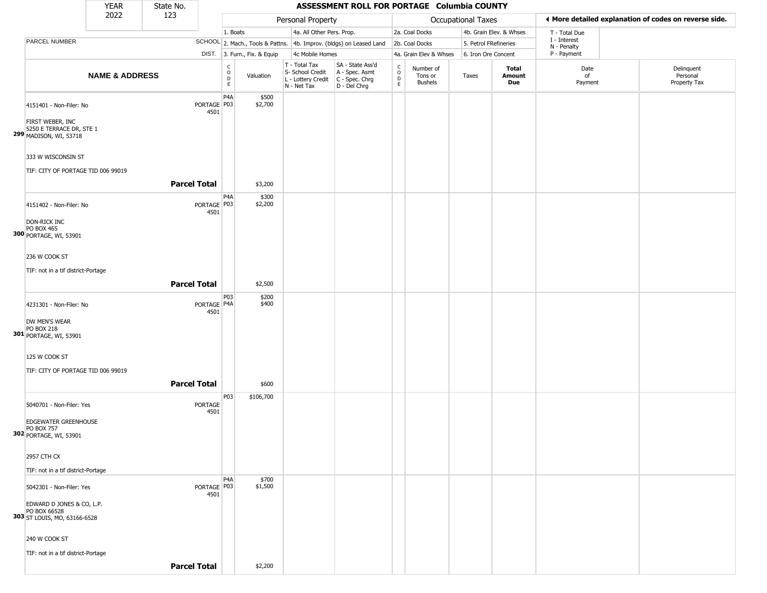|                                                                                                        | <b>YEAR</b>               | State No.           |                                           |                                                              |                                                                        | ASSESSMENT ROLL FOR PORTAGE Columbia COUNTY                            |                                                 |                                        |                           |                         |                             |                                                       |
|--------------------------------------------------------------------------------------------------------|---------------------------|---------------------|-------------------------------------------|--------------------------------------------------------------|------------------------------------------------------------------------|------------------------------------------------------------------------|-------------------------------------------------|----------------------------------------|---------------------------|-------------------------|-----------------------------|-------------------------------------------------------|
|                                                                                                        | 2022                      | 123                 |                                           |                                                              | Personal Property                                                      |                                                                        |                                                 |                                        | <b>Occupational Taxes</b> |                         |                             | ♦ More detailed explanation of codes on reverse side. |
|                                                                                                        |                           |                     |                                           | 1. Boats                                                     | 4a. All Other Pers. Prop.                                              |                                                                        |                                                 | 2a. Coal Docks                         |                           | 4b. Grain Elev. & Whses | T - Total Due               |                                                       |
| PARCEL NUMBER                                                                                          |                           |                     |                                           |                                                              |                                                                        | SCHOOL 2. Mach., Tools & Pattns. 4b. Improv. (bldgs) on Leased Land    |                                                 | 2b. Coal Docks                         | 5. Petrol FRefineries     |                         | I - Interest<br>N - Penalty |                                                       |
|                                                                                                        |                           |                     |                                           | DIST. 3. Furn., Fix. & Equip                                 | 4c Mobile Homes                                                        |                                                                        |                                                 | 4a. Grain Elev & Whses                 | 6. Iron Ore Concent       |                         | P - Payment                 |                                                       |
|                                                                                                        | <b>NAME &amp; ADDRESS</b> |                     |                                           | $\begin{array}{c} C \\ O \\ D \\ E \end{array}$<br>Valuation | T - Total Tax<br>S- School Credit<br>L - Lottery Credit<br>N - Net Tax | SA - State Ass'd<br>A - Spec. Asmt<br>$C - Spec. Chrg$<br>D - Del Chrg | $\begin{array}{c} C \\ O \\ D \\ E \end{array}$ | Number of<br>Tons or<br><b>Bushels</b> | Taxes                     | Total<br>Amount<br>Due  | Date<br>of<br>Payment       | Delinquent<br>Personal<br>Property Tax                |
| 4151401 - Non-Filer: No<br>FIRST WEBER, INC<br>5250 E TERRACE DR, STE 1<br>299 MADISON, WI, 53718      |                           |                     | P <sub>4</sub> A<br>PORTAGE   P03<br>4501 | \$500<br>\$2,700                                             |                                                                        |                                                                        |                                                 |                                        |                           |                         |                             |                                                       |
| 333 W WISCONSIN ST<br>TIF: CITY OF PORTAGE TID 006 99019                                               |                           | <b>Parcel Total</b> |                                           | \$3,200                                                      |                                                                        |                                                                        |                                                 |                                        |                           |                         |                             |                                                       |
| 4151402 - Non-Filer: No<br>DON-RICK INC                                                                |                           |                     | P <sub>4</sub> A<br>PORTAGE   P03<br>4501 | \$300<br>\$2,200                                             |                                                                        |                                                                        |                                                 |                                        |                           |                         |                             |                                                       |
| <b>PO BOX 465</b><br>300 PORTAGE, WI, 53901<br>236 W COOK ST<br>TIF: not in a tif district-Portage     |                           | <b>Parcel Total</b> |                                           | \$2,500                                                      |                                                                        |                                                                        |                                                 |                                        |                           |                         |                             |                                                       |
| 4231301 - Non-Filer: No<br>DW MEN'S WEAR<br><b>PO BOX 218</b><br>301 PORTAGE, WI, 53901                |                           |                     | PORTAGE   P4A<br>4501                     | P03<br>\$200<br>\$400                                        |                                                                        |                                                                        |                                                 |                                        |                           |                         |                             |                                                       |
| 125 W COOK ST<br>TIF: CITY OF PORTAGE TID 006 99019                                                    |                           | <b>Parcel Total</b> |                                           | \$600                                                        |                                                                        |                                                                        |                                                 |                                        |                           |                         |                             |                                                       |
| 5040701 - Non-Filer: Yes<br>EDGEWATER GREENHOUSE<br><b>PO BOX 757</b><br><b>302</b> PORTAGE, WI, 53901 |                           |                     | P03<br><b>PORTAGE</b><br>4501             | \$106,700                                                    |                                                                        |                                                                        |                                                 |                                        |                           |                         |                             |                                                       |
| 2957 CTH CX<br>TIF: not in a tif district-Portage                                                      |                           |                     |                                           |                                                              |                                                                        |                                                                        |                                                 |                                        |                           |                         |                             |                                                       |
| 5042301 - Non-Filer: Yes<br>EDWARD D JONES & CO, L.P.<br>PO BOX 66528<br>303 ST LOUIS, MO, 63166-6528  |                           |                     | P <sub>4</sub> A<br>PORTAGE   P03<br>4501 | \$700<br>\$1,500                                             |                                                                        |                                                                        |                                                 |                                        |                           |                         |                             |                                                       |
| 240 W COOK ST<br>TIF: not in a tif district-Portage                                                    |                           | <b>Parcel Total</b> |                                           | \$2,200                                                      |                                                                        |                                                                        |                                                 |                                        |                           |                         |                             |                                                       |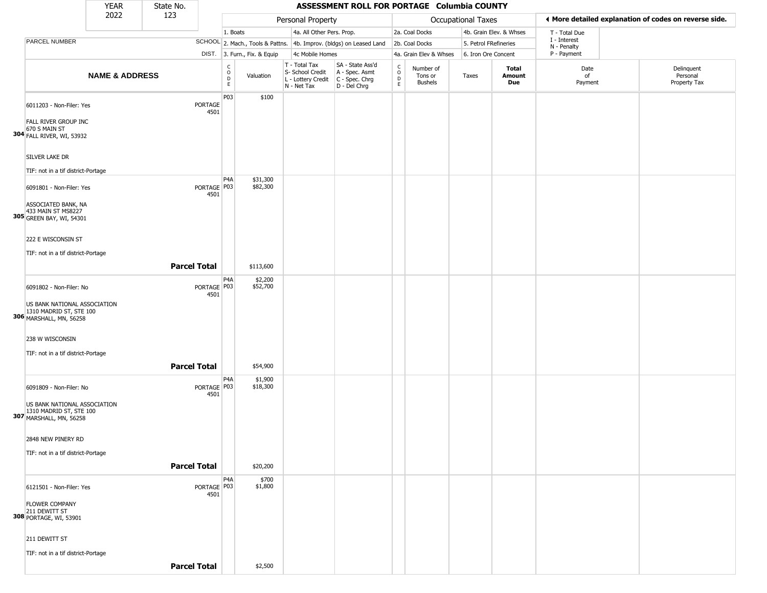|                                                                                                               | <b>YEAR</b>               | State No.           |                       |                                                 |                              |                                                                                         | ASSESSMENT ROLL FOR PORTAGE Columbia COUNTY                         |                         |                                 |                           |                         |                             |                                                       |
|---------------------------------------------------------------------------------------------------------------|---------------------------|---------------------|-----------------------|-------------------------------------------------|------------------------------|-----------------------------------------------------------------------------------------|---------------------------------------------------------------------|-------------------------|---------------------------------|---------------------------|-------------------------|-----------------------------|-------------------------------------------------------|
|                                                                                                               | 2022                      | 123                 |                       |                                                 |                              | Personal Property                                                                       |                                                                     |                         |                                 | <b>Occupational Taxes</b> |                         |                             | ♦ More detailed explanation of codes on reverse side. |
|                                                                                                               |                           |                     |                       | 1. Boats                                        |                              | 4a. All Other Pers. Prop.                                                               |                                                                     |                         | 2a. Coal Docks                  |                           | 4b. Grain Elev. & Whses | T - Total Due               |                                                       |
| PARCEL NUMBER                                                                                                 |                           |                     |                       |                                                 |                              |                                                                                         | SCHOOL 2. Mach., Tools & Pattns. 4b. Improv. (bldgs) on Leased Land |                         | 2b. Coal Docks                  | 5. Petrol FRefineries     |                         | I - Interest<br>N - Penalty |                                                       |
|                                                                                                               |                           |                     |                       |                                                 | DIST. 3. Furn., Fix. & Equip | 4c Mobile Homes                                                                         |                                                                     |                         | 4a. Grain Elev & Whses          | 6. Iron Ore Concent       |                         | P - Payment                 |                                                       |
|                                                                                                               | <b>NAME &amp; ADDRESS</b> |                     |                       | $\begin{array}{c} C \\ O \\ D \\ E \end{array}$ | Valuation                    | T - Total Tax<br>S- School Credit<br>L - Lottery Credit   C - Spec. Chrg<br>N - Net Tax | SA - State Ass'd<br>A - Spec. Asmt<br>D - Del Chrg                  | C<br>$\circ$<br>D<br>E. | Number of<br>Tons or<br>Bushels | Taxes                     | Total<br>Amount<br>Due  | Date<br>of<br>Payment       | Delinquent<br>Personal<br>Property Tax                |
| 6011203 - Non-Filer: Yes<br>FALL RIVER GROUP INC<br>670 S MAIN ST                                             |                           |                     | PORTAGE<br>4501       | P03                                             | \$100                        |                                                                                         |                                                                     |                         |                                 |                           |                         |                             |                                                       |
| <b>304 FALL RIVER, WI, 53932</b><br>SILVER LAKE DR                                                            |                           |                     |                       |                                                 |                              |                                                                                         |                                                                     |                         |                                 |                           |                         |                             |                                                       |
| TIF: not in a tif district-Portage<br>6091801 - Non-Filer: Yes                                                |                           |                     | PORTAGE   P03         | P <sub>4</sub> A                                | \$31,300<br>\$82,300         |                                                                                         |                                                                     |                         |                                 |                           |                         |                             |                                                       |
| ASSOCIATED BANK, NA<br>433 MAIN ST MS8227<br><b>305</b> GREEN BAY, WI, 54301                                  |                           |                     | 4501                  |                                                 |                              |                                                                                         |                                                                     |                         |                                 |                           |                         |                             |                                                       |
| 222 E WISCONSIN ST<br>TIF: not in a tif district-Portage                                                      |                           | <b>Parcel Total</b> |                       |                                                 | \$113,600                    |                                                                                         |                                                                     |                         |                                 |                           |                         |                             |                                                       |
|                                                                                                               |                           |                     |                       |                                                 |                              |                                                                                         |                                                                     |                         |                                 |                           |                         |                             |                                                       |
| 6091802 - Non-Filer: No<br>US BANK NATIONAL ASSOCIATION<br>1310 MADRID ST, STE 100<br>306 MARSHALL, MN, 56258 |                           |                     | PORTAGE   P03<br>4501 | P <sub>4</sub> A                                | \$2,200<br>\$52,700          |                                                                                         |                                                                     |                         |                                 |                           |                         |                             |                                                       |
| 238 W WISCONSIN<br>TIF: not in a tif district-Portage                                                         |                           | <b>Parcel Total</b> |                       |                                                 | \$54,900                     |                                                                                         |                                                                     |                         |                                 |                           |                         |                             |                                                       |
|                                                                                                               |                           |                     |                       | P4A                                             | \$1,900                      |                                                                                         |                                                                     |                         |                                 |                           |                         |                             |                                                       |
| 6091809 - Non-Filer: No<br>US BANK NATIONAL ASSOCIATION<br>1310 MADRID ST, STE 100<br>307 MARSHALL, MN, 56258 |                           |                     | PORTAGE P03<br>4501   |                                                 | \$18,300                     |                                                                                         |                                                                     |                         |                                 |                           |                         |                             |                                                       |
| 2848 NEW PINERY RD<br>TIF: not in a tif district-Portage                                                      |                           |                     |                       |                                                 |                              |                                                                                         |                                                                     |                         |                                 |                           |                         |                             |                                                       |
|                                                                                                               |                           | <b>Parcel Total</b> |                       |                                                 | \$20,200                     |                                                                                         |                                                                     |                         |                                 |                           |                         |                             |                                                       |
| 6121501 - Non-Filer: Yes<br><b>FLOWER COMPANY</b><br>211 DEWITT ST<br>308 PORTAGE, WI, 53901                  |                           |                     | PORTAGE   P03<br>4501 | P <sub>4</sub> A                                | \$700<br>\$1,800             |                                                                                         |                                                                     |                         |                                 |                           |                         |                             |                                                       |
| 211 DEWITT ST<br>TIF: not in a tif district-Portage                                                           |                           | <b>Parcel Total</b> |                       |                                                 | \$2,500                      |                                                                                         |                                                                     |                         |                                 |                           |                         |                             |                                                       |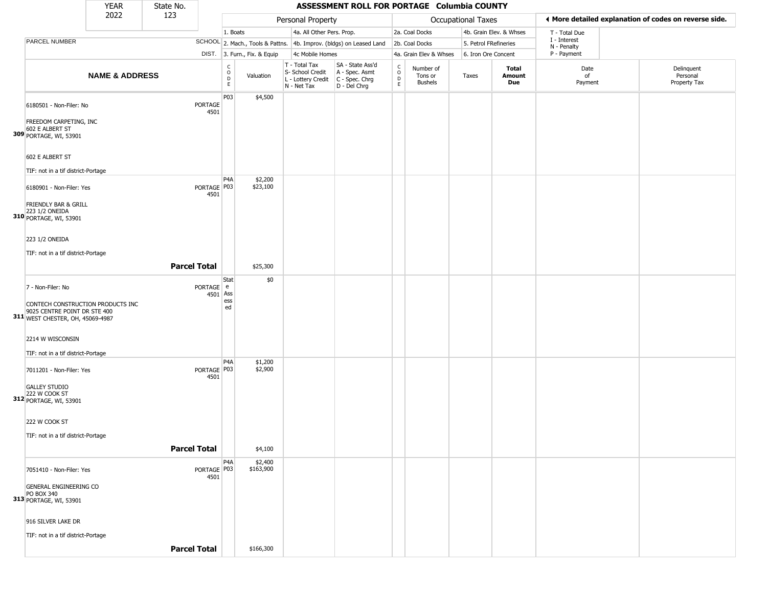|                                                                                                       | <b>YEAR</b>               | State No.           |                       |                                                   |                              |                                                                                         | ASSESSMENT ROLL FOR PORTAGE Columbia COUNTY                         |                        |                                        |                       |                         |                             |                                                       |
|-------------------------------------------------------------------------------------------------------|---------------------------|---------------------|-----------------------|---------------------------------------------------|------------------------------|-----------------------------------------------------------------------------------------|---------------------------------------------------------------------|------------------------|----------------------------------------|-----------------------|-------------------------|-----------------------------|-------------------------------------------------------|
|                                                                                                       | 2022                      | 123                 |                       |                                                   |                              | Personal Property                                                                       |                                                                     |                        |                                        | Occupational Taxes    |                         |                             | ♦ More detailed explanation of codes on reverse side. |
|                                                                                                       |                           |                     |                       | 1. Boats                                          |                              | 4a. All Other Pers. Prop.                                                               |                                                                     |                        | 2a. Coal Docks                         |                       | 4b. Grain Elev. & Whses | T - Total Due               |                                                       |
| PARCEL NUMBER                                                                                         |                           |                     |                       |                                                   |                              |                                                                                         | SCHOOL 2. Mach., Tools & Pattns. 4b. Improv. (bldgs) on Leased Land |                        | 2b. Coal Docks                         | 5. Petrol FRefineries |                         | I - Interest<br>N - Penalty |                                                       |
|                                                                                                       |                           |                     |                       |                                                   | DIST. 3. Furn., Fix. & Equip | 4c Mobile Homes                                                                         |                                                                     |                        | 4a. Grain Elev & Whses                 | 6. Iron Ore Concent   |                         | P - Payment                 |                                                       |
|                                                                                                       | <b>NAME &amp; ADDRESS</b> |                     |                       | $\begin{array}{c}\nC \\ O \\ D \\ E\n\end{array}$ | Valuation                    | T - Total Tax<br>S- School Credit<br>L - Lottery Credit   C - Spec. Chrg<br>N - Net Tax | SA - State Ass'd<br>A - Spec. Asmt<br>D - Del Chrg                  | C<br>$\circ$<br>D<br>E | Number of<br>Tons or<br><b>Bushels</b> | Taxes                 | Total<br>Amount<br>Due  | Date<br>of<br>Payment       | Delinquent<br>Personal<br>Property Tax                |
| 6180501 - Non-Filer: No                                                                               |                           |                     | PORTAGE<br>4501       | P03                                               | \$4,500                      |                                                                                         |                                                                     |                        |                                        |                       |                         |                             |                                                       |
| FREEDOM CARPETING, INC<br>602 E ALBERT ST<br>309 PORTAGE, WI, 53901                                   |                           |                     |                       |                                                   |                              |                                                                                         |                                                                     |                        |                                        |                       |                         |                             |                                                       |
| 602 E ALBERT ST                                                                                       |                           |                     |                       |                                                   |                              |                                                                                         |                                                                     |                        |                                        |                       |                         |                             |                                                       |
| TIF: not in a tif district-Portage                                                                    |                           |                     |                       |                                                   |                              |                                                                                         |                                                                     |                        |                                        |                       |                         |                             |                                                       |
| 6180901 - Non-Filer: Yes                                                                              |                           |                     | PORTAGE P03<br>4501   | P4A                                               | \$2,200<br>\$23,100          |                                                                                         |                                                                     |                        |                                        |                       |                         |                             |                                                       |
| FRIENDLY BAR & GRILL<br>223 1/2 ONEIDA<br>310 PORTAGE, WI, 53901                                      |                           |                     |                       |                                                   |                              |                                                                                         |                                                                     |                        |                                        |                       |                         |                             |                                                       |
| 223 1/2 ONEIDA                                                                                        |                           |                     |                       |                                                   |                              |                                                                                         |                                                                     |                        |                                        |                       |                         |                             |                                                       |
| TIF: not in a tif district-Portage                                                                    |                           | <b>Parcel Total</b> |                       |                                                   | \$25,300                     |                                                                                         |                                                                     |                        |                                        |                       |                         |                             |                                                       |
| 7 - Non-Filer: No                                                                                     |                           |                     | PORTAGE e<br>4501 Ass | Stat                                              | \$0                          |                                                                                         |                                                                     |                        |                                        |                       |                         |                             |                                                       |
| CONTECH CONSTRUCTION PRODUCTS INC<br>9025 CENTRE POINT DR STE 400<br>311 WEST CHESTER, OH, 45069-4987 |                           |                     |                       | ess<br>ed                                         |                              |                                                                                         |                                                                     |                        |                                        |                       |                         |                             |                                                       |
| 2214 W WISCONSIN                                                                                      |                           |                     |                       |                                                   |                              |                                                                                         |                                                                     |                        |                                        |                       |                         |                             |                                                       |
| TIF: not in a tif district-Portage                                                                    |                           |                     |                       | P <sub>4</sub> A                                  | \$1,200                      |                                                                                         |                                                                     |                        |                                        |                       |                         |                             |                                                       |
| 7011201 - Non-Filer: Yes                                                                              |                           |                     | PORTAGE P03<br>4501   |                                                   | \$2,900                      |                                                                                         |                                                                     |                        |                                        |                       |                         |                             |                                                       |
| <b>GALLEY STUDIO</b><br>222 W COOK ST<br>312 PORTAGE, WI, 53901                                       |                           |                     |                       |                                                   |                              |                                                                                         |                                                                     |                        |                                        |                       |                         |                             |                                                       |
| 222 W COOK ST                                                                                         |                           |                     |                       |                                                   |                              |                                                                                         |                                                                     |                        |                                        |                       |                         |                             |                                                       |
| TIF: not in a tif district-Portage                                                                    |                           | <b>Parcel Total</b> |                       |                                                   | \$4,100                      |                                                                                         |                                                                     |                        |                                        |                       |                         |                             |                                                       |
| 7051410 - Non-Filer: Yes                                                                              |                           |                     | PORTAGE P03           | P4A                                               | \$2,400<br>\$163,900         |                                                                                         |                                                                     |                        |                                        |                       |                         |                             |                                                       |
| GENERAL ENGINEERING CO<br>PO BOX 340<br>313 PORTAGE, WI, 53901                                        |                           |                     | 4501                  |                                                   |                              |                                                                                         |                                                                     |                        |                                        |                       |                         |                             |                                                       |
| 916 SILVER LAKE DR                                                                                    |                           |                     |                       |                                                   |                              |                                                                                         |                                                                     |                        |                                        |                       |                         |                             |                                                       |
| TIF: not in a tif district-Portage                                                                    |                           |                     |                       |                                                   |                              |                                                                                         |                                                                     |                        |                                        |                       |                         |                             |                                                       |
|                                                                                                       |                           | <b>Parcel Total</b> |                       |                                                   | \$166,300                    |                                                                                         |                                                                     |                        |                                        |                       |                         |                             |                                                       |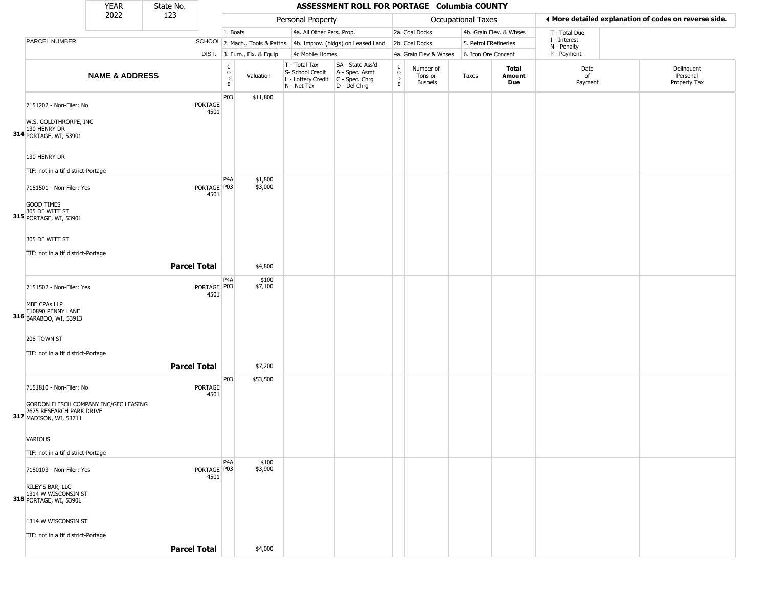|                                                                                                    | <b>YEAR</b>               | State No.           |                        |                                                 |                              |                                                                                           | ASSESSMENT ROLL FOR PORTAGE Columbia COUNTY                         |                                  |                                        |                       |                         |                             |                                                       |
|----------------------------------------------------------------------------------------------------|---------------------------|---------------------|------------------------|-------------------------------------------------|------------------------------|-------------------------------------------------------------------------------------------|---------------------------------------------------------------------|----------------------------------|----------------------------------------|-----------------------|-------------------------|-----------------------------|-------------------------------------------------------|
|                                                                                                    | 2022                      | 123                 |                        |                                                 |                              | Personal Property                                                                         |                                                                     |                                  |                                        | Occupational Taxes    |                         |                             | ♦ More detailed explanation of codes on reverse side. |
|                                                                                                    |                           |                     |                        | 1. Boats                                        |                              | 4a. All Other Pers. Prop.                                                                 |                                                                     |                                  | 2a. Coal Docks                         |                       | 4b. Grain Elev. & Whses | T - Total Due               |                                                       |
| PARCEL NUMBER                                                                                      |                           |                     |                        |                                                 |                              |                                                                                           | SCHOOL 2. Mach., Tools & Pattns. 4b. Improv. (bldgs) on Leased Land |                                  | 2b. Coal Docks                         | 5. Petrol FRefineries |                         | I - Interest<br>N - Penalty |                                                       |
|                                                                                                    |                           |                     |                        |                                                 | DIST. 3. Furn., Fix. & Equip | 4c Mobile Homes                                                                           |                                                                     |                                  | 4a. Grain Elev & Whses                 | 6. Iron Ore Concent   |                         | P - Payment                 |                                                       |
|                                                                                                    | <b>NAME &amp; ADDRESS</b> |                     |                        | $\begin{array}{c} C \\ O \\ D \\ E \end{array}$ | Valuation                    | T - Total Tax<br>S- School Credit<br>$L$ - Lottery Credit $C$ - Spec. Chrg<br>N - Net Tax | SA - State Ass'd<br>A - Spec. Asmt<br>D - Del Chrg                  | C<br>$\circ$<br>$\mathsf D$<br>E | Number of<br>Tons or<br><b>Bushels</b> | Taxes                 | Total<br>Amount<br>Due  | Date<br>of<br>Payment       | Delinquent<br>Personal<br>Property Tax                |
| 7151202 - Non-Filer: No                                                                            |                           |                     | <b>PORTAGE</b><br>4501 | P03                                             | \$11,800                     |                                                                                           |                                                                     |                                  |                                        |                       |                         |                             |                                                       |
| W.S. GOLDTHRORPE, INC<br>130 HENRY DR<br>314 PORTAGE, WI, 53901                                    |                           |                     |                        |                                                 |                              |                                                                                           |                                                                     |                                  |                                        |                       |                         |                             |                                                       |
| 130 HENRY DR                                                                                       |                           |                     |                        |                                                 |                              |                                                                                           |                                                                     |                                  |                                        |                       |                         |                             |                                                       |
| TIF: not in a tif district-Portage                                                                 |                           |                     |                        | P4A                                             | \$1,800                      |                                                                                           |                                                                     |                                  |                                        |                       |                         |                             |                                                       |
| 7151501 - Non-Filer: Yes                                                                           |                           |                     | PORTAGE   P03<br>4501  |                                                 | \$3,000                      |                                                                                           |                                                                     |                                  |                                        |                       |                         |                             |                                                       |
| <b>GOOD TIMES</b><br>305 DE WITT ST<br>315 PORTAGE, WI, 53901                                      |                           |                     |                        |                                                 |                              |                                                                                           |                                                                     |                                  |                                        |                       |                         |                             |                                                       |
| 305 DE WITT ST                                                                                     |                           |                     |                        |                                                 |                              |                                                                                           |                                                                     |                                  |                                        |                       |                         |                             |                                                       |
| TIF: not in a tif district-Portage                                                                 |                           |                     |                        |                                                 |                              |                                                                                           |                                                                     |                                  |                                        |                       |                         |                             |                                                       |
|                                                                                                    |                           | <b>Parcel Total</b> |                        |                                                 | \$4,800                      |                                                                                           |                                                                     |                                  |                                        |                       |                         |                             |                                                       |
| 7151502 - Non-Filer: Yes                                                                           |                           |                     | PORTAGE   P03<br>4501  | P4A                                             | \$100<br>\$7,100             |                                                                                           |                                                                     |                                  |                                        |                       |                         |                             |                                                       |
| MBE CPAs LLP<br>E10890 PENNY LANE<br>316 BARABOO, WI, 53913                                        |                           |                     |                        |                                                 |                              |                                                                                           |                                                                     |                                  |                                        |                       |                         |                             |                                                       |
| 208 TOWN ST                                                                                        |                           |                     |                        |                                                 |                              |                                                                                           |                                                                     |                                  |                                        |                       |                         |                             |                                                       |
| TIF: not in a tif district-Portage                                                                 |                           | <b>Parcel Total</b> |                        |                                                 | \$7,200                      |                                                                                           |                                                                     |                                  |                                        |                       |                         |                             |                                                       |
| 7151810 - Non-Filer: No                                                                            |                           |                     | PORTAGE<br>4501        | P03                                             | \$53,500                     |                                                                                           |                                                                     |                                  |                                        |                       |                         |                             |                                                       |
| GORDON FLESCH COMPANY INC/GFC LEASING<br>2675 RESEARCH PARK DRIVE<br><b>317</b> MADISON, WI, 53711 |                           |                     |                        |                                                 |                              |                                                                                           |                                                                     |                                  |                                        |                       |                         |                             |                                                       |
| <b>VARIOUS</b>                                                                                     |                           |                     |                        |                                                 |                              |                                                                                           |                                                                     |                                  |                                        |                       |                         |                             |                                                       |
| TIF: not in a tif district-Portage                                                                 |                           |                     |                        |                                                 |                              |                                                                                           |                                                                     |                                  |                                        |                       |                         |                             |                                                       |
| 7180103 - Non-Filer: Yes                                                                           |                           |                     | PORTAGE P03<br>4501    | P4A                                             | \$100<br>\$3,900             |                                                                                           |                                                                     |                                  |                                        |                       |                         |                             |                                                       |
| RILEY'S BAR, LLC<br>1314 W WISCONSIN ST<br>318 PORTAGE, WI, 53901                                  |                           |                     |                        |                                                 |                              |                                                                                           |                                                                     |                                  |                                        |                       |                         |                             |                                                       |
| 1314 W WISCONSIN ST                                                                                |                           |                     |                        |                                                 |                              |                                                                                           |                                                                     |                                  |                                        |                       |                         |                             |                                                       |
| TIF: not in a tif district-Portage                                                                 |                           |                     |                        |                                                 |                              |                                                                                           |                                                                     |                                  |                                        |                       |                         |                             |                                                       |
|                                                                                                    |                           | <b>Parcel Total</b> |                        |                                                 | \$4,000                      |                                                                                           |                                                                     |                                  |                                        |                       |                         |                             |                                                       |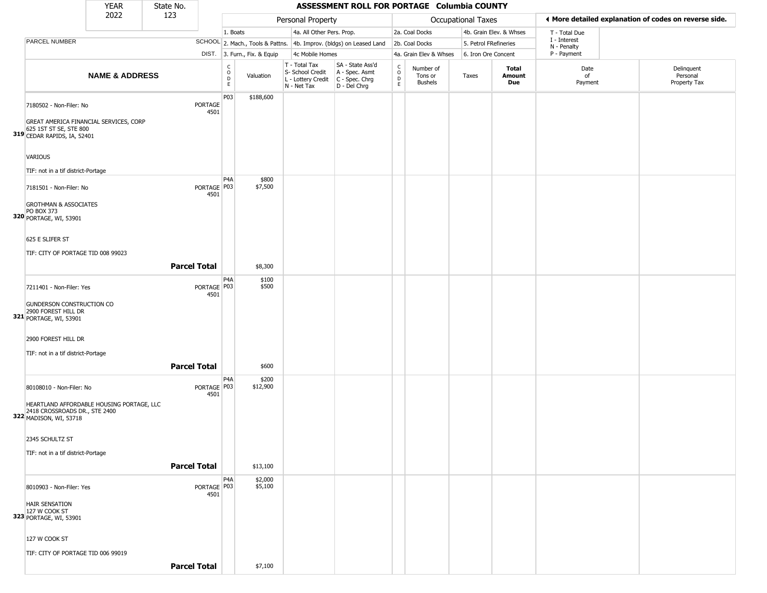|                                                                                                      | <b>YEAR</b>               | State No. |                        |                                                |                              |                                                  | ASSESSMENT ROLL FOR PORTAGE Columbia COUNTY                                               |                            |                                        |                           |                         |                             |                                                       |
|------------------------------------------------------------------------------------------------------|---------------------------|-----------|------------------------|------------------------------------------------|------------------------------|--------------------------------------------------|-------------------------------------------------------------------------------------------|----------------------------|----------------------------------------|---------------------------|-------------------------|-----------------------------|-------------------------------------------------------|
|                                                                                                      | 2022                      | 123       |                        |                                                |                              | Personal Property                                |                                                                                           |                            |                                        | <b>Occupational Taxes</b> |                         |                             | ◀ More detailed explanation of codes on reverse side. |
|                                                                                                      |                           |           |                        | 1. Boats                                       |                              |                                                  | 4a. All Other Pers. Prop.                                                                 |                            | 2a. Coal Docks                         |                           | 4b. Grain Elev. & Whses | T - Total Due               |                                                       |
| PARCEL NUMBER                                                                                        |                           |           |                        |                                                |                              |                                                  | SCHOOL 2. Mach., Tools & Pattns. 4b. Improv. (bldgs) on Leased Land                       |                            | 2b. Coal Docks                         | 5. Petrol FRefineries     |                         | I - Interest<br>N - Penalty |                                                       |
|                                                                                                      |                           |           |                        |                                                | DIST. 3. Furn., Fix. & Equip | 4c Mobile Homes                                  |                                                                                           |                            | 4a. Grain Elev & Whses                 | 6. Iron Ore Concent       |                         | P - Payment                 |                                                       |
|                                                                                                      | <b>NAME &amp; ADDRESS</b> |           |                        | $\begin{matrix} 0 \\ 0 \\ D \end{matrix}$<br>E | Valuation                    | T - Total Tax<br>S- School Credit<br>N - Net Tax | SA - State Ass'd<br>A - Spec. Asmt<br>L - Lottery Credit   C - Spec. Chrg<br>D - Del Chrg | C<br>$\mathsf O$<br>D<br>E | Number of<br>Tons or<br><b>Bushels</b> | Taxes                     | Total<br>Amount<br>Due  | Date<br>of<br>Payment       | Delinquent<br>Personal<br>Property Tax                |
| 7180502 - Non-Filer: No<br>GREAT AMERICA FINANCIAL SERVICES, CORP<br>625 1ST ST SE, STE 800          |                           |           | <b>PORTAGE</b><br>4501 | P03                                            | \$188,600                    |                                                  |                                                                                           |                            |                                        |                           |                         |                             |                                                       |
| 319 CEDAR RAPIDS, IA, 52401                                                                          |                           |           |                        |                                                |                              |                                                  |                                                                                           |                            |                                        |                           |                         |                             |                                                       |
| <b>VARIOUS</b><br>TIF: not in a tif district-Portage                                                 |                           |           |                        |                                                |                              |                                                  |                                                                                           |                            |                                        |                           |                         |                             |                                                       |
| 7181501 - Non-Filer: No                                                                              |                           |           | PORTAGE P03<br>4501    | P <sub>4</sub> A                               | \$800<br>\$7,500             |                                                  |                                                                                           |                            |                                        |                           |                         |                             |                                                       |
| <b>GROTHMAN &amp; ASSOCIATES</b><br><b>PO BOX 373</b><br>320 PORTAGE, WI, 53901                      |                           |           |                        |                                                |                              |                                                  |                                                                                           |                            |                                        |                           |                         |                             |                                                       |
| 625 E SLIFER ST<br>TIF: CITY OF PORTAGE TID 008 99023                                                |                           |           |                        |                                                |                              |                                                  |                                                                                           |                            |                                        |                           |                         |                             |                                                       |
|                                                                                                      |                           |           | <b>Parcel Total</b>    |                                                | \$8,300                      |                                                  |                                                                                           |                            |                                        |                           |                         |                             |                                                       |
| 7211401 - Non-Filer: Yes                                                                             |                           |           | PORTAGE   P03<br>4501  | P <sub>4</sub> A                               | \$100<br>\$500               |                                                  |                                                                                           |                            |                                        |                           |                         |                             |                                                       |
| GUNDERSON CONSTRUCTION CO<br>2900 FOREST HILL DR<br>321 PORTAGE, WI, 53901                           |                           |           |                        |                                                |                              |                                                  |                                                                                           |                            |                                        |                           |                         |                             |                                                       |
| 2900 FOREST HILL DR<br>TIF: not in a tif district-Portage                                            |                           |           |                        |                                                |                              |                                                  |                                                                                           |                            |                                        |                           |                         |                             |                                                       |
|                                                                                                      |                           |           | <b>Parcel Total</b>    |                                                | \$600                        |                                                  |                                                                                           |                            |                                        |                           |                         |                             |                                                       |
| 80108010 - Non-Filer: No                                                                             |                           |           | PORTAGE   P03<br>4501  | P <sub>4</sub> A                               | \$200<br>\$12,900            |                                                  |                                                                                           |                            |                                        |                           |                         |                             |                                                       |
| HEARTLAND AFFORDABLE HOUSING PORTAGE, LLC<br>2418 CROSSROADS DR., STE 2400<br>322 MADISON, WI, 53718 |                           |           |                        |                                                |                              |                                                  |                                                                                           |                            |                                        |                           |                         |                             |                                                       |
| 2345 SCHULTZ ST<br>TIF: not in a tif district-Portage                                                |                           |           |                        |                                                |                              |                                                  |                                                                                           |                            |                                        |                           |                         |                             |                                                       |
|                                                                                                      |                           |           | <b>Parcel Total</b>    |                                                | \$13,100                     |                                                  |                                                                                           |                            |                                        |                           |                         |                             |                                                       |
| 8010903 - Non-Filer: Yes                                                                             |                           |           | PORTAGE P03<br>4501    | P <sub>4</sub> A                               | \$2,000<br>\$5,100           |                                                  |                                                                                           |                            |                                        |                           |                         |                             |                                                       |
| <b>HAIR SENSATION</b><br>127 W COOK ST<br>323 PORTAGE, WI, 53901                                     |                           |           |                        |                                                |                              |                                                  |                                                                                           |                            |                                        |                           |                         |                             |                                                       |
| 127 W COOK ST                                                                                        |                           |           |                        |                                                |                              |                                                  |                                                                                           |                            |                                        |                           |                         |                             |                                                       |
| TIF: CITY OF PORTAGE TID 006 99019                                                                   |                           |           | <b>Parcel Total</b>    |                                                | \$7,100                      |                                                  |                                                                                           |                            |                                        |                           |                         |                             |                                                       |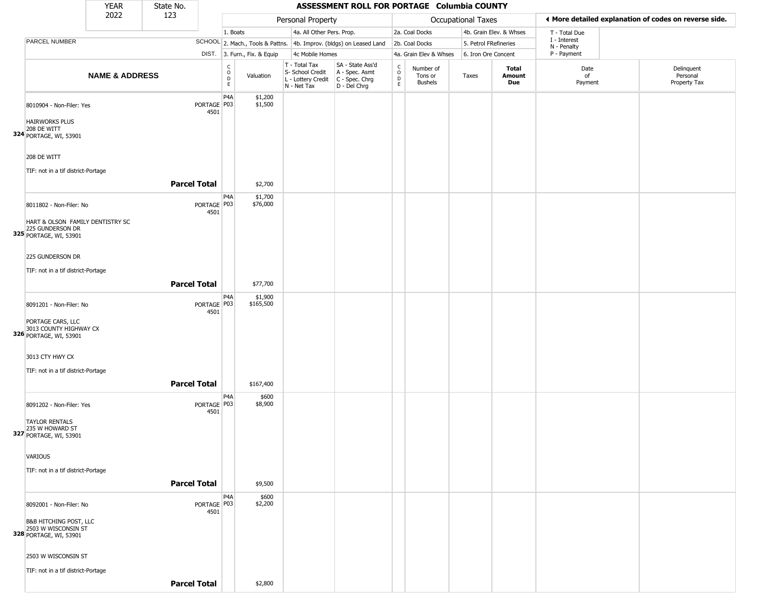|                                                                                                               | <b>YEAR</b>               | State No.           |                       |                              |                              |                                                                        | ASSESSMENT ROLL FOR PORTAGE Columbia COUNTY                          |                                   |                                        |                           |                         |                                                       |                                        |
|---------------------------------------------------------------------------------------------------------------|---------------------------|---------------------|-----------------------|------------------------------|------------------------------|------------------------------------------------------------------------|----------------------------------------------------------------------|-----------------------------------|----------------------------------------|---------------------------|-------------------------|-------------------------------------------------------|----------------------------------------|
|                                                                                                               | 2022                      | 123                 |                       |                              |                              | Personal Property                                                      |                                                                      |                                   |                                        | <b>Occupational Taxes</b> |                         | ♦ More detailed explanation of codes on reverse side. |                                        |
|                                                                                                               |                           |                     |                       | 1. Boats                     |                              | 4a. All Other Pers. Prop.                                              |                                                                      |                                   | 2a. Coal Docks                         |                           | 4b. Grain Elev. & Whses | T - Total Due                                         |                                        |
| PARCEL NUMBER                                                                                                 |                           |                     |                       |                              |                              |                                                                        | SCHOOL 2. Mach., Tools & Pattns. 4b. Improv. (bldgs) on Leased Land  |                                   | 2b. Coal Docks                         | 5. Petrol FRefineries     |                         | I - Interest<br>N - Penalty                           |                                        |
|                                                                                                               |                           |                     |                       |                              | DIST. 3. Furn., Fix. & Equip | 4c Mobile Homes                                                        |                                                                      |                                   | 4a. Grain Elev & Whses                 | 6. Iron Ore Concent       |                         | P - Payment                                           |                                        |
|                                                                                                               | <b>NAME &amp; ADDRESS</b> |                     |                       | $_{\rm o}^{\rm c}$<br>D<br>E | Valuation                    | T - Total Tax<br>S- School Credit<br>L - Lottery Credit<br>N - Net Tax | SA - State Ass'd<br>A - Spec. Asmt<br>C - Spec. Chrg<br>D - Del Chrg | $\mathsf{C}$<br>$\circ$<br>D<br>E | Number of<br>Tons or<br><b>Bushels</b> | Taxes                     | Total<br>Amount<br>Due  | Date<br>of<br>Payment                                 | Delinquent<br>Personal<br>Property Tax |
| 8010904 - Non-Filer: Yes<br><b>HAIRWORKS PLUS</b><br>208 DE WITT<br>324 PORTAGE, WI, 53901                    |                           |                     | PORTAGE P03<br>4501   | P <sub>4</sub> A             | \$1,200<br>\$1,500           |                                                                        |                                                                      |                                   |                                        |                           |                         |                                                       |                                        |
| 208 DE WITT<br>TIF: not in a tif district-Portage                                                             |                           |                     |                       |                              |                              |                                                                        |                                                                      |                                   |                                        |                           |                         |                                                       |                                        |
|                                                                                                               |                           | <b>Parcel Total</b> |                       |                              | \$2,700                      |                                                                        |                                                                      |                                   |                                        |                           |                         |                                                       |                                        |
| 8011802 - Non-Filer: No<br>HART & OLSON FAMILY DENTISTRY SC<br>225 GUNDERSON DR<br>325 PORTAGE, WI, 53901     |                           |                     | PORTAGE   P03<br>4501 | P <sub>4</sub> A             | \$1,700<br>\$76,000          |                                                                        |                                                                      |                                   |                                        |                           |                         |                                                       |                                        |
| 225 GUNDERSON DR<br>TIF: not in a tif district-Portage                                                        |                           | <b>Parcel Total</b> |                       |                              | \$77,700                     |                                                                        |                                                                      |                                   |                                        |                           |                         |                                                       |                                        |
| 8091201 - Non-Filer: No<br>PORTAGE CARS, LLC<br>3013 COUNTY HIGHWAY CX<br>326 PORTAGE, WI, 53901              |                           |                     | PORTAGE   P03<br>4501 | P <sub>4</sub> A             | \$1,900<br>\$165,500         |                                                                        |                                                                      |                                   |                                        |                           |                         |                                                       |                                        |
| 3013 CTY HWY CX<br>TIF: not in a tif district-Portage                                                         |                           | <b>Parcel Total</b> |                       |                              | \$167,400                    |                                                                        |                                                                      |                                   |                                        |                           |                         |                                                       |                                        |
| 8091202 - Non-Filer: Yes<br><b>TAYLOR RENTALS</b><br>235 W HOWARD ST<br>327 PORTAGE, WI, 53901                |                           |                     | PORTAGE P03<br>4501   | P <sub>4</sub> A             | \$600<br>\$8,900             |                                                                        |                                                                      |                                   |                                        |                           |                         |                                                       |                                        |
| VARIOUS<br>TIF: not in a tif district-Portage                                                                 |                           |                     |                       |                              |                              |                                                                        |                                                                      |                                   |                                        |                           |                         |                                                       |                                        |
|                                                                                                               |                           | <b>Parcel Total</b> |                       |                              | \$9,500                      |                                                                        |                                                                      |                                   |                                        |                           |                         |                                                       |                                        |
| 8092001 - Non-Filer: No<br><b>B&amp;B HITCHING POST, LLC</b><br>2503 W WISCONSIN ST<br>328 PORTAGE, WI, 53901 |                           |                     | PORTAGE P03<br>4501   | P <sub>4</sub> A             | \$600<br>\$2,200             |                                                                        |                                                                      |                                   |                                        |                           |                         |                                                       |                                        |
| 2503 W WISCONSIN ST                                                                                           |                           |                     |                       |                              |                              |                                                                        |                                                                      |                                   |                                        |                           |                         |                                                       |                                        |
| TIF: not in a tif district-Portage                                                                            |                           | <b>Parcel Total</b> |                       |                              | \$2,800                      |                                                                        |                                                                      |                                   |                                        |                           |                         |                                                       |                                        |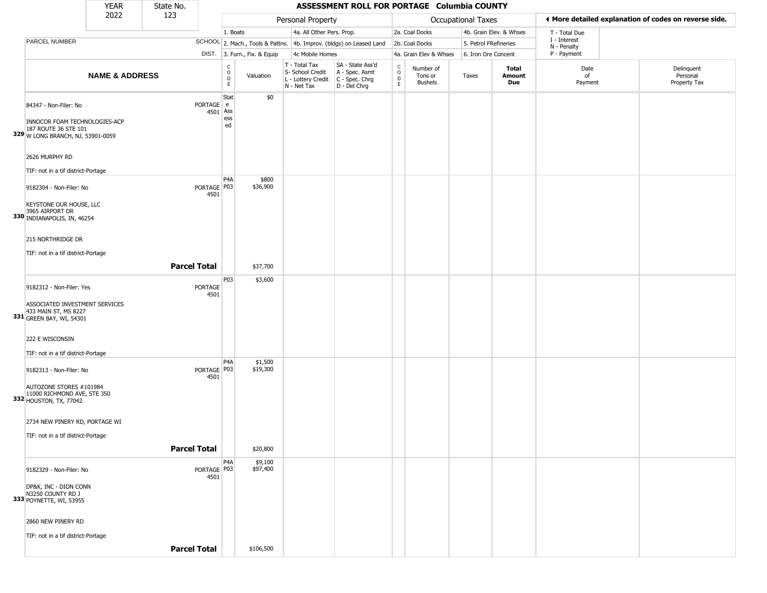|                                                                           | <b>YEAR</b>               | State No.           |                         |                                        |                              |                                                  | ASSESSMENT ROLL FOR PORTAGE Columbia COUNTY                                                             |                        |                                        |                       |                         |                             |                                                       |
|---------------------------------------------------------------------------|---------------------------|---------------------|-------------------------|----------------------------------------|------------------------------|--------------------------------------------------|---------------------------------------------------------------------------------------------------------|------------------------|----------------------------------------|-----------------------|-------------------------|-----------------------------|-------------------------------------------------------|
|                                                                           | 2022                      | 123                 |                         |                                        |                              | Personal Property                                |                                                                                                         |                        |                                        | Occupational Taxes    |                         |                             | ◀ More detailed explanation of codes on reverse side. |
|                                                                           |                           |                     |                         | 1. Boats                               |                              | 4a. All Other Pers. Prop.                        |                                                                                                         |                        | 2a. Coal Docks                         |                       | 4b. Grain Elev. & Whses | T - Total Due               |                                                       |
| PARCEL NUMBER                                                             |                           |                     |                         |                                        |                              |                                                  | SCHOOL 2. Mach., Tools & Pattns. 4b. Improv. (bldgs) on Leased Land                                     |                        | 2b. Coal Docks                         | 5. Petrol FRefineries |                         | I - Interest<br>N - Penalty |                                                       |
|                                                                           |                           |                     |                         |                                        | DIST. 3. Furn., Fix. & Equip | 4c Mobile Homes                                  |                                                                                                         |                        | 4a. Grain Elev & Whses                 | 6. Iron Ore Concent   |                         | P - Payment                 |                                                       |
|                                                                           | <b>NAME &amp; ADDRESS</b> |                     |                         | $_{\rm o}^{\rm c}$<br>$\mathsf D$<br>E | Valuation                    | T - Total Tax<br>S- School Credit<br>N - Net Tax | SA - State Ass'd<br>A - Spec. Asmt<br>$\vert$ L - Lottery Credit $\vert$ C - Spec. Chrg<br>D - Del Chrg | C<br>$\circ$<br>D<br>E | Number of<br>Tons or<br><b>Bushels</b> | Taxes                 | Total<br>Amount<br>Due  | Date<br>of<br>Payment       | Delinquent<br>Personal<br>Property Tax                |
| 84347 - Non-Filer: No<br>INNOCOR FOAM TECHNOLOGIES-ACP                    |                           |                     | PORTAGE e<br>$4501$ Ass | Stat<br>ess<br>ed                      | \$0                          |                                                  |                                                                                                         |                        |                                        |                       |                         |                             |                                                       |
| 187 ROUTE 36 STE 101<br>329 W LONG BRANCH, NJ, 53901-0059                 |                           |                     |                         |                                        |                              |                                                  |                                                                                                         |                        |                                        |                       |                         |                             |                                                       |
| 2626 MURPHY RD<br>TIF: not in a tif district-Portage                      |                           |                     |                         |                                        |                              |                                                  |                                                                                                         |                        |                                        |                       |                         |                             |                                                       |
| 9182304 - Non-Filer: No                                                   |                           |                     | PORTAGE   P03<br>4501   | P <sub>4</sub> A                       | \$800<br>\$36,900            |                                                  |                                                                                                         |                        |                                        |                       |                         |                             |                                                       |
| KEYSTONE OUR HOUSE, LLC<br>3965 AIRPORT DR<br>330 INDIANAPOLIS, IN, 46254 |                           |                     |                         |                                        |                              |                                                  |                                                                                                         |                        |                                        |                       |                         |                             |                                                       |
| 215 NORTHRIDGE DR<br>TIF: not in a tif district-Portage                   |                           |                     |                         |                                        |                              |                                                  |                                                                                                         |                        |                                        |                       |                         |                             |                                                       |
|                                                                           |                           | <b>Parcel Total</b> |                         |                                        | \$37,700                     |                                                  |                                                                                                         |                        |                                        |                       |                         |                             |                                                       |
| 9182312 - Non-Filer: Yes<br>ASSOCIATED INVESTMENT SERVICES                |                           |                     | PORTAGE<br>4501         | P03                                    | \$3,600                      |                                                  |                                                                                                         |                        |                                        |                       |                         |                             |                                                       |
| 433 MAIN ST, MS 8227<br>331 GREEN BAY, WI, 54301                          |                           |                     |                         |                                        |                              |                                                  |                                                                                                         |                        |                                        |                       |                         |                             |                                                       |
| 222 E WISCONSIN                                                           |                           |                     |                         |                                        |                              |                                                  |                                                                                                         |                        |                                        |                       |                         |                             |                                                       |
| TIF: not in a tif district-Portage                                        |                           |                     |                         |                                        |                              |                                                  |                                                                                                         |                        |                                        |                       |                         |                             |                                                       |
| 9182313 - Non-Filer: No<br>AUTOZONE STORES #101984                        |                           |                     | PORTAGE   P03<br>4501   | P <sub>4</sub> A                       | \$1,500<br>\$19,300          |                                                  |                                                                                                         |                        |                                        |                       |                         |                             |                                                       |
| 11000 RICHMOND AVE, STE 350<br>332 HOUSTON, TX, 77042                     |                           |                     |                         |                                        |                              |                                                  |                                                                                                         |                        |                                        |                       |                         |                             |                                                       |
| 2734 NEW PINERY RD, PORTAGE WI<br>TIF: not in a tif district-Portage      |                           |                     |                         |                                        |                              |                                                  |                                                                                                         |                        |                                        |                       |                         |                             |                                                       |
|                                                                           |                           | <b>Parcel Total</b> |                         |                                        | \$20,800                     |                                                  |                                                                                                         |                        |                                        |                       |                         |                             |                                                       |
| 9182329 - Non-Filer: No                                                   |                           |                     | PORTAGE P03<br>4501     | P4A                                    | \$9,100<br>\$97,400          |                                                  |                                                                                                         |                        |                                        |                       |                         |                             |                                                       |
| DP&K, INC - DION CONN<br>N3250 COUNTY RD J<br>333 POYNETTE, WI, 53955     |                           |                     |                         |                                        |                              |                                                  |                                                                                                         |                        |                                        |                       |                         |                             |                                                       |
| 2860 NEW PINERY RD                                                        |                           |                     |                         |                                        |                              |                                                  |                                                                                                         |                        |                                        |                       |                         |                             |                                                       |
| TIF: not in a tif district-Portage                                        |                           |                     |                         |                                        |                              |                                                  |                                                                                                         |                        |                                        |                       |                         |                             |                                                       |
|                                                                           |                           | <b>Parcel Total</b> |                         |                                        | \$106,500                    |                                                  |                                                                                                         |                        |                                        |                       |                         |                             |                                                       |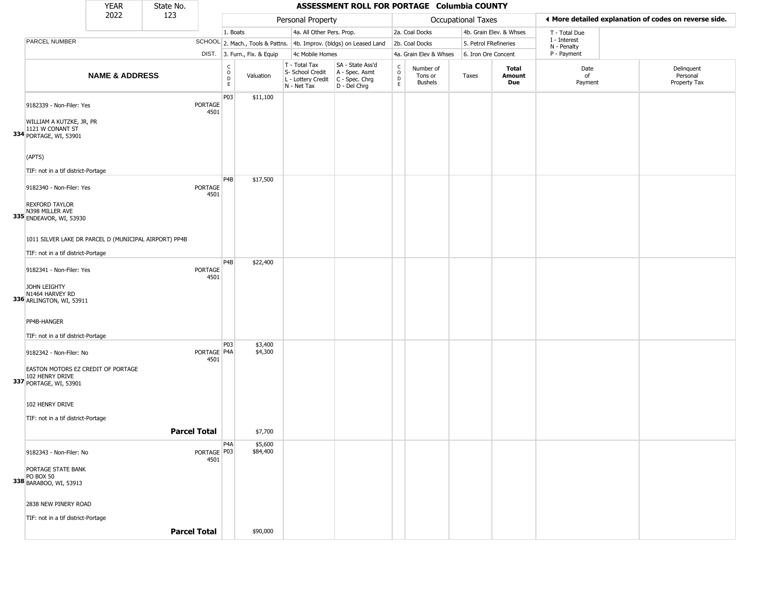|                                                                                                            | <b>YEAR</b>               | State No.           |                                                 |                              |                                                                        | ASSESSMENT ROLL FOR PORTAGE Columbia COUNTY                            |                                                 |                                        |                       |                         |                             |                                                       |
|------------------------------------------------------------------------------------------------------------|---------------------------|---------------------|-------------------------------------------------|------------------------------|------------------------------------------------------------------------|------------------------------------------------------------------------|-------------------------------------------------|----------------------------------------|-----------------------|-------------------------|-----------------------------|-------------------------------------------------------|
|                                                                                                            | 2022                      | 123                 |                                                 |                              | Personal Property                                                      |                                                                        |                                                 |                                        | Occupational Taxes    |                         |                             | ♦ More detailed explanation of codes on reverse side. |
|                                                                                                            |                           |                     | 1. Boats                                        |                              | 4a. All Other Pers. Prop.                                              |                                                                        |                                                 | 2a. Coal Docks                         |                       | 4b. Grain Elev. & Whses | T - Total Due               |                                                       |
| PARCEL NUMBER                                                                                              |                           |                     |                                                 |                              |                                                                        | SCHOOL 2. Mach., Tools & Pattns. 4b. Improv. (bldgs) on Leased Land    |                                                 | 2b. Coal Docks                         | 5. Petrol FRefineries |                         | I - Interest<br>N - Penalty |                                                       |
|                                                                                                            |                           |                     |                                                 | DIST. 3. Furn., Fix. & Equip | 4c Mobile Homes                                                        |                                                                        |                                                 | 4a. Grain Elev & Whses                 | 6. Iron Ore Concent   |                         | P - Payment                 |                                                       |
|                                                                                                            | <b>NAME &amp; ADDRESS</b> |                     | $\begin{array}{c} C \\ O \\ D \\ E \end{array}$ | Valuation                    | T - Total Tax<br>S- School Credit<br>L - Lottery Credit<br>N - Net Tax | SA - State Ass'd<br>A - Spec. Asmt<br>$C - Spec. Chrg$<br>D - Del Chrg | $\begin{array}{c} C \\ O \\ D \\ E \end{array}$ | Number of<br>Tons or<br><b>Bushels</b> | Taxes                 | Total<br>Amount<br>Due  | Date<br>of<br>Payment       | Delinquent<br>Personal<br>Property Tax                |
| 9182339 - Non-Filer: Yes<br>WILLIAM A KUTZKE, JR, PR<br>1121 W CONANT ST                                   |                           |                     | P03<br><b>PORTAGE</b><br>4501                   | \$11,100                     |                                                                        |                                                                        |                                                 |                                        |                       |                         |                             |                                                       |
| 334 PORTAGE, WI, 53901<br>(APTS)<br>TIF: not in a tif district-Portage                                     |                           |                     |                                                 |                              |                                                                        |                                                                        |                                                 |                                        |                       |                         |                             |                                                       |
| 9182340 - Non-Filer: Yes<br><b>REXFORD TAYLOR</b><br>N398 MILLER AVE<br>335 ENDEAVOR, WI, 53930            |                           |                     | P <sub>4</sub> B<br>PORTAGE<br>4501             | \$17,500                     |                                                                        |                                                                        |                                                 |                                        |                       |                         |                             |                                                       |
| 1011 SILVER LAKE DR PARCEL D (MUNICIPAL AIRPORT) PP4B<br>TIF: not in a tif district-Portage                |                           |                     |                                                 |                              |                                                                        |                                                                        |                                                 |                                        |                       |                         |                             |                                                       |
| 9182341 - Non-Filer: Yes<br>JOHN LEIGHTY<br>N1464 HARVEY RD<br>336 ARLINGTON, WI, 53911                    |                           |                     | P <sub>4</sub> B<br>PORTAGE<br>4501             | \$22,400                     |                                                                        |                                                                        |                                                 |                                        |                       |                         |                             |                                                       |
| PP4B-HANGER<br>TIF: not in a tif district-Portage                                                          |                           |                     |                                                 |                              |                                                                        |                                                                        |                                                 |                                        |                       |                         |                             |                                                       |
| 9182342 - Non-Filer: No<br>EASTON MOTORS EZ CREDIT OF PORTAGE<br>102 HENRY DRIVE<br>337 PORTAGE, WI, 53901 |                           |                     | P03<br>PORTAGE P4A<br>4501                      | \$3,400<br>\$4,300           |                                                                        |                                                                        |                                                 |                                        |                       |                         |                             |                                                       |
| 102 HENRY DRIVE<br>TIF: not in a tif district-Portage                                                      |                           | <b>Parcel Total</b> |                                                 | \$7,700                      |                                                                        |                                                                        |                                                 |                                        |                       |                         |                             |                                                       |
|                                                                                                            |                           |                     | P <sub>4</sub> A                                | \$5,600                      |                                                                        |                                                                        |                                                 |                                        |                       |                         |                             |                                                       |
| 9182343 - Non-Filer: No<br>PORTAGE STATE BANK<br><b>PO BOX 50</b><br>338 BARABOO, WI, 53913                |                           |                     | PORTAGE P03<br>4501                             | \$84,400                     |                                                                        |                                                                        |                                                 |                                        |                       |                         |                             |                                                       |
| 2838 NEW PINERY ROAD<br>TIF: not in a tif district-Portage                                                 |                           | <b>Parcel Total</b> |                                                 | \$90,000                     |                                                                        |                                                                        |                                                 |                                        |                       |                         |                             |                                                       |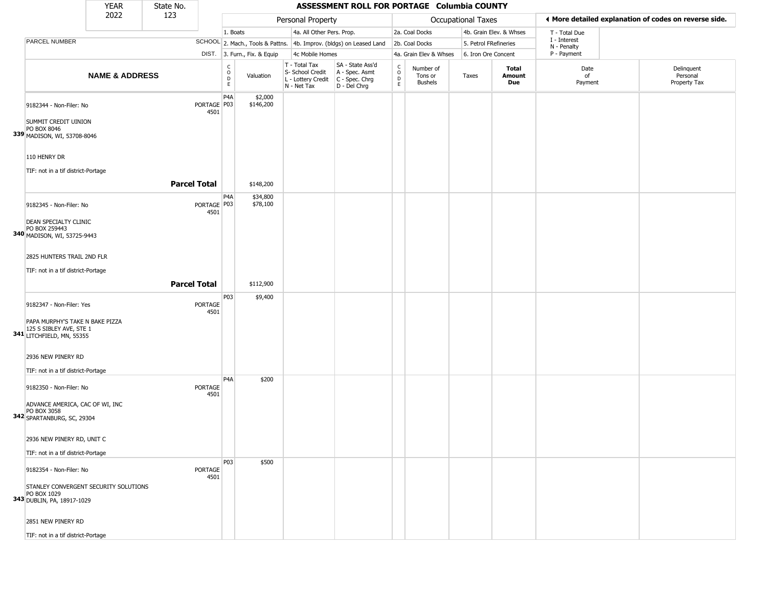|                                                                                         | <b>YEAR</b>               | State No.           |                        |                        |                              |                                                                        | ASSESSMENT ROLL FOR PORTAGE Columbia COUNTY                          |                                        |                                        |                       |                         |                             |                                                       |
|-----------------------------------------------------------------------------------------|---------------------------|---------------------|------------------------|------------------------|------------------------------|------------------------------------------------------------------------|----------------------------------------------------------------------|----------------------------------------|----------------------------------------|-----------------------|-------------------------|-----------------------------|-------------------------------------------------------|
|                                                                                         | 2022                      | 123                 |                        |                        |                              | Personal Property                                                      |                                                                      |                                        |                                        | Occupational Taxes    |                         |                             | ◀ More detailed explanation of codes on reverse side. |
|                                                                                         |                           |                     |                        | 1. Boats               |                              | 4a. All Other Pers. Prop.                                              |                                                                      |                                        | 2a. Coal Docks                         |                       | 4b. Grain Elev. & Whses | T - Total Due               |                                                       |
| PARCEL NUMBER                                                                           |                           |                     |                        |                        |                              |                                                                        | SCHOOL 2. Mach., Tools & Pattns. 4b. Improv. (bldgs) on Leased Land  |                                        | 2b. Coal Docks                         | 5. Petrol FRefineries |                         | I - Interest<br>N - Penalty |                                                       |
|                                                                                         |                           |                     |                        |                        | DIST. 3. Furn., Fix. & Equip | 4c Mobile Homes                                                        |                                                                      |                                        | 4a. Grain Elev & Whses                 | 6. Iron Ore Concent   |                         | P - Payment                 |                                                       |
|                                                                                         | <b>NAME &amp; ADDRESS</b> |                     |                        | C<br>$\circ$<br>D<br>E | Valuation                    | T - Total Tax<br>S- School Credit<br>L - Lottery Credit<br>N - Net Tax | SA - State Ass'd<br>A - Spec. Asmt<br>C - Spec. Chrg<br>D - Del Chrg | $\rm_{o}^{\rm c}$<br>$\mathsf{D}$<br>E | Number of<br>Tons or<br><b>Bushels</b> | Taxes                 | Total<br>Amount<br>Due  | Date<br>of<br>Payment       | Delinquent<br>Personal<br>Property Tax                |
| 9182344 - Non-Filer: No                                                                 |                           |                     | PORTAGE P03<br>4501    | P4A                    | \$2,000<br>\$146,200         |                                                                        |                                                                      |                                        |                                        |                       |                         |                             |                                                       |
| SUMMIT CREDIT UINION<br>PO BOX 8046<br>339 MADISON, WI, 53708-8046                      |                           |                     |                        |                        |                              |                                                                        |                                                                      |                                        |                                        |                       |                         |                             |                                                       |
| 110 HENRY DR                                                                            |                           |                     |                        |                        |                              |                                                                        |                                                                      |                                        |                                        |                       |                         |                             |                                                       |
| TIF: not in a tif district-Portage                                                      |                           | <b>Parcel Total</b> |                        |                        | \$148,200                    |                                                                        |                                                                      |                                        |                                        |                       |                         |                             |                                                       |
|                                                                                         |                           |                     |                        | P4A                    |                              |                                                                        |                                                                      |                                        |                                        |                       |                         |                             |                                                       |
| 9182345 - Non-Filer: No                                                                 |                           |                     | PORTAGE   P03<br>4501  |                        | \$34,800<br>\$78,100         |                                                                        |                                                                      |                                        |                                        |                       |                         |                             |                                                       |
| DEAN SPECIALTY CLINIC<br>PO BOX 259443<br>340 MADISON, WI, 53725-9443                   |                           |                     |                        |                        |                              |                                                                        |                                                                      |                                        |                                        |                       |                         |                             |                                                       |
| 2825 HUNTERS TRAIL 2ND FLR                                                              |                           |                     |                        |                        |                              |                                                                        |                                                                      |                                        |                                        |                       |                         |                             |                                                       |
| TIF: not in a tif district-Portage                                                      |                           |                     |                        |                        |                              |                                                                        |                                                                      |                                        |                                        |                       |                         |                             |                                                       |
|                                                                                         |                           | <b>Parcel Total</b> |                        |                        | \$112,900                    |                                                                        |                                                                      |                                        |                                        |                       |                         |                             |                                                       |
| 9182347 - Non-Filer: Yes                                                                |                           |                     | <b>PORTAGE</b><br>4501 | P03                    | \$9,400                      |                                                                        |                                                                      |                                        |                                        |                       |                         |                             |                                                       |
| PAPA MURPHY'S TAKE N BAKE PIZZA<br>125 S SIBLEY AVE, STE 1<br>341 LITCHFIELD, MN, 55355 |                           |                     |                        |                        |                              |                                                                        |                                                                      |                                        |                                        |                       |                         |                             |                                                       |
| 2936 NEW PINERY RD                                                                      |                           |                     |                        |                        |                              |                                                                        |                                                                      |                                        |                                        |                       |                         |                             |                                                       |
| TIF: not in a tif district-Portage                                                      |                           |                     |                        | P <sub>4</sub> A       |                              |                                                                        |                                                                      |                                        |                                        |                       |                         |                             |                                                       |
| 9182350 - Non-Filer: No                                                                 |                           |                     | <b>PORTAGE</b><br>4501 |                        | \$200                        |                                                                        |                                                                      |                                        |                                        |                       |                         |                             |                                                       |
| ADVANCE AMERICA, CAC OF WI, INC<br>PO BOX 3058<br>342 SPARTANBURG, SC, 29304            |                           |                     |                        |                        |                              |                                                                        |                                                                      |                                        |                                        |                       |                         |                             |                                                       |
| 2936 NEW PINERY RD, UNIT C                                                              |                           |                     |                        |                        |                              |                                                                        |                                                                      |                                        |                                        |                       |                         |                             |                                                       |
| TIF: not in a tif district-Portage                                                      |                           |                     |                        |                        |                              |                                                                        |                                                                      |                                        |                                        |                       |                         |                             |                                                       |
| 9182354 - Non-Filer: No                                                                 |                           |                     | PORTAGE<br>4501        | P03                    | \$500                        |                                                                        |                                                                      |                                        |                                        |                       |                         |                             |                                                       |
| STANLEY CONVERGENT SECURITY SOLUTIONS<br>PO BOX 1029<br>343 DUBLIN, PA, 18917-1029      |                           |                     |                        |                        |                              |                                                                        |                                                                      |                                        |                                        |                       |                         |                             |                                                       |
| 2851 NEW PINERY RD                                                                      |                           |                     |                        |                        |                              |                                                                        |                                                                      |                                        |                                        |                       |                         |                             |                                                       |
| TIF: not in a tif district-Portage                                                      |                           |                     |                        |                        |                              |                                                                        |                                                                      |                                        |                                        |                       |                         |                             |                                                       |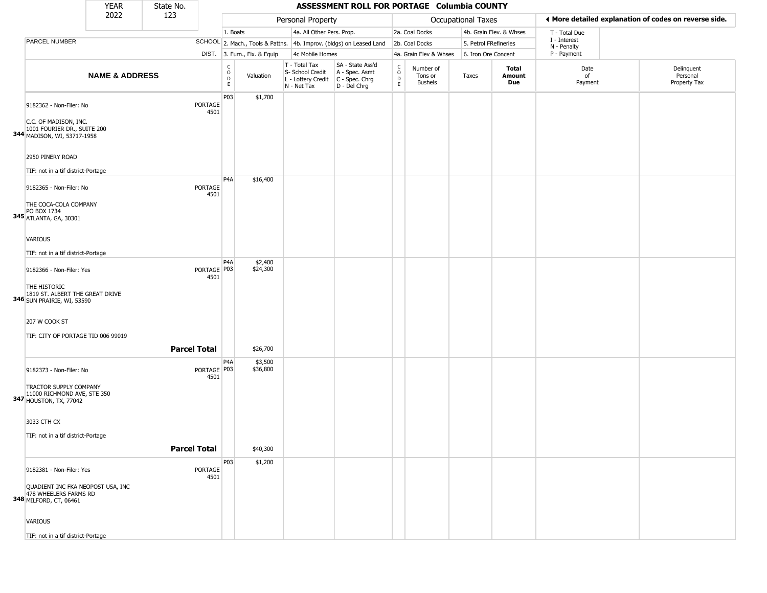|                                                                                                                   | <b>YEAR</b>               | State No.           |                       |                                                |                              |                                                                                       | ASSESSMENT ROLL FOR PORTAGE Columbia COUNTY                         |                                                |                                        |                       |                         |                             |                                                       |
|-------------------------------------------------------------------------------------------------------------------|---------------------------|---------------------|-----------------------|------------------------------------------------|------------------------------|---------------------------------------------------------------------------------------|---------------------------------------------------------------------|------------------------------------------------|----------------------------------------|-----------------------|-------------------------|-----------------------------|-------------------------------------------------------|
|                                                                                                                   | 2022                      | 123                 |                       |                                                |                              | Personal Property                                                                     |                                                                     |                                                |                                        | Occupational Taxes    |                         |                             | I More detailed explanation of codes on reverse side. |
|                                                                                                                   |                           |                     |                       | 1. Boats                                       |                              | 4a. All Other Pers. Prop.                                                             |                                                                     |                                                | 2a. Coal Docks                         |                       | 4b. Grain Elev. & Whses | T - Total Due               |                                                       |
| PARCEL NUMBER                                                                                                     |                           |                     |                       |                                                |                              |                                                                                       | SCHOOL 2. Mach., Tools & Pattns. 4b. Improv. (bldgs) on Leased Land |                                                | 2b. Coal Docks                         | 5. Petrol FRefineries |                         | I - Interest<br>N - Penalty |                                                       |
|                                                                                                                   |                           |                     |                       |                                                | DIST. 3. Furn., Fix. & Equip | 4c Mobile Homes                                                                       |                                                                     |                                                | 4a. Grain Elev & Whses                 | 6. Iron Ore Concent   |                         | P - Payment                 |                                                       |
|                                                                                                                   | <b>NAME &amp; ADDRESS</b> |                     |                       | $\begin{matrix} 0 \\ 0 \\ D \end{matrix}$<br>E | Valuation                    | T - Total Tax<br>S- School Credit<br>L - Lottery Credit C - Spec. Chrg<br>N - Net Tax | SA - State Ass'd<br>A - Spec. Asmt<br>D - Del Chrg                  | $\begin{matrix} 0 \\ 0 \\ D \end{matrix}$<br>E | Number of<br>Tons or<br><b>Bushels</b> | Taxes                 | Total<br>Amount<br>Due  | Date<br>of<br>Payment       | Delinquent<br>Personal<br>Property Tax                |
| 9182362 - Non-Filer: No<br>C.C. OF MADISON, INC.<br>1001 FOURIER DR., SUITE 200<br>344 MADISON, WI, 53717-1958    |                           |                     | PORTAGE<br>4501       | P03                                            | \$1,700                      |                                                                                       |                                                                     |                                                |                                        |                       |                         |                             |                                                       |
| 2950 PINERY ROAD<br>TIF: not in a tif district-Portage                                                            |                           |                     |                       | P <sub>4</sub> A                               |                              |                                                                                       |                                                                     |                                                |                                        |                       |                         |                             |                                                       |
| 9182365 - Non-Filer: No<br>THE COCA-COLA COMPANY<br>PO BOX 1734<br>345 ATLANTA, GA, 30301                         |                           |                     | PORTAGE<br>4501       |                                                | \$16,400                     |                                                                                       |                                                                     |                                                |                                        |                       |                         |                             |                                                       |
| <b>VARIOUS</b><br>TIF: not in a tif district-Portage                                                              |                           |                     |                       | P <sub>4</sub> A                               | \$2,400                      |                                                                                       |                                                                     |                                                |                                        |                       |                         |                             |                                                       |
| 9182366 - Non-Filer: Yes<br>THE HISTORIC<br>1819 ST. ALBERT THE GREAT DRIVE<br><b>346</b> SUN PRAIRIE, WI, 53590  |                           |                     | PORTAGE   P03<br>4501 |                                                | \$24,300                     |                                                                                       |                                                                     |                                                |                                        |                       |                         |                             |                                                       |
| 207 W COOK ST<br>TIF: CITY OF PORTAGE TID 006 99019                                                               |                           | <b>Parcel Total</b> |                       |                                                | \$26,700                     |                                                                                       |                                                                     |                                                |                                        |                       |                         |                             |                                                       |
| 9182373 - Non-Filer: No<br>TRACTOR SUPPLY COMPANY<br>11000 RICHMOND AVE, STE 350<br><b>347 HOUSTON, TX, 77042</b> |                           |                     | PORTAGE P03<br>4501   | P4A                                            | \$3,500<br>\$36,800          |                                                                                       |                                                                     |                                                |                                        |                       |                         |                             |                                                       |
| 3033 CTH CX<br>TIF: not in a tif district-Portage                                                                 |                           | <b>Parcel Total</b> |                       |                                                | \$40,300                     |                                                                                       |                                                                     |                                                |                                        |                       |                         |                             |                                                       |
| 9182381 - Non-Filer: Yes<br>QUADIENT INC FKA NEOPOST USA, INC<br>478 WHEELERS FARMS RD<br>348 MILFORD, CT, 06461  |                           |                     | PORTAGE<br>4501       | P03                                            | \$1,200                      |                                                                                       |                                                                     |                                                |                                        |                       |                         |                             |                                                       |
| <b>VARIOUS</b><br>TIF: not in a tif district-Portage                                                              |                           |                     |                       |                                                |                              |                                                                                       |                                                                     |                                                |                                        |                       |                         |                             |                                                       |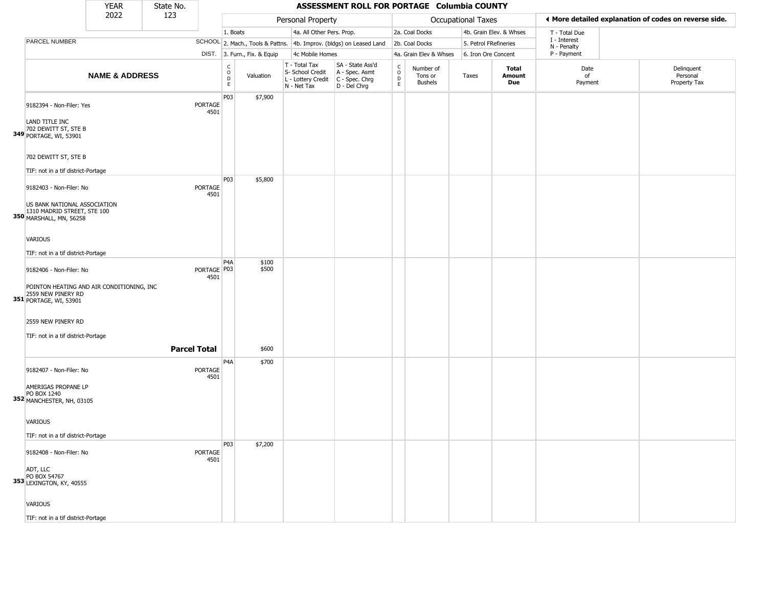|                                                                                        | <b>YEAR</b>               | State No.           |                        |                                                |                              |                                                                        | ASSESSMENT ROLL FOR PORTAGE Columbia COUNTY                            |                                     |                                        |                    |                         |                             |                                                       |
|----------------------------------------------------------------------------------------|---------------------------|---------------------|------------------------|------------------------------------------------|------------------------------|------------------------------------------------------------------------|------------------------------------------------------------------------|-------------------------------------|----------------------------------------|--------------------|-------------------------|-----------------------------|-------------------------------------------------------|
|                                                                                        | 2022                      | 123                 |                        |                                                |                              | Personal Property                                                      |                                                                        |                                     |                                        | Occupational Taxes |                         |                             | I More detailed explanation of codes on reverse side. |
|                                                                                        |                           |                     |                        | 1. Boats                                       |                              | 4a. All Other Pers. Prop.                                              |                                                                        |                                     | 2a. Coal Docks                         |                    | 4b. Grain Elev. & Whses | T - Total Due               |                                                       |
| PARCEL NUMBER                                                                          |                           |                     |                        |                                                |                              |                                                                        | SCHOOL 2. Mach., Tools & Pattns. 4b. Improv. (bldgs) on Leased Land    |                                     | 2b. Coal Docks                         |                    | 5. Petrol FRefineries   | I - Interest<br>N - Penalty |                                                       |
|                                                                                        |                           |                     |                        |                                                | DIST. 3. Furn., Fix. & Equip | 4c Mobile Homes                                                        |                                                                        |                                     | 4a. Grain Elev & Whses                 |                    | 6. Iron Ore Concent     | P - Payment                 |                                                       |
|                                                                                        | <b>NAME &amp; ADDRESS</b> |                     |                        | $\begin{matrix} 0 \\ 0 \\ D \end{matrix}$<br>E | Valuation                    | T - Total Tax<br>S- School Credit<br>L - Lottery Credit<br>N - Net Tax | SA - State Ass'd<br>A - Spec. Asmt<br>$C - Spec. Chrg$<br>D - Del Chrg | $\int_{0}^{c}$<br>$\mathsf{D}$<br>E | Number of<br>Tons or<br><b>Bushels</b> | Taxes              | Total<br>Amount<br>Due  | Date<br>of<br>Payment       | Delinquent<br>Personal<br>Property Tax                |
| 9182394 - Non-Filer: Yes<br>LAND TITLE INC<br>702 DEWITT ST, STE B                     |                           |                     | PORTAGE<br>4501        | P03                                            | \$7,900                      |                                                                        |                                                                        |                                     |                                        |                    |                         |                             |                                                       |
| 349 PORTAGE, WI, 53901<br>702 DEWITT ST, STE B<br>TIF: not in a tif district-Portage   |                           |                     |                        |                                                |                              |                                                                        |                                                                        |                                     |                                        |                    |                         |                             |                                                       |
| 9182403 - Non-Filer: No                                                                |                           |                     | PORTAGE<br>4501        | P03                                            | \$5,800                      |                                                                        |                                                                        |                                     |                                        |                    |                         |                             |                                                       |
| US BANK NATIONAL ASSOCIATION<br>1310 MADRID STREET, STE 100<br>350 MARSHALL, MN, 56258 |                           |                     |                        |                                                |                              |                                                                        |                                                                        |                                     |                                        |                    |                         |                             |                                                       |
| VARIOUS<br>TIF: not in a tif district-Portage                                          |                           |                     |                        |                                                |                              |                                                                        |                                                                        |                                     |                                        |                    |                         |                             |                                                       |
| 9182406 - Non-Filer: No<br>POINTON HEATING AND AIR CONDITIONING, INC                   |                           |                     | PORTAGE   P03<br>4501  | P <sub>4</sub> A                               | \$100<br>\$500               |                                                                        |                                                                        |                                     |                                        |                    |                         |                             |                                                       |
| 2559 NEW PINERY RD<br>351 PORTAGE, WI, 53901                                           |                           |                     |                        |                                                |                              |                                                                        |                                                                        |                                     |                                        |                    |                         |                             |                                                       |
| 2559 NEW PINERY RD<br>TIF: not in a tif district-Portage                               |                           |                     |                        |                                                |                              |                                                                        |                                                                        |                                     |                                        |                    |                         |                             |                                                       |
|                                                                                        |                           | <b>Parcel Total</b> |                        |                                                | \$600                        |                                                                        |                                                                        |                                     |                                        |                    |                         |                             |                                                       |
| 9182407 - Non-Filer: No                                                                |                           |                     | <b>PORTAGE</b><br>4501 | P <sub>4</sub> A                               | \$700                        |                                                                        |                                                                        |                                     |                                        |                    |                         |                             |                                                       |
| AMERIGAS PROPANE LP<br>PO BOX 1240<br>352 MANCHESTER, NH, 03105                        |                           |                     |                        |                                                |                              |                                                                        |                                                                        |                                     |                                        |                    |                         |                             |                                                       |
| VARIOUS                                                                                |                           |                     |                        |                                                |                              |                                                                        |                                                                        |                                     |                                        |                    |                         |                             |                                                       |
| TIF: not in a tif district-Portage<br>9182408 - Non-Filer: No                          |                           |                     | <b>PORTAGE</b><br>4501 | P03                                            | \$7,200                      |                                                                        |                                                                        |                                     |                                        |                    |                         |                             |                                                       |
| ADT, LLC<br>PO BOX 54767<br>353 LEXINGTON, KY, 40555                                   |                           |                     |                        |                                                |                              |                                                                        |                                                                        |                                     |                                        |                    |                         |                             |                                                       |
| <b>VARIOUS</b>                                                                         |                           |                     |                        |                                                |                              |                                                                        |                                                                        |                                     |                                        |                    |                         |                             |                                                       |
| TIF: not in a tif district-Portage                                                     |                           |                     |                        |                                                |                              |                                                                        |                                                                        |                                     |                                        |                    |                         |                             |                                                       |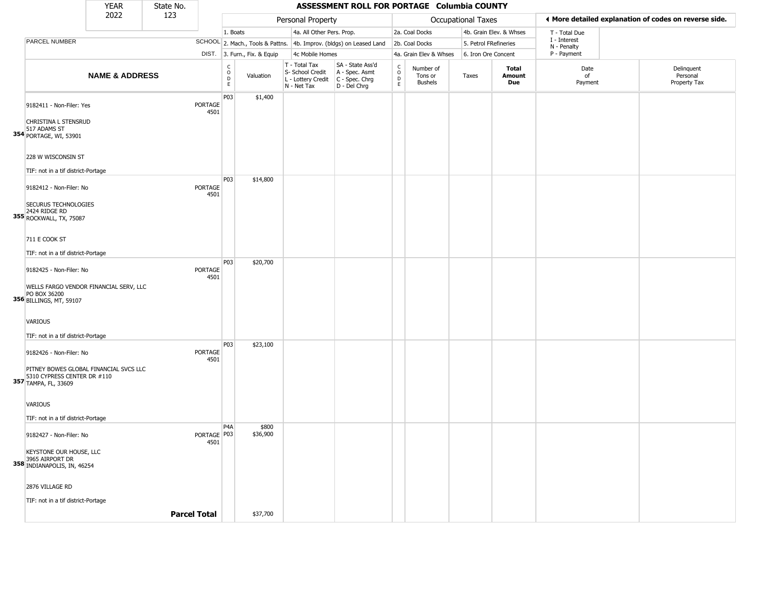|                                                                                       | <b>YEAR</b>               | State No.           |                        |                                                |                              |                                                                        | ASSESSMENT ROLL FOR PORTAGE Columbia COUNTY                          |                                     |                                        |                       |                         |                             |                                                       |
|---------------------------------------------------------------------------------------|---------------------------|---------------------|------------------------|------------------------------------------------|------------------------------|------------------------------------------------------------------------|----------------------------------------------------------------------|-------------------------------------|----------------------------------------|-----------------------|-------------------------|-----------------------------|-------------------------------------------------------|
|                                                                                       | 2022                      | 123                 |                        |                                                |                              | Personal Property                                                      |                                                                      |                                     |                                        | Occupational Taxes    |                         |                             | ♦ More detailed explanation of codes on reverse side. |
|                                                                                       |                           |                     |                        | 1. Boats                                       |                              | 4a. All Other Pers. Prop.                                              |                                                                      |                                     | 2a. Coal Docks                         |                       | 4b. Grain Elev. & Whses | T - Total Due               |                                                       |
| PARCEL NUMBER                                                                         |                           |                     |                        |                                                |                              |                                                                        | SCHOOL 2. Mach., Tools & Pattns. 4b. Improv. (bldgs) on Leased Land  |                                     | 2b. Coal Docks                         | 5. Petrol FRefineries |                         | I - Interest<br>N - Penalty |                                                       |
|                                                                                       |                           |                     |                        |                                                | DIST. 3. Furn., Fix. & Equip | 4c Mobile Homes                                                        |                                                                      |                                     | 4a. Grain Elev & Whses                 | 6. Iron Ore Concent   |                         | P - Payment                 |                                                       |
|                                                                                       | <b>NAME &amp; ADDRESS</b> |                     |                        | $\begin{matrix} 0 \\ 0 \\ D \end{matrix}$<br>E | Valuation                    | T - Total Tax<br>S- School Credit<br>L - Lottery Credit<br>N - Net Tax | SA - State Ass'd<br>A - Spec. Asmt<br>C - Spec. Chrg<br>D - Del Chrg | $\int_{0}^{c}$<br>$\mathsf{D}$<br>E | Number of<br>Tons or<br><b>Bushels</b> | Taxes                 | Total<br>Amount<br>Due  | Date<br>of<br>Payment       | Delinquent<br>Personal<br>Property Tax                |
| 9182411 - Non-Filer: Yes                                                              |                           |                     | PORTAGE<br>4501        | P03                                            | \$1,400                      |                                                                        |                                                                      |                                     |                                        |                       |                         |                             |                                                       |
| CHRISTINA L STENSRUD<br>517 ADAMS ST<br>354 PORTAGE, WI, 53901                        |                           |                     |                        |                                                |                              |                                                                        |                                                                      |                                     |                                        |                       |                         |                             |                                                       |
| 228 W WISCONSIN ST<br>TIF: not in a tif district-Portage                              |                           |                     |                        |                                                |                              |                                                                        |                                                                      |                                     |                                        |                       |                         |                             |                                                       |
| 9182412 - Non-Filer: No                                                               |                           |                     | PORTAGE<br>4501        | P03                                            | \$14,800                     |                                                                        |                                                                      |                                     |                                        |                       |                         |                             |                                                       |
| SECURUS TECHNOLOGIES<br>2424 RIDGE RD<br>355 ROCKWALL, TX, 75087                      |                           |                     |                        |                                                |                              |                                                                        |                                                                      |                                     |                                        |                       |                         |                             |                                                       |
| 711 E COOK ST<br>TIF: not in a tif district-Portage                                   |                           |                     |                        |                                                |                              |                                                                        |                                                                      |                                     |                                        |                       |                         |                             |                                                       |
| 9182425 - Non-Filer: No                                                               |                           |                     | PORTAGE<br>4501        | P03                                            | \$20,700                     |                                                                        |                                                                      |                                     |                                        |                       |                         |                             |                                                       |
| WELLS FARGO VENDOR FINANCIAL SERV, LLC<br>356 PO BOX 36200<br>356 BILLINGS, MT, 59107 |                           |                     |                        |                                                |                              |                                                                        |                                                                      |                                     |                                        |                       |                         |                             |                                                       |
| <b>VARIOUS</b>                                                                        |                           |                     |                        |                                                |                              |                                                                        |                                                                      |                                     |                                        |                       |                         |                             |                                                       |
| TIF: not in a tif district-Portage                                                    |                           |                     |                        | P03                                            | \$23,100                     |                                                                        |                                                                      |                                     |                                        |                       |                         |                             |                                                       |
| 9182426 - Non-Filer: No<br>PITNEY BOWES GLOBAL FINANCIAL SVCS LLC                     |                           |                     | <b>PORTAGE</b><br>4501 |                                                |                              |                                                                        |                                                                      |                                     |                                        |                       |                         |                             |                                                       |
| 5310 CYPRESS CENTER DR #110<br>357 TAMPA, FL, 33609                                   |                           |                     |                        |                                                |                              |                                                                        |                                                                      |                                     |                                        |                       |                         |                             |                                                       |
| <b>VARIOUS</b>                                                                        |                           |                     |                        |                                                |                              |                                                                        |                                                                      |                                     |                                        |                       |                         |                             |                                                       |
| TIF: not in a tif district-Portage                                                    |                           |                     |                        |                                                |                              |                                                                        |                                                                      |                                     |                                        |                       |                         |                             |                                                       |
| 9182427 - Non-Filer: No                                                               |                           |                     | PORTAGE PU3<br>4501    | P <sub>4</sub> A                               | \$800<br>\$36,900            |                                                                        |                                                                      |                                     |                                        |                       |                         |                             |                                                       |
| KEYSTONE OUR HOUSE, LLC<br>358 3965 AIRPORT DR<br>358 INDIANAPOLIS, IN, 46254         |                           |                     |                        |                                                |                              |                                                                        |                                                                      |                                     |                                        |                       |                         |                             |                                                       |
| 2876 VILLAGE RD                                                                       |                           |                     |                        |                                                |                              |                                                                        |                                                                      |                                     |                                        |                       |                         |                             |                                                       |
| TIF: not in a tif district-Portage                                                    |                           | <b>Parcel Total</b> |                        |                                                | \$37,700                     |                                                                        |                                                                      |                                     |                                        |                       |                         |                             |                                                       |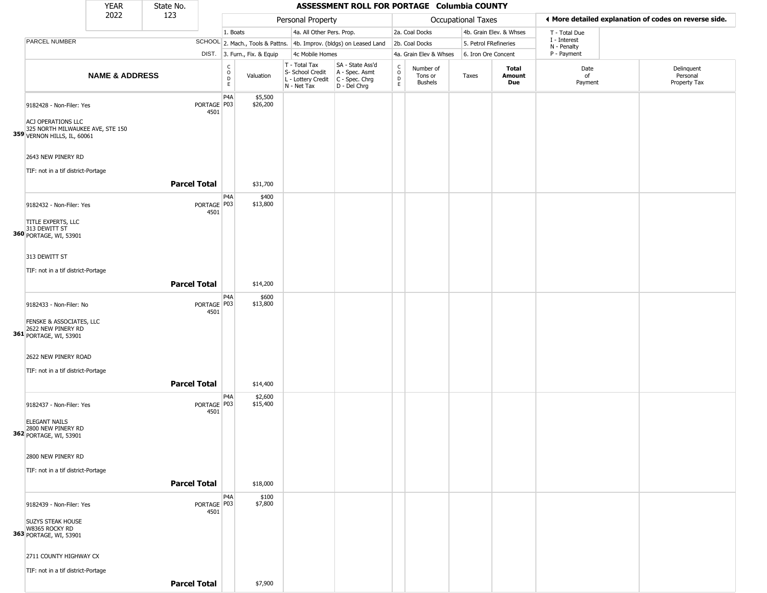|                                                                                       | YEAR                      | State No.           |                       |                                        |                              |                                                                                       | ASSESSMENT ROLL FOR PORTAGE Columbia COUNTY                         |                            |                                        |                           |                         |                             |                                                       |
|---------------------------------------------------------------------------------------|---------------------------|---------------------|-----------------------|----------------------------------------|------------------------------|---------------------------------------------------------------------------------------|---------------------------------------------------------------------|----------------------------|----------------------------------------|---------------------------|-------------------------|-----------------------------|-------------------------------------------------------|
|                                                                                       | 2022                      | 123                 |                       |                                        |                              | Personal Property                                                                     |                                                                     |                            |                                        | <b>Occupational Taxes</b> |                         |                             | ♦ More detailed explanation of codes on reverse side. |
|                                                                                       |                           |                     |                       | 1. Boats                               |                              | 4a. All Other Pers. Prop.                                                             |                                                                     |                            | 2a. Coal Docks                         |                           | 4b. Grain Elev. & Whses | T - Total Due               |                                                       |
| PARCEL NUMBER                                                                         |                           |                     |                       |                                        |                              |                                                                                       | SCHOOL 2. Mach., Tools & Pattns. 4b. Improv. (bldgs) on Leased Land |                            | 2b. Coal Docks                         | 5. Petrol FRefineries     |                         | I - Interest<br>N - Penalty |                                                       |
|                                                                                       |                           |                     |                       |                                        | DIST. 3. Furn., Fix. & Equip | 4c Mobile Homes                                                                       |                                                                     |                            | 4a. Grain Elev & Whses                 | 6. Iron Ore Concent       |                         | P - Payment                 |                                                       |
|                                                                                       | <b>NAME &amp; ADDRESS</b> |                     |                       | $_{\rm o}^{\rm c}$<br>$\mathsf D$<br>E | Valuation                    | T - Total Tax<br>S- School Credit<br>L - Lottery Credit C - Spec. Chrg<br>N - Net Tax | SA - State Ass'd<br>A - Spec. Asmt<br>D - Del Chrg                  | C<br>$\mathsf O$<br>D<br>E | Number of<br>Tons or<br><b>Bushels</b> | Taxes                     | Total<br>Amount<br>Due  | Date<br>of<br>Payment       | Delinquent<br>Personal<br>Property Tax                |
| 9182428 - Non-Filer: Yes                                                              |                           |                     | PORTAGE   P03<br>4501 | P4A                                    | \$5,500<br>\$26,200          |                                                                                       |                                                                     |                            |                                        |                           |                         |                             |                                                       |
| ACJ OPERATIONS LLC<br>325 NORTH MILWAUKEE AVE, STE 150<br>359 VERNON HILLS, IL, 60061 |                           |                     |                       |                                        |                              |                                                                                       |                                                                     |                            |                                        |                           |                         |                             |                                                       |
| 2643 NEW PINERY RD                                                                    |                           |                     |                       |                                        |                              |                                                                                       |                                                                     |                            |                                        |                           |                         |                             |                                                       |
| TIF: not in a tif district-Portage                                                    |                           | <b>Parcel Total</b> |                       |                                        | \$31,700                     |                                                                                       |                                                                     |                            |                                        |                           |                         |                             |                                                       |
| 9182432 - Non-Filer: Yes                                                              |                           |                     | PORTAGE   P03<br>4501 | P <sub>4</sub> A                       | \$400<br>\$13,800            |                                                                                       |                                                                     |                            |                                        |                           |                         |                             |                                                       |
| TITLE EXPERTS, LLC<br>313 DEWITT ST<br>360 PORTAGE, WI, 53901                         |                           |                     |                       |                                        |                              |                                                                                       |                                                                     |                            |                                        |                           |                         |                             |                                                       |
| 313 DEWITT ST                                                                         |                           |                     |                       |                                        |                              |                                                                                       |                                                                     |                            |                                        |                           |                         |                             |                                                       |
| TIF: not in a tif district-Portage                                                    |                           | <b>Parcel Total</b> |                       |                                        | \$14,200                     |                                                                                       |                                                                     |                            |                                        |                           |                         |                             |                                                       |
| 9182433 - Non-Filer: No                                                               |                           |                     | PORTAGE P03<br>4501   | P4A                                    | \$600<br>\$13,800            |                                                                                       |                                                                     |                            |                                        |                           |                         |                             |                                                       |
| FENSKE & ASSOCIATES, LLC<br>2622 NEW PINERY RD<br><b>361</b> PORTAGE, WI, 53901       |                           |                     |                       |                                        |                              |                                                                                       |                                                                     |                            |                                        |                           |                         |                             |                                                       |
| 2622 NEW PINERY ROAD<br>TIF: not in a tif district-Portage                            |                           |                     |                       |                                        |                              |                                                                                       |                                                                     |                            |                                        |                           |                         |                             |                                                       |
|                                                                                       |                           | <b>Parcel Total</b> |                       |                                        | \$14,400                     |                                                                                       |                                                                     |                            |                                        |                           |                         |                             |                                                       |
| 9182437 - Non-Filer: Yes                                                              |                           |                     | PORTAGE   P03<br>4501 | P <sub>4</sub> A                       | \$2,600<br>\$15,400          |                                                                                       |                                                                     |                            |                                        |                           |                         |                             |                                                       |
| <b>ELEGANT NAILS</b><br>2800 NEW PINERY RD<br>362 PORTAGE, WI, 53901                  |                           |                     |                       |                                        |                              |                                                                                       |                                                                     |                            |                                        |                           |                         |                             |                                                       |
| 2800 NEW PINERY RD                                                                    |                           |                     |                       |                                        |                              |                                                                                       |                                                                     |                            |                                        |                           |                         |                             |                                                       |
| TIF: not in a tif district-Portage                                                    |                           | <b>Parcel Total</b> |                       |                                        | \$18,000                     |                                                                                       |                                                                     |                            |                                        |                           |                         |                             |                                                       |
| 9182439 - Non-Filer: Yes                                                              |                           |                     | PORTAGE P03<br>4501   | P4A                                    | \$100<br>\$7,800             |                                                                                       |                                                                     |                            |                                        |                           |                         |                             |                                                       |
| <b>SUZYS STEAK HOUSE</b><br>W8365 ROCKY RD<br>363 PORTAGE, WI, 53901                  |                           |                     |                       |                                        |                              |                                                                                       |                                                                     |                            |                                        |                           |                         |                             |                                                       |
| 2711 COUNTY HIGHWAY CX<br>TIF: not in a tif district-Portage                          |                           |                     |                       |                                        |                              |                                                                                       |                                                                     |                            |                                        |                           |                         |                             |                                                       |
|                                                                                       |                           | <b>Parcel Total</b> |                       |                                        | \$7,900                      |                                                                                       |                                                                     |                            |                                        |                           |                         |                             |                                                       |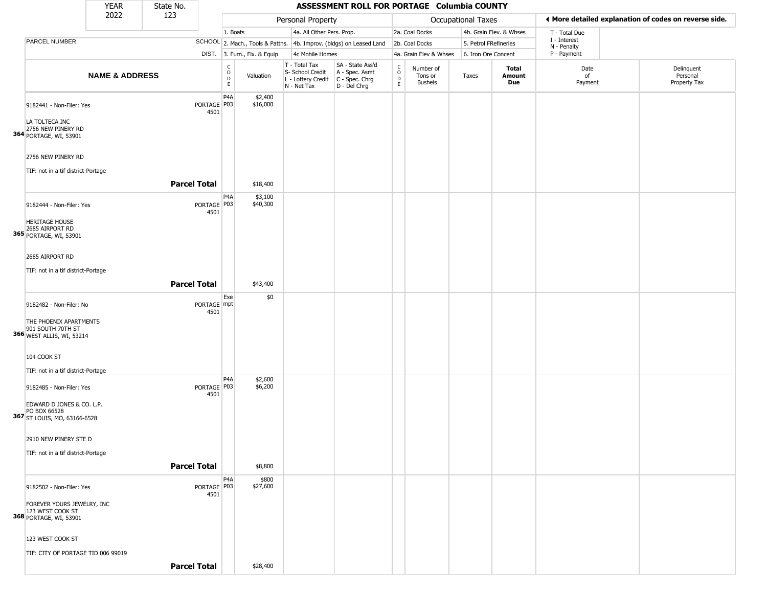|                                                                                                                  | <b>YEAR</b>               | State No.           |                     |                                   |                              |                                                                        | ASSESSMENT ROLL FOR PORTAGE Columbia COUNTY                          |                                                          |                                        |                       |                         |                             |                                                       |
|------------------------------------------------------------------------------------------------------------------|---------------------------|---------------------|---------------------|-----------------------------------|------------------------------|------------------------------------------------------------------------|----------------------------------------------------------------------|----------------------------------------------------------|----------------------------------------|-----------------------|-------------------------|-----------------------------|-------------------------------------------------------|
|                                                                                                                  | 2022                      | 123                 |                     |                                   |                              | Personal Property                                                      |                                                                      |                                                          |                                        | Occupational Taxes    |                         |                             | ♦ More detailed explanation of codes on reverse side. |
|                                                                                                                  |                           |                     |                     | 1. Boats                          |                              | 4a. All Other Pers. Prop.                                              |                                                                      |                                                          | 2a. Coal Docks                         |                       | 4b. Grain Elev. & Whses | T - Total Due               |                                                       |
| PARCEL NUMBER                                                                                                    |                           |                     |                     |                                   |                              |                                                                        | SCHOOL 2. Mach., Tools & Pattns. 4b. Improv. (bldgs) on Leased Land  |                                                          | 2b. Coal Docks                         | 5. Petrol FRefineries |                         | I - Interest<br>N - Penalty |                                                       |
|                                                                                                                  |                           |                     |                     |                                   | DIST. 3. Furn., Fix. & Equip | 4c Mobile Homes                                                        |                                                                      |                                                          | 4a. Grain Elev & Whses                 | 6. Iron Ore Concent   |                         | P - Payment                 |                                                       |
|                                                                                                                  | <b>NAME &amp; ADDRESS</b> |                     |                     | C<br>$\circ$<br>$\mathsf{D}$<br>E | Valuation                    | T - Total Tax<br>S- School Credit<br>L - Lottery Credit<br>N - Net Tax | SA - State Ass'd<br>A - Spec. Asmt<br>C - Spec. Chrg<br>D - Del Chrg | $\begin{matrix} 0 \\ 0 \\ D \end{matrix}$<br>$\mathsf E$ | Number of<br>Tons or<br><b>Bushels</b> | Taxes                 | Total<br>Amount<br>Due  | Date<br>of<br>Payment       | Delinquent<br>Personal<br>Property Tax                |
| 9182441 - Non-Filer: Yes<br>LA TOLTECA INC<br>2756 NEW PINERY RD<br>364 PORTAGE, WI, 53901                       |                           |                     | PORTAGE P03<br>4501 | P4A                               | \$2,400<br>\$16,000          |                                                                        |                                                                      |                                                          |                                        |                       |                         |                             |                                                       |
| 2756 NEW PINERY RD<br>TIF: not in a tif district-Portage                                                         |                           | <b>Parcel Total</b> |                     |                                   | \$18,400                     |                                                                        |                                                                      |                                                          |                                        |                       |                         |                             |                                                       |
|                                                                                                                  |                           |                     |                     | P4A                               | \$3,100                      |                                                                        |                                                                      |                                                          |                                        |                       |                         |                             |                                                       |
| 9182444 - Non-Filer: Yes<br><b>HERITAGE HOUSE</b><br><b>365</b> 2685 AIRPORT RD<br><b>365</b> PORTAGE, WI, 53901 |                           |                     | PORTAGE P03<br>4501 |                                   | \$40,300                     |                                                                        |                                                                      |                                                          |                                        |                       |                         |                             |                                                       |
| 2685 AIRPORT RD                                                                                                  |                           |                     |                     |                                   |                              |                                                                        |                                                                      |                                                          |                                        |                       |                         |                             |                                                       |
| TIF: not in a tif district-Portage                                                                               |                           |                     |                     |                                   |                              |                                                                        |                                                                      |                                                          |                                        |                       |                         |                             |                                                       |
|                                                                                                                  |                           |                     |                     |                                   |                              |                                                                        |                                                                      |                                                          |                                        |                       |                         |                             |                                                       |
|                                                                                                                  |                           | <b>Parcel Total</b> |                     |                                   | \$43,400                     |                                                                        |                                                                      |                                                          |                                        |                       |                         |                             |                                                       |
| 9182482 - Non-Filer: No<br>THE PHOENIX APARTMENTS<br>366 901 SOUTH 70TH ST<br>366 WEST ALLIS, WI, 53214          |                           |                     | PORTAGE mpt<br>4501 | Exe                               | \$0                          |                                                                        |                                                                      |                                                          |                                        |                       |                         |                             |                                                       |
| 104 COOK ST<br>TIF: not in a tif district-Portage                                                                |                           |                     |                     |                                   |                              |                                                                        |                                                                      |                                                          |                                        |                       |                         |                             |                                                       |
| 9182485 - Non-Filer: Yes                                                                                         |                           |                     | PORTAGE P03         | P <sub>4</sub> A                  | \$2,600<br>\$6,200           |                                                                        |                                                                      |                                                          |                                        |                       |                         |                             |                                                       |
| EDWARD D JONES & CO. L.P.<br>PO BOX 66528<br>367 ST LOUIS, MO, 63166-6528                                        |                           |                     | 4501                |                                   |                              |                                                                        |                                                                      |                                                          |                                        |                       |                         |                             |                                                       |
| 2910 NEW PINERY STE D                                                                                            |                           |                     |                     |                                   |                              |                                                                        |                                                                      |                                                          |                                        |                       |                         |                             |                                                       |
| TIF: not in a tif district-Portage                                                                               |                           |                     |                     |                                   |                              |                                                                        |                                                                      |                                                          |                                        |                       |                         |                             |                                                       |
|                                                                                                                  |                           | <b>Parcel Total</b> |                     |                                   | \$8,800                      |                                                                        |                                                                      |                                                          |                                        |                       |                         |                             |                                                       |
| 9182502 - Non-Filer: Yes<br>FOREVER YOURS JEWELRY, INC                                                           |                           |                     | PORTAGE P03<br>4501 | P <sub>4</sub> A                  | \$800<br>\$27,600            |                                                                        |                                                                      |                                                          |                                        |                       |                         |                             |                                                       |
| 123 WEST COOK ST<br>368 PORTAGE, WI, 53901                                                                       |                           |                     |                     |                                   |                              |                                                                        |                                                                      |                                                          |                                        |                       |                         |                             |                                                       |
| 123 WEST COOK ST                                                                                                 |                           |                     |                     |                                   |                              |                                                                        |                                                                      |                                                          |                                        |                       |                         |                             |                                                       |
| TIF: CITY OF PORTAGE TID 006 99019                                                                               |                           |                     |                     |                                   |                              |                                                                        |                                                                      |                                                          |                                        |                       |                         |                             |                                                       |
|                                                                                                                  |                           | <b>Parcel Total</b> |                     |                                   | \$28,400                     |                                                                        |                                                                      |                                                          |                                        |                       |                         |                             |                                                       |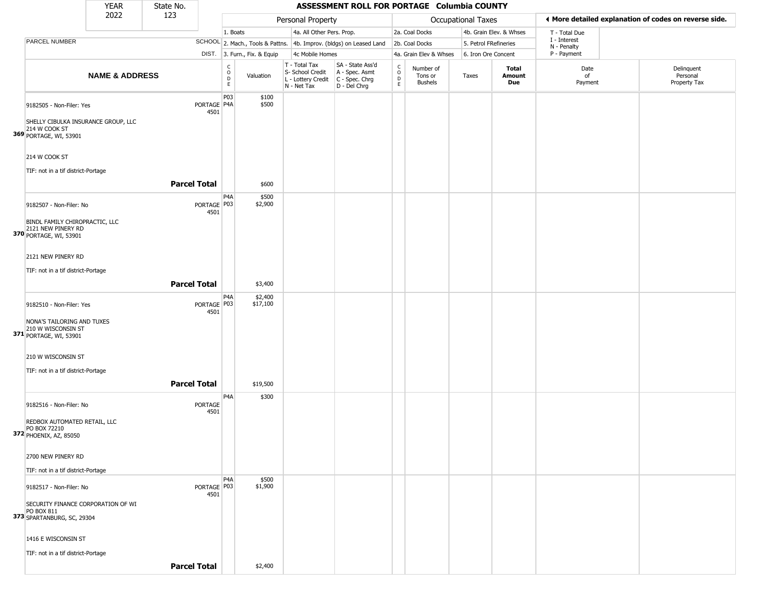|                                                                                                              | <b>YEAR</b>               | State No.           |                        |                       |                              |                                                                        | ASSESSMENT ROLL FOR PORTAGE Columbia COUNTY                          |                                              |                                        |                       |                         |                                                       |                                        |
|--------------------------------------------------------------------------------------------------------------|---------------------------|---------------------|------------------------|-----------------------|------------------------------|------------------------------------------------------------------------|----------------------------------------------------------------------|----------------------------------------------|----------------------------------------|-----------------------|-------------------------|-------------------------------------------------------|----------------------------------------|
|                                                                                                              | 2022                      | 123                 |                        |                       |                              | Personal Property                                                      |                                                                      |                                              |                                        | Occupational Taxes    |                         | ◀ More detailed explanation of codes on reverse side. |                                        |
|                                                                                                              |                           |                     |                        | 1. Boats              |                              | 4a. All Other Pers. Prop.                                              |                                                                      |                                              | 2a. Coal Docks                         |                       | 4b. Grain Elev. & Whses | T - Total Due                                         |                                        |
| PARCEL NUMBER                                                                                                |                           |                     |                        |                       |                              |                                                                        | SCHOOL 2. Mach., Tools & Pattns. 4b. Improv. (bldgs) on Leased Land  |                                              | 2b. Coal Docks                         | 5. Petrol FRefineries |                         | I - Interest<br>N - Penalty                           |                                        |
|                                                                                                              |                           |                     |                        |                       | DIST. 3. Furn., Fix. & Equip | 4c Mobile Homes                                                        |                                                                      |                                              | 4a. Grain Elev & Whses                 | 6. Iron Ore Concent   |                         | P - Payment                                           |                                        |
|                                                                                                              | <b>NAME &amp; ADDRESS</b> |                     |                        | $\rm _o^C$<br>D<br>E. | Valuation                    | T - Total Tax<br>S- School Credit<br>L - Lottery Credit<br>N - Net Tax | SA - State Ass'd<br>A - Spec. Asmt<br>C - Spec. Chrg<br>D - Del Chrg | $\int_{0}^{c}$<br>$\mathsf D$<br>$\mathsf E$ | Number of<br>Tons or<br><b>Bushels</b> | Taxes                 | Total<br>Amount<br>Due  | Date<br>of<br>Payment                                 | Delinquent<br>Personal<br>Property Tax |
| 9182505 - Non-Filer: Yes<br>SHELLY CIBULKA INSURANCE GROUP, LLC<br>214 W COOK ST                             |                           |                     | PORTAGE P4A<br>4501    | P03                   | \$100<br>\$500               |                                                                        |                                                                      |                                              |                                        |                       |                         |                                                       |                                        |
| 369 PORTAGE, WI, 53901<br>214 W COOK ST<br>TIF: not in a tif district-Portage                                |                           |                     |                        |                       |                              |                                                                        |                                                                      |                                              |                                        |                       |                         |                                                       |                                        |
|                                                                                                              |                           | <b>Parcel Total</b> |                        |                       | \$600                        |                                                                        |                                                                      |                                              |                                        |                       |                         |                                                       |                                        |
| 9182507 - Non-Filer: No<br>BINDL FAMILY CHIROPRACTIC, LLC                                                    |                           |                     | PORTAGE   P03<br>4501  | P <sub>4</sub> A      | \$500<br>\$2,900             |                                                                        |                                                                      |                                              |                                        |                       |                         |                                                       |                                        |
| 2121 NEW PINERY RD<br>370 PORTAGE, WI, 53901<br>2121 NEW PINERY RD                                           |                           |                     |                        |                       |                              |                                                                        |                                                                      |                                              |                                        |                       |                         |                                                       |                                        |
|                                                                                                              |                           |                     |                        |                       |                              |                                                                        |                                                                      |                                              |                                        |                       |                         |                                                       |                                        |
| TIF: not in a tif district-Portage                                                                           |                           | <b>Parcel Total</b> |                        |                       | \$3,400                      |                                                                        |                                                                      |                                              |                                        |                       |                         |                                                       |                                        |
| 9182510 - Non-Filer: Yes<br>NONA'S TAILORING AND TUXES                                                       |                           |                     | PORTAGE   P03<br>4501  | P <sub>4</sub> A      | \$2,400<br>\$17,100          |                                                                        |                                                                      |                                              |                                        |                       |                         |                                                       |                                        |
| 371 210 W WISCONSIN ST<br>371 PORTAGE, WI, 53901<br>210 W WISCONSIN ST<br>TIF: not in a tif district-Portage |                           |                     |                        |                       |                              |                                                                        |                                                                      |                                              |                                        |                       |                         |                                                       |                                        |
|                                                                                                              |                           | <b>Parcel Total</b> |                        |                       | \$19,500                     |                                                                        |                                                                      |                                              |                                        |                       |                         |                                                       |                                        |
| 9182516 - Non-Filer: No                                                                                      |                           |                     | <b>PORTAGE</b><br>4501 | P <sub>4</sub> A      | \$300                        |                                                                        |                                                                      |                                              |                                        |                       |                         |                                                       |                                        |
| REDBOX AUTOMATED RETAIL, LLC<br>PO BOX 72210<br>372 PHOENIX, AZ, 85050                                       |                           |                     |                        |                       |                              |                                                                        |                                                                      |                                              |                                        |                       |                         |                                                       |                                        |
| 2700 NEW PINERY RD                                                                                           |                           |                     |                        |                       |                              |                                                                        |                                                                      |                                              |                                        |                       |                         |                                                       |                                        |
| TIF: not in a tif district-Portage                                                                           |                           |                     |                        | P4A                   | \$500                        |                                                                        |                                                                      |                                              |                                        |                       |                         |                                                       |                                        |
| 9182517 - Non-Filer: No<br>SECURITY FINANCE CORPORATION OF WI<br>PO BOX 811                                  |                           |                     | PORTAGE P03<br>4501    |                       | \$1,900                      |                                                                        |                                                                      |                                              |                                        |                       |                         |                                                       |                                        |
| 373 SPARTANBURG, SC, 29304<br>1416 E WISCONSIN ST                                                            |                           |                     |                        |                       |                              |                                                                        |                                                                      |                                              |                                        |                       |                         |                                                       |                                        |
|                                                                                                              |                           |                     |                        |                       |                              |                                                                        |                                                                      |                                              |                                        |                       |                         |                                                       |                                        |
| TIF: not in a tif district-Portage                                                                           |                           | <b>Parcel Total</b> |                        |                       | \$2,400                      |                                                                        |                                                                      |                                              |                                        |                       |                         |                                                       |                                        |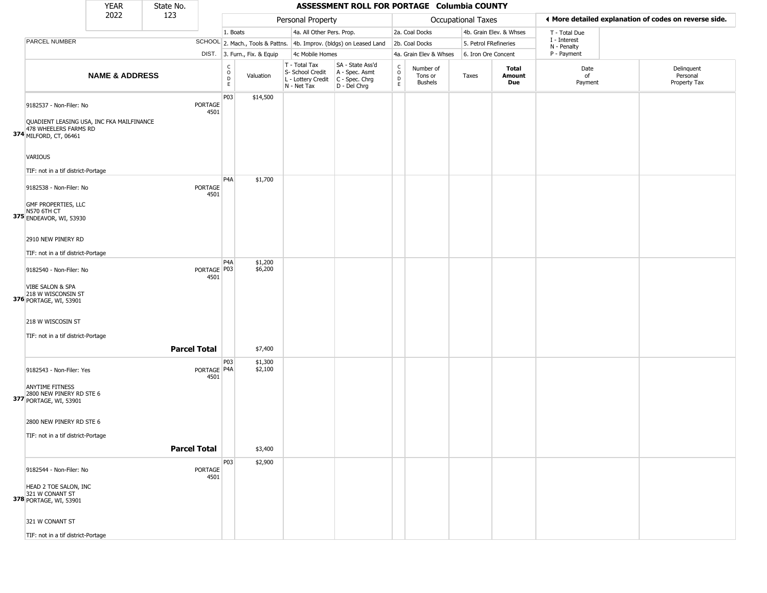|                                                                                                                         | <b>YEAR</b>               | State No.           |                        |                                                   |                              |                                                                        | ASSESSMENT ROLL FOR PORTAGE Columbia COUNTY                          |                  |                                 |                       |                         |                             |                                                       |
|-------------------------------------------------------------------------------------------------------------------------|---------------------------|---------------------|------------------------|---------------------------------------------------|------------------------------|------------------------------------------------------------------------|----------------------------------------------------------------------|------------------|---------------------------------|-----------------------|-------------------------|-----------------------------|-------------------------------------------------------|
|                                                                                                                         | 2022                      | 123                 |                        |                                                   |                              | Personal Property                                                      |                                                                      |                  |                                 | Occupational Taxes    |                         |                             | ♦ More detailed explanation of codes on reverse side. |
|                                                                                                                         |                           |                     |                        | 1. Boats                                          |                              | 4a. All Other Pers. Prop.                                              |                                                                      |                  | 2a. Coal Docks                  |                       | 4b. Grain Elev. & Whses | T - Total Due               |                                                       |
| PARCEL NUMBER                                                                                                           |                           |                     |                        |                                                   |                              |                                                                        | SCHOOL 2. Mach., Tools & Pattns. 4b. Improv. (bldgs) on Leased Land  |                  | 2b. Coal Docks                  | 5. Petrol FRefineries |                         | I - Interest<br>N - Penalty |                                                       |
|                                                                                                                         |                           |                     |                        |                                                   | DIST. 3. Furn., Fix. & Equip | 4c Mobile Homes                                                        |                                                                      |                  | 4a. Grain Elev & Whses          | 6. Iron Ore Concent   |                         | P - Payment                 |                                                       |
|                                                                                                                         | <b>NAME &amp; ADDRESS</b> |                     |                        | C<br>$\begin{array}{c}\n0 \\ D \\ E\n\end{array}$ | Valuation                    | T - Total Tax<br>S- School Credit<br>L - Lottery Credit<br>N - Net Tax | SA - State Ass'd<br>A - Spec. Asmt<br>C - Spec. Chrg<br>D - Del Chrg | C<br>D<br>E<br>E | Number of<br>Tons or<br>Bushels | Taxes                 | Total<br>Amount<br>Due  | Date<br>of<br>Payment       | Delinquent<br>Personal<br>Property Tax                |
| 9182537 - Non-Filer: No<br>QUADIENT LEASING USA, INC FKA MAILFINANCE<br>478 WHEELERS FARMS RD<br>374 MILFORD, CT, 06461 |                           |                     | PORTAGE<br>4501        | P03                                               | \$14,500                     |                                                                        |                                                                      |                  |                                 |                       |                         |                             |                                                       |
| VARIOUS<br>TIF: not in a tif district-Portage                                                                           |                           |                     |                        |                                                   |                              |                                                                        |                                                                      |                  |                                 |                       |                         |                             |                                                       |
| 9182538 - Non-Filer: No<br>GMF PROPERTIES, LLC<br>N570 6TH CT<br>375 ENDEAVOR, WI, 53930                                |                           |                     | <b>PORTAGE</b><br>4501 | P <sub>4</sub> A                                  | \$1,700                      |                                                                        |                                                                      |                  |                                 |                       |                         |                             |                                                       |
| 2910 NEW PINERY RD<br>TIF: not in a tif district-Portage                                                                |                           |                     |                        | P <sub>4</sub> A                                  |                              |                                                                        |                                                                      |                  |                                 |                       |                         |                             |                                                       |
| 9182540 - Non-Filer: No<br>VIBE SALON & SPA<br>376 218 W WISCONSIN ST<br>376 PORTAGE, WI, 53901                         |                           |                     | PORTAGE   P03<br>4501  |                                                   | \$1,200<br>\$6,200           |                                                                        |                                                                      |                  |                                 |                       |                         |                             |                                                       |
| 218 W WISCOSIN ST<br>TIF: not in a tif district-Portage                                                                 |                           | <b>Parcel Total</b> |                        |                                                   | \$7,400                      |                                                                        |                                                                      |                  |                                 |                       |                         |                             |                                                       |
| 9182543 - Non-Filer: Yes<br><b>ANYTIME FITNESS</b><br>2800 NEW PINERY RD STE 6<br>377 PORTAGE, WI, 53901                |                           |                     | PORTAGE P4A<br>4501    | P03                                               | \$1,300<br>\$2,100           |                                                                        |                                                                      |                  |                                 |                       |                         |                             |                                                       |
| 2800 NEW PINERY RD STE 6<br>TIF: not in a tif district-Portage                                                          |                           | <b>Parcel Total</b> |                        |                                                   | \$3,400                      |                                                                        |                                                                      |                  |                                 |                       |                         |                             |                                                       |
| 9182544 - Non-Filer: No<br>HEAD 2 TOE SALON, INC<br>321 W CONANT ST<br>378 PORTAGE, WI, 53901<br>321 W CONANT ST        |                           |                     | <b>PORTAGE</b><br>4501 | P03                                               | \$2,900                      |                                                                        |                                                                      |                  |                                 |                       |                         |                             |                                                       |
| TIF: not in a tif district-Portage                                                                                      |                           |                     |                        |                                                   |                              |                                                                        |                                                                      |                  |                                 |                       |                         |                             |                                                       |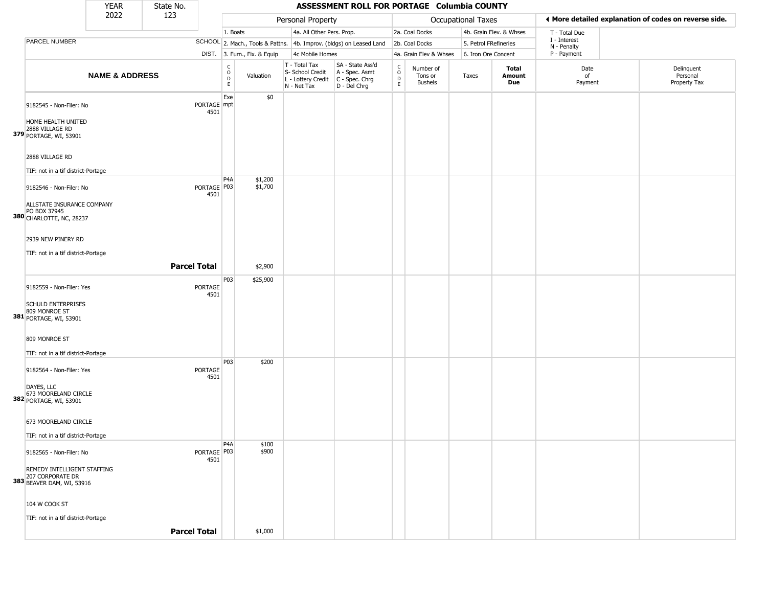|                                                                               | <b>YEAR</b>               | State No.           |                     |                  |                              |                                                                        | ASSESSMENT ROLL FOR PORTAGE Columbia COUNTY                          |                                                 |                                        |                       |                         |                             |                                                       |
|-------------------------------------------------------------------------------|---------------------------|---------------------|---------------------|------------------|------------------------------|------------------------------------------------------------------------|----------------------------------------------------------------------|-------------------------------------------------|----------------------------------------|-----------------------|-------------------------|-----------------------------|-------------------------------------------------------|
|                                                                               | 2022                      | 123                 |                     |                  |                              | Personal Property                                                      |                                                                      |                                                 |                                        | Occupational Taxes    |                         |                             | ♦ More detailed explanation of codes on reverse side. |
|                                                                               |                           |                     |                     | 1. Boats         |                              | 4a. All Other Pers. Prop.                                              |                                                                      |                                                 | 2a. Coal Docks                         |                       | 4b. Grain Elev. & Whses | T - Total Due               |                                                       |
| PARCEL NUMBER                                                                 |                           |                     |                     |                  |                              |                                                                        | SCHOOL 2. Mach., Tools & Pattns. 4b. Improv. (bldgs) on Leased Land  |                                                 | 2b. Coal Docks                         | 5. Petrol FRefineries |                         | I - Interest<br>N - Penalty |                                                       |
|                                                                               |                           |                     |                     |                  | DIST. 3. Furn., Fix. & Equip | 4c Mobile Homes                                                        |                                                                      |                                                 | 4a. Grain Elev & Whses                 | 6. Iron Ore Concent   |                         | P - Payment                 |                                                       |
|                                                                               | <b>NAME &amp; ADDRESS</b> |                     |                     | C<br>O<br>D<br>E | Valuation                    | T - Total Tax<br>S- School Credit<br>L - Lottery Credit<br>N - Net Tax | SA - State Ass'd<br>A - Spec. Asmt<br>C - Spec. Chrg<br>D - Del Chrg | $\begin{array}{c} C \\ O \\ D \\ E \end{array}$ | Number of<br>Tons or<br><b>Bushels</b> | Taxes                 | Total<br>Amount<br>Due  | Date<br>of<br>Payment       | Delinquent<br>Personal<br>Property Tax                |
| 9182545 - Non-Filer: No<br>HOME HEALTH UNITED                                 |                           |                     | PORTAGE mpt<br>4501 | Exe              | \$0                          |                                                                        |                                                                      |                                                 |                                        |                       |                         |                             |                                                       |
| 2888 VILLAGE RD<br>379 PORTAGE, WI, 53901<br>2888 VILLAGE RD                  |                           |                     |                     |                  |                              |                                                                        |                                                                      |                                                 |                                        |                       |                         |                             |                                                       |
| TIF: not in a tif district-Portage                                            |                           |                     |                     |                  |                              |                                                                        |                                                                      |                                                 |                                        |                       |                         |                             |                                                       |
| 9182546 - Non-Filer: No                                                       |                           |                     | PORTAGE P03<br>4501 | P4A              | \$1,200<br>\$1,700           |                                                                        |                                                                      |                                                 |                                        |                       |                         |                             |                                                       |
| ALLSTATE INSURANCE COMPANY<br>PO BOX 37945<br><b>380</b> CHARLOTTE, NC, 28237 |                           |                     |                     |                  |                              |                                                                        |                                                                      |                                                 |                                        |                       |                         |                             |                                                       |
| 2939 NEW PINERY RD                                                            |                           |                     |                     |                  |                              |                                                                        |                                                                      |                                                 |                                        |                       |                         |                             |                                                       |
| TIF: not in a tif district-Portage                                            |                           | <b>Parcel Total</b> |                     |                  | \$2,900                      |                                                                        |                                                                      |                                                 |                                        |                       |                         |                             |                                                       |
|                                                                               |                           |                     |                     | P03              | \$25,900                     |                                                                        |                                                                      |                                                 |                                        |                       |                         |                             |                                                       |
| 9182559 - Non-Filer: Yes                                                      |                           |                     | PORTAGE<br>4501     |                  |                              |                                                                        |                                                                      |                                                 |                                        |                       |                         |                             |                                                       |
| <b>SCHULD ENTERPRISES</b><br>381 809 MONROE ST<br>PORTAGE, WI, 53901          |                           |                     |                     |                  |                              |                                                                        |                                                                      |                                                 |                                        |                       |                         |                             |                                                       |
| 809 MONROE ST                                                                 |                           |                     |                     |                  |                              |                                                                        |                                                                      |                                                 |                                        |                       |                         |                             |                                                       |
| TIF: not in a tif district-Portage                                            |                           |                     |                     | P03              |                              |                                                                        |                                                                      |                                                 |                                        |                       |                         |                             |                                                       |
| 9182564 - Non-Filer: Yes                                                      |                           |                     | PORTAGE<br>4501     |                  | \$200                        |                                                                        |                                                                      |                                                 |                                        |                       |                         |                             |                                                       |
| DAYES, LLC<br>673 MOORELAND CIRCLE<br>382 PORTAGE, WI, 53901                  |                           |                     |                     |                  |                              |                                                                        |                                                                      |                                                 |                                        |                       |                         |                             |                                                       |
| 673 MOORELAND CIRCLE                                                          |                           |                     |                     |                  |                              |                                                                        |                                                                      |                                                 |                                        |                       |                         |                             |                                                       |
| TIF: not in a tif district-Portage                                            |                           |                     |                     |                  |                              |                                                                        |                                                                      |                                                 |                                        |                       |                         |                             |                                                       |
| 9182565 - Non-Filer: No                                                       |                           |                     | PORTAGE P03<br>4501 | P4A              | \$100<br>\$900               |                                                                        |                                                                      |                                                 |                                        |                       |                         |                             |                                                       |
| REMEDY INTELLIGENT STAFFING<br>207 CORPORATE DR<br>383 BEAVER DAM, WI, 53916  |                           |                     |                     |                  |                              |                                                                        |                                                                      |                                                 |                                        |                       |                         |                             |                                                       |
| 104 W COOK ST                                                                 |                           |                     |                     |                  |                              |                                                                        |                                                                      |                                                 |                                        |                       |                         |                             |                                                       |
| TIF: not in a tif district-Portage                                            |                           |                     |                     |                  |                              |                                                                        |                                                                      |                                                 |                                        |                       |                         |                             |                                                       |
|                                                                               |                           | <b>Parcel Total</b> |                     |                  | \$1,000                      |                                                                        |                                                                      |                                                 |                                        |                       |                         |                             |                                                       |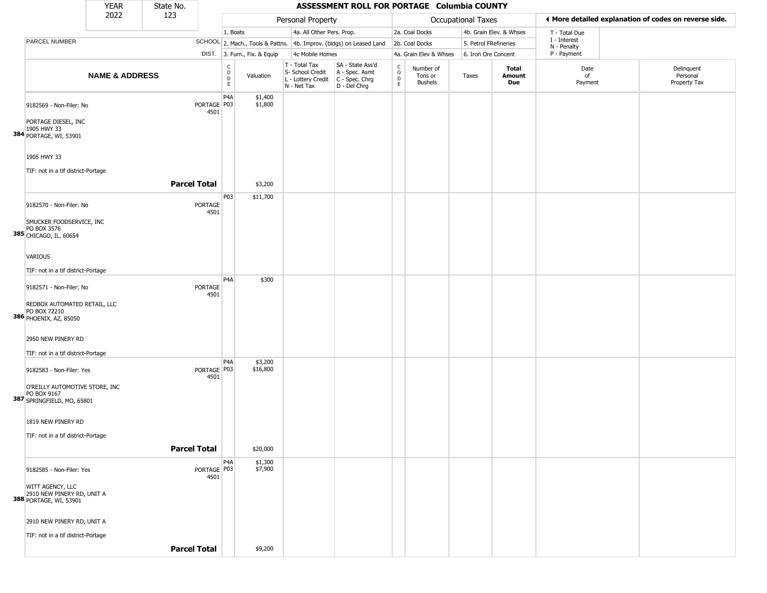|                                                                                                         | <b>YEAR</b>               | State No.           |                     |                                |                              |                                                                        | ASSESSMENT ROLL FOR PORTAGE Columbia COUNTY                          |                      |                                        |                           |                         |                             |                                                       |
|---------------------------------------------------------------------------------------------------------|---------------------------|---------------------|---------------------|--------------------------------|------------------------------|------------------------------------------------------------------------|----------------------------------------------------------------------|----------------------|----------------------------------------|---------------------------|-------------------------|-----------------------------|-------------------------------------------------------|
|                                                                                                         | 2022                      | 123                 |                     |                                |                              | Personal Property                                                      |                                                                      |                      |                                        | <b>Occupational Taxes</b> |                         |                             | ♦ More detailed explanation of codes on reverse side. |
|                                                                                                         |                           |                     |                     | 1. Boats                       |                              | 4a. All Other Pers. Prop.                                              |                                                                      |                      | 2a. Coal Docks                         |                           | 4b. Grain Elev. & Whses | T - Total Due               |                                                       |
| PARCEL NUMBER                                                                                           |                           |                     |                     |                                |                              |                                                                        | SCHOOL 2. Mach., Tools & Pattns. 4b. Improv. (bldgs) on Leased Land  |                      | 2b. Coal Docks                         | 5. Petrol FRefineries     |                         | I - Interest<br>N - Penalty |                                                       |
|                                                                                                         |                           |                     |                     |                                | DIST. 3. Furn., Fix. & Equip | 4c Mobile Homes                                                        |                                                                      |                      | 4a. Grain Elev & Whses                 | 6. Iron Ore Concent       |                         | P - Payment                 |                                                       |
|                                                                                                         | <b>NAME &amp; ADDRESS</b> |                     |                     | $\rm _o^C$<br>$\mathsf D$<br>E | Valuation                    | T - Total Tax<br>S- School Credit<br>L - Lottery Credit<br>N - Net Tax | SA - State Ass'd<br>A - Spec. Asmt<br>C - Spec. Chrg<br>D - Del Chrg | $\rm ^c_o$<br>D<br>E | Number of<br>Tons or<br><b>Bushels</b> | Taxes                     | Total<br>Amount<br>Due  | Date<br>of<br>Payment       | Delinquent<br>Personal<br>Property Tax                |
| 9182569 - Non-Filer: No<br>PORTAGE DIESEL, INC<br>1905 HWY 33<br>384 PORTAGE, WI, 53901                 |                           |                     | PORTAGE P03<br>4501 | P4A                            | \$1,400<br>\$1,800           |                                                                        |                                                                      |                      |                                        |                           |                         |                             |                                                       |
| 1905 HWY 33<br>TIF: not in a tif district-Portage                                                       |                           |                     |                     |                                |                              |                                                                        |                                                                      |                      |                                        |                           |                         |                             |                                                       |
|                                                                                                         |                           | <b>Parcel Total</b> |                     |                                | \$3,200                      |                                                                        |                                                                      |                      |                                        |                           |                         |                             |                                                       |
| 9182570 - Non-Filer: No<br>SMUCKER FOODSERVICE, INC<br>PO BOX 3576<br>385 CHICAGO, IL, 60654<br>VARIOUS |                           |                     | PORTAGE<br>4501     | P03                            | \$11,700                     |                                                                        |                                                                      |                      |                                        |                           |                         |                             |                                                       |
| TIF: not in a tif district-Portage                                                                      |                           |                     |                     |                                |                              |                                                                        |                                                                      |                      |                                        |                           |                         |                             |                                                       |
| 9182571 - Non-Filer: No<br>REDBOX AUTOMATED RETAIL, LLC<br>PO BOX 72210<br>386 PHOENIX, AZ, 85050       |                           |                     | PORTAGE<br>4501     | P <sub>4</sub> A               | \$300                        |                                                                        |                                                                      |                      |                                        |                           |                         |                             |                                                       |
| 2950 NEW PINERY RD<br>TIF: not in a tif district-Portage                                                |                           |                     |                     |                                |                              |                                                                        |                                                                      |                      |                                        |                           |                         |                             |                                                       |
| 9182583 - Non-Filer: Yes<br>O'REILLY AUTOMOTIVE STORE, INC<br>PO BOX 9167<br>387 SPRINGFIELD, MO, 65801 |                           |                     | PORTAGE P03<br>4501 | P <sub>4</sub> A               | \$3,200<br>\$16,800          |                                                                        |                                                                      |                      |                                        |                           |                         |                             |                                                       |
| 1819 NEW PINERY RD<br>TIF: not in a tif district-Portage                                                |                           | <b>Parcel Total</b> |                     |                                | \$20,000                     |                                                                        |                                                                      |                      |                                        |                           |                         |                             |                                                       |
| 9182585 - Non-Filer: Yes<br>WITT AGENCY, LLC<br>2910 NEW PINERY RD, UNIT A<br>388 PORTAGE, WI, 53901    |                           |                     | PORTAGE P03<br>4501 | P <sub>4</sub> A               | \$1,300<br>\$7,900           |                                                                        |                                                                      |                      |                                        |                           |                         |                             |                                                       |
| 2910 NEW PINERY RD, UNIT A<br>TIF: not in a tif district-Portage                                        |                           | <b>Parcel Total</b> |                     |                                | \$9,200                      |                                                                        |                                                                      |                      |                                        |                           |                         |                             |                                                       |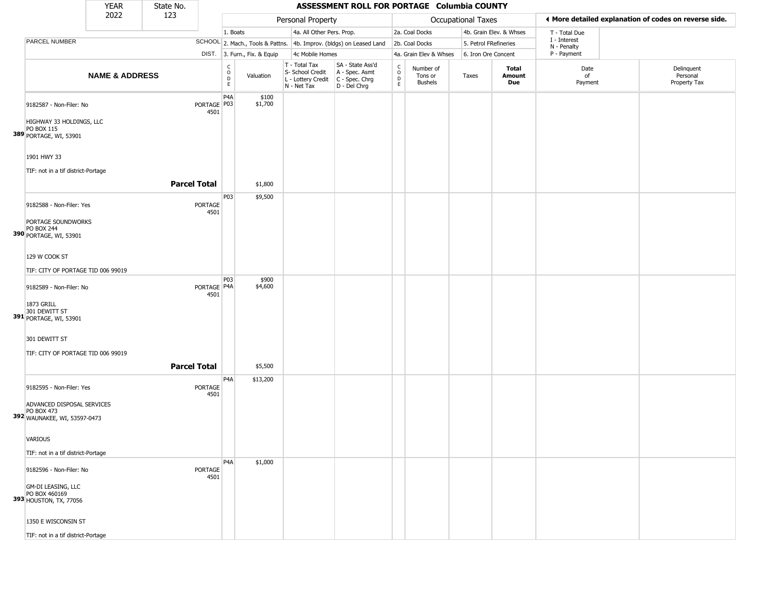|                                                                                                                 | <b>YEAR</b>               | State No.           |                        |                                                          |                              |                                                                        | ASSESSMENT ROLL FOR PORTAGE Columbia COUNTY                          |                                                          |                                 |                       |                               |                             |                                                       |
|-----------------------------------------------------------------------------------------------------------------|---------------------------|---------------------|------------------------|----------------------------------------------------------|------------------------------|------------------------------------------------------------------------|----------------------------------------------------------------------|----------------------------------------------------------|---------------------------------|-----------------------|-------------------------------|-----------------------------|-------------------------------------------------------|
|                                                                                                                 | 2022                      | 123                 |                        |                                                          |                              | Personal Property                                                      |                                                                      |                                                          |                                 | Occupational Taxes    |                               |                             | ♦ More detailed explanation of codes on reverse side. |
|                                                                                                                 |                           |                     |                        | 1. Boats                                                 |                              | 4a. All Other Pers. Prop.                                              |                                                                      |                                                          | 2a. Coal Docks                  |                       | 4b. Grain Elev. & Whses       | T - Total Due               |                                                       |
| PARCEL NUMBER                                                                                                   |                           |                     |                        |                                                          |                              |                                                                        | SCHOOL 2. Mach., Tools & Pattns. 4b. Improv. (bldgs) on Leased Land  |                                                          | 2b. Coal Docks                  | 5. Petrol FRefineries |                               | I - Interest<br>N - Penalty |                                                       |
|                                                                                                                 |                           |                     |                        |                                                          | DIST. 3. Furn., Fix. & Equip | 4c Mobile Homes                                                        |                                                                      |                                                          | 4a. Grain Elev & Whses          | 6. Iron Ore Concent   |                               | P - Payment                 |                                                       |
|                                                                                                                 | <b>NAME &amp; ADDRESS</b> |                     |                        | $\begin{matrix} 0 \\ 0 \\ D \end{matrix}$<br>$\mathsf E$ | Valuation                    | T - Total Tax<br>S- School Credit<br>L - Lottery Credit<br>N - Net Tax | SA - State Ass'd<br>A - Spec. Asmt<br>C - Spec. Chrg<br>D - Del Chrg | $\begin{matrix} 0 \\ 0 \\ D \end{matrix}$<br>$\mathsf E$ | Number of<br>Tons or<br>Bushels | Taxes                 | <b>Total</b><br>Amount<br>Due | Date<br>of<br>Payment       | Delinquent<br>Personal<br>Property Tax                |
| 9182587 - Non-Filer: No<br>HIGHWAY 33 HOLDINGS, LLC<br>PO BOX 115<br>389 PORTAGE, WI, 53901                     |                           |                     | PORTAGE P03<br>4501    | P4A                                                      | \$100<br>\$1,700             |                                                                        |                                                                      |                                                          |                                 |                       |                               |                             |                                                       |
| 1901 HWY 33<br>TIF: not in a tif district-Portage                                                               |                           |                     |                        |                                                          |                              |                                                                        |                                                                      |                                                          |                                 |                       |                               |                             |                                                       |
|                                                                                                                 |                           | <b>Parcel Total</b> |                        |                                                          | \$1,800                      |                                                                        |                                                                      |                                                          |                                 |                       |                               |                             |                                                       |
| 9182588 - Non-Filer: Yes<br>PORTAGE SOUNDWORKS<br><b>PO BOX 244</b><br>390 PORTAGE, WI, 53901                   |                           |                     | <b>PORTAGE</b><br>4501 | P03                                                      | \$9,500                      |                                                                        |                                                                      |                                                          |                                 |                       |                               |                             |                                                       |
| 129 W COOK ST<br>TIF: CITY OF PORTAGE TID 006 99019                                                             |                           |                     |                        |                                                          |                              |                                                                        |                                                                      |                                                          |                                 |                       |                               |                             |                                                       |
| 9182589 - Non-Filer: No<br>1873 GRILL<br>301 DEWITT ST<br>391 PORTAGE, WI, 53901                                |                           |                     | PORTAGE   P4A<br>4501  | P <sub>0</sub> 3                                         | \$900<br>\$4,600             |                                                                        |                                                                      |                                                          |                                 |                       |                               |                             |                                                       |
| 301 DEWITT ST<br>TIF: CITY OF PORTAGE TID 006 99019                                                             |                           | <b>Parcel Total</b> |                        |                                                          | \$5,500                      |                                                                        |                                                                      |                                                          |                                 |                       |                               |                             |                                                       |
| 9182595 - Non-Filer: Yes<br>ADVANCED DISPOSAL SERVICES<br>PO BOX 473<br>392 WAUNAKEE, WI, 53597-0473            |                           |                     | <b>PORTAGE</b><br>4501 | P4A                                                      | \$13,200                     |                                                                        |                                                                      |                                                          |                                 |                       |                               |                             |                                                       |
| VARIOUS<br>TIF: not in a tif district-Portage                                                                   |                           |                     |                        |                                                          |                              |                                                                        |                                                                      |                                                          |                                 |                       |                               |                             |                                                       |
| 9182596 - Non-Filer: No<br>GM-DI LEASING, LLC<br>PO BOX 460169<br>393 HOUSTON, TX, 77056<br>1350 E WISCONSIN ST |                           |                     | <b>PORTAGE</b><br>4501 | P <sub>4</sub> A                                         | \$1,000                      |                                                                        |                                                                      |                                                          |                                 |                       |                               |                             |                                                       |
| TIF: not in a tif district-Portage                                                                              |                           |                     |                        |                                                          |                              |                                                                        |                                                                      |                                                          |                                 |                       |                               |                             |                                                       |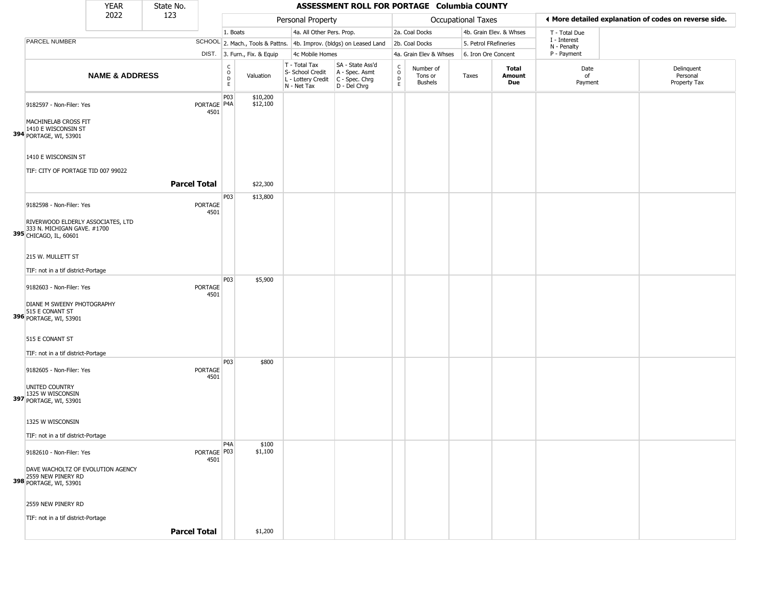|                                                                                            | <b>YEAR</b>               | State No.           |                        |                                                          |                              |                                                                        | ASSESSMENT ROLL FOR PORTAGE Columbia COUNTY                          |                                |                                        |                       |                         |                             |                                                       |
|--------------------------------------------------------------------------------------------|---------------------------|---------------------|------------------------|----------------------------------------------------------|------------------------------|------------------------------------------------------------------------|----------------------------------------------------------------------|--------------------------------|----------------------------------------|-----------------------|-------------------------|-----------------------------|-------------------------------------------------------|
|                                                                                            | 2022                      | 123                 |                        |                                                          |                              | Personal Property                                                      |                                                                      |                                |                                        | Occupational Taxes    |                         |                             | I More detailed explanation of codes on reverse side. |
|                                                                                            |                           |                     |                        | 1. Boats                                                 |                              | 4a. All Other Pers. Prop.                                              |                                                                      |                                | 2a. Coal Docks                         |                       | 4b. Grain Elev. & Whses | T - Total Due               |                                                       |
| PARCEL NUMBER                                                                              |                           |                     |                        |                                                          |                              |                                                                        | SCHOOL 2. Mach., Tools & Pattns. 4b. Improv. (bldgs) on Leased Land  |                                | 2b. Coal Docks                         | 5. Petrol FRefineries |                         | I - Interest<br>N - Penalty |                                                       |
|                                                                                            |                           |                     |                        |                                                          | DIST. 3. Furn., Fix. & Equip | 4c Mobile Homes                                                        |                                                                      |                                | 4a. Grain Elev & Whses                 | 6. Iron Ore Concent   |                         | P - Payment                 |                                                       |
|                                                                                            | <b>NAME &amp; ADDRESS</b> |                     |                        | $\mathsf C$<br>$\mathsf O$<br>$\mathsf D$<br>$\mathsf E$ | Valuation                    | T - Total Tax<br>S- School Credit<br>L - Lottery Credit<br>N - Net Tax | SA - State Ass'd<br>A - Spec. Asmt<br>C - Spec. Chrg<br>D - Del Chrg | $\rm _o^C$<br>D<br>$\mathsf E$ | Number of<br>Tons or<br><b>Bushels</b> | Taxes                 | Total<br>Amount<br>Due  | Date<br>of<br>Payment       | Delinquent<br>Personal<br>Property Tax                |
| 9182597 - Non-Filer: Yes<br>MACHINELAB CROSS FIT                                           |                           |                     | PORTAGE P4A<br>4501    | P <sub>03</sub>                                          | \$10,200<br>\$12,100         |                                                                        |                                                                      |                                |                                        |                       |                         |                             |                                                       |
| 1410 E WISCONSIN ST<br>394 PORTAGE, WI, 53901                                              |                           |                     |                        |                                                          |                              |                                                                        |                                                                      |                                |                                        |                       |                         |                             |                                                       |
| 1410 E WISCONSIN ST<br>TIF: CITY OF PORTAGE TID 007 99022                                  |                           |                     |                        |                                                          |                              |                                                                        |                                                                      |                                |                                        |                       |                         |                             |                                                       |
|                                                                                            |                           | <b>Parcel Total</b> |                        |                                                          | \$22,300                     |                                                                        |                                                                      |                                |                                        |                       |                         |                             |                                                       |
| 9182598 - Non-Filer: Yes                                                                   |                           |                     | <b>PORTAGE</b><br>4501 | P03                                                      | \$13,800                     |                                                                        |                                                                      |                                |                                        |                       |                         |                             |                                                       |
| RIVERWOOD ELDERLY ASSOCIATES, LTD<br>333 N. MICHIGAN GAVE. #1700<br>395 CHICAGO, IL, 60601 |                           |                     |                        |                                                          |                              |                                                                        |                                                                      |                                |                                        |                       |                         |                             |                                                       |
| 215 W. MULLETT ST                                                                          |                           |                     |                        |                                                          |                              |                                                                        |                                                                      |                                |                                        |                       |                         |                             |                                                       |
| TIF: not in a tif district-Portage                                                         |                           |                     |                        |                                                          |                              |                                                                        |                                                                      |                                |                                        |                       |                         |                             |                                                       |
| 9182603 - Non-Filer: Yes                                                                   |                           |                     | <b>PORTAGE</b><br>4501 | P03                                                      | \$5,900                      |                                                                        |                                                                      |                                |                                        |                       |                         |                             |                                                       |
| DIANE M SWEENY PHOTOGRAPHY<br>515 E CONANT ST<br>396 PORTAGE, WI, 53901                    |                           |                     |                        |                                                          |                              |                                                                        |                                                                      |                                |                                        |                       |                         |                             |                                                       |
| 515 E CONANT ST<br>TIF: not in a tif district-Portage                                      |                           |                     |                        |                                                          |                              |                                                                        |                                                                      |                                |                                        |                       |                         |                             |                                                       |
| 9182605 - Non-Filer: Yes                                                                   |                           |                     | <b>PORTAGE</b><br>4501 | P03                                                      | \$800                        |                                                                        |                                                                      |                                |                                        |                       |                         |                             |                                                       |
| UNITED COUNTRY<br>1325 W WISCONSIN<br>397 PORTAGE, WI, 53901                               |                           |                     |                        |                                                          |                              |                                                                        |                                                                      |                                |                                        |                       |                         |                             |                                                       |
| 1325 W WISCONSIN                                                                           |                           |                     |                        |                                                          |                              |                                                                        |                                                                      |                                |                                        |                       |                         |                             |                                                       |
| TIF: not in a tif district-Portage                                                         |                           |                     |                        |                                                          |                              |                                                                        |                                                                      |                                |                                        |                       |                         |                             |                                                       |
| 9182610 - Non-Filer: Yes                                                                   |                           |                     | PORTAGE P03<br>4501    | P <sub>4</sub> A                                         | \$100<br>\$1,100             |                                                                        |                                                                      |                                |                                        |                       |                         |                             |                                                       |
| DAVE WACHOLTZ OF EVOLUTION AGENCY<br>2559 NEW PINERY RD<br>398 PORTAGE, WI, 53901          |                           |                     |                        |                                                          |                              |                                                                        |                                                                      |                                |                                        |                       |                         |                             |                                                       |
| 2559 NEW PINERY RD                                                                         |                           |                     |                        |                                                          |                              |                                                                        |                                                                      |                                |                                        |                       |                         |                             |                                                       |
| TIF: not in a tif district-Portage                                                         |                           |                     |                        |                                                          |                              |                                                                        |                                                                      |                                |                                        |                       |                         |                             |                                                       |
|                                                                                            |                           | <b>Parcel Total</b> |                        |                                                          | \$1,200                      |                                                                        |                                                                      |                                |                                        |                       |                         |                             |                                                       |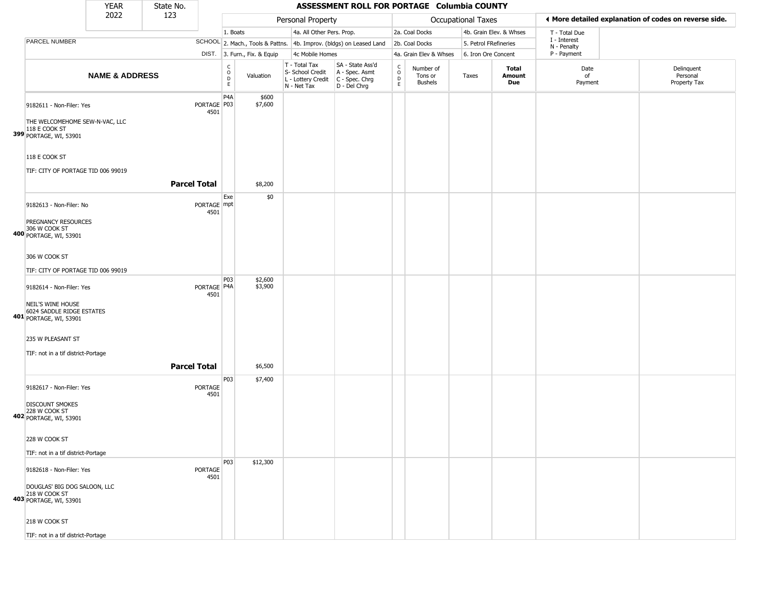|                                                                           | <b>YEAR</b>               | State No.           |                                |                                                          |                              |                                                                                         | ASSESSMENT ROLL FOR PORTAGE Columbia COUNTY                         |                         |                                        |                       |                         |                             |                                                       |
|---------------------------------------------------------------------------|---------------------------|---------------------|--------------------------------|----------------------------------------------------------|------------------------------|-----------------------------------------------------------------------------------------|---------------------------------------------------------------------|-------------------------|----------------------------------------|-----------------------|-------------------------|-----------------------------|-------------------------------------------------------|
|                                                                           | 2022                      | 123                 |                                |                                                          |                              | Personal Property                                                                       |                                                                     |                         |                                        | Occupational Taxes    |                         |                             | I More detailed explanation of codes on reverse side. |
|                                                                           |                           |                     |                                | 1. Boats                                                 |                              | 4a. All Other Pers. Prop.                                                               |                                                                     |                         | 2a. Coal Docks                         |                       | 4b. Grain Elev. & Whses | T - Total Due               |                                                       |
| PARCEL NUMBER                                                             |                           |                     |                                |                                                          |                              |                                                                                         | SCHOOL 2. Mach., Tools & Pattns. 4b. Improv. (bldgs) on Leased Land |                         | 2b. Coal Docks                         | 5. Petrol FRefineries |                         | I - Interest<br>N - Penalty |                                                       |
|                                                                           |                           |                     |                                |                                                          | DIST. 3. Furn., Fix. & Equip | 4c Mobile Homes                                                                         |                                                                     |                         | 4a. Grain Elev & Whses                 | 6. Iron Ore Concent   |                         | P - Payment                 |                                                       |
|                                                                           | <b>NAME &amp; ADDRESS</b> |                     |                                | $\begin{smallmatrix} C \\ O \\ D \end{smallmatrix}$<br>E | Valuation                    | T - Total Tax<br>S- School Credit<br>L - Lottery Credit   C - Spec. Chrg<br>N - Net Tax | SA - State Ass'd<br>A - Spec. Asmt<br>D - Del Chrg                  | $\frac{c}{0}$<br>D<br>E | Number of<br>Tons or<br><b>Bushels</b> | Taxes                 | Total<br>Amount<br>Due  | Date<br>of<br>Payment       | Delinquent<br>Personal<br>Property Tax                |
| 9182611 - Non-Filer: Yes                                                  |                           |                     | PORTAGE <sup>P03</sup><br>4501 | P4A                                                      | \$600<br>\$7,600             |                                                                                         |                                                                     |                         |                                        |                       |                         |                             |                                                       |
| THE WELCOMEHOME SEW-N-VAC, LLC<br>118 E COOK ST<br>399 PORTAGE, WI, 53901 |                           |                     |                                |                                                          |                              |                                                                                         |                                                                     |                         |                                        |                       |                         |                             |                                                       |
| 118 E COOK ST<br>TIF: CITY OF PORTAGE TID 006 99019                       |                           |                     |                                |                                                          |                              |                                                                                         |                                                                     |                         |                                        |                       |                         |                             |                                                       |
|                                                                           |                           | <b>Parcel Total</b> |                                |                                                          | \$8,200                      |                                                                                         |                                                                     |                         |                                        |                       |                         |                             |                                                       |
| 9182613 - Non-Filer: No                                                   |                           |                     | PORTAGE mpt<br>4501            | Exe                                                      | \$0                          |                                                                                         |                                                                     |                         |                                        |                       |                         |                             |                                                       |
| PREGNANCY RESOURCES<br>306 W COOK ST<br>400 PORTAGE, WI, 53901            |                           |                     |                                |                                                          |                              |                                                                                         |                                                                     |                         |                                        |                       |                         |                             |                                                       |
| 306 W COOK ST<br>TIF: CITY OF PORTAGE TID 006 99019                       |                           |                     |                                |                                                          |                              |                                                                                         |                                                                     |                         |                                        |                       |                         |                             |                                                       |
| 9182614 - Non-Filer: Yes                                                  |                           |                     | PORTAGE   P4A<br>4501          | P03                                                      | \$2,600<br>\$3,900           |                                                                                         |                                                                     |                         |                                        |                       |                         |                             |                                                       |
| NEIL'S WINE HOUSE<br>6024 SADDLE RIDGE ESTATES<br>401 PORTAGE, WI, 53901  |                           |                     |                                |                                                          |                              |                                                                                         |                                                                     |                         |                                        |                       |                         |                             |                                                       |
| 235 W PLEASANT ST                                                         |                           |                     |                                |                                                          |                              |                                                                                         |                                                                     |                         |                                        |                       |                         |                             |                                                       |
| TIF: not in a tif district-Portage                                        |                           | <b>Parcel Total</b> |                                |                                                          | \$6,500                      |                                                                                         |                                                                     |                         |                                        |                       |                         |                             |                                                       |
| 9182617 - Non-Filer: Yes                                                  |                           |                     | <b>PORTAGE</b><br>4501         | P03                                                      | \$7,400                      |                                                                                         |                                                                     |                         |                                        |                       |                         |                             |                                                       |
| <b>DISCOUNT SMOKES</b><br>228 W COOK ST<br>402 PORTAGE, WI, 53901         |                           |                     |                                |                                                          |                              |                                                                                         |                                                                     |                         |                                        |                       |                         |                             |                                                       |
| 228 W COOK ST                                                             |                           |                     |                                |                                                          |                              |                                                                                         |                                                                     |                         |                                        |                       |                         |                             |                                                       |
| TIF: not in a tif district-Portage<br>9182618 - Non-Filer: Yes            |                           |                     | PORTAGE                        | P03                                                      | \$12,300                     |                                                                                         |                                                                     |                         |                                        |                       |                         |                             |                                                       |
| DOUGLAS' BIG DOG SALOON, LLC<br>218 W COOK ST<br>403 PORTAGE, WI, 53901   |                           |                     | 4501                           |                                                          |                              |                                                                                         |                                                                     |                         |                                        |                       |                         |                             |                                                       |
| 218 W COOK ST                                                             |                           |                     |                                |                                                          |                              |                                                                                         |                                                                     |                         |                                        |                       |                         |                             |                                                       |
| TIF: not in a tif district-Portage                                        |                           |                     |                                |                                                          |                              |                                                                                         |                                                                     |                         |                                        |                       |                         |                             |                                                       |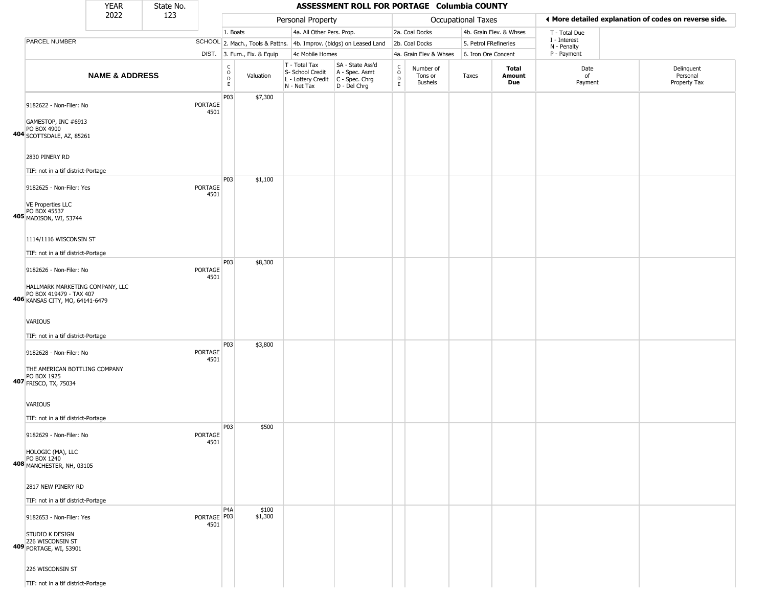|                                                                                                                                                       | YEAR                      | State No. |                        |                                                |                              |                                                                        | ASSESSMENT ROLL FOR PORTAGE Columbia COUNTY                          |                                          |                                        |                       |                         |                             |                                                       |
|-------------------------------------------------------------------------------------------------------------------------------------------------------|---------------------------|-----------|------------------------|------------------------------------------------|------------------------------|------------------------------------------------------------------------|----------------------------------------------------------------------|------------------------------------------|----------------------------------------|-----------------------|-------------------------|-----------------------------|-------------------------------------------------------|
|                                                                                                                                                       | 2022                      | 123       |                        |                                                |                              | Personal Property                                                      |                                                                      |                                          |                                        | Occupational Taxes    |                         |                             | ♦ More detailed explanation of codes on reverse side. |
|                                                                                                                                                       |                           |           |                        | 1. Boats                                       |                              | 4a. All Other Pers. Prop.                                              |                                                                      |                                          | 2a. Coal Docks                         |                       | 4b. Grain Elev. & Whses | T - Total Due               |                                                       |
| PARCEL NUMBER                                                                                                                                         |                           |           |                        |                                                |                              |                                                                        | SCHOOL 2. Mach., Tools & Pattns. 4b. Improv. (bldgs) on Leased Land  |                                          | 2b. Coal Docks                         | 5. Petrol FRefineries |                         | I - Interest<br>N - Penalty |                                                       |
|                                                                                                                                                       |                           |           |                        |                                                | DIST. 3. Furn., Fix. & Equip | 4c Mobile Homes                                                        |                                                                      |                                          | 4a. Grain Elev & Whses                 | 6. Iron Ore Concent   |                         | P - Payment                 |                                                       |
|                                                                                                                                                       | <b>NAME &amp; ADDRESS</b> |           |                        | $\begin{matrix} 0 \\ 0 \\ D \end{matrix}$<br>E | Valuation                    | T - Total Tax<br>S- School Credit<br>L - Lottery Credit<br>N - Net Tax | SA - State Ass'd<br>A - Spec. Asmt<br>C - Spec. Chrg<br>D - Del Chrg | $\rm _o^C$<br>$\mathsf D$<br>$\mathsf E$ | Number of<br>Tons or<br><b>Bushels</b> | Taxes                 | Total<br>Amount<br>Due  | Date<br>of<br>Payment       | Delinquent<br>Personal<br>Property Tax                |
| 9182622 - Non-Filer: No<br>GAMESTOP, INC #6913<br>PO BOX 4900<br>404 SCOTTSDALE, AZ, 85261<br>2830 PINERY RD                                          |                           |           | PORTAGE<br>4501        | P03                                            | \$7,300                      |                                                                        |                                                                      |                                          |                                        |                       |                         |                             |                                                       |
| TIF: not in a tif district-Portage                                                                                                                    |                           |           |                        |                                                |                              |                                                                        |                                                                      |                                          |                                        |                       |                         |                             |                                                       |
| 9182625 - Non-Filer: Yes<br><b>VE Properties LLC</b><br>PO BOX 45537<br>405 MADISON, WI, 53744                                                        |                           |           | PORTAGE<br>4501        | P03                                            | \$1,100                      |                                                                        |                                                                      |                                          |                                        |                       |                         |                             |                                                       |
| 1114/1116 WISCONSIN ST                                                                                                                                |                           |           |                        |                                                |                              |                                                                        |                                                                      |                                          |                                        |                       |                         |                             |                                                       |
|                                                                                                                                                       |                           |           |                        |                                                |                              |                                                                        |                                                                      |                                          |                                        |                       |                         |                             |                                                       |
| TIF: not in a tif district-Portage<br>9182626 - Non-Filer: No                                                                                         |                           |           | PORTAGE<br>4501        | P03                                            | \$8,300                      |                                                                        |                                                                      |                                          |                                        |                       |                         |                             |                                                       |
| HALLMARK MARKETING COMPANY, LLC<br>PO BOX 419479 - TAX 407<br>406 KANSAS CITY, MO, 64141-6479<br><b>VARIOUS</b><br>TIF: not in a tif district-Portage |                           |           |                        |                                                |                              |                                                                        |                                                                      |                                          |                                        |                       |                         |                             |                                                       |
| 9182628 - Non-Filer: No                                                                                                                               |                           |           | <b>PORTAGE</b><br>4501 | P03                                            | \$3,800                      |                                                                        |                                                                      |                                          |                                        |                       |                         |                             |                                                       |
| THE AMERICAN BOTTLING COMPANY<br>PO BOX 1925<br>407 FRISCO, TX, 75034                                                                                 |                           |           |                        |                                                |                              |                                                                        |                                                                      |                                          |                                        |                       |                         |                             |                                                       |
| <b>VARIOUS</b>                                                                                                                                        |                           |           |                        |                                                |                              |                                                                        |                                                                      |                                          |                                        |                       |                         |                             |                                                       |
| TIF: not in a tif district-Portage                                                                                                                    |                           |           |                        |                                                |                              |                                                                        |                                                                      |                                          |                                        |                       |                         |                             |                                                       |
| 9182629 - Non-Filer: No                                                                                                                               |                           |           | PORTAGE<br>4501        | P03                                            | \$500                        |                                                                        |                                                                      |                                          |                                        |                       |                         |                             |                                                       |
| HOLOGIC (MA), LLC<br>PO BOX 1240<br>408 MANCHESTER, NH, 03105                                                                                         |                           |           |                        |                                                |                              |                                                                        |                                                                      |                                          |                                        |                       |                         |                             |                                                       |
| 2817 NEW PINERY RD                                                                                                                                    |                           |           |                        |                                                |                              |                                                                        |                                                                      |                                          |                                        |                       |                         |                             |                                                       |
| TIF: not in a tif district-Portage                                                                                                                    |                           |           |                        |                                                |                              |                                                                        |                                                                      |                                          |                                        |                       |                         |                             |                                                       |
| 9182653 - Non-Filer: Yes                                                                                                                              |                           |           | PORTAGE P03<br>4501    | P4A                                            | \$100<br>\$1,300             |                                                                        |                                                                      |                                          |                                        |                       |                         |                             |                                                       |
| STUDIO K DESIGN<br>226 WISCONSIN ST<br>409 PORTAGE, WI, 53901                                                                                         |                           |           |                        |                                                |                              |                                                                        |                                                                      |                                          |                                        |                       |                         |                             |                                                       |
| 226 WISCONSIN ST                                                                                                                                      |                           |           |                        |                                                |                              |                                                                        |                                                                      |                                          |                                        |                       |                         |                             |                                                       |
| TIF: not in a tif district-Portage                                                                                                                    |                           |           |                        |                                                |                              |                                                                        |                                                                      |                                          |                                        |                       |                         |                             |                                                       |

- 177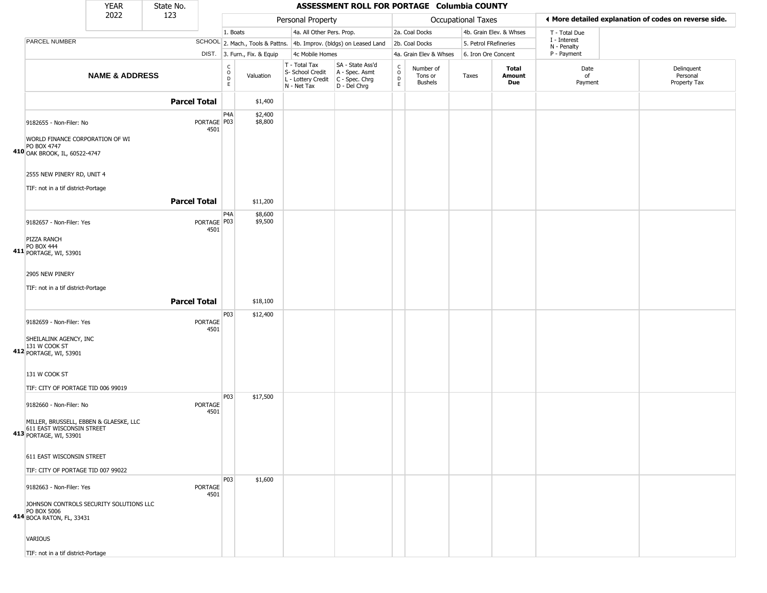|                                                                                                            | <b>YEAR</b>               | State No.           |                     |                                                            |                              |                                                                        | ASSESSMENT ROLL FOR PORTAGE Columbia COUNTY                          |                                                             |                                        |                    |                         |                             |                                                       |
|------------------------------------------------------------------------------------------------------------|---------------------------|---------------------|---------------------|------------------------------------------------------------|------------------------------|------------------------------------------------------------------------|----------------------------------------------------------------------|-------------------------------------------------------------|----------------------------------------|--------------------|-------------------------|-----------------------------|-------------------------------------------------------|
|                                                                                                            | 2022                      | 123                 |                     |                                                            |                              | Personal Property                                                      |                                                                      |                                                             |                                        | Occupational Taxes |                         |                             | ◀ More detailed explanation of codes on reverse side. |
|                                                                                                            |                           |                     |                     | 1. Boats                                                   |                              | 4a. All Other Pers. Prop.                                              |                                                                      |                                                             | 2a. Coal Docks                         |                    | 4b. Grain Elev. & Whses | T - Total Due               |                                                       |
| PARCEL NUMBER                                                                                              |                           |                     |                     |                                                            |                              |                                                                        | SCHOOL 2. Mach., Tools & Pattns. 4b. Improv. (bldgs) on Leased Land  |                                                             | 2b. Coal Docks                         |                    | 5. Petrol FRefineries   | I - Interest<br>N - Penalty |                                                       |
|                                                                                                            |                           |                     |                     |                                                            | DIST. 3. Furn., Fix. & Equip | 4c Mobile Homes                                                        |                                                                      |                                                             | 4a. Grain Elev & Whses                 |                    | 6. Iron Ore Concent     | P - Payment                 |                                                       |
|                                                                                                            | <b>NAME &amp; ADDRESS</b> |                     |                     | $\begin{smallmatrix} C\\ O\\ O\\ D \end{smallmatrix}$<br>E | Valuation                    | T - Total Tax<br>S- School Credit<br>L - Lottery Credit<br>N - Net Tax | SA - State Ass'd<br>A - Spec. Asmt<br>C - Spec. Chrg<br>D - Del Chrg | $\begin{smallmatrix}&&C\0&\mathsf{D}\end{smallmatrix}$<br>E | Number of<br>Tons or<br><b>Bushels</b> | Taxes              | Total<br>Amount<br>Due  | Date<br>of<br>Payment       | Delinquent<br>Personal<br>Property Tax                |
|                                                                                                            |                           | <b>Parcel Total</b> |                     |                                                            | \$1,400                      |                                                                        |                                                                      |                                                             |                                        |                    |                         |                             |                                                       |
| 9182655 - Non-Filer: No<br>WORLD FINANCE CORPORATION OF WI<br>PO BOX 4747<br>410 OAK BROOK, IL, 60522-4747 |                           |                     | PORTAGE P03<br>4501 | P <sub>4</sub> A                                           | \$2,400<br>\$8,800           |                                                                        |                                                                      |                                                             |                                        |                    |                         |                             |                                                       |
| 2555 NEW PINERY RD, UNIT 4<br>TIF: not in a tif district-Portage                                           |                           | <b>Parcel Total</b> |                     |                                                            |                              |                                                                        |                                                                      |                                                             |                                        |                    |                         |                             |                                                       |
|                                                                                                            |                           |                     |                     |                                                            | \$11,200                     |                                                                        |                                                                      |                                                             |                                        |                    |                         |                             |                                                       |
| 9182657 - Non-Filer: Yes<br>PIZZA RANCH<br><b>PO BOX 444</b>                                               |                           |                     | PORTAGE P03<br>4501 | P <sub>4</sub> A                                           | \$8,600<br>\$9,500           |                                                                        |                                                                      |                                                             |                                        |                    |                         |                             |                                                       |
| 411 PORTAGE, WI, 53901                                                                                     |                           |                     |                     |                                                            |                              |                                                                        |                                                                      |                                                             |                                        |                    |                         |                             |                                                       |
| 2905 NEW PINERY                                                                                            |                           |                     |                     |                                                            |                              |                                                                        |                                                                      |                                                             |                                        |                    |                         |                             |                                                       |
| TIF: not in a tif district-Portage                                                                         |                           |                     |                     |                                                            |                              |                                                                        |                                                                      |                                                             |                                        |                    |                         |                             |                                                       |
|                                                                                                            |                           | <b>Parcel Total</b> |                     |                                                            | \$18,100                     |                                                                        |                                                                      |                                                             |                                        |                    |                         |                             |                                                       |
| 9182659 - Non-Filer: Yes                                                                                   |                           |                     | PORTAGE<br>4501     | P03                                                        | \$12,400                     |                                                                        |                                                                      |                                                             |                                        |                    |                         |                             |                                                       |
| SHEILALINK AGENCY, INC<br>412 131 W COOK ST<br>412 PORTAGE, WI, 53901                                      |                           |                     |                     |                                                            |                              |                                                                        |                                                                      |                                                             |                                        |                    |                         |                             |                                                       |
| 131 W COOK ST                                                                                              |                           |                     |                     |                                                            |                              |                                                                        |                                                                      |                                                             |                                        |                    |                         |                             |                                                       |
| TIF: CITY OF PORTAGE TID 006 99019                                                                         |                           |                     |                     |                                                            |                              |                                                                        |                                                                      |                                                             |                                        |                    |                         |                             |                                                       |
| 9182660 - Non-Filer: No<br>MILLER, BRUSSELL, EBBEN & GLAESKE, LLC<br>611 EAST WISCONSIN STREET             |                           |                     | PORTAGE<br>4501     | P03                                                        | \$17,500                     |                                                                        |                                                                      |                                                             |                                        |                    |                         |                             |                                                       |
| 413 PORTAGE, WI, 53901                                                                                     |                           |                     |                     |                                                            |                              |                                                                        |                                                                      |                                                             |                                        |                    |                         |                             |                                                       |
| 611 EAST WISCONSIN STREET                                                                                  |                           |                     |                     |                                                            |                              |                                                                        |                                                                      |                                                             |                                        |                    |                         |                             |                                                       |
| TIF: CITY OF PORTAGE TID 007 99022                                                                         |                           |                     |                     |                                                            |                              |                                                                        |                                                                      |                                                             |                                        |                    |                         |                             |                                                       |
| 9182663 - Non-Filer: Yes                                                                                   |                           |                     | PORTAGE<br>4501     | <b>P03</b>                                                 | \$1,600                      |                                                                        |                                                                      |                                                             |                                        |                    |                         |                             |                                                       |
| JOHNSON CONTROLS SECURITY SOLUTIONS LLC<br>PO BOX 5006<br>414 BOCA RATON, FL, 33431                        |                           |                     |                     |                                                            |                              |                                                                        |                                                                      |                                                             |                                        |                    |                         |                             |                                                       |
| <b>VARIOUS</b>                                                                                             |                           |                     |                     |                                                            |                              |                                                                        |                                                                      |                                                             |                                        |                    |                         |                             |                                                       |
| TIF: not in a tif district-Portage                                                                         |                           |                     |                     |                                                            |                              |                                                                        |                                                                      |                                                             |                                        |                    |                         |                             |                                                       |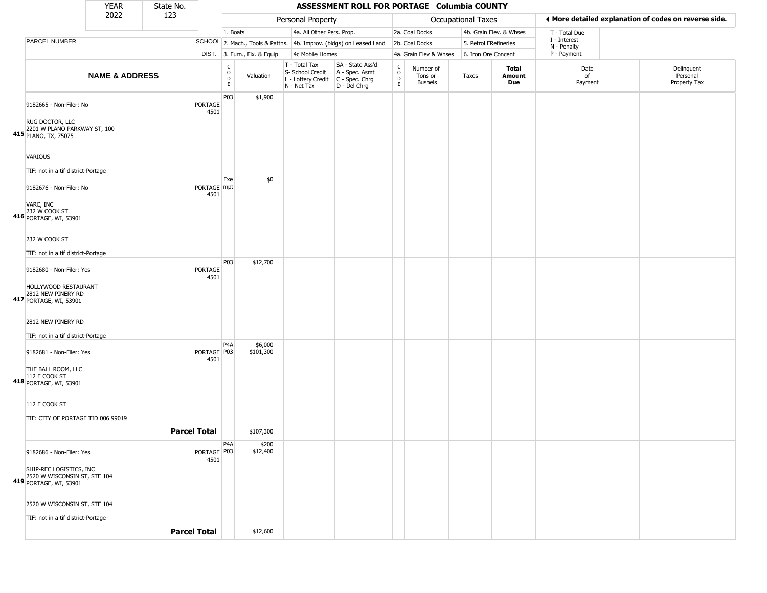|                                                                                                               | <b>YEAR</b>               | State No.           |                        |                                   |                              |                                                                        | ASSESSMENT ROLL FOR PORTAGE Columbia COUNTY                          |                                            |                                 |                       |                         |                             |                                                       |
|---------------------------------------------------------------------------------------------------------------|---------------------------|---------------------|------------------------|-----------------------------------|------------------------------|------------------------------------------------------------------------|----------------------------------------------------------------------|--------------------------------------------|---------------------------------|-----------------------|-------------------------|-----------------------------|-------------------------------------------------------|
|                                                                                                               | 2022                      | 123                 |                        |                                   |                              | Personal Property                                                      |                                                                      |                                            |                                 | Occupational Taxes    |                         |                             | ♦ More detailed explanation of codes on reverse side. |
|                                                                                                               |                           |                     |                        | 1. Boats                          |                              | 4a. All Other Pers. Prop.                                              |                                                                      |                                            | 2a. Coal Docks                  |                       | 4b. Grain Elev. & Whses | T - Total Due               |                                                       |
| PARCEL NUMBER                                                                                                 |                           |                     |                        |                                   |                              |                                                                        | SCHOOL 2. Mach., Tools & Pattns. 4b. Improv. (bldgs) on Leased Land  |                                            | 2b. Coal Docks                  | 5. Petrol FRefineries |                         | I - Interest<br>N - Penalty |                                                       |
|                                                                                                               |                           |                     |                        |                                   | DIST. 3. Furn., Fix. & Equip | 4c Mobile Homes                                                        |                                                                      |                                            | 4a. Grain Elev & Whses          | 6. Iron Ore Concent   |                         | P - Payment                 |                                                       |
|                                                                                                               | <b>NAME &amp; ADDRESS</b> |                     |                        | $\mathsf{C}$<br>$\circ$<br>D<br>E | Valuation                    | T - Total Tax<br>S- School Credit<br>L - Lottery Credit<br>N - Net Tax | SA - State Ass'd<br>A - Spec. Asmt<br>C - Spec. Chrg<br>D - Del Chrg | $\begin{array}{c} C \\ 0 \\ E \end{array}$ | Number of<br>Tons or<br>Bushels | Taxes                 | Total<br>Amount<br>Due  | Date<br>of<br>Payment       | Delinquent<br>Personal<br>Property Tax                |
| 9182665 - Non-Filer: No<br>RUG DOCTOR, LLC<br>2201 W PLANO PARKWAY ST, 100<br>415 PLANO, TX, 75075            |                           |                     | PORTAGE<br>4501        | P03                               | \$1,900                      |                                                                        |                                                                      |                                            |                                 |                       |                         |                             |                                                       |
| <b>VARIOUS</b><br>TIF: not in a tif district-Portage                                                          |                           |                     |                        | Exe                               | \$0                          |                                                                        |                                                                      |                                            |                                 |                       |                         |                             |                                                       |
| 9182676 - Non-Filer: No<br>VARC, INC<br>232 W COOK ST<br>416 PORTAGE, WI, 53901                               |                           |                     | PORTAGE mpt<br>4501    |                                   |                              |                                                                        |                                                                      |                                            |                                 |                       |                         |                             |                                                       |
| 232 W COOK ST                                                                                                 |                           |                     |                        |                                   |                              |                                                                        |                                                                      |                                            |                                 |                       |                         |                             |                                                       |
| TIF: not in a tif district-Portage                                                                            |                           |                     |                        | P03                               | \$12,700                     |                                                                        |                                                                      |                                            |                                 |                       |                         |                             |                                                       |
| 9182680 - Non-Filer: Yes<br>HOLLYWOOD RESTAURANT<br>417 2812 NEW PINERY RD<br>PORTAGE, WI, 53901              |                           |                     | <b>PORTAGE</b><br>4501 |                                   |                              |                                                                        |                                                                      |                                            |                                 |                       |                         |                             |                                                       |
| 2812 NEW PINERY RD                                                                                            |                           |                     |                        |                                   |                              |                                                                        |                                                                      |                                            |                                 |                       |                         |                             |                                                       |
| TIF: not in a tif district-Portage                                                                            |                           |                     |                        |                                   |                              |                                                                        |                                                                      |                                            |                                 |                       |                         |                             |                                                       |
| 9182681 - Non-Filer: Yes<br>THE BALL ROOM, LLC<br>112 E COOK ST<br>418 PORTAGE, WI, 53901                     |                           |                     | PORTAGE P03<br>4501    | P4A                               | \$6,000<br>\$101,300         |                                                                        |                                                                      |                                            |                                 |                       |                         |                             |                                                       |
| 112 E COOK ST<br>TIF: CITY OF PORTAGE TID 006 99019                                                           |                           | <b>Parcel Total</b> |                        |                                   | \$107,300                    |                                                                        |                                                                      |                                            |                                 |                       |                         |                             |                                                       |
|                                                                                                               |                           |                     |                        |                                   |                              |                                                                        |                                                                      |                                            |                                 |                       |                         |                             |                                                       |
| 9182686 - Non-Filer: Yes<br>SHIP-REC LOGISTICS, INC<br>2520 W WISCONSIN ST, STE 104<br>419 PORTAGE, WI, 53901 |                           |                     | PORTAGE   P03<br>4501  | P <sub>4</sub> A                  | \$200<br>\$12,400            |                                                                        |                                                                      |                                            |                                 |                       |                         |                             |                                                       |
| 2520 W WISCONSIN ST, STE 104<br>TIF: not in a tif district-Portage                                            |                           | <b>Parcel Total</b> |                        |                                   | \$12,600                     |                                                                        |                                                                      |                                            |                                 |                       |                         |                             |                                                       |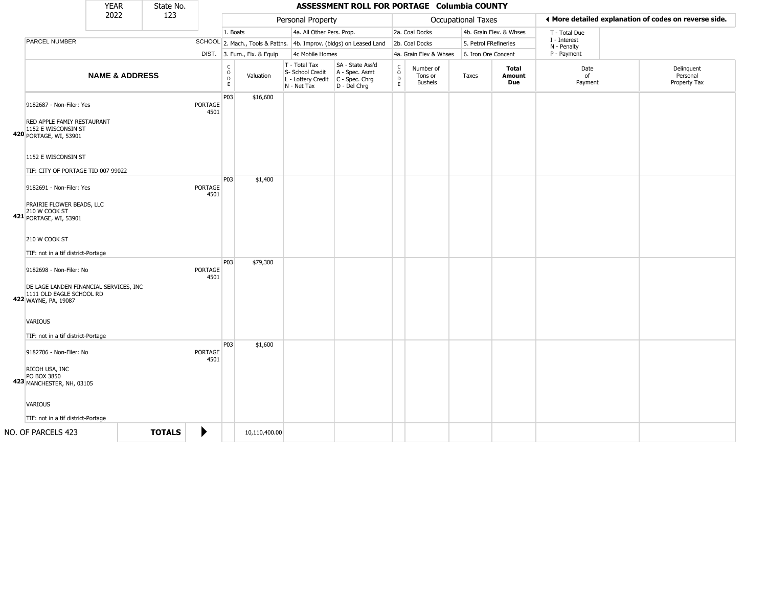|                                                                                                                                | <b>YEAR</b>               | State No.     |                        |                                   |                              |                                                                        | ASSESSMENT ROLL FOR PORTAGE Columbia COUNTY                            |                                  |                                        |                           |                         |                             |                                                       |
|--------------------------------------------------------------------------------------------------------------------------------|---------------------------|---------------|------------------------|-----------------------------------|------------------------------|------------------------------------------------------------------------|------------------------------------------------------------------------|----------------------------------|----------------------------------------|---------------------------|-------------------------|-----------------------------|-------------------------------------------------------|
|                                                                                                                                | 2022                      | 123           |                        |                                   |                              | Personal Property                                                      |                                                                        |                                  |                                        | <b>Occupational Taxes</b> |                         |                             | ♦ More detailed explanation of codes on reverse side. |
|                                                                                                                                |                           |               |                        | 1. Boats                          |                              | 4a. All Other Pers. Prop.                                              |                                                                        |                                  | 2a. Coal Docks                         |                           | 4b. Grain Elev. & Whses | T - Total Due               |                                                       |
| PARCEL NUMBER                                                                                                                  |                           |               |                        |                                   |                              |                                                                        | SCHOOL 2. Mach., Tools & Pattns. 4b. Improv. (bldgs) on Leased Land    |                                  | 2b. Coal Docks                         | 5. Petrol FRefineries     |                         | I - Interest<br>N - Penalty |                                                       |
|                                                                                                                                |                           |               |                        |                                   | DIST. 3. Furn., Fix. & Equip | 4c Mobile Homes                                                        |                                                                        |                                  | 4a. Grain Elev & Whses                 | 6. Iron Ore Concent       |                         | P - Payment                 |                                                       |
|                                                                                                                                | <b>NAME &amp; ADDRESS</b> |               |                        | C<br>$\circ$<br>$\mathsf{D}$<br>E | Valuation                    | T - Total Tax<br>S- School Credit<br>L - Lottery Credit<br>N - Net Tax | SA - State Ass'd<br>A - Spec. Asmt<br>$C - Spec. Chrg$<br>D - Del Chrg | C<br>$\circ$<br>D<br>$\mathsf E$ | Number of<br>Tons or<br><b>Bushels</b> | Taxes                     | Total<br>Amount<br>Due  | Date<br>of<br>Payment       | Delinguent<br>Personal<br>Property Tax                |
| 9182687 - Non-Filer: Yes<br>RED APPLE FAMIY RESTAURANT<br>1152 E WISCONSIN ST<br>420 PORTAGE, WI, 53901<br>1152 E WISCONSIN ST |                           |               | PORTAGE<br>4501        | P03                               | \$16,600                     |                                                                        |                                                                        |                                  |                                        |                           |                         |                             |                                                       |
| TIF: CITY OF PORTAGE TID 007 99022                                                                                             |                           |               |                        |                                   |                              |                                                                        |                                                                        |                                  |                                        |                           |                         |                             |                                                       |
| 9182691 - Non-Filer: Yes<br>PRAIRIE FLOWER BEADS, LLC<br>210 W COOK ST<br>421 PORTAGE, WI, 53901                               |                           |               | PORTAGE<br>4501        | P03                               | \$1,400                      |                                                                        |                                                                        |                                  |                                        |                           |                         |                             |                                                       |
| 210 W COOK ST<br>TIF: not in a tif district-Portage                                                                            |                           |               |                        |                                   |                              |                                                                        |                                                                        |                                  |                                        |                           |                         |                             |                                                       |
| 9182698 - Non-Filer: No<br>DE LAGE LANDEN FINANCIAL SERVICES, INC<br>1111 OLD EAGLE SCHOOL RD<br>422 WAYNE, PA, 19087          |                           |               | PORTAGE<br>4501        | P03                               | \$79,300                     |                                                                        |                                                                        |                                  |                                        |                           |                         |                             |                                                       |
| VARIOUS<br>TIF: not in a tif district-Portage                                                                                  |                           |               |                        |                                   |                              |                                                                        |                                                                        |                                  |                                        |                           |                         |                             |                                                       |
| 9182706 - Non-Filer: No                                                                                                        |                           |               | <b>PORTAGE</b><br>4501 | P03                               | \$1,600                      |                                                                        |                                                                        |                                  |                                        |                           |                         |                             |                                                       |
| RICOH USA, INC<br>PO BOX 3850<br>423 MANCHESTER, NH, 03105                                                                     |                           |               |                        |                                   |                              |                                                                        |                                                                        |                                  |                                        |                           |                         |                             |                                                       |
| <b>VARIOUS</b>                                                                                                                 |                           |               |                        |                                   |                              |                                                                        |                                                                        |                                  |                                        |                           |                         |                             |                                                       |
| TIF: not in a tif district-Portage                                                                                             |                           |               |                        |                                   |                              |                                                                        |                                                                        |                                  |                                        |                           |                         |                             |                                                       |
|                                                                                                                                |                           |               |                        |                                   |                              |                                                                        |                                                                        |                                  |                                        |                           |                         |                             |                                                       |
| NO. OF PARCELS 423                                                                                                             |                           | <b>TOTALS</b> | ▶                      |                                   | 10,110,400.00                |                                                                        |                                                                        |                                  |                                        |                           |                         |                             |                                                       |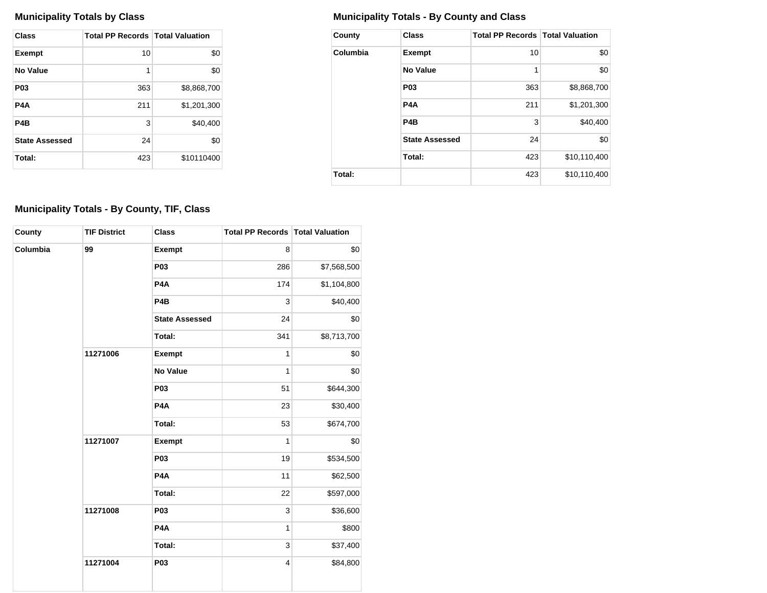| <b>Class</b>          | <b>Total PP Records   Total Valuation</b> |             |
|-----------------------|-------------------------------------------|-------------|
| <b>Exempt</b>         | 10                                        | \$0         |
| No Value              | 1                                         | \$0         |
| P <sub>0</sub> 3      | 363                                       | \$8,868,700 |
| P4A                   | 211                                       | \$1,201,300 |
| P4B                   | 3                                         | \$40,400    |
| <b>State Assessed</b> | 24                                        | \$0         |
| Total:                | 423                                       | \$10110400  |

## **Municipality Totals by Class Municipality Totals - By County and Class**

| County   | <b>Class</b>          | <b>Total PP Records   Total Valuation</b> |              |
|----------|-----------------------|-------------------------------------------|--------------|
| Columbia | <b>Exempt</b>         | 10                                        | \$0          |
|          | No Value              | 1                                         | \$0          |
|          | P <sub>0</sub> 3      | 363                                       | \$8,868,700  |
|          | P4A                   | 211                                       | \$1,201,300  |
|          | P <sub>4</sub> B      | 3                                         | \$40,400     |
|          | <b>State Assessed</b> | 24                                        | \$0          |
|          | Total:                | 423                                       | \$10,110,400 |
| Total:   |                       | 423                                       | \$10,110,400 |

## **Municipality Totals - By County, TIF, Class**

| County   | <b>TIF District</b> | <b>Class</b>          | <b>Total PP Records Total Valuation</b> |             |
|----------|---------------------|-----------------------|-----------------------------------------|-------------|
| Columbia | 99                  | Exempt                | 8                                       | \$0         |
|          |                     | P03                   | 286                                     | \$7,568,500 |
|          |                     | P <sub>4</sub> A      | 174                                     | \$1,104,800 |
|          |                     | P <sub>4</sub> B      | 3                                       | \$40,400    |
|          |                     | <b>State Assessed</b> | 24                                      | \$0         |
|          |                     | Total:                | 341                                     | \$8,713,700 |
|          | 11271006            | <b>Exempt</b>         | 1                                       | \$0         |
|          |                     | <b>No Value</b>       | 1                                       | \$0         |
|          |                     | P03                   | 51                                      | \$644,300   |
|          |                     | P <sub>4</sub> A      | 23                                      | \$30,400    |
|          |                     | Total:                | 53                                      | \$674,700   |
|          | 11271007            | <b>Exempt</b>         | 1                                       | \$0         |
|          |                     | P03                   | 19                                      | \$534,500   |
|          |                     | P <sub>4</sub> A      | 11                                      | \$62,500    |
|          |                     | Total:                | 22                                      | \$597,000   |
|          | 11271008            | <b>P03</b>            | 3                                       | \$36,600    |
|          |                     | P <sub>4</sub> A      | $\mathbf{1}$                            | \$800       |
|          |                     | Total:                | 3                                       | \$37,400    |
|          | 11271004            | P03                   | 4                                       | \$84,800    |